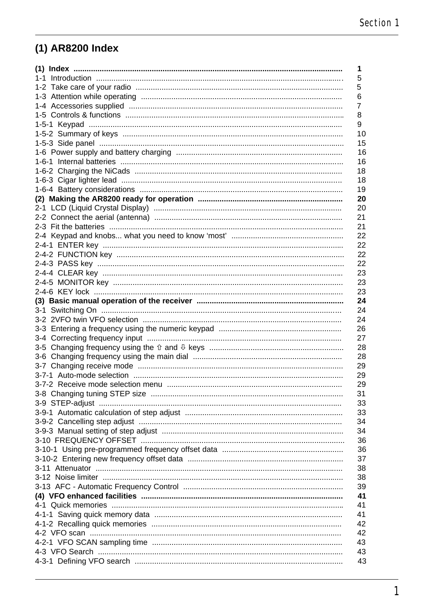# (1) AR8200 Index

| 1                                                            |
|--------------------------------------------------------------|
| 5                                                            |
| 5                                                            |
| 6                                                            |
| 7                                                            |
| 8                                                            |
| 9                                                            |
| 10                                                           |
| 15                                                           |
| 16                                                           |
| 16                                                           |
| 18                                                           |
| 18                                                           |
| 19                                                           |
| 20                                                           |
| 20                                                           |
| 21                                                           |
| 21                                                           |
| 22                                                           |
| 22                                                           |
| 22                                                           |
| 22                                                           |
| 23                                                           |
| 23                                                           |
| 23                                                           |
| 24                                                           |
| 24                                                           |
| 24                                                           |
| 26                                                           |
| 27                                                           |
| 28                                                           |
| 28                                                           |
| 29                                                           |
| 29                                                           |
| 29                                                           |
| 31                                                           |
| 33                                                           |
| 33                                                           |
| 34                                                           |
| 34                                                           |
| 36                                                           |
| 36                                                           |
| 37                                                           |
| 38                                                           |
| 3-12 Noise limiter ……………………………………………………………………………………………<br>38 |
| 39                                                           |
| 41                                                           |
| 41                                                           |
| 41                                                           |
| 42                                                           |
| 42                                                           |
| 43                                                           |
| 43                                                           |
| 43                                                           |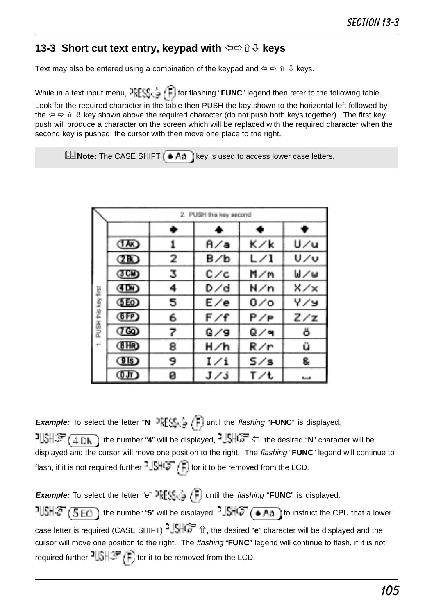### **13-3 Short cut text entry, keypad with**  $\Leftrightarrow$  **û**  $\theta$  **keys**

Text may also be entered using a combination of the keypad and ï ð ñ ò keys.

While in a text input menu,  $\frac{1}{2}$   $\sum_{i=1}^{n}$  for flashing "**FUNC**" legend then refer to the following table. Look for the required character in the table then PUSH the key shown to the horizontal-left followed by the  $\Leftrightarrow$   $\oplus$   $\oplus$  key shown above the required character (do not push both keys together). The first key push will produce a character on the screen which will be replaced with the required character when the second key is pushed, the cursor with then move one place to the right.

**ENote:** The CASE SHIFT  $\overline{A}$  (key is used to access lower case letters.

|   |       |   | 2. PUSH this key second |     |     |
|---|-------|---|-------------------------|-----|-----|
|   |       | ۰ |                         |     |     |
|   | (TAK) | 1 | A/a                     | K⁄k | U/u |
|   | ŒD    | 2 | B∕b                     | L/1 | リノぃ |
|   | (JCK) | 3 | C/c                     | M∕m | W⁄w |
|   | (IDN) | 4 | D/d                     | N⁄n | X/x |
|   | (SEO) | 5 | E/e                     | ە⁄ە | ソノコ |
|   | (FFP) | 6 | F⁄f                     | P∕⊨ | Z/z |
| 喜 | അ     | 7 | G/9                     | Q∕ฯ | ö   |
|   | (BHR) | 8 | H∕h                     | R⁄r | ü   |
|   | (FIS) | 9 | I∕i                     | 5/s | 8.  |
|   | ரை    | ø | J/j                     | T/t |     |

**Example:** To select the letter "**N**"  $\frac{1}{2}$   $\left(\frac{2}{3}, \frac{1}{2}\right)$  until the *flashing* "**FUNC**" is displayed. , the number "**4**" will be displayed, ï, the desired "**N**" character will be displayed and the cursor will move one position to the right. The flashing "**FUNC**" legend will continue to flash, if it is not required further  $\frac{1}{2}$   $\left|\frac{1}{2}\right|$  for it to be removed from the LCD.

**Example:** To select the letter "**e**"  $\exists$ **FESS**<sub> $\forall$ </sub>  $\exists$  until the *flashing* "**FUNC**" is displayed. <sup>1</sup>USH② (KEC), the number "5" will be displayed, <sup>1</sup>USHC ( $\bullet$  Aa) to instruct the CPU that a lower case letter is required (CASE SHIFT)  $\frac{1}{2}$ ,  $\frac{1}{2}$ , the desired "e" character will be displayed and the cursor will move one position to the right. The flashing "**FUNC**" legend will continue to flash, if it is not required further  $\frac{1}{2}$ ,  $\frac{1}{2}$ , for it to be removed from the LCD.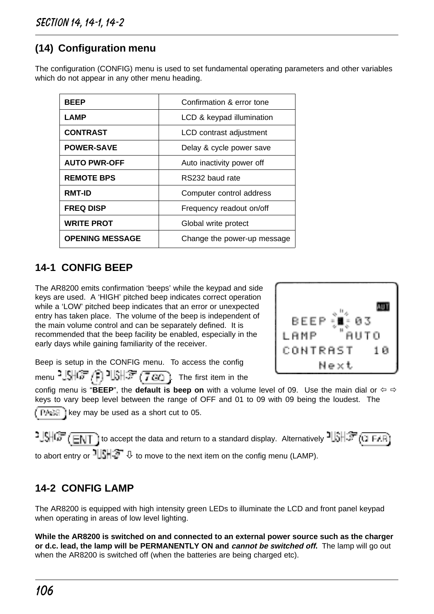# **(14) Configuration menu**

The configuration (CONFIG) menu is used to set fundamental operating parameters and other variables which do not appear in any other menu heading.

| <b>BEEP</b>            | Confirmation & error tone   |
|------------------------|-----------------------------|
| LAMP                   | LCD & keypad illumination   |
| <b>CONTRAST</b>        | LCD contrast adjustment     |
| <b>POWER-SAVE</b>      | Delay & cycle power save    |
| <b>AUTO PWR-OFF</b>    | Auto inactivity power off   |
| <b>REMOTE BPS</b>      | RS232 baud rate             |
| <b>RMT-ID</b>          | Computer control address    |
| <b>FREQ DISP</b>       | Frequency readout on/off    |
| <b>WRITE PROT</b>      | Global write protect        |
| <b>OPENING MESSAGE</b> | Change the power-up message |

# **14-1 CONFIG BEEP**

The AR8200 emits confirmation 'beeps' while the keypad and side keys are used. A 'HIGH' pitched beep indicates correct operation while a 'LOW' pitched beep indicates that an error or unexpected entry has taken place. The volume of the beep is independent of the main volume control and can be separately defined. It is recommended that the beep facility be enabled, especially in the early days while gaining familiarity of the receiver.



Beep is setup in the CONFIG menu. To access the config menu  $^2$  SHGF  $/$   $\left[\right]$   $^2$ USH $\left(\frac{1}{2}, \frac{1}{2}\right)$ . The first item in the

config menu is "**BEEP**", the **default is beep on** with a volume level of 09. Use the main dial or  $\Leftrightarrow$   $\Leftrightarrow$ keys to vary beep level between the range of OFF and 01 to 09 with 09 being the loudest. The  $k \in \mathbb{R}$  i key may be used as a short cut to 05.

 $1.5\sqrt{3}$  (ENT) to accept the data and return to a standard display. Alternatively  $1.5\sqrt{3}$  (O FAR) to abort entry or  $\frac{1}{2}$   $\frac{1}{2}$   $\frac{1}{2}$  to move to the next item on the config menu (LAMP).

### **14-2 CONFIG LAMP**

The AR8200 is equipped with high intensity green LEDs to illuminate the LCD and front panel keypad when operating in areas of low level lighting.

**While the AR8200 is switched on and connected to an external power source such as the charger or d.c. lead, the lamp will be PERMANENTLY ON and cannot be switched off.** The lamp will go out when the AR8200 is switched off (when the batteries are being charged etc).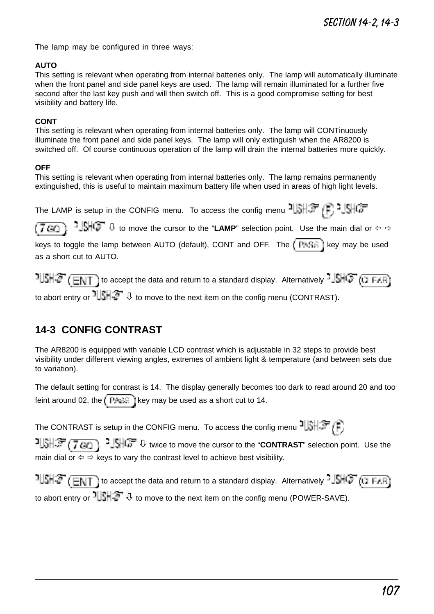The lamp may be configured in three ways:

#### **AUTO**

This setting is relevant when operating from internal batteries only. The lamp will automatically illuminate when the front panel and side panel keys are used. The lamp will remain illuminated for a further five second after the last key push and will then switch off. This is a good compromise setting for best visibility and battery life.

#### **CONT**

This setting is relevant when operating from internal batteries only. The lamp will CONTinuously illuminate the front panel and side panel keys. The lamp will only extinguish when the AR8200 is switched off. Of course continuous operation of the lamp will drain the internal batteries more quickly.

#### **OFF**

This setting is relevant when operating from internal batteries only. The lamp remains permanently extinguished, this is useful to maintain maximum battery life when used in areas of high light levels.

The LAMP is setup in the CONFIG menu. To access the config menu  $\frac{1}{3}$ 

 $\sqrt{7 \alpha_0}$ .  $\frac{3}{100}$   $\frac{1}{\alpha}$  to move the cursor to the "**LAMP**" selection point. Use the main dial or  $\Leftrightarrow$   $\Leftrightarrow$ 

keys to toggle the lamp between AUTO (default), CONT and OFF. The  $\sqrt{P+GR}$  key may be used as a short cut to AUTO.

 $1$ USH $\mathcal{F}$  (ENT) to accept the data and return to a standard display. Alternatively - SHCF (CLEAR) to abort entry or  $\frac{1}{2}$ ,  $\frac{1}{2}$  to move to the next item on the config menu (CONTRAST).

# **14-3 CONFIG CONTRAST**

The AR8200 is equipped with variable LCD contrast which is adjustable in 32 steps to provide best visibility under different viewing angles, extremes of ambient light & temperature (and between sets due to variation).

The default setting for contrast is 14. The display generally becomes too dark to read around 20 and too feint around 02, the  $\sqrt{P + \epsilon}$  key may be used as a short cut to 14.

The CONTRAST is setup in the CONFIG menu. To access the config menu  $\frac{1}{2}$ 

 $\frac{1}{2}$ .  $\frac{1}{2}$   $\frac{1}{2}$   $\frac{1}{2}$ ,  $\frac{1}{2}$ ,  $\frac{1}{2}$ ,  $\frac{1}{2}$ ,  $\frac{1}{2}$  twice to move the cursor to the "**CONTRAST**" selection point. Use the main dial or  $\Leftrightarrow$  is keys to vary the contrast level to achieve best visibility.

 $1$   $1.5$   $\sqrt{E\sqrt{1 + E\sqrt{1}}}\$  to accept the data and return to a standard display. Alternatively  $-15$   $\sqrt{3 + E\sqrt{1 + E\sqrt{1}}}\$ to abort entry or  $\frac{1}{2}$ ,  $\frac{1}{2}$  to move to the next item on the config menu (POWER-SAVE).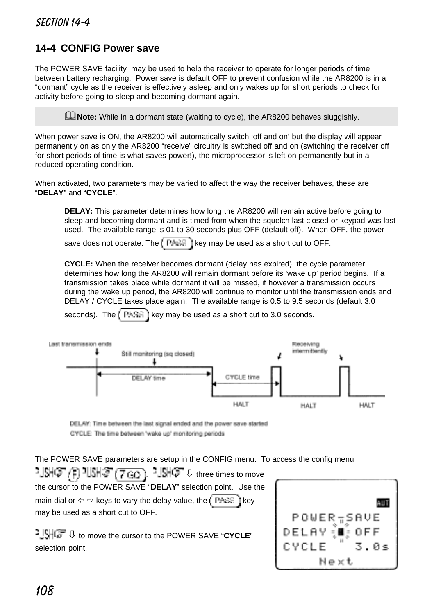### **14-4 CONFIG Power save**

The POWER SAVE facility may be used to help the receiver to operate for longer periods of time between battery recharging. Power save is default OFF to prevent confusion while the AR8200 is in a "dormant" cycle as the receiver is effectively asleep and only wakes up for short periods to check for activity before going to sleep and becoming dormant again.

**Allection** While in a dormant state (waiting to cycle), the AR8200 behaves sluggishly.

When power save is ON, the AR8200 will automatically switch 'off and on' but the display will appear permanently on as only the AR8200 "receive" circuitry is switched off and on (switching the receiver off for short periods of time is what saves power!), the microprocessor is left on permanently but in a reduced operating condition.

When activated, two parameters may be varied to affect the way the receiver behaves, these are "**DELAY**" and "**CYCLE**".

**DELAY:** This parameter determines how long the AR8200 will remain active before going to sleep and becoming dormant and is timed from when the squelch last closed or keypad was last used. The available range is 01 to 30 seconds plus OFF (default off). When OFF, the power

save does not operate. The  $k^2 + k^2$  i key may be used as a short cut to OFF.

**CYCLE:** When the receiver becomes dormant (delay has expired), the cycle parameter determines how long the AR8200 will remain dormant before its 'wake up' period begins. If a transmission takes place while dormant it will be missed, if however a transmission occurs during the wake up period, the AR8200 will continue to monitor until the transmission ends and DELAY / CYCLE takes place again. The available range is 0.5 to 9.5 seconds (default 3.0

seconds). The  $k = k + k$  is it key may be used as a short cut to 3.0 seconds.



DELAY: Time between the last signal ended and the power save started CYCLE The time between 'wake up' monitoring periods

The POWER SAVE parameters are setup in the CONFIG menu. To access the config menu

 $\frac{1}{2}$  .  $\frac{1}{2}$  three times to move **打射(2) (1) 电射(2) (7,66** the cursor to the POWER SAVE "**DELAY**" selection point. Use the main dial or  $\Leftrightarrow$   $\Leftrightarrow$  keys to vary the delay value, the key i key may be used as a short cut to OFF.

ò to move the cursor to the POWER SAVE "**CYCLE**" selection point.

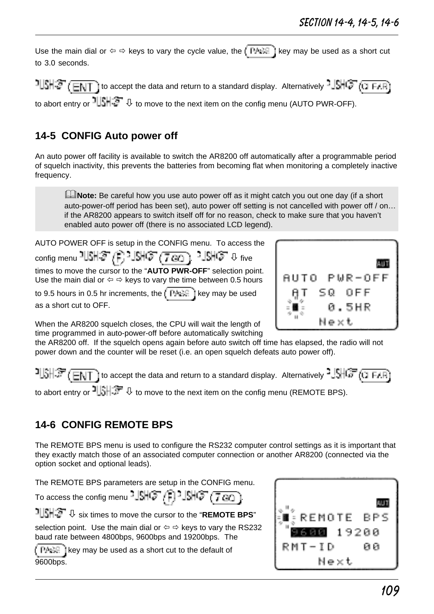Use the main dial or  $\Leftrightarrow$   $\Leftrightarrow$  keys to vary the cycle value, the  $\sqrt{PA}$  key may be used as a short cut to 3.0 seconds.

 to accept the data and return to a standard display. Alternatively to abort entry or  $\frac{1}{2}$   $\frac{1}{2}$  to move to the next item on the config menu (AUTO PWR-OFF).

## **14-5 CONFIG Auto power off**

An auto power off facility is available to switch the AR8200 off automatically after a programmable period of squelch inactivity, this prevents the batteries from becoming flat when monitoring a completely inactive frequency.

**ENote:** Be careful how you use auto power off as it might catch you out one day (if a short auto-power-off period has been set), auto power off setting is not cancelled with power off / on… if the AR8200 appears to switch itself off for no reason, check to make sure that you haven't enabled auto power off (there is no associated LCD legend).

AUTO POWER OFF is setup in the CONFIG menu. To access the  $\overline{\text{config}}$  menu  $\overline{\text{MS}}$   $\left(\overline{\text{F}}\right)$   $\overline{\text{MS}}$   $\left(\overline{\text{7}}\,\overline{\text{GQ}}\right)$  .  $\overline{\text{MS}}$   $\overline{\text{G}}$   $\overline{\text{O}}$   $\overline{\text{G}}$   $\overline{\text{O}}$ times to move the cursor to the "**AUTO PWR-OFF**" selection point. Use the main dial or  $\Leftrightarrow$   $\Leftrightarrow$  keys to vary the time between 0.5 hours

to 9.5 hours in 0.5 hr increments, the  $k^2 + 1$  key may be used as a short cut to OFF.



When the AR8200 squelch closes, the CPU will wait the length of time programmed in auto-power-off before automatically switching

the AR8200 off. If the squelch opens again before auto switch off time has elapsed, the radio will not power down and the counter will be reset (i.e. an open squelch defeats auto power off).

 $15H\bar{F}$  (ENT) to accept the data and return to a standard display. Alternatively  $15H\bar{F}$  (i) FAR) to abort entry or  $\frac{1}{3}$ ,  $\frac{1}{3}$ ,  $\frac{1}{3}$  to move to the next item on the config menu (REMOTE BPS).

# **14-6 CONFIG REMOTE BPS**

The REMOTE BPS menu is used to configure the RS232 computer control settings as it is important that they exactly match those of an associated computer connection or another AR8200 (connected via the option socket and optional leads).

The REMOTE BPS parameters are setup in the CONFIG menu.

To access the config menu  $\frac{1}{2}$   $\frac{1}{2}$   $\frac{1}{2}$   $\frac{1}{2}$   $\frac{1}{2}$   $\frac{1}{2}$   $\frac{1}{2}$   $\frac{1}{2}$   $\frac{1}{2}$   $\frac{1}{2}$   $\frac{1}{2}$   $\frac{1}{2}$   $\frac{1}{2}$   $\frac{1}{2}$   $\frac{1}{2}$   $\frac{1}{2}$   $\frac{1}{2}$   $\frac{1}{2}$   $\frac{1}{2}$ 

ò six times to move the cursor to the "**REMOTE BPS**"

selection point. Use the main dial or  $\Leftrightarrow$   $\Leftrightarrow$  keys to vary the RS232 baud rate between 4800bps, 9600bps and 19200bps. The

 $k \in \mathbb{R}$  i key may be used as a short cut to the default of 9600bps.

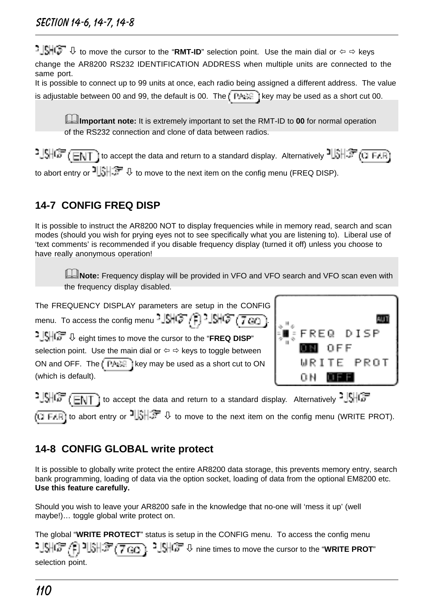**book J**\$HQ **D** to move the cursor to the "RMT-ID" selection point. Use the main dial or  $\Leftrightarrow$   $\Leftrightarrow$  keys change the AR8200 RS232 IDENTIFICATION ADDRESS when multiple units are connected to the same port.

| It is possible to connect up to 99 units at once, each radio being assigned a different address. The value |  |  |
|------------------------------------------------------------------------------------------------------------|--|--|
| is adjustable between 00 and 99, the default is 00. The $\Box$ FAGE I key may be used as a short cut 00.   |  |  |

&**Important note:** It is extremely important to set the RMT-ID to **00** for normal operation of the RS232 connection and clone of data between radios.

 to accept the data and return to a standard display. Alternatively to abort entry or  $\frac{1}{3}$ ,  $\frac{1}{3}$ ,  $\frac{1}{3}$  to move to the next item on the config menu (FREQ DISP).

# **14-7 CONFIG FREQ DISP**

It is possible to instruct the AR8200 NOT to display frequencies while in memory read, search and scan modes (should you wish for prying eyes not to see specifically what you are listening to). Liberal use of 'text comments' is recommended if you disable frequency display (turned it off) unless you choose to have really anonymous operation!

&**Note:** Frequency display will be provided in VFO and VFO search and VFO scan even with the frequency display disabled.

```
The FREQUENCY DISPLAY parameters are setup in the CONFIG
menu. To access the config menu - \left[\frac{1}{2}\right] \left[\frac{1}{2}\right] \left[\frac{1}{2}\right] \left[\frac{1}{2}\right] \left[\frac{1}{2}\right]ò eight times to move the cursor to the "FREQ DISP"
selection point. Use the main dial or \Leftrightarrow \Leftrightarrow keys to toggle between
ON and OFF. The \sqrt{\frac{P_{\text{H}} + P_{\text{H}}}{P_{\text{H}}} i key may be used as a short cut to ON
(which is default).
```


 $-1.5$   $\sqrt{3}$  (ENT) to accept the data and return to a standard display. Alternatively  $-1.5$ (i) ELR) to abort entry or  $\frac{1}{2}$ ,  $\frac{1}{2}$  to move to the next item on the config menu (WRITE PROT).

# **14-8 CONFIG GLOBAL write protect**

It is possible to globally write protect the entire AR8200 data storage, this prevents memory entry, search bank programming, loading of data via the option socket, loading of data from the optional EM8200 etc. **Use this feature carefully.**

Should you wish to leave your AR8200 safe in the knowledge that no-one will 'mess it up' (well maybe!)… toggle global write protect on.

The global "**WRITE PROTECT**" status is setup in the CONFIG menu. To access the config menu  $2 \frac{1}{2}$  $\frac{1}{2}$  $\frac{1}{2}$  $\frac{1}{2}$  $\frac{1}{2}$  $\frac{1}{2}$  $\frac{1}{2}$  $\frac{1}{2}$  $\frac{1}{2}$  $\frac{1}{2}$  $\frac{1}{2}$   $\frac{1}{2}$   $\frac{1}{2}$   $\frac{1}{2}$   $\frac{1}{2}$   $\frac{1}{2}$   $\frac{1}{2}$   $\frac{1}{2}$   $\frac{1}{2}$   $\frac{1}{2}$   $\frac{1}{2}$   $\frac{1}{2}$   $\frac{1}{2}$  selection point.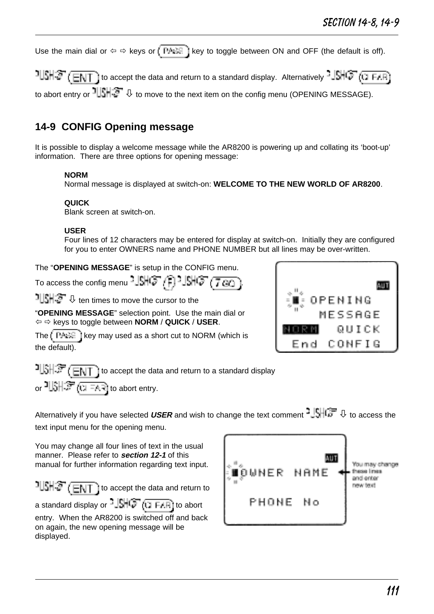Use the main dial or  $\Leftrightarrow$  keys or  $\sqrt{\frac{P_{A}S_{C}}{P_{A}S_{C}}}$  key to toggle between ON and OFF (the default is off).

 $1$   $1$   $\frac{1}{2}$  ( $\frac{1}{2}$   $\frac{1}{2}$  ) to accept the data and return to a standard display. Alternatively  $\frac{1}{2}$   $\frac{1}{2}$  ( $\frac{1}{2}$   $\frac{1}{2}$   $\frac{1}{2}$ ) to abort entry or  $\frac{1}{2}$ ,  $\frac{1}{2}$ ,  $\frac{1}{2}$  to move to the next item on the config menu (OPENING MESSAGE).

## **14-9 CONFIG Opening message**

It is possible to display a welcome message while the AR8200 is powering up and collating its 'boot-up' information. There are three options for opening message:

#### **NORM**

Normal message is displayed at switch-on: **WELCOME TO THE NEW WORLD OF AR8200**.

#### **QUICK**

Blank screen at switch-on.

#### **USER**

Four lines of 12 characters may be entered for display at switch-on. Initially they are configured for you to enter OWNERS name and PHONE NUMBER but all lines may be over-written.

The "**OPENING MESSAGE**" is setup in the CONFIG menu.

To access the config menu 
$$
\frac{1}{2} \mathbb{S} \mathbb{H} \mathbb{G}^{\pi}(\overline{f})
$$
  $\frac{1}{2} \mathbb{S} \mathbb{H} \mathbb{G}^{\pi}(\overline{f \otimes g})$ .

 $\frac{1}{2}$   $\frac{1}{2}$   $\frac{1}{2}$  ten times to move the cursor to the

"**OPENING MESSAGE**" selection point. Use the main dial or ï ð keys to toggle between **NORM** / **QUICK** / **USER**.

The  $k \in \mathbb{R}$  i key may used as a short cut to NORM (which is the default).



 $15$   $\frac{1}{2}$   $\frac{1}{2}$   $\frac{1}{2}$   $\frac{1}{2}$  to accept the data and return to a standard display or إِنْ الْ $\mathbb{S}$  abort entry.

Alternatively if you have selected USER and wish to change the text comment <sup>3</sup> SHCF  $\Downarrow$  to access the text input menu for the opening menu.

You may change all four lines of text in the usual manner. Please refer to **section 12-1** of this manual for further information regarding text input.

 $1|\mathsf{S}||\mathsf{S}$  (ENT) to accept the data and return to

a standard display or  $-\sqrt{1+\sqrt{2}}$  ( $\sqrt{1+\sqrt{1+\sqrt{1}}}\$  to abort entry. When the AR8200 is switched off and back on again, the new opening message will be displayed.

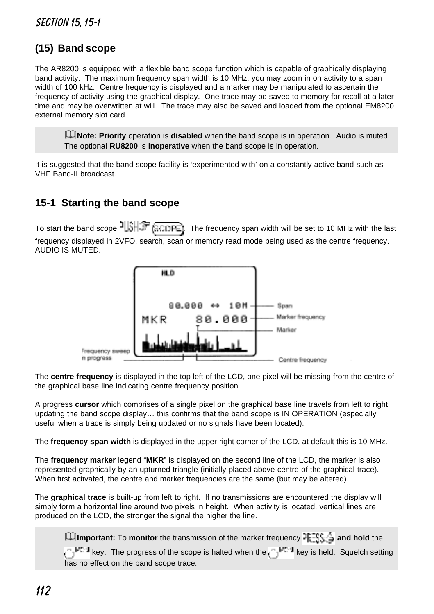# **(15) Band scope**

The AR8200 is equipped with a flexible band scope function which is capable of graphically displaying band activity. The maximum frequency span width is 10 MHz, you may zoom in on activity to a span width of 100 kHz. Centre frequency is displayed and a marker may be manipulated to ascertain the frequency of activity using the graphical display. One trace may be saved to memory for recall at a later time and may be overwritten at will. The trace may also be saved and loaded from the optional EM8200 external memory slot card.

&**Note: Priority** operation is **disabled** when the band scope is in operation. Audio is muted. The optional **RU8200** is **inoperative** when the band scope is in operation.

It is suggested that the band scope facility is 'experimented with' on a constantly active band such as VHF Band-II broadcast.

## **15-1 Starting the band scope**

To start the band scope  $15H \mathbb{F}$  . The frequency span width will be set to 10 MHz with the last frequency displayed in 2VFO, search, scan or memory read mode being used as the centre frequency. AUDIO IS MUTED.



The **centre frequency** is displayed in the top left of the LCD, one pixel will be missing from the centre of the graphical base line indicating centre frequency position.

A progress **cursor** which comprises of a single pixel on the graphical base line travels from left to right updating the band scope display… this confirms that the band scope is IN OPERATION (especially useful when a trace is simply being updated or no signals have been located).

The **frequency span width** is displayed in the upper right corner of the LCD, at default this is 10 MHz.

The **frequency marker** legend "**MKR**" is displayed on the second line of the LCD, the marker is also represented graphically by an upturned triangle (initially placed above-centre of the graphical trace). When first activated, the centre and marker frequencies are the same (but may be altered).

The **graphical trace** is built-up from left to right. If no transmissions are encountered the display will simply form a horizontal line around two pixels in height. When activity is located, vertical lines are produced on the LCD, the stronger the signal the higher the line.

**AImportant:** To **monitor** the transmission of the marker frequency  $\frac{18.76}{10.76}$  and hold the  $k_{\text{e}}$ <sup>Me-d</sup> key. The progress of the scope is halted when the  $\mathbb{C}^{M^{n},d}$  key is held. Squelch setting has no effect on the band scope trace.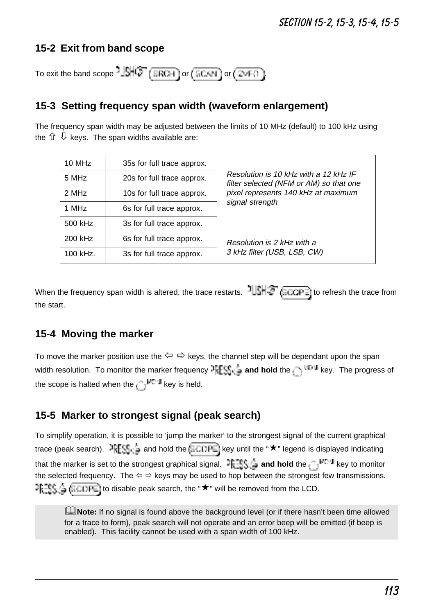### **15-2 Exit from band scope**

To exit the band scope  $\frac{1}{2}$ SHCF (SRCH) or  $($  SCAN) or  $($  ZMF $\Omega$ )

### **15-3 Setting frequency span width (waveform enlargement)**

The frequency span width may be adjusted between the limits of 10 MHz (default) to 100 kHz using the  $\hat{U} \nightharpoonup$  keys. The span widths available are:

| 10 MHz                             | 35s for full trace approx. |                                                                                  |  |  |  |
|------------------------------------|----------------------------|----------------------------------------------------------------------------------|--|--|--|
| 5 MHz                              | 20s for full trace approx. | Resolution is 10 kHz with a 12 kHz IF<br>filter selected (NFM or AM) so that one |  |  |  |
| 2 MHz                              | 10s for full trace approx. | pixel represents 140 kHz at maximum                                              |  |  |  |
| 1 MHz<br>6s for full trace approx. |                            | signal strength                                                                  |  |  |  |
| 500 kHz                            | 3s for full trace approx.  |                                                                                  |  |  |  |
| 200 kHz                            | 6s for full trace approx.  | Resolution is 2 kHz with a                                                       |  |  |  |
| 100 kHz.                           | 3s for full trace approx.  | 3 kHz filter (USB, LSB, CW)                                                      |  |  |  |

When the frequency span width is altered, the trace restarts.  $\frac{1}{16}$   $\frac{1}{6}$  ( $\frac{1}{6}$  COPE) to refresh the trace from the start.

### **15-4 Moving the marker**

To move the marker position use the  $\Leftrightarrow \Rightarrow$  keys, the channel step will be dependant upon the span width resolution. To monitor the marker frequency **PESS is and hold** the  $\bigcap$  <sup>Herel</sup> key. The progress of the scope is halted when the  $k$ <sub>key</sub> is held.

### **15-5 Marker to strongest signal (peak search)**

To simplify operation, it is possible to 'jump the marker' to the strongest signal of the current graphical trace (peak search).  $\exists \exists S \ominus a$  and hold the  $\exists \Box \Box \Box \vdash b$  key until the " $\star$ " legend is displayed indicating that the marker is set to the strongest graphical signal. **Fig. and hold** the  $\int_{a}^{m}$  key to monitor the selected frequency. The  $\Leftrightarrow$   $\Leftrightarrow$  keys may be used to hop between the strongest few transmissions.  $P_{k=1}^{n}$   $\leq$  disable peak search, the " $\star$ " will be removed from the LCD.

**ENote:** If no signal is found above the background level (or if there hasn't been time allowed for a trace to form), peak search will not operate and an error beep will be emitted (if beep is enabled). This facility cannot be used with a span width of 100 kHz.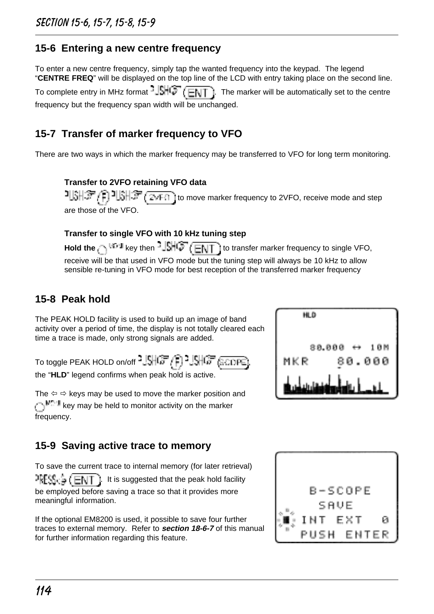## **15-6 Entering a new centre frequency**

To enter a new centre frequency, simply tap the wanted frequency into the keypad. The legend "**CENTRE FREQ**" will be displayed on the top line of the LCD with entry taking place on the second line. To complete entry in MHz format  $-\sqrt{1+\frac{1}{2}}$  ( $\sqrt{2}$ ). The marker will be automatically set to the centre

**15-7 Transfer of marker frequency to VFO**

frequency but the frequency span width will be unchanged.

There are two ways in which the marker frequency may be transferred to VFO for long term monitoring.

#### **Transfer to 2VFO retaining VFO data**

 $T[\hat{s}|\hat{s}|\hat{s}]$  ,  $\hat{r}$  ,  $T[\hat{s}|\hat{s}]$  (  $\hat{s}$  or  $\hat{r}$  ) to move marker frequency to 2VFO, receive mode and step are those of the VFO.

#### **Transfer to single VFO with 10 kHz tuning step**

Hold the **key then - SHG (ENT**) to transfer marker frequency to single VFO, receive will be that used in VFO mode but the tuning step will always be 10 kHz to allow sensible re-tuning in VFO mode for best reception of the transferred marker frequency

# **15-8 Peak hold**

The PEAK HOLD facility is used to build up an image of band activity over a period of time, the display is not totally cleared each time a trace is made, only strong signals are added.

To toggle PEAK HOLD on/off 
$$
{}^{3}
$$
 SHGF (S) 3.5HGF (S. OPE).

the "**HLD**" legend confirms when peak hold is active.

The  $\Leftrightarrow$   $\Leftrightarrow$  keys may be used to move the marker position and  $k_{\text{eff}}$  key may be held to monitor activity on the marker frequency.

HLD 38.81

# **15-9 Saving active trace to memory**

To save the current trace to internal memory (for later retrieval)  $\text{PFCS} \subseteq (\text{ENT} \perp \text{It is suggested that the peak hold facility})$ be employed before saving a trace so that it provides more meaningful information.

If the optional EM8200 is used, it possible to save four further traces to external memory. Refer to **section 18-6-7** of this manual for further information regarding this feature.

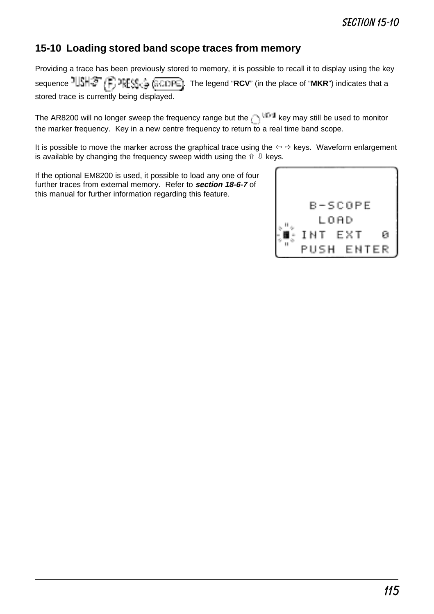### **15-10 Loading stored band scope traces from memory**

Providing a trace has been previously stored to memory, it is possible to recall it to display using the key sequence  $\frac{1}{3}$   $\frac{1}{3}$   $\frac{1}{3}$   $\frac{2}{3}$   $\frac{1}{3}$   $\frac{1}{3}$   $\frac{1}{3}$   $\frac{1}{3}$   $\frac{1}{3}$  The legend "RCV" (in the place of "MKR") indicates that a stored trace is currently being displayed.

The AR8200 will no longer sweep the frequency range but the key may still be used to monitor the marker frequency. Key in a new centre frequency to return to a real time band scope.

It is possible to move the marker across the graphical trace using the  $\Leftrightarrow$  keys. Waveform enlargement is available by changing the frequency sweep width using the  $\hat{v} \cdot \hat{v}$  keys.

If the optional EM8200 is used, it possible to load any one of four further traces from external memory. Refer to **section 18-6-7** of this manual for further information regarding this feature.

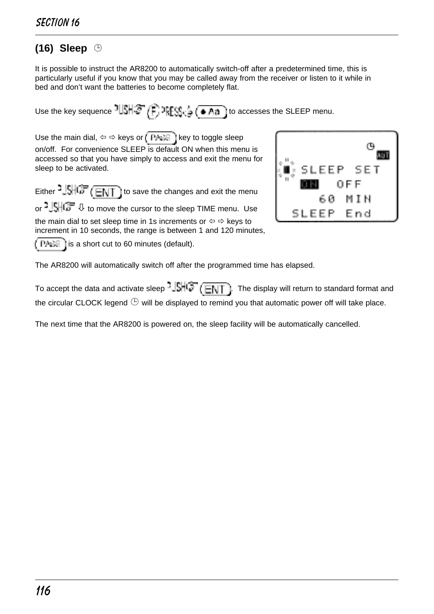# **(16) Sleep** ¹

It is possible to instruct the AR8200 to automatically switch-off after a predetermined time, this is particularly useful if you know that you may be called away from the receiver or listen to it while in bed and don't want the batteries to become completely flat.

Use the key sequence  $1||S|| \mathcal{F}/F$ ,  $2\mathbb{E}[S]$   $\mathcal{F}$   $\blacktriangleleft$  and to accesses the SLEEP menu.

Use the main dial,  $\Leftrightarrow$   $\Leftrightarrow$  keys or  $\sqrt{P + \div}$  key to toggle sleep on/off. For convenience SLEEP is default ON when this menu is accessed so that you have simply to access and exit the menu for sleep to be activated.

Either  $\frac{1}{2}$   $\frac{1}{\sqrt{6}}$   $\left(\frac{1}{\sqrt{6}}\right)$  to save the changes and exit the menu

or  $\frac{1}{2}$   $\frac{1}{2}$   $\frac{1}{2}$   $\frac{1}{2}$  to move the cursor to the sleep TIME menu. Use the main dial to set sleep time in 1s increments or  $\Leftrightarrow$   $\Leftrightarrow$  keys to increment in 10 seconds, the range is between 1 and 120 minutes,

( PAAS) is a short cut to 60 minutes (default).



The AR8200 will automatically switch off after the programmed time has elapsed.

To accept the data and activate sleep  $\frac{1}{2}$   $\frac{1}{2}$   $\frac{1}{2}$  The display will return to standard format and the circular CLOCK legend  $\mathbb \oplus$  will be displayed to remind you that automatic power off will take place.

The next time that the AR8200 is powered on, the sleep facility will be automatically cancelled.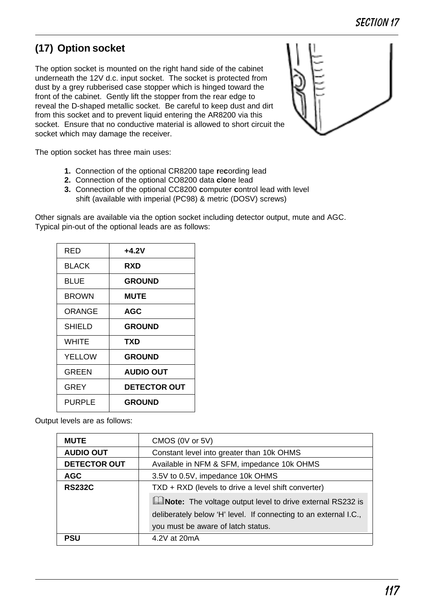# **(17) Option socket**

The option socket is mounted on the right hand side of the cabinet underneath the 12V d.c. input socket. The socket is protected from dust by a grey rubberised case stopper which is hinged toward the front of the cabinet. Gently lift the stopper from the rear edge to reveal the D-shaped metallic socket. Be careful to keep dust and dirt from this socket and to prevent liquid entering the AR8200 via this socket. Ensure that no conductive material is allowed to short circuit the socket which may damage the receiver.



The option socket has three main uses:

- **1.** Connection of the optional CR8200 tape **r**e**c**ording lead
- **2.** Connection of the optional CO8200 data **c**l**o**ne lead
- **3.** Connection of the optional CC8200 **c**omputer **c**ontrol lead with level shift (available with imperial (PC98) & metric (DOSV) screws)

Other signals are available via the option socket including detector output, mute and AGC. Typical pin-out of the optional leads are as follows:

| RED          | $+4.2V$             |
|--------------|---------------------|
| <b>BLACK</b> | RXD                 |
| <b>BLUE</b>  | <b>GROUND</b>       |
| <b>BROWN</b> | <b>MUTE</b>         |
| ORANGE       | <b>AGC</b>          |
| SHIFI D      | <b>GROUND</b>       |
| <b>WHITF</b> | TXD                 |
| YELLOW       | <b>GROUND</b>       |
| GRFFN        | <b>AUDIO OUT</b>    |
| GREY         | <b>DETECTOR OUT</b> |
| PURPI F      | <b>GROUND</b>       |

Output levels are as follows:

| <b>MUTE</b>         | CMOS (0V or 5V)                                                    |
|---------------------|--------------------------------------------------------------------|
| <b>AUDIO OUT</b>    | Constant level into greater than 10k OHMS                          |
| <b>DETECTOR OUT</b> | Available in NFM & SFM, impedance 10k OHMS                         |
| <b>AGC</b>          | 3.5V to 0.5V, impedance 10k OHMS                                   |
| <b>RS232C</b>       | TXD + RXD (levels to drive a level shift converter)                |
|                     | <b>LANote:</b> The voltage output level to drive external RS232 is |
|                     | deliberately below 'H' level. If connecting to an external I.C.,   |
|                     | you must be aware of latch status.                                 |
| <b>PSU</b>          | 4.2V at 20mA                                                       |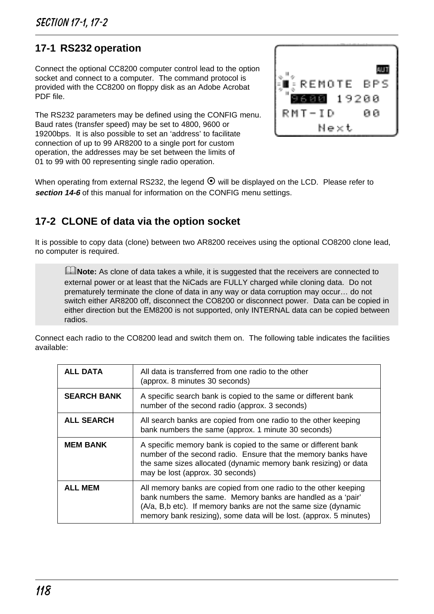### **17-1 RS232 operation**

Connect the optional CC8200 computer control lead to the option socket and connect to a computer. The command protocol is provided with the CC8200 on floppy disk as an Adobe Acrobat PDF file.

The RS232 parameters may be defined using the CONFIG menu. Baud rates (transfer speed) may be set to 4800, 9600 or 19200bps. It is also possible to set an 'address' to facilitate connection of up to 99 AR8200 to a single port for custom operation, the addresses may be set between the limits of 01 to 99 with 00 representing single radio operation.



When operating from external RS232, the legend  $\odot$  will be displayed on the LCD. Please refer to **section 14-6** of this manual for information on the CONFIG menu settings.

## **17-2 CLONE of data via the option socket**

It is possible to copy data (clone) between two AR8200 receives using the optional CO8200 clone lead, no computer is required.

**ENote:** As clone of data takes a while, it is suggested that the receivers are connected to external power or at least that the NiCads are FULLY charged while cloning data. Do not prematurely terminate the clone of data in any way or data corruption may occur… do not switch either AR8200 off, disconnect the CO8200 or disconnect power. Data can be copied in either direction but the EM8200 is not supported, only INTERNAL data can be copied between radios.

Connect each radio to the CO8200 lead and switch them on. The following table indicates the facilities available:

| ALL DATA           | All data is transferred from one radio to the other<br>(approx. 8 minutes 30 seconds)                                                                                                                                                                                  |
|--------------------|------------------------------------------------------------------------------------------------------------------------------------------------------------------------------------------------------------------------------------------------------------------------|
| <b>SEARCH BANK</b> | A specific search bank is copied to the same or different bank<br>number of the second radio (approx. 3 seconds)                                                                                                                                                       |
| <b>ALL SEARCH</b>  | All search banks are copied from one radio to the other keeping<br>bank numbers the same (approx. 1 minute 30 seconds)                                                                                                                                                 |
| <b>MEM BANK</b>    | A specific memory bank is copied to the same or different bank<br>number of the second radio. Ensure that the memory banks have<br>the same sizes allocated (dynamic memory bank resizing) or data<br>may be lost (approx. 30 seconds)                                 |
| <b>ALL MEM</b>     | All memory banks are copied from one radio to the other keeping<br>bank numbers the same. Memory banks are handled as a 'pair'<br>(A/a, B,b etc). If memory banks are not the same size (dynamic<br>memory bank resizing), some data will be lost. (approx. 5 minutes) |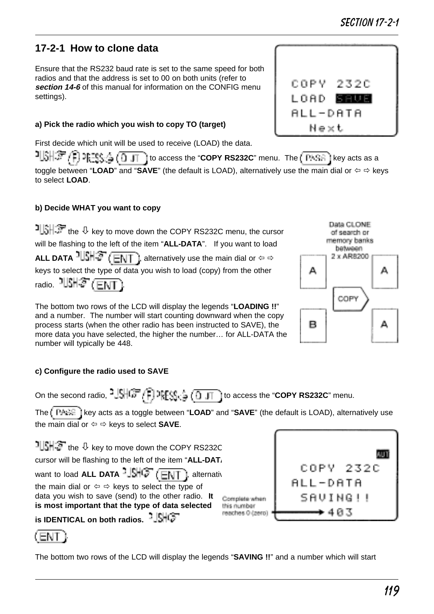# **17-2-1 How to clone data**

Ensure that the RS232 baud rate is set to the same speed for both radios and that the address is set to 00 on both units (refer to **section 14-6** of this manual for information on the CONFIG menu settings).

### **a) Pick the radio which you wish to copy TO (target)**

First decide which unit will be used to receive (LOAD) the data.

 $1$  $5$ <sup>1</sup> $\frac{1}{2}$   $\frac{1}{2}$   $\frac{1}{2}$   $\frac{1}{2}$   $\frac{1}{2}$   $\frac{1}{2}$  to access the "**COPY RS232C**" menu. The  $\frac{1}{2}$   $\frac{1}{2}$  key acts as a toggle between "LOAD" and "SAVE" (the default is LOAD), alternatively use the main dial or  $\Leftrightarrow \Rightarrow$  keys to select **LOAD**.

### **b) Decide WHAT you want to copy**

 $\frac{1}{2}$  in  $\frac{1}{2}$  the  $\theta$  key to move down the COPY RS232C menu, the cursor will be flashing to the left of the item "**ALL-DATA**". If you want to load **ALL DATA**  $\frac{1}{2}$ ,  $\frac{1}{2}$  ( $\frac{1}{2}$ , alternatively use the main dial or  $\Leftrightarrow$   $\Leftrightarrow$ keys to select the type of data you wish to load (copy) from the other radio.  $1512 \times 100$ 

The bottom two rows of the LCD will display the legends "**LOADING !!**" and a number. The number will start counting downward when the copy process starts (when the other radio has been instructed to SAVE), the more data you have selected, the higher the number… for ALL-DATA the number will typically be 448.

### **c) Configure the radio used to SAVE**

On the second radio,  $\frac{1}{2}$ **SHGF**  $\sqrt{t}$ ,  $\frac{1}{2}$   $\sqrt{\frac{1}{2} + \frac{1}{2}}$  to access the "**COPY RS232C**" menu.

The  $\int$  PASE I key acts as a toggle between "**LOAD**" and "**SAVE**" (the default is LOAD), alternatively use the main dial or  $\Leftrightarrow$   $\Leftrightarrow$  keys to select **SAVE**.

 $1||\mathbf{S}||$   $\mathbf{S}$  the  $\mathbf{\Phi}$  key to move down the COPY RS232C cursor will be flashing to the left of the item "ALL-DAT<sub>1</sub> want to load **ALL DATA** -  $\frac{1}{2}$   $\frac{1}{2}$  (ENT ), alternatively the main dial or  $\Leftrightarrow$   $\Leftrightarrow$  keys to select the type of data you wish to save (send) to the other radio. **It** Complete when **is most important that the type of data selected** this number reaches 0 (zero) **is IDENTICAL on both radios.**

(ENT .

The bottom two rows of the LCD will display the legends "**SAVING !!**" and a number which will start





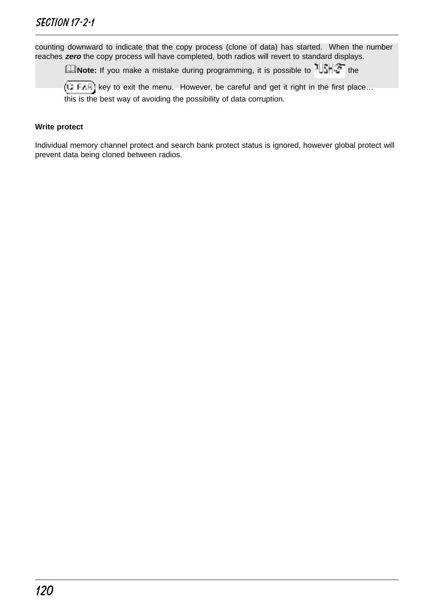counting downward to indicate that the copy process (clone of data) has started. When the number reaches **zero** the copy process will have completed, both radios will revert to standard displays.

**ANote:** If you make a mistake during programming, it is possible to  $\frac{1}{3}$ , the

 $(\overline{u}$  FAR) key to exit the menu. However, be careful and get it right in the first place... this is the best way of avoiding the possibility of data corruption.

#### **Write protect**

Individual memory channel protect and search bank protect status is ignored, however global protect will prevent data being cloned between radios.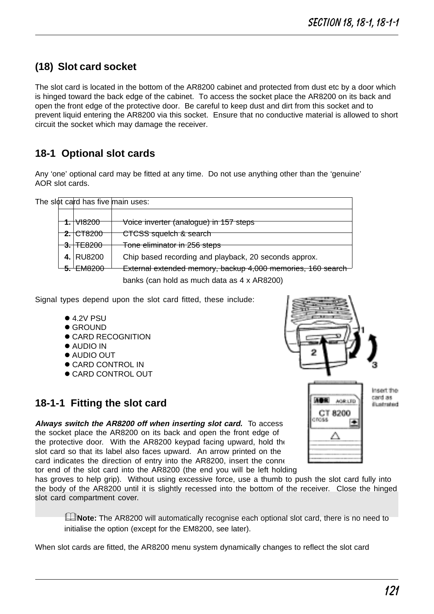# **(18) Slot card socket**

The slot card is located in the bottom of the AR8200 cabinet and protected from dust etc by a door which is hinged toward the back edge of the cabinet. To access the socket place the AR8200 on its back and open the front edge of the protective door. Be careful to keep dust and dirt from this socket and to prevent liquid entering the AR8200 via this socket. Ensure that no conductive material is allowed to short circuit the socket which may damage the receiver.

# **18-1 Optional slot cards**

Any 'one' optional card may be fitted at any time. Do not use anything other than the 'genuine' AOR slot cards.

|  |                      | The slot card has five main uses:                           |
|--|----------------------|-------------------------------------------------------------|
|  |                      |                                                             |
|  | <del>1. VI8200</del> | Voice inverter (analogue) in 157 steps                      |
|  | $2.1$ CT8200         | CTCSS squelch & search                                      |
|  | 3.1E8200             | Tone eliminator in 256 steps                                |
|  | 4. RU8200            | Chip based recording and playback, 20 seconds approx.       |
|  | $-5.$ EM8200         | External extended memory, backup 4,000 memories, 160 search |
|  |                      |                                                             |

banks (can hold as much data as 4 x AR8200)

Signal types depend upon the slot card fitted, these include:

- $\bullet$  4.2V PSU
- l GROUND
- **CARD RECOGNITION**
- **ALIDIO IN**
- l AUDIO OUT
- **CARD CONTROL IN**
- l CARD CONTROL OUT

### **18-1-1 Fitting the slot card**

**Always switch the AR8200 off when inserting slot card.** To access the socket place the AR8200 on its back and open the front edge of the protective door. With the AR8200 keypad facing upward, hold the slot card so that its label also faces upward. An arrow printed on the card indicates the direction of entry into the AR8200, insert the conne tor end of the slot card into the AR8200 (the end you will be left holding

has groves to help grip). Without using excessive force, use a thumb to push the slot card fully into the body of the AR8200 until it is slightly recessed into the bottom of the receiver. Close the hinged slot card compartment cover.

&**Note:** The AR8200 will automatically recognise each optional slot card, there is no need to initialise the option (except for the EM8200, see later).

When slot cards are fitted, the AR8200 menu system dynamically changes to reflect the slot card



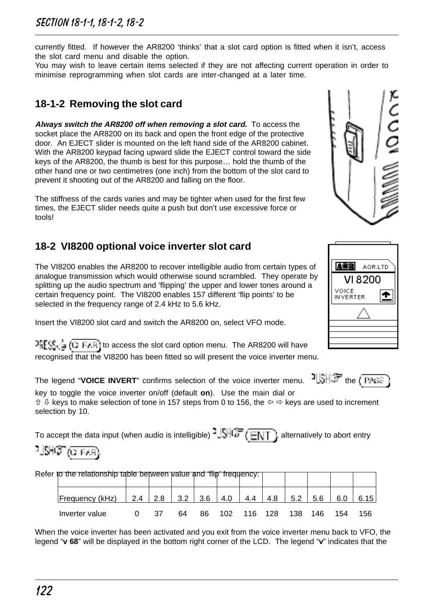currently fitted. If however the AR8200 'thinks' that a slot card option is fitted when it isn't, access the slot card menu and disable the option.

You may wish to leave certain items selected if they are not affecting current operation in order to minimise reprogramming when slot cards are inter-changed at a later time.

# **18-1-2 Removing the slot card**

**Always switch the AR8200 off when removing a slot card.** To access the socket place the AR8200 on its back and open the front edge of the protective door. An EJECT slider is mounted on the left hand side of the AR8200 cabinet. With the AR8200 keypad facing upward slide the EJECT control toward the side keys of the AR8200, the thumb is best for this purpose… hold the thumb of the other hand one or two centimetres (one inch) from the bottom of the slot card to prevent it shooting out of the AR8200 and falling on the floor.

The stiffness of the cards varies and may be tighter when used for the first few times, the EJECT slider needs quite a push but don't use excessive force or tools!

# **18-2 VI8200 optional voice inverter slot card**

The VI8200 enables the AR8200 to recover intelligible audio from certain types of analogue transmission which would otherwise sound scrambled. They operate by splitting up the audio spectrum and 'flipping' the upper and lower tones around a certain frequency point. The VI8200 enables 157 different 'flip points' to be selected in the frequency range of 2.4 kHz to 5.6 kHz.

Insert the VI8200 slot card and switch the AR8200 on, select VFO mode.

 $TCFS_1 \subseteq (1)$  F.I.F. to access the slot card option menu. The AR8200 will have recognised that the VI8200 has been fitted so will present the voice inverter menu.

The legend "**VOICE INVERT**" confirms selection of the voice inverter menu. **ILSHOF** the CPARE

key to toggle the voice inverter on/off (default **on**). Use the main dial or  $\hat{u} \psi$  keys to make selection of tone in 157 steps from 0 to 156, the  $\Leftrightarrow$   $\Leftrightarrow$  keys are used to increment selection by 10.

To accept the data input (when audio is intelligible)  $\frac{1}{2}$ ,  $\frac{1}{2}$   $\frac{1}{2}$  alternatively to abort entry

# যৌ $\hat{\varphi}$  (जानक)

| Refer to the relationship table between value and 'flip' frequency: [ |                                                 |    |    |     |         |     |     |     |      |
|-----------------------------------------------------------------------|-------------------------------------------------|----|----|-----|---------|-----|-----|-----|------|
|                                                                       |                                                 |    |    |     |         |     |     |     |      |
| Frequency (kHz)                                                       | $2.4$   2.8   3.2   3.6   4.0   4.4   4.8   5.2 |    |    |     |         |     | 5.6 | 6.0 | 6.15 |
| Inverter value                                                        | 37                                              | 64 | 86 | 102 | 116 128 | 138 | 146 | 154 | 156  |

When the voice inverter has been activated and you exit from the voice inverter menu back to VFO, the legend "**v 68**" will be displayed in the bottom right corner of the LCD. The legend "**v**" indicates that the



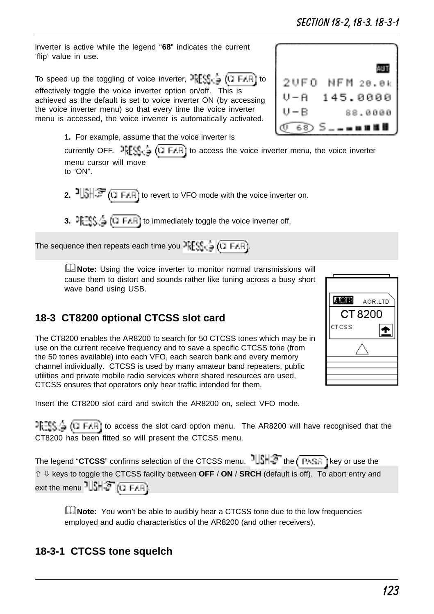inverter is active while the legend "**68**" indicates the current 'flip' value in use.

To speed up the toggling of voice inverter,  $RES_{C} = (C) FAP$  to effectively toggle the voice inverter option on/off. This is achieved as the default is set to voice inverter ON (by accessing the voice inverter menu) so that every time the voice inverter menu is accessed, the voice inverter is automatically activated.

**1.** For example, assume that the voice inverter is

currently OFF.  $\frac{1}{2}$   $\frac{1}{2}$  ( $\frac{1}{2}$  FIF) to access the voice inverter menu, the voice inverter menu cursor will move to "ON".

- **2.**  $\frac{1}{2}$   $\left(\frac{1}{2}F\right)^{1/2}$  ( $\frac{1}{2}F\right)$  to revert to VFO mode with the voice inverter on.
- **3.**  $F = \frac{1}{2} \left( \frac{1}{2} \right)$  ( $T = 1$  is immediately toggle the voice inverter off.

The sequence then repeats each time you  $\frac{1}{2}$   $\left(\frac{1}{2} + \frac{1}{2} + \frac{1}{2} + \frac{1}{2} + \frac{1}{2} + \frac{1}{2} + \frac{1}{2} + \frac{1}{2} + \frac{1}{2} + \frac{1}{2} + \frac{1}{2} + \frac{1}{2} + \frac{1}{2} + \frac{1}{2} + \frac{1}{2} + \frac{1}{2} + \frac{1}{2} + \frac{1}{2} + \frac{1}{2} + \frac{1}{2} + \frac{1}{2} +$ 

**ENote:** Using the voice inverter to monitor normal transmissions will cause them to distort and sounds rather like tuning across a busy short wave band using USB.

# **18-3 CT8200 optional CTCSS slot card**

The CT8200 enables the AR8200 to search for 50 CTCSS tones which may be in use on the current receive frequency and to save a specific CTCSS tone (from the 50 tones available) into each VFO, each search bank and every memory channel individually. CTCSS is used by many amateur band repeaters, public utilities and private mobile radio services where shared resources are used, CTCSS ensures that operators only hear traffic intended for them.

Insert the CT8200 slot card and switch the AR8200 on, select VFO mode.

 $F_t = \frac{1}{2}$  (i) FAR) to access the slot card option menu. The AR8200 will have recognised that the CT8200 has been fitted so will present the CTCSS menu.

The legend "CTCSS" confirms selection of the CTCSS menu. <sup>11</sup>131<sup>-2</sup> the (FASE) key or use the ñ ò keys to toggle the CTCSS facility between **OFF** / **ON** / **SRCH** (default is off). To abort entry and exit the menu  $2$   $\frac{1}{2}$   $\frac{1}{2}$   $\frac{1}{2}$   $\frac{1}{2}$   $\frac{1}{2}$   $\frac{1}{2}$ 

**L**indiangled **Note:** You won't be able to audibly hear a CTCSS tone due to the low frequencies employed and audio characteristics of the AR8200 (and other receivers).

# **18-3-1 CTCSS tone squelch**



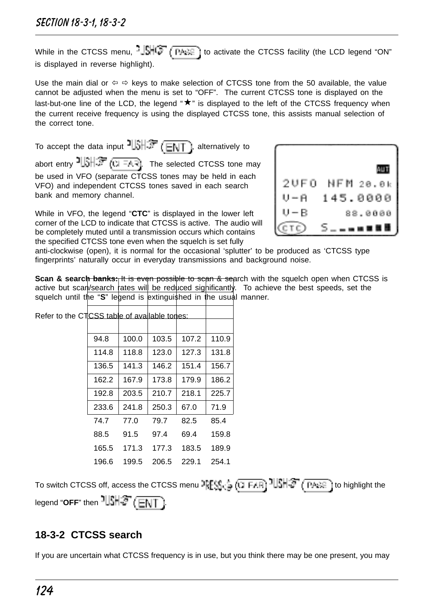While in the CTCSS menu,  $\frac{1}{2}$ ,  $\frac{1}{2}$ ,  $\frac{1}{2}$  ( $\frac{1}{2}$ ,  $\frac{1}{2}$ ) to activate the CTCSS facility (the LCD legend "ON" is displayed in reverse highlight).

Use the main dial or  $\Leftrightarrow$   $\Leftrightarrow$  keys to make selection of CTCSS tone from the 50 available, the value cannot be adjusted when the menu is set to "OFF". The current CTCSS tone is displayed on the last-but-one line of the LCD, the legend  $*\star$ " is displayed to the left of the CTCSS frequency when the current receive frequency is using the displayed CTCSS tone, this assists manual selection of the correct tone.

To accept the data input  $\frac{1}{3}$ ,  $\frac{1}{3}$ , alternatively to abort entry  $\frac{1}{3}$ . The selected CTCSS tone may be used in VFO (separate CTCSS tones may be held in each VFO) and independent CTCSS tones saved in each search bank and memory channel.

While in VFO, the legend "**CTC**" is displayed in the lower left corner of the LCD to indicate that CTCSS is active. The audio will be completely muted until a transmission occurs which contains the specified CTCSS tone even when the squelch is set fully



anti-clockwise (open), it is normal for the occasional 'splutter' to be produced as 'CTCSS type fingerprints' naturally occur in everyday transmissions and background noise.

**Scan & search banks:** It is even possible to scan & search with the squelch open when CTCSS is active but scan/search rates will be reduced significantly. To achieve the best speeds, set the squelch until the "S" legend is extinguished in the usual manner.

| the CTCSS table of available tones: |       |       |       |       |
|-------------------------------------|-------|-------|-------|-------|
|                                     |       |       |       |       |
| 94.8                                | 100.0 | 103.5 | 107.2 | 110.9 |
| 114.8                               | 118.8 | 123.0 | 127.3 | 131.8 |
| 136.5                               | 141.3 | 146.2 | 151.4 | 156.7 |
| 162.2                               | 167.9 | 173.8 | 179.9 | 186.2 |
| 192.8                               | 203.5 | 210.7 | 218.1 | 225.7 |
| 233.6                               | 241.8 | 250.3 | 67.0  | 71.9  |
| 74.7                                | 77.0  | 79.7  | 82.5  | 85.4  |
| 88.5                                | 91.5  | 97.4  | 69.4  | 159.8 |
| 165.5                               | 171.3 | 177.3 | 183.5 | 189.9 |
| 196.6                               | 199.5 | 206.5 | 229.1 | 254.1 |

Refer to

To switch CTCSS off, access the CTCSS menu  $\frac{1}{2}$   $\frac{1}{2}$  (TI FAR)  $\frac{1}{2}$   $\frac{1}{3}$   $\frac{1}{3}$  (PASS) to highlight the legend "**OFF**" then  $1|\mathsf{SHF}(\overline{\mathsf{ENT}})$ .

# **18-3-2 CTCSS search**

If you are uncertain what CTCSS frequency is in use, but you think there may be one present, you may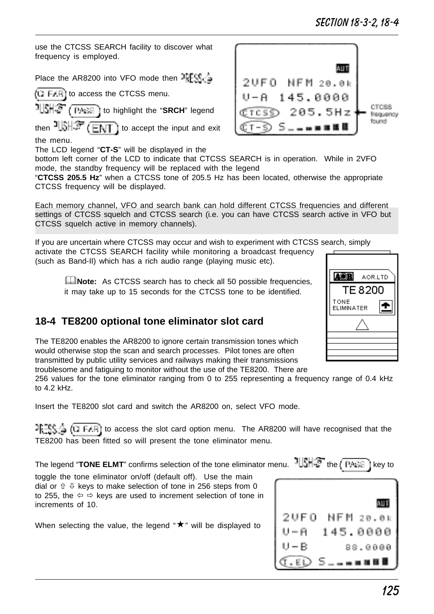use the CTCSS SEARCH facility to discover what frequency is employed.

Place the AR8200 into VFO mode then PFFS

 $(1)$  F/F) to access the CTCSS menu.

**TISHS** (*PARE*) to highlight the "**SRCH**" legend

then  $\frac{1}{2}$   $\frac{1}{2}$   $\frac{1}{2}$   $\frac{1}{2}$  to accept the input and exit the menu.

The LCD legend "**CT-S**" will be displayed in the

bottom left corner of the LCD to indicate that CTCSS SEARCH is in operation. While in 2VFO mode, the standby frequency will be replaced with the legend

"**CTCSS 205.5 Hz**" when a CTCSS tone of 205.5 Hz has been located, otherwise the appropriate CTCSS frequency will be displayed.

Each memory channel, VFO and search bank can hold different CTCSS frequencies and different settings of CTCSS squelch and CTCSS search (i.e. you can have CTCSS search active in VFO but CTCSS squelch active in memory channels).

If you are uncertain where CTCSS may occur and wish to experiment with CTCSS search, simply activate the CTCSS SEARCH facility while monitoring a broadcast frequency (such as Band-II) which has a rich audio range (playing music etc).

**ENote:** As CTCSS search has to check all 50 possible frequencies, it may take up to 15 seconds for the CTCSS tone to be identified.

# **18-4 TE8200 optional tone eliminator slot card**

The TE8200 enables the AR8200 to ignore certain transmission tones which would otherwise stop the scan and search processes. Pilot tones are often transmitted by public utility services and railways making their transmissions troublesome and fatiguing to monitor without the use of the TE8200. There are

256 values for the tone eliminator ranging from 0 to 255 representing a frequency range of 0.4 kHz to  $4.2$  kHz.

Insert the TE8200 slot card and switch the AR8200 on, select VFO mode.

 $\frac{128.6}{128.4}$  (i. FAR) to access the slot card option menu. The AR8200 will have recognised that the TE8200 has been fitted so will present the tone eliminator menu.

The legend "**TONE ELMT**" confirms selection of the tone eliminator menu. ILLSHST the (TABE) key to

toggle the tone eliminator on/off (default off). Use the main dial or  $\hat{v} \, \theta$  keys to make selection of tone in 256 steps from 0 to 255, the  $\Leftrightarrow \Leftrightarrow$  keys are used to increment selection of tone in increments of 10.

When selecting the value, the legend " $\star$ " will be displayed to





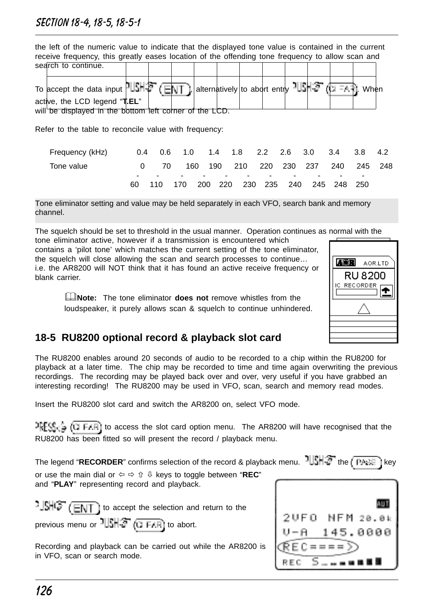### Section 18-4, 18-5, 18-5-1

| the left of the numeric value to indicate that the displayed tone value is contained in the current |                                                                                                  |  |  |  |  |  |  |  |  |  |  |
|-----------------------------------------------------------------------------------------------------|--------------------------------------------------------------------------------------------------|--|--|--|--|--|--|--|--|--|--|
|                                                                                                     | receive frequency, this greatly eases location of the offending tone frequency to allow scan and |  |  |  |  |  |  |  |  |  |  |
|                                                                                                     | search to continue.                                                                              |  |  |  |  |  |  |  |  |  |  |
|                                                                                                     |                                                                                                  |  |  |  |  |  |  |  |  |  |  |
|                                                                                                     | To accept the data input UISH李 (百可 ), alternatively to abort entry UISH李 (口五礼 When               |  |  |  |  |  |  |  |  |  |  |
|                                                                                                     | active, the LCD legend "T.EL"                                                                    |  |  |  |  |  |  |  |  |  |  |
|                                                                                                     | will be displayed in the bottom left corner of the LCD.                                          |  |  |  |  |  |  |  |  |  |  |

Refer to the table to reconcile value with frequency:

| Frequency (kHz) |      |    |     |                      |                             |                          | 0.4 0.6 1.0 1.4 1.8 2.2 2.6 3.0 3.4 3.8 4.2 |                          |                          |  |
|-----------------|------|----|-----|----------------------|-----------------------------|--------------------------|---------------------------------------------|--------------------------|--------------------------|--|
| Tone value      |      | 70 | 160 |                      |                             |                          | 190 210 220 230 237 240 245 248             |                          |                          |  |
|                 | $ -$ |    |     | $\sim$ $\sim$ $\sim$ | $\sim$ $\sim$ $\sim$ $\sim$ | $\overline{\phantom{0}}$ | $\sim$                                      | $\overline{\phantom{0}}$ | $\overline{\phantom{0}}$ |  |
|                 | 60.  |    |     |                      |                             |                          | 110 170 200 220 230 235 240 245 248 250     |                          |                          |  |

Tone eliminator setting and value may be held separately in each VFO, search bank and memory channel.

The squelch should be set to threshold in the usual manner. Operation continues as normal with the tone eliminator active, however if a transmission is encountered which

contains a 'pilot tone' which matches the current setting of the tone eliminator, the squelch will close allowing the scan and search processes to continue… i.e. the AR8200 will NOT think that it has found an active receive frequency or blank carrier.

> &**Note:** The tone eliminator **does not** remove whistles from the loudspeaker, it purely allows scan & squelch to continue unhindered.



### **18-5 RU8200 optional record & playback slot card**

The RU8200 enables around 20 seconds of audio to be recorded to a chip within the RU8200 for playback at a later time. The chip may be recorded to time and time again overwriting the previous recordings. The recording may be played back over and over, very useful if you have grabbed an interesting recording! The RU8200 may be used in VFO, scan, search and memory read modes.

Insert the RU8200 slot card and switch the AR8200 on, select VFO mode.

 $RFS_{\text{tot}} = (1 \text{ E/H})$  to access the slot card option menu. The AR8200 will have recognised that the RU8200 has been fitted so will present the record / playback menu.

The legend "**RECORDER**" confirms selection of the record & playback menu.  $\frac{1}{3}$  the  $\sqrt{P_{\text{R}}P_{\text{R}}}$  i key or use the main dial or  $\Leftrightarrow$   $\Leftrightarrow$   $\Uparrow$  & keys to toggle between "**REC**" and "**PLAY**" representing record and playback.

 $\frac{1}{2}$  $\frac{1}{2}$  $\frac{1}{2}$  $\frac{1}{2}$  $\frac{1}{2}$  $\frac{1}{2}$  to accept the selection and return to the

previous menu or  $\frac{1}{2}$   $\frac{1}{2}$   $\frac{1}{2}$   $\frac{1}{2}$   $\frac{1}{2}$  abort.

Recording and playback can be carried out while the AR8200 is in VFO, scan or search mode.

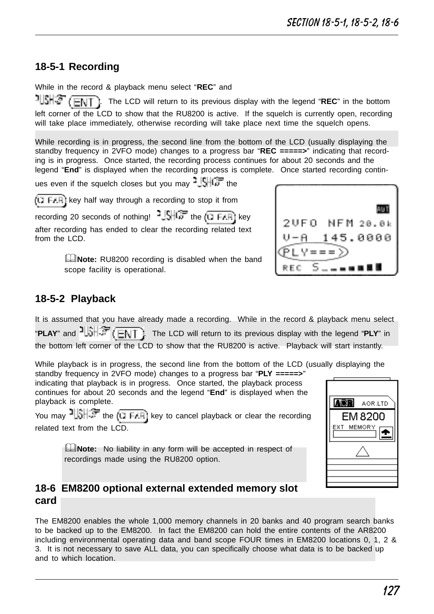# **18-5-1 Recording**

While in the record & playback menu select "**REC**" and

ગાડમાઉ . The LCD will return to its previous display with the legend "**REC**" in the bottom left corner of the LCD to show that the RU8200 is active. If the squelch is currently open, recording will take place immediately, otherwise recording will take place next time the squelch opens.

While recording is in progress, the second line from the bottom of the LCD (usually displaying the standby frequency in 2VFO mode) changes to a progress bar "**REC =====>**" indicating that recording is in progress. Once started, the recording process continues for about 20 seconds and the legend "**End**" is displayed when the recording process is complete. Once started recording contin-

ues even if the squelch closes but you may  $\frac{1}{2}$   $\frac{1}{2}$   $\frac{1}{2}$  the

 $\sqrt{(1 + \mu)^2}$  key half way through a recording to stop it from

recording 20 seconds of nothing!  $\frac{1}{2}$   $\frac{1}{2}$  the  $\frac{1}{(1 + \mu)^2}$  key after recording has ended to clear the recording related text from the LCD<sup>-</sup>

> **ENote:** RU8200 recording is disabled when the band scope facility is operational.

| 2UFO NFM 20.0k |
|----------------|
| 145.0000       |
|                |
| 医鼻部            |

# **18-5-2 Playback**

It is assumed that you have already made a recording. While in the record & playback menu select "**PLAY**" and  $\frac{1}{2}$ . The LCD will return to its previous display with the legend "PLY" in the bottom left corner of the LCD to show that the RU8200 is active. Playback will start instantly.

While playback is in progress, the second line from the bottom of the LCD (usually displaying the

standby frequency in 2VFO mode) changes to a progress bar "**PLY =====>**" indicating that playback is in progress. Once started, the playback process continues for about 20 seconds and the legend "**End**" is displayed when the playback is complete.

You may  $\frac{1}{2}$  the  $(1)$  F. Fill key to cancel playback or clear the recording related text from the LCD.

> **ENote:** No liability in any form will be accepted in respect of recordings made using the RU8200 option.



### **18-6 EM8200 optional external extended memory slot card**

The EM8200 enables the whole 1,000 memory channels in 20 banks and 40 program search banks to be backed up to the EM8200. In fact the EM8200 can hold the entire contents of the AR8200 including environmental operating data and band scope FOUR times in EM8200 locations 0, 1, 2 & 3. It is not necessary to save ALL data, you can specifically choose what data is to be backed up and to which location.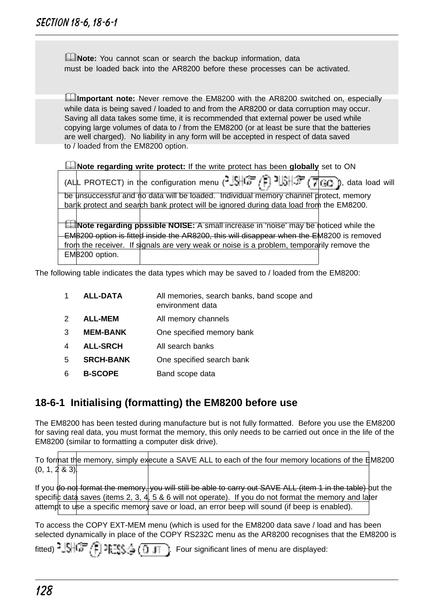**ANote:** You cannot scan or search the backup information, data must be loaded back into the AR8200 before these processes can be activated.

**Ellimportant note:** Never remove the EM8200 with the AR8200 switched on, especially while data is being saved / loaded to and from the AR8200 or data corruption may occur. Saving all data takes some time, it is recommended that external power be used while copying large volumes of data to / from the EM8200 (or at least be sure that the batteries are well charged). No liability in any form will be accepted in respect of data saved to / loaded from the EM8200 option.

&**Note regarding write protect:** If the write protect has been **globally** set to ON (ALL PROTECT) in the configuration menu ( $\frac{3.001}{2}$ ,  $\frac{1}{2}$ ,  $\frac{1}{2}$ ,  $\frac{1}{2}$ ,  $\frac{1}{2}$ , data load will be unsuccessful and no data will be loaded. Individual memory channel protect, memory bank protect and search bank protect will be ignored during data load from the EM8200. **INote regarding possible NOISE:** A small increase in 'noise' may be noticed while the EM8200 option is fitted inside the AR8200, this will disappear when the EM8200 is removed from the receiver. If signals are very weak or noise is a problem, temporarily remove the EM8200 option.

The following table indicates the data types which may be saved to / loaded from the EM8200:

| 1             | <b>ALL-DATA</b>  | All memories, search banks, band scope and<br>environment data |
|---------------|------------------|----------------------------------------------------------------|
| $\mathcal{P}$ | <b>ALL-MEM</b>   | All memory channels                                            |
| 3             | <b>MEM-BANK</b>  | One specified memory bank                                      |
| 4             | <b>ALL-SRCH</b>  | All search banks                                               |
| 5             | <b>SRCH-BANK</b> | One specified search bank                                      |
| 6             | <b>B-SCOPE</b>   | Band scope data                                                |
|               |                  |                                                                |

### **18-6-1 Initialising (formatting) the EM8200 before use**

The EM8200 has been tested during manufacture but is not fully formatted. Before you use the EM8200 for saving real data, you must format the memory, this only needs to be carried out once in the life of the EM8200 (similar to formatting a computer disk drive).

|                 |  | To format the memory, simply execute a SAVE ALL to each of the four memory locations of the EM8200 |  |
|-----------------|--|----------------------------------------------------------------------------------------------------|--|
| (0, 1, 2, 8, 3) |  |                                                                                                    |  |

If you do not format the memory, you will still be able to carry out SAVE ALL (item 1 in the table) but the specific data saves (items 2, 3,  $4$ , 5 & 6 will not operate). If you do not format the memory and later attempt to use a specific memory save or load, an error beep will sound (if beep is enabled).

To access the COPY EXT-MEM menu (which is used for the EM8200 data save / load and has been selected dynamically in place of the COPY RS232C menu as the AR8200 recognises that the EM8200 is

|  | 们?昭\$乡(0.0 |  | Four significant lines of menu are displayed: |  |
|--|------------|--|-----------------------------------------------|--|
|--|------------|--|-----------------------------------------------|--|

fitted)  $^2$  SHG $^2$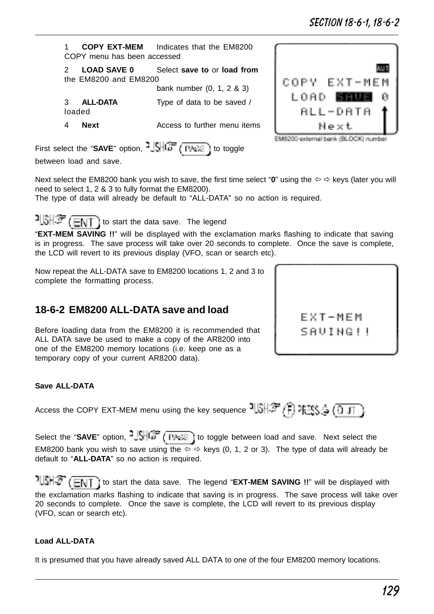129

# Section 18-6-1, 18-6-2

4 **Next** Access to further menu items First select the "**SAVE**" option,  $\frac{1}{2}$ SHCF (FASE) to toggle between load and save.

bank number (0, 1, 2 & 3)

1 **COPY EXT-MEM** Indicates that the EM8200

2 **LOAD SAVE 0** Select **save to** or **load from**

3 **ALL-DATA** Type of data to be saved /

COPY menu has been accessed

the EM8200 and EM8200

loaded

Next select the EM8200 bank you wish to save, the first time select "**0**" using the  $\Leftrightarrow$   $\Leftrightarrow$  keys (later you will need to select 1, 2 & 3 to fully format the EM8200).

The type of data will already be default to "ALL-DATA" so no action is required.

 $\frac{1}{3}$   $\frac{1}{3}$   $\frac{1}{3}$   $\frac{1}{3}$   $\frac{1}{3}$  to start the data save. The legend "**EXT-MEM SAVING !!**" will be displayed with the exclamation marks flashing to indicate that saving is in progress. The save process will take over 20 seconds to complete. Once the save is complete, the LCD will revert to its previous display (VFO, scan or search etc).

Now repeat the ALL-DATA save to EM8200 locations 1, 2 and 3 to complete the formatting process.

# **18-6-2 EM8200 ALL-DATA save and load**

Before loading data from the EM8200 it is recommended that ALL DATA save be used to make a copy of the AR8200 into one of the EM8200 memory locations (i.e. keep one as a temporary copy of your current AR8200 data).

#### **Save ALL-DATA**

Access the COPY EXT-MEM menu using the key sequence  $\frac{1}{3}$ ,  $\frac{1}{3}$ ,  $\frac{1}{3}$ ,  $\frac{1}{3}$ ,  $\frac{1}{3}$ ,  $\frac{1}{11}$ 

Select the "SAVE" option,  $\frac{1}{2}$ ,  $\frac{1}{\sqrt{1+\frac{1}{2}}}\left(\frac{1}{\sqrt{1+\frac{1}{2}}}\right)$  to toggle between load and save. Next select the EM8200 bank you wish to save using the  $\Leftrightarrow$   $\Leftrightarrow$  keys (0, 1, 2 or 3). The type of data will already be default to "**ALL-DATA**" so no action is required.

 to start the data save. The legend "**EXT-MEM SAVING !!**" will be displayed with the exclamation marks flashing to indicate that saving is in progress. The save process will take over 20 seconds to complete. Once the save is complete, the LCD will revert to its previous display (VFO, scan or search etc).

#### **Load ALL-DATA**

It is presumed that you have already saved ALL DATA to one of the four EM8200 memory locations.



**FXT-MFM** SAUING!!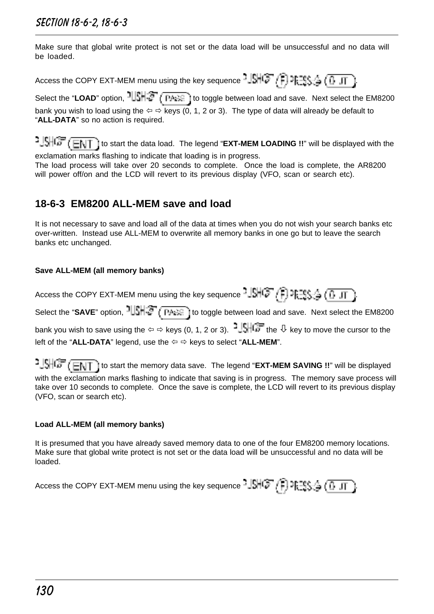Make sure that global write protect is not set or the data load will be unsuccessful and no data will be loaded.

Access the COPY EXT-MEM menu using the key sequence  $-\sqrt{5}$   $\sqrt{2}$   $\sqrt{2}$   $\sqrt{0}$   $\sqrt{1}$ 

Select the "LOAD" option,  $1||S|| \cdot T$  (These) to toggle between load and save. Next select the EM8200 bank you wish to load using the  $\Leftrightarrow$   $\Leftrightarrow$  keys (0, 1, 2 or 3). The type of data will already be default to "**ALL-DATA**" so no action is required.

**to start if start** the data load. The legend "**EXT-MEM LOADING !!**" will be displayed with the exclamation marks flashing to indicate that loading is in progress.

The load process will take over 20 seconds to complete. Once the load is complete, the AR8200 will power off/on and the LCD will revert to its previous display (VFO, scan or search etc).

## **18-6-3 EM8200 ALL-MEM save and load**

It is not necessary to save and load all of the data at times when you do not wish your search banks etc over-written. Instead use ALL-MEM to overwrite all memory banks in one go but to leave the search banks etc unchanged.

#### **Save ALL-MEM (all memory banks)**

Access the COPY EXT-MEM menu using the key sequence  $\frac{1}{2}$   $\left(\frac{1}{2}\right)$   $\frac{1}{2}$   $\left(\frac{1}{2}\right)$   $\frac{1}{2}$ 

Select the "SAVE" option,  $1||\hat{S}|| \cdot \hat{S}$  ( $\overline{P + \hat{S}}$ ) to toggle between load and save. Next select the EM8200 bank you wish to save using the  $\Leftrightarrow$   $\Leftrightarrow$  keys (0, 1, 2 or 3).  $\frac{1}{2}$ . The  $\sqrt[n]{\phantom{a}}$  key to move the cursor to the left of the "ALL-DATA" legend, use the  $\Leftrightarrow$   $\Leftrightarrow$  keys to select "ALL-MEM".

<sup>1</sup>. SHOF (ENT) to start the memory data save. The legend "EXT-MEM SAVING !!" will be displayed with the exclamation marks flashing to indicate that saving is in progress. The memory save process will take over 10 seconds to complete. Once the save is complete, the LCD will revert to its previous display (VFO, scan or search etc).

#### **Load ALL-MEM (all memory banks)**

It is presumed that you have already saved memory data to one of the four EM8200 memory locations. Make sure that global write protect is not set or the data load will be unsuccessful and no data will be loaded.

Access the COPY EXT-MEM menu using the key sequence  $\frac{1}{2}$  $\frac{1}{2}$  $\frac{1}{2}$ ,  $\frac{1}{2}$ ,  $\frac{1}{2}$ ,  $\frac{1}{2}$ ,  $\frac{1}{2}$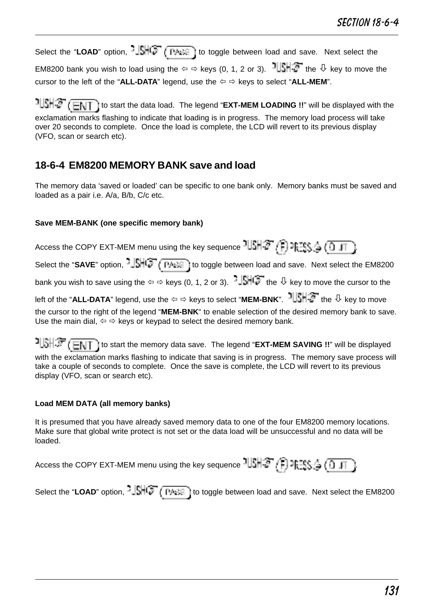Select the "LOAD" option,  $-\sqrt{\frac{1}{2} + \frac{1}{2}}$  ( $\frac{1}{\sqrt{1 + \frac{1}{2}}}$ ) to toggle between load and save. Next select the EM8200 bank you wish to load using the  $\Leftrightarrow$   $\Leftrightarrow$  keys (0, 1, 2 or 3).  $\frac{1}{2}$   $\frac{1}{2}$  the  $\frac{1}{2}$  key to move the cursor to the left of the "ALL-DATA" legend, use the  $\Leftrightarrow$   $\Leftrightarrow$  keys to select "ALL-MEM".

<sup>1</sup> SHS (ENT) to start the data load. The legend "EXT-MEM LOADING !!" will be displayed with the exclamation marks flashing to indicate that loading is in progress. The memory load process will take over 20 seconds to complete. Once the load is complete, the LCD will revert to its previous display (VFO, scan or search etc).

### **18-6-4 EM8200 MEMORY BANK save and load**

The memory data 'saved or loaded' can be specific to one bank only. Memory banks must be saved and loaded as a pair i.e. A/a, B/b, C/c etc.

#### **Save MEM-BANK (one specific memory bank)**

Access the COPY EXT-MEM menu using the key sequence  $\frac{1}{2}$   $\left(\frac{1}{2} + \frac{1}{2}\right)$   $\lim_{n \to \infty} \frac{1}{n}$   $\left(\frac{1}{2} + \frac{1}{2}\right)$ Select the "SAVE" option,  $\frac{1}{2}$ SHC<sup>T</sup> (THEC ) to toggle between load and save. Next select the EM8200 bank you wish to save using the  $\Leftrightarrow$  devs (0, 1, 2 or 3).  $-\frac{1}{2}$ . the  $\frac{1}{2}$  key to move the cursor to the left of the "ALL-DATA" legend, use the ⇔ ⇔ keys to select "MEM-BNK". <sup>1</sup> ||SHS the  $\overline{\Downarrow}$  key to move the cursor to the right of the legend "**MEM-BNK**" to enable selection of the desired memory bank to save. Use the main dial,  $\Leftrightarrow$   $\Leftrightarrow$  keys or keypad to select the desired memory bank.

 to start the memory data save. The legend "**EXT-MEM SAVING !!**" will be displayed with the exclamation marks flashing to indicate that saving is in progress. The memory save process will take a couple of seconds to complete. Once the save is complete, the LCD will revert to its previous display (VFO, scan or search etc).

#### **Load MEM DATA (all memory banks)**

It is presumed that you have already saved memory data to one of the four EM8200 memory locations. Make sure that global write protect is not set or the data load will be unsuccessful and no data will be loaded.

| Access the COPY EXT-MEM menu using the key sequence $1\overline{\text{SNR}}\left(\overline{\text{P}}\right)$ $\overline{\text{PSS}}\left(\overline{\text{O}}\right)$ |  |  |  |
|----------------------------------------------------------------------------------------------------------------------------------------------------------------------|--|--|--|
|----------------------------------------------------------------------------------------------------------------------------------------------------------------------|--|--|--|

Select the "LOAD" option,  $\frac{1}{2}$ ,  $\frac{1}{2}$ ,  $\frac{1}{2}$  ( $\frac{1}{2}$ ,  $\frac{1}{2}$ ) to toggle between load and save. Next select the EM8200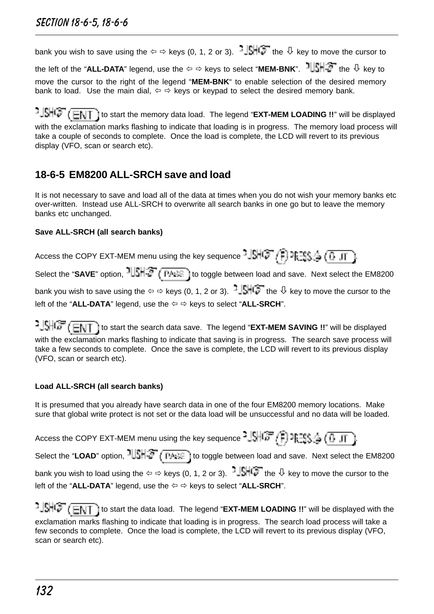bank you wish to save using the  $\Leftrightarrow$   $\Leftrightarrow$  keys (0, 1, 2 or 3).  $\frac{1}{2}$ . the  $\sqrt{2}$  key to move the cursor to the left of the "**ALL-DATA**" legend, use the  $\Leftrightarrow$   $\Leftrightarrow$  keys to select "**MEM-BNK**".  $\frac{1}{2}$  the  $\frac{1}{2}$  the  $\frac{1}{2}$  key to move the cursor to the right of the legend "**MEM-BNK**" to enable selection of the desired memory bank to load. Use the main dial,  $\Leftrightarrow$   $\Leftrightarrow$  keys or keypad to select the desired memory bank.

 $\cdot$   $\frac{15}{10}$   $\leftarrow$   $\frac{1}{10}$  to start the memory data load. The legend "EXT-MEM LOADING !!" will be displayed with the exclamation marks flashing to indicate that loading is in progress. The memory load process will take a couple of seconds to complete. Once the load is complete, the LCD will revert to its previous display (VFO, scan or search etc).

# **18-6-5 EM8200 ALL-SRCH save and load**

It is not necessary to save and load all of the data at times when you do not wish your memory banks etc over-written. Instead use ALL-SRCH to overwrite all search banks in one go but to leave the memory banks etc unchanged.

#### **Save ALL-SRCH (all search banks)**

Access the COPY EXT-MEM menu using the key sequence  $\frac{1}{2}$   $\frac{1}{2}$   $\frac{1}{2}$   $\frac{1}{2}$   $\frac{1}{2}$   $\frac{1}{2}$   $\frac{1}{2}$   $\frac{1}{2}$ Select the "SAVE" option,  $1||\sin^2(\overline{p} + \overline{e})$  to toggle between load and save. Next select the EM8200 bank you wish to save using the  $\Leftrightarrow$   $\Leftrightarrow$  keys (0, 1, 2 or 3).  $\frac{1}{2}$ .  $\frac{1}{2}$  the  $\frac{1}{2}$  key to move the cursor to the left of the "**ALL-DATA**" legend, use the  $\Leftrightarrow$   $\Leftrightarrow$  keys to select "**ALL-SRCH**".

**to start the search data save.** The legend "**EXT-MEM SAVING !!**" will be displayed with the exclamation marks flashing to indicate that saving is in progress. The search save process will take a few seconds to complete. Once the save is complete, the LCD will revert to its previous display (VFO, scan or search etc).

### **Load ALL-SRCH (all search banks)**

It is presumed that you already have search data in one of the four EM8200 memory locations. Make sure that global write protect is not set or the data load will be unsuccessful and no data will be loaded.

Access the COPY EXT-MEM menu using the key sequence  $^2J\overline{J}$   $\overline{G}$   $\overline{F}$   $\overline{F}$   $\overline{F}$   $\overline{F}$   $\overline{F}$   $\overline{C}$   $\overline{J}$   $\overline{J}$ Select the "LOAD" option,  $1|\mathcal{S}||\mathcal{F}$  (TARE) to toggle between load and save. Next select the EM8200 bank you wish to load using the  $\Leftrightarrow$   $\Leftrightarrow$  keys (0, 1, 2 or 3).  $\Box$   $\Box$  the  $\Box$  key to move the cursor to the

left of the "ALL-DATA" legend, use the  $\Leftrightarrow$   $\Leftrightarrow$  keys to select "ALL-SRCH".

যঞ্জ*(* लग to start the data load. The legend "**EXT-MEM LOADING !!**" will be displayed with the exclamation marks flashing to indicate that loading is in progress. The search load process will take a few seconds to complete. Once the load is complete, the LCD will revert to its previous display (VFO, scan or search etc).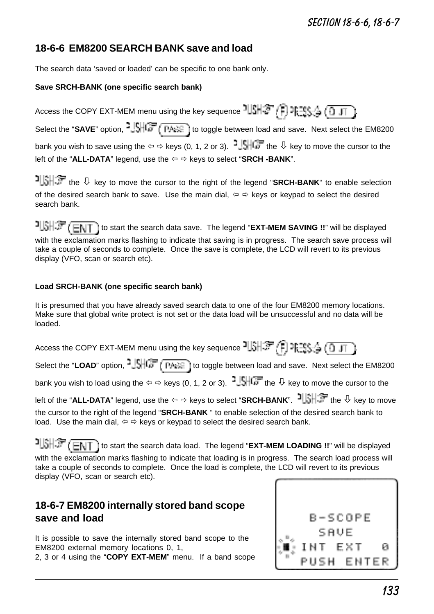### **18-6-6 EM8200 SEARCH BANK save and load**

The search data 'saved or loaded' can be specific to one bank only.

#### **Save SRCH-BANK (one specific search bank)**

Access the COPY EXT-MEM menu using the key sequence  $\frac{1}{2}$ ,  $\frac{1}{2}$ ,  $\frac{1}{2}$ ,  $\frac{1}{2}$ ,  $\frac{1}{2}$ ,  $\frac{1}{2}$ Select the "SAVE" option, <sup>2</sup>USHC (THEE) to toggle between load and save. Next select the EM8200 bank you wish to save using the  $\Leftrightarrow$   $\Leftrightarrow$  keys (0, 1, 2 or 3).  $\frac{1}{2}$   $\frac{1}{2}$  the  $\frac{1}{2}$  key to move the cursor to the left of the "**ALL-DATA**" legend, use the ⇔ ⇔ keys to select "**SRCH-BANK**".

 the ò key to move the cursor to the right of the legend "**SRCH-BANK**" to enable selection of the desired search bank to save. Use the main dial,  $\Leftrightarrow \Leftrightarrow$  keys or keypad to select the desired search bank.

 to start the search data save. The legend "**EXT-MEM SAVING !!**" will be displayed with the exclamation marks flashing to indicate that saving is in progress. The search save process will take a couple of seconds to complete. Once the save is complete, the LCD will revert to its previous display (VFO, scan or search etc).

#### **Load SRCH-BANK (one specific search bank)**

It is presumed that you have already saved search data to one of the four EM8200 memory locations. Make sure that global write protect is not set or the data load will be unsuccessful and no data will be loaded.

| Access the COPY EXT-MEM menu using the key sequence $\frac{1}{2}$ , $\frac{1}{2}$ , $\frac{1}{2}$ , $\frac{1}{2}$ , $\frac{1}{2}$ , $\frac{1}{2}$ , $\frac{1}{2}$ , $\frac{1}{2}$                                     |
|-----------------------------------------------------------------------------------------------------------------------------------------------------------------------------------------------------------------------|
| Select the "LOAD" option, $\frac{1.5}{1.5}$ (TASE) to toggle between load and save. Next select the EM8200                                                                                                            |
| bank you wish to load using the $\Leftrightarrow$ $\Leftrightarrow$ keys (0, 1, 2 or 3). $\frac{16}{16}$ the $\sqrt[1]{ }$ key to move the cursor to the                                                              |
| left of the "ALL-DATA" legend, use the $\Leftrightarrow$ $\Leftrightarrow$ keys to select "SRCH-BANK". IN FIRE the $\mathbb Q$ key to move                                                                            |
| the cursor to the right of the legend "SRCH-BANK" to enable selection of the desired search bank to<br>load. Use the main dial, $\Leftrightarrow$ $\Leftrightarrow$ keys or keypad to select the desired search bank. |

 to start the search data load. The legend "**EXT-MEM LOADING !!**" will be displayed with the exclamation marks flashing to indicate that loading is in progress. The search load process will take a couple of seconds to complete. Once the load is complete, the LCD will revert to its previous display (VFO, scan or search etc).

### **18-6-7 EM8200 internally stored band scope save and load**

It is possible to save the internally stored band scope to the EM8200 external memory locations 0, 1, 2, 3 or 4 using the "**COPY EXT-MEM**" menu. If a band scope

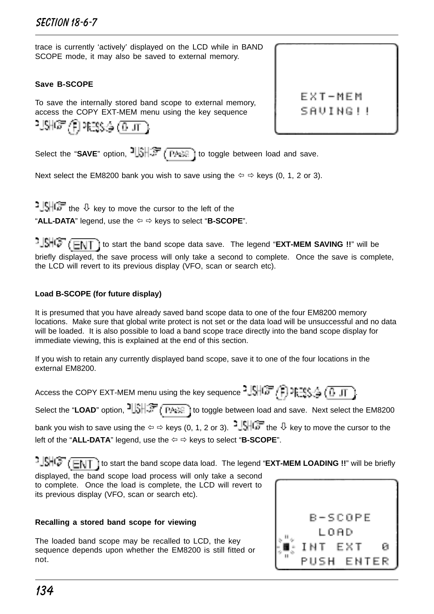trace is currently 'actively' displayed on the LCD while in BAND SCOPE mode, it may also be saved to external memory.

#### **Save B-SCOPE**

To save the internally stored band scope to external memory, access the COPY EXT-MEM menu using the key sequence

$$
\mathbb{M}\mathbb{G}\left( \mathfrak{f}\right) \text{RHS}_{\mathbb{G}}\left( \overline{0,11}\right)
$$

EXT-MEM SAUING!!

Select the "SAVE" option,  $\frac{1}{2}$ ,  $\frac{1}{2}$ ,  $\frac{1}{2}$  ( $\frac{1}{2}$ ) to toggle between load and save.

Next select the EM8200 bank you wish to save using the  $\Leftrightarrow$   $\Leftrightarrow$  keys (0, 1, 2 or 3).

 $\frac{1}{2}$   $\frac{1}{2}$   $\frac{1}{2}$  the  $\frac{1}{2}$  key to move the cursor to the left of the "**ALL-DATA**" legend, use the  $\Leftrightarrow$   $\Leftrightarrow$  keys to select "**B-SCOPE**".

 $t = \frac{1}{2}$ briefly displayed, the save process will only take a second to complete. Once the save is complete, the LCD will revert to its previous display (VFO, scan or search etc).

#### **Load B-SCOPE (for future display)**

It is presumed that you have already saved band scope data to one of the four EM8200 memory locations. Make sure that global write protect is not set or the data load will be unsuccessful and no data will be loaded. It is also possible to load a band scope trace directly into the band scope display for immediate viewing, this is explained at the end of this section.

If you wish to retain any currently displayed band scope, save it to one of the four locations in the external EM8200.

Access the COPY EXT-MEM menu using the key sequence  $^{2}$  SHCF (F) PFTS (  $^{4}$  CD JT

Select the "LOAD" option,  $\frac{1}{2}$ ,  $\frac{1}{2}$ ,  $\frac{1}{2}$ ,  $\frac{1}{2}$  ( $\frac{1}{2}$ ,  $\frac{1}{2}$ ) to toggle between load and save. Next select the EM8200 bank you wish to save using the  $\Leftrightarrow$   $\Leftrightarrow$  keys (0, 1, 2 or 3).  $\frac{1}{2}$ . the  $\sqrt{2}$  key to move the cursor to the left of the "ALL-DATA" legend, use the  $\Leftrightarrow$   $\Leftrightarrow$  keys to select "B-SCOPE".

<sup>1</sup>. SHG (ENT) to start the band scope data load. The legend "EXT-MEM LOADING !!" will be briefly displayed, the band scope load process will only take a second to complete. Once the load is complete, the LCD will revert to its previous display (VFO, scan or search etc).

#### **Recalling a stored band scope for viewing**

The loaded band scope may be recalled to LCD, the key sequence depends upon whether the EM8200 is still fitted or not.

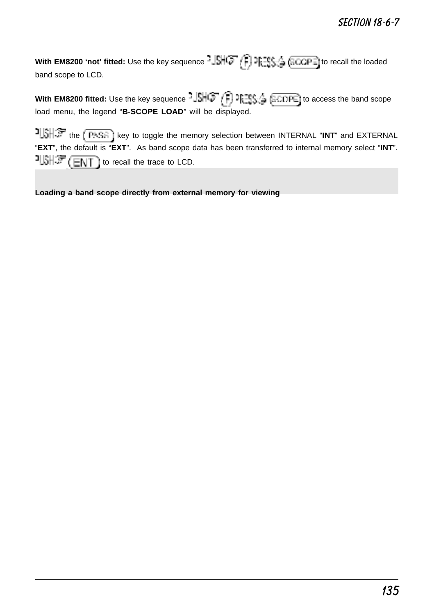**With EM8200 'not' fitted:** Use the key sequence  $\frac{15}{15}$   $\left(\frac{2}{15}\right)$   $\frac{125}{15}$   $\left(\frac{2}{100}$  recall the loaded band scope to LCD.

**With EM8200 fitted:** Use the key sequence  $\frac{1}{2}$ ,  $\frac{1}{2}$ ,  $\frac{1}{2}$ ,  $\frac{1}{2}$ ,  $\frac{1}{2}$ ,  $\frac{1}{2}$ ,  $\frac{1}{2}$ ,  $\frac{1}{2}$  ( $\frac{1}{2}$ CDPE) to access the band scope load menu, the legend "**B-SCOPE LOAD**" will be displayed.

the KPASA I key to toggle the memory selection between INTERNAL "INT" and EXTERNAL "**EXT**", the default is "**EXT**". As band scope data has been transferred to internal memory select "**INT**".  $1.5$   $\sqrt{2}$   $\sqrt{2}$   $\sqrt{2}$  to recall the trace to LCD.

**Loading a band scope directly from external memory for viewing**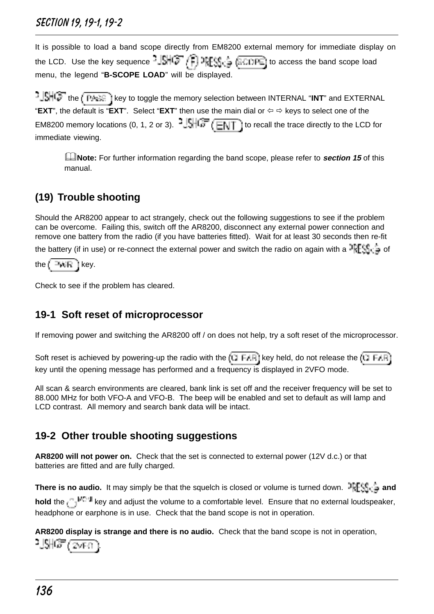It is possible to load a band scope directly from EM8200 external memory for immediate display on the LCD. Use the key sequence  $-\left[\frac{1}{2}\right]$  or  $\left[\frac{1}{2}, \frac{1}{2}\right]$  ( $\frac{1}{2}$  ( $\frac{1}{2}$  ( $\frac{1}{2}$  ( $\frac{1}{2}$ ) to access the band scope load menu, the legend "**B-SCOPE LOAD**" will be displayed.

 $t$ ,  $\frac{1}{2}$  and  $\frac{1}{2}$  is they to toggle the memory selection between INTERNAL "INT" and EXTERNAL "**EXT**", the default is "**EXT**". Select "**EXT**" then use the main dial or  $\Leftrightarrow$  keys to select one of the EM8200 memory locations (0, 1, 2 or 3).  $\frac{1.5}{1.5}$  (ENT) to recall the trace directly to the LCD for immediate viewing.

**Example:** For further information regarding the band scope, please refer to **section 15** of this manual.

# **(19) Trouble shooting**

Should the AR8200 appear to act strangely, check out the following suggestions to see if the problem can be overcome. Failing this, switch off the AR8200, disconnect any external power connection and remove one battery from the radio (if you have batteries fitted). Wait for at least 30 seconds then re-fit the battery (if in use) or re-connect the external power and switch the radio on again with a PFF  $\|\cdot\|$  of the  $k = k$  in  $k$ ey.

Check to see if the problem has cleared.

# **19-1 Soft reset of microprocessor**

If removing power and switching the AR8200 off / on does not help, try a soft reset of the microprocessor.

Soft reset is achieved by powering-up the radio with the  $(\Box \vdash A \Box$  key held, do not release the  $(\Box \vdash A \Box$ key until the opening message has performed and a frequency is displayed in 2VFO mode.

All scan & search environments are cleared, bank link is set off and the receiver frequency will be set to 88.000 MHz for both VFO-A and VFO-B. The beep will be enabled and set to default as will lamp and LCD contrast. All memory and search bank data will be intact.

# **19-2 Other trouble shooting suggestions**

**AR8200 will not power on.** Check that the set is connected to external power (12V d.c.) or that batteries are fitted and are fully charged.

**There is no audio.** It may simply be that the squelch is closed or volume is turned down. **PRESS**  $\frac{1}{2}$  and hold the <sub>key</sub> and adjust the volume to a comfortable level. Ensure that no external loudspeaker, headphone or earphone is in use. Check that the band scope is not in operation.

**AR8200 display is strange and there is no audio.** Check that the band scope is not in operation, .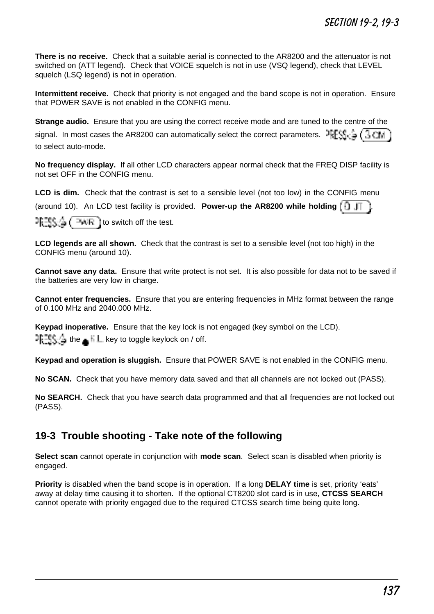**There is no receive.** Check that a suitable aerial is connected to the AR8200 and the attenuator is not switched on (ATT legend). Check that VOICE squelch is not in use (VSQ legend), check that LEVEL squelch (LSQ legend) is not in operation.

**Intermittent receive.** Check that priority is not engaged and the band scope is not in operation. Ensure that POWER SAVE is not enabled in the CONFIG menu.

**Strange audio.** Ensure that you are using the correct receive mode and are tuned to the centre of the

signal. In most cases the AR8200 can automatically select the correct parameters.  $\frac{25F}{3}$ ,  $\frac{2}{3}$ ,  $\frac{1}{3}$ ,  $\frac{1}{10}$ to select auto-mode.

**No frequency display.** If all other LCD characters appear normal check that the FREQ DISP facility is not set OFF in the CONFIG menu.

**LCD is dim.** Check that the contrast is set to a sensible level (not too low) in the CONFIG menu (around 10). An LCD test facility is provided. **Power-up the AR8200 while holding**  $\begin{bmatrix} \cdot \\ \cdot \end{bmatrix}$ 

 $T_{\text{t}} = \frac{1}{2}$   $\left( \frac{1}{2} + \frac{1}{2} \right)$  to switch off the test.

**LCD legends are all shown.** Check that the contrast is set to a sensible level (not too high) in the CONFIG menu (around 10).

**Cannot save any data.** Ensure that write protect is not set. It is also possible for data not to be saved if the batteries are very low in charge.

**Cannot enter frequencies.** Ensure that you are entering frequencies in MHz format between the range of 0.100 MHz and 2040.000 MHz.

**Keypad inoperative.** Ensure that the key lock is not engaged (key symbol on the LCD).  $1 \equiv \frac{1}{2}$  the  $\equiv \frac{1}{2}$  key to toggle keylock on / off.

**Keypad and operation is sluggish.** Ensure that POWER SAVE is not enabled in the CONFIG menu.

**No SCAN.** Check that you have memory data saved and that all channels are not locked out (PASS).

**No SEARCH.** Check that you have search data programmed and that all frequencies are not locked out (PASS).

### **19-3 Trouble shooting - Take note of the following**

**Select scan** cannot operate in conjunction with **mode scan**. Select scan is disabled when priority is engaged.

**Priority** is disabled when the band scope is in operation. If a long **DELAY time** is set, priority 'eats' away at delay time causing it to shorten. If the optional CT8200 slot card is in use, **CTCSS SEARCH** cannot operate with priority engaged due to the required CTCSS search time being quite long.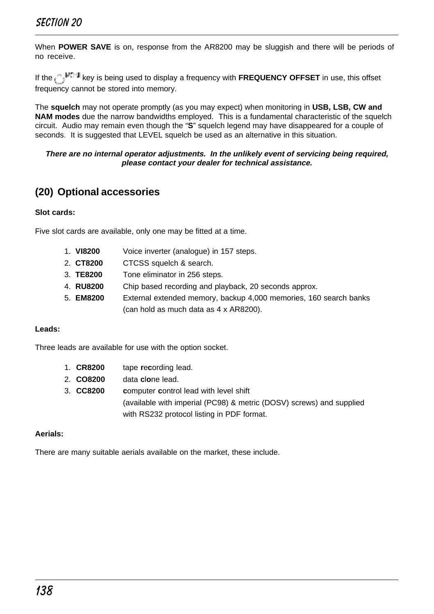When **POWER SAVE** is on, response from the AR8200 may be sluggish and there will be periods of no receive.

If the <sub>cea</sub>l<sup>ing</sup> key is being used to display a frequency with **FREQUENCY OFFSET** in use, this offset frequency cannot be stored into memory.

The **squelch** may not operate promptly (as you may expect) when monitoring in **USB, LSB, CW and NAM modes** due the narrow bandwidths employed. This is a fundamental characteristic of the squelch circuit. Audio may remain even though the "**S**" squelch legend may have disappeared for a couple of seconds. It is suggested that LEVEL squelch be used as an alternative in this situation.

#### **There are no internal operator adjustments. In the unlikely event of servicing being required, please contact your dealer for technical assistance.**

### **(20) Optional accessories**

#### **Slot cards:**

Five slot cards are available, only one may be fitted at a time.

- 1. **VI8200** Voice inverter (analogue) in 157 steps.
- 2. **CT8200** CTCSS squelch & search.
- 3. **TE8200** Tone eliminator in 256 steps.
- 4. **RU8200** Chip based recording and playback, 20 seconds approx.
- 5. **EM8200** External extended memory, backup 4,000 memories, 160 search banks (can hold as much data as 4 x AR8200).

#### **Leads:**

Three leads are available for use with the option socket.

- 1. **CR8200** tape **r**e**c**ording lead.
- 2. **CO8200** data **c**l**o**ne lead.
- 3. **CC8200 c**omputer **c**ontrol lead with level shift (available with imperial (PC98) & metric (DOSV) screws) and supplied with RS232 protocol listing in PDF format.

#### **Aerials:**

There are many suitable aerials available on the market, these include.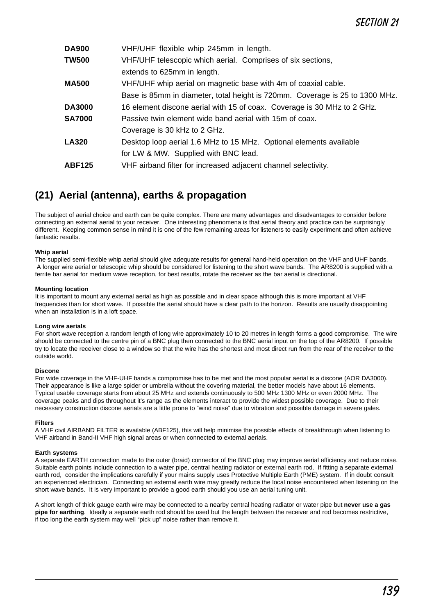| VHF/UHF flexible whip 245mm in length.                                       |
|------------------------------------------------------------------------------|
| VHF/UHF telescopic which aerial. Comprises of six sections,                  |
| extends to 625mm in length.                                                  |
| VHF/UHF whip aerial on magnetic base with 4m of coaxial cable.               |
| Base is 85mm in diameter, total height is 720mm. Coverage is 25 to 1300 MHz. |
| 16 element discone aerial with 15 of coax. Coverage is 30 MHz to 2 GHz.      |
| Passive twin element wide band aerial with 15m of coax.                      |
| Coverage is 30 kHz to 2 GHz.                                                 |
| Desktop loop aerial 1.6 MHz to 15 MHz. Optional elements available           |
| for LW & MW. Supplied with BNC lead.                                         |
| VHF airband filter for increased adjacent channel selectivity.               |
|                                                                              |

### **(21) Aerial (antenna), earths & propagation**

The subject of aerial choice and earth can be quite complex. There are many advantages and disadvantages to consider before connecting an external aerial to your receiver. One interesting phenomena is that aerial theory and practice can be surprisingly different. Keeping common sense in mind it is one of the few remaining areas for listeners to easily experiment and often achieve fantastic results.

#### **Whip aerial**

The supplied semi-flexible whip aerial should give adequate results for general hand-held operation on the VHF and UHF bands. A longer wire aerial or telescopic whip should be considered for listening to the short wave bands. The AR8200 is supplied with a ferrite bar aerial for medium wave reception, for best results, rotate the receiver as the bar aerial is directional.

#### **Mounting location**

It is important to mount any external aerial as high as possible and in clear space although this is more important at VHF frequencies than for short wave. If possible the aerial should have a clear path to the horizon. Results are usually disappointing when an installation is in a loft space.

#### **Long wire aerials**

For short wave reception a random length of long wire approximately 10 to 20 metres in length forms a good compromise. The wire should be connected to the centre pin of a BNC plug then connected to the BNC aerial input on the top of the AR8200. If possible try to locate the receiver close to a window so that the wire has the shortest and most direct run from the rear of the receiver to the outside world.

#### **Discone**

For wide coverage in the VHF-UHF bands a compromise has to be met and the most popular aerial is a discone (AOR DA3000). Their appearance is like a large spider or umbrella without the covering material, the better models have about 16 elements. Typical usable coverage starts from about 25 MHz and extends continuously to 500 MHz 1300 MHz or even 2000 MHz. The coverage peaks and dips throughout it's range as the elements interact to provide the widest possible coverage. Due to their necessary construction discone aerials are a little prone to "wind noise" due to vibration and possible damage in severe gales.

#### **Filters**

A VHF civil AIRBAND FILTER is available (ABF125), this will help minimise the possible effects of breakthrough when listening to VHF airband in Band-II VHF high signal areas or when connected to external aerials.

#### **Earth systems**

A separate EARTH connection made to the outer (braid) connector of the BNC plug may improve aerial efficiency and reduce noise. Suitable earth points include connection to a water pipe, central heating radiator or external earth rod. If fitting a separate external earth rod, consider the implications carefully if your mains supply uses Protective Multiple Earth (PME) system. If in doubt consult an experienced electrician. Connecting an external earth wire may greatly reduce the local noise encountered when listening on the short wave bands. It is very important to provide a good earth should you use an aerial tuning unit.

A short length of thick gauge earth wire may be connected to a nearby central heating radiator or water pipe but **never use a gas pipe for earthing**. Ideally a separate earth rod should be used but the length between the receiver and rod becomes restrictive, if too long the earth system may well "pick up" noise rather than remove it.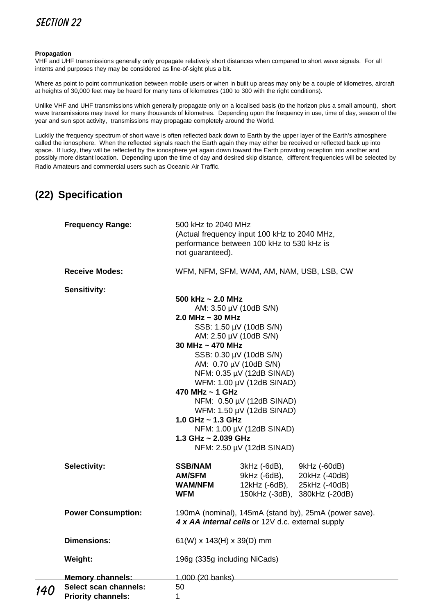#### **Propagation**

VHF and UHF transmissions generally only propagate relatively short distances when compared to short wave signals. For all intents and purposes they may be considered as line-of-sight plus a bit.

Where as point to point communication between mobile users or when in built up areas may only be a couple of kilometres, aircraft at heights of 30,000 feet may be heard for many tens of kilometres (100 to 300 with the right conditions).

Unlike VHF and UHF transmissions which generally propagate only on a localised basis (to the horizon plus a small amount), short wave transmissions may travel for many thousands of kilometres. Depending upon the frequency in use, time of day, season of the year and sun spot activity, transmissions may propagate completely around the World.

Luckily the frequency spectrum of short wave is often reflected back down to Earth by the upper layer of the Earth's atmosphere called the ionosphere. When the reflected signals reach the Earth again they may either be received or reflected back up into space. If lucky, they will be reflected by the ionosphere yet again down toward the Earth providing reception into another and possibly more distant location. Depending upon the time of day and desired skip distance, different frequencies will be selected by Radio Amateurs and commercial users such as Oceanic Air Traffic.

# **(22) Specification**

|     | <b>Frequency Range:</b>                                                | 500 kHz to 2040 MHz<br>not guaranteed).                                                                                            | (Actual frequency input 100 kHz to 2040 MHz,<br>performance between 100 kHz to 530 kHz is                                                                                                                                                                                                                      |                                                                                 |  |  |  |
|-----|------------------------------------------------------------------------|------------------------------------------------------------------------------------------------------------------------------------|----------------------------------------------------------------------------------------------------------------------------------------------------------------------------------------------------------------------------------------------------------------------------------------------------------------|---------------------------------------------------------------------------------|--|--|--|
|     | <b>Receive Modes:</b>                                                  |                                                                                                                                    |                                                                                                                                                                                                                                                                                                                | WFM, NFM, SFM, WAM, AM, NAM, USB, LSB, CW                                       |  |  |  |
|     | Sensitivity:                                                           | 500 kHz $\sim$ 2.0 MHz<br>2.0 MHz $\sim$ 30 MHz<br>30 MHz ~ 470 MHz<br>470 MHz ~ 1 GHz<br>1.0 GHz ~ 1.3 GHz<br>1.3 GHz ~ 2.039 GHz | AM: 3.50 µV (10dB S/N)<br>SSB: 1.50 µV (10dB S/N)<br>AM: 2.50 µV (10dB S/N)<br>SSB: 0.30 µV (10dB S/N)<br>AM: 0.70 µV (10dB S/N)<br>NFM: 0.35 µV (12dB SINAD)<br>WFM: 1.00 µV (12dB SINAD)<br>NFM: 0.50 µV (12dB SINAD)<br>WFM: 1.50 µV (12dB SINAD)<br>NFM: 1.00 µV (12dB SINAD)<br>NFM: 2.50 µV (12dB SINAD) |                                                                                 |  |  |  |
|     | Selectivity:                                                           | <b>SSB/NAM</b><br><b>AM/SFM</b><br><b>WAM/NFM</b><br>WFM                                                                           | 3kHz (-6dB),<br>9kHz (-6dB),<br>12kHz (-6dB),                                                                                                                                                                                                                                                                  | 9kHz (-60dB)<br>20kHz (-40dB)<br>25kHz (-40dB)<br>150kHz (-3dB), 380kHz (-20dB) |  |  |  |
|     | <b>Power Consumption:</b>                                              | 190mA (nominal), 145mA (stand by), 25mA (power save).<br>4 x AA internal cells or 12V d.c. external supply                         |                                                                                                                                                                                                                                                                                                                |                                                                                 |  |  |  |
|     | <b>Dimensions:</b>                                                     | $61(W)$ x 143(H) x 39(D) mm                                                                                                        |                                                                                                                                                                                                                                                                                                                |                                                                                 |  |  |  |
|     | Weight:                                                                | 196g (335g including NiCads)                                                                                                       |                                                                                                                                                                                                                                                                                                                |                                                                                 |  |  |  |
| 140 | Memory channels:<br>Select scan channels:<br><b>Priority channels:</b> | 1,000 (20 banks)<br>50<br>1                                                                                                        |                                                                                                                                                                                                                                                                                                                |                                                                                 |  |  |  |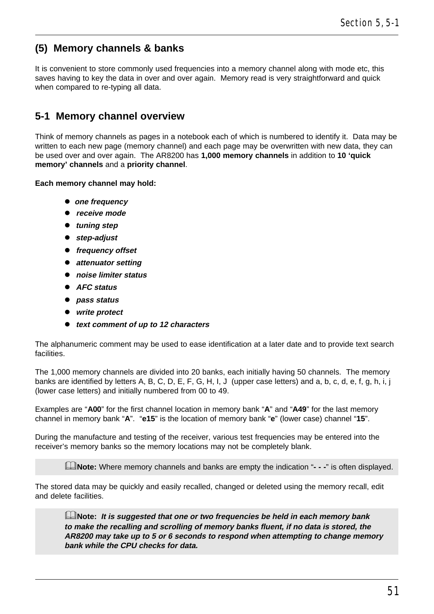## **(5) Memory channels & banks**

It is convenient to store commonly used frequencies into a memory channel along with mode etc, this saves having to key the data in over and over again. Memory read is very straightforward and quick when compared to re-typing all data.

## **5-1 Memory channel overview**

Think of memory channels as pages in a notebook each of which is numbered to identify it. Data may be written to each new page (memory channel) and each page may be overwritten with new data, they can be used over and over again. The AR8200 has **1,000 memory channels** in addition to **10 'quick memory' channels** and a **priority channel**.

**Each memory channel may hold:**

- **•** one frequency
- l **receive mode**
- **• tuning step**
- l **step-adjust**
- **•** frequency offset
- **•** attenuator setting
- l **noise limiter status**
- l **AFC status**
- l **pass status**
- l **write protect**
- l **text comment of up to 12 characters**

The alphanumeric comment may be used to ease identification at a later date and to provide text search facilities.

The 1,000 memory channels are divided into 20 banks, each initially having 50 channels. The memory banks are identified by letters A, B, C, D, E, F, G, H, I, J (upper case letters) and a, b, c, d, e, f, g, h, i, j (lower case letters) and initially numbered from 00 to 49.

Examples are "**A00**" for the first channel location in memory bank "**A**" and "**A49**" for the last memory channel in memory bank "**A**". "**e15**" is the location of memory bank "**e**" (lower case) channel "**15**".

During the manufacture and testing of the receiver, various test frequencies may be entered into the receiver's memory banks so the memory locations may not be completely blank.

&**Note:** Where memory channels and banks are empty the indication "**- - -**" is often displayed.

The stored data may be quickly and easily recalled, changed or deleted using the memory recall, edit and delete facilities.

&**Note: It is suggested that one or two frequencies be held in each memory bank to make the recalling and scrolling of memory banks fluent, if no data is stored, the AR8200 may take up to 5 or 6 seconds to respond when attempting to change memory bank while the CPU checks for data.**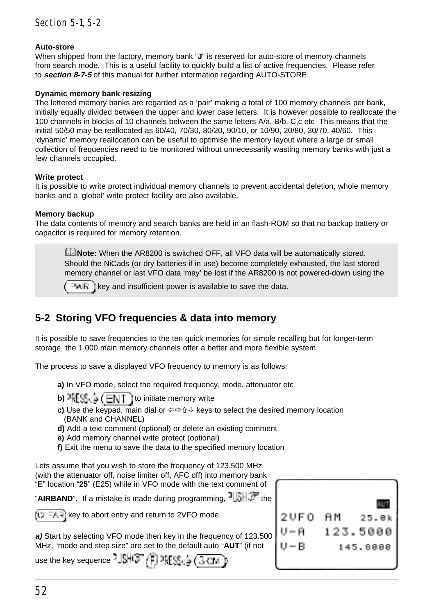### **Auto-store**

When shipped from the factory, memory bank "**J**" is reserved for auto-store of memory channels from search mode. This is a useful facility to quickly build a list of active frequencies. Please refer to **section 8-7-5** of this manual for further information regarding AUTO-STORE.

#### **Dynamic memory bank resizing**

The lettered memory banks are regarded as a 'pair' making a total of 100 memory channels per bank, initially equally divided between the upper and lower case letters. It is however possible to reallocate the 100 channels in blocks of 10 channels between the same letters A/a, B/b, C,c etc This means that the initial 50/50 may be reallocated as 60/40, 70/30, 80/20, 90/10, or 10/90, 20/80, 30/70, 40/60. This 'dynamic' memory reallocation can be useful to optimise the memory layout where a large or small collection of frequencies need to be monitored without unnecessarily wasting memory banks with just a few channels occupied.

#### **Write protect**

It is possible to write protect individual memory channels to prevent accidental deletion, whole memory banks and a 'global' write protect facility are also available.

#### **Memory backup**

The data contents of memory and search banks are held in an flash-ROM so that no backup battery or capacitor is required for memory retention.

**ENote:** When the AR8200 is switched OFF, all VFO data will be automatically stored. Should the NiCads (or dry batteries if in use) become completely exhausted, the last stored memory channel or last VFO data 'may' be lost if the AR8200 is not powered-down using the

 $k^2$  is key and insufficient power is available to save the data.

## **5-2 Storing VFO frequencies & data into memory**

It is possible to save frequencies to the ten quick memories for simple recalling but for longer-term storage, the 1,000 main memory channels offer a better and more flexible system.

The process to save a displayed VFO frequency to memory is as follows:

- **a)** In VFO mode, select the required frequency, mode, attenuator etc
- **b)**  $FES \oplus (ENT)$  to initiate memory write
- **c)** Use the keypad, main dial or  $\Leftrightarrow$   $\hat{v}$  & keys to select the desired memory location (BANK and CHANNEL)
- **d)** Add a text comment (optional) or delete an existing comment
- **e)** Add memory channel write protect (optional)
- **f)** Exit the menu to save the data to the specified memory location

Lets assume that you wish to store the frequency of 123.500 MHz (with the attenuator off, noise limiter off, AFC off) into memory bank "**E**" location "**25**" (E25) while in VFO mode with the text comment of

"AIRBAND". If a mistake is made during programming. <sup>1</sup>

 $(k)$  =  $4$  =  $(k)$  to abort entry and return to 2VFO mode.

**a)** Start by selecting VFO mode then key in the frequency of 123.500 MHz, "mode and step size" are set to the default auto "**AUT**" (if not

use the key sequence  $\frac{1}{2}$  $\mathbb{S}(\mathbb{C}^{\infty}/\widehat{F})$   $\mathbb{P}(\mathbb{S}^{\infty},\frac{1}{2})$   $\mathbb{C}(\overline{3}\mathbb{C})$ 

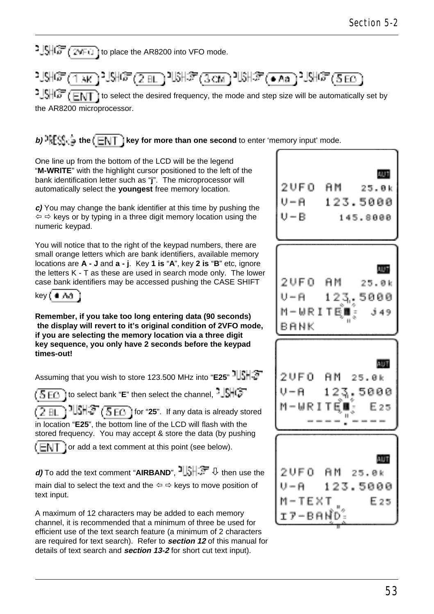$1.5\sqrt{G}$   $(2\sqrt{F})$  to place the AR8200 into VFO mode.



 $\frac{1.5}{1.5}$   $\frac{1.5}{1.5}$  to select the desired frequency, the mode and step size will be automatically set by the AR8200 microprocessor.

**b)**  $\mathbb{P}[\mathbb{S}_0^k]$  in the  $k \in \mathbb{N}$  if it key for more than one second to enter 'memory input' mode.

One line up from the bottom of the LCD will be the legend "**M-WRITE**" with the highlight cursor positioned to the left of the bank identification letter such as "**j**". The microprocessor will automatically select the **youngest** free memory location.

**c)** You may change the bank identifier at this time by pushing the  $\Leftrightarrow$   $\Leftrightarrow$  keys or by typing in a three digit memory location using the numeric keypad.

You will notice that to the right of the keypad numbers, there are small orange letters which are bank identifiers, available memory locations are **A - J** and **a - j**. Key **1 is** "**A**", key **2 is** "**B**" etc, ignore the letters K - T as these are used in search mode only. The lower case bank identifiers may be accessed pushing the CASE SHIFT



**Remember, if you take too long entering data (90 seconds) the display will revert to it's original condition of 2VFO mode, if you are selecting the memory location via a three digit key sequence, you only have 2 seconds before the keypad times-out!**

Assuming that you wish to store 123.500 MHz into "**E25**"

 to select bank "**E**" then select the channel, (5 EG 1

 $\frac{1}{3}$  $\frac{1}{3}$  $\frac{1}{3}$  $\frac{1}{3}$  $\frac{1}{3}$  for "25". If any data is already stored in location "**E25**", the bottom line of the LCD will flash with the stored frequency. You may accept & store the data (by pushing

 or add a text comment at this point (see below). (ENT

**d)** To add the text comment "AIRBAND",  $\exists \exists \exists \exists \exists$  then use the main dial to select the text and the  $\Leftrightarrow$   $\Leftrightarrow$  keys to move position of text input.

A maximum of 12 characters may be added to each memory channel, it is recommended that a minimum of three be used for efficient use of the text search feature (a minimum of 2 characters are required for text search). Refer to **section 12** of this manual for details of text search and **section 13-2** for short cut text input).

**AUT** 2UFO AM  $25.8k$ U-A 123.5000  $I - R$ 145.8000 **AUT** 2 U F 0 ĤМ  $25.8k$ 123.5000 M-WRITEI j 49 BANK **AUT** 2UE 0  $25.8k$ AМ 123.5000 M-WRITEL: E 25 **AUT** 2 U F 0 AM  $25.0k$ U – A 123.5000 M-TEXT E 25 r7−BAND-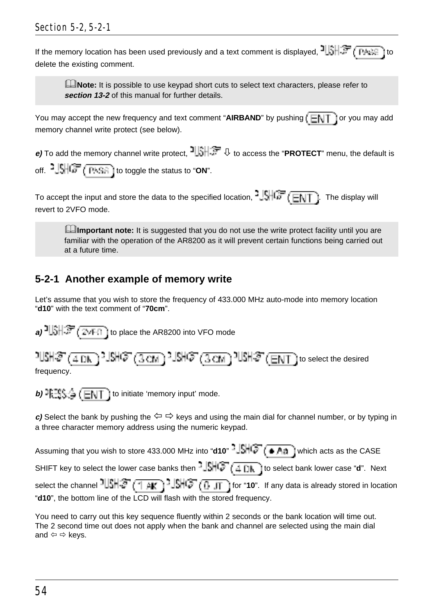If the memory location has been used previously and a text comment is displayed,  $\frac{1}{3}$ ,  $\frac{1}{3}$ ,  $\frac{1}{3}$ ,  $\frac{1}{3}$ delete the existing comment.

**ENote:** It is possible to use keypad short cuts to select text characters, please refer to **section 13-2** of this manual for further details.

You may accept the new frequency and text comment "AIRBAND" by pushing  $(E\setminus T)$  or you may add memory channel write protect (see below).

**e)** To add the memory channel write protect,  $\frac{1}{2}$ ,  $\frac{1}{2}$ , to access the "**PROTECT**" menu, the default is off. <sup>2</sup>  $\frac{1}{2}$   $\frac{1}{2}$   $\frac{1}{2}$   $\frac{1}{2}$   $\frac{1}{2}$  and to toggle the status to "ON".

To accept the input and store the data to the specified location,  $\frac{1}{2}$ ,  $\frac{1}{2}$ ,  $\frac{1}{\sqrt{2}}$  ( $\frac{1}{\sqrt{2}}$ ). The display will revert to 2VFO mode.

**Edimportant note:** It is suggested that you do not use the write protect facility until you are familiar with the operation of the AR8200 as it will prevent certain functions being carried out at a future time.

# **5-2-1 Another example of memory write**

Let's assume that you wish to store the frequency of 433.000 MHz auto-mode into memory location "**d10**" with the text comment of "**70cm**".

**a)**  $\frac{1}{2}$   $\frac{1}{2}$   $\frac{1}{2}$   $\frac{1}{2}$   $\frac{1}{2}$  to place the AR8200 into VFO mode  $\frac{1}{2}$  (4 DK  $\frac{1}{2}$  )  $\frac{1}{2}$  (3 CM  $\frac{1}{2}$  )  $\frac{1}{2}$  (ENT  $\frac{1}{2}$  to select the desired

frequency.

**b)**  $\exists S \oplus (\blacksquare \blacksquare \top)$  to initiate 'memory input' mode.

**c)** Select the bank by pushing the  $\Leftrightarrow$   $\Leftrightarrow$  keys and using the main dial for channel number, or by typing in a three character memory address using the numeric keypad.

```
Assuming that you wish to store 433.000 MHz into "d10" \frac{|\cdot|}{|\cdot|} (\bullet A<sub>d</sub>) which acts as the CASE
SHIFT key to select the lower case banks then -\sqrt{\frac{1}{2} + \frac{1}{2}} to select bank lower case "d". Next
select the channel 10\frac{10}{10} \frac{10}{10} \frac{10}{10} \frac{10}{10} for "10". If any data is already stored in location
"d10", the bottom line of the LCD will flash with the stored frequency.
```
You need to carry out this key sequence fluently within 2 seconds or the bank location will time out. The 2 second time out does not apply when the bank and channel are selected using the main dial and  $\Leftrightarrow$   $\Leftrightarrow$  keys.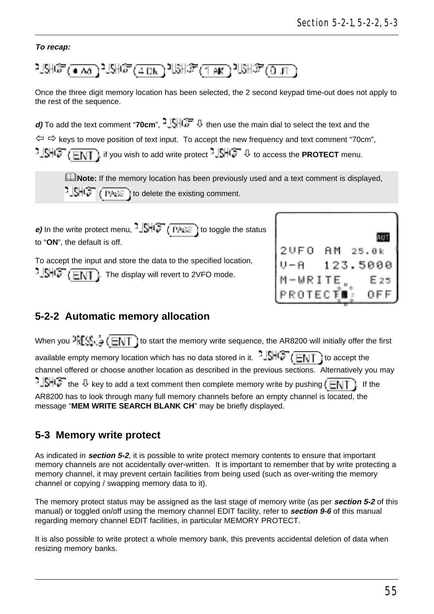### **To recap:**

$$
21\% \text{m} \cdot \text{m} \cdot \text{m} \cdot \text{m} \cdot \text{m} \cdot \text{m} \cdot \text{m} \cdot \text{m} \cdot \text{m} \cdot \text{m} \cdot \text{m} \cdot \text{m} \cdot \text{m} \cdot \text{m} \cdot \text{m} \cdot \text{m} \cdot \text{m} \cdot \text{m} \cdot \text{m} \cdot \text{m} \cdot \text{m} \cdot \text{m} \cdot \text{m} \cdot \text{m} \cdot \text{m} \cdot \text{m} \cdot \text{m} \cdot \text{m} \cdot \text{m} \cdot \text{m} \cdot \text{m} \cdot \text{m} \cdot \text{m} \cdot \text{m} \cdot \text{m} \cdot \text{m} \cdot \text{m} \cdot \text{m} \cdot \text{m} \cdot \text{m} \cdot \text{m} \cdot \text{m} \cdot \text{m} \cdot \text{m} \cdot \text{m} \cdot \text{m} \cdot \text{m} \cdot \text{m} \cdot \text{m} \cdot \text{m} \cdot \text{m} \cdot \text{m} \cdot \text{m} \cdot \text{m} \cdot \text{m} \cdot \text{m} \cdot \text{m} \cdot \text{m} \cdot \text{m} \cdot \text{m} \cdot \text{m} \cdot \text{m} \cdot \text{m} \cdot \text{m} \cdot \text{m} \cdot \text{m} \cdot \text{m} \cdot \text{m} \cdot \text{m} \cdot \text{m} \cdot \text{m} \cdot \text{m} \cdot \text{m} \cdot \text{m} \cdot \text{m} \cdot \text{m} \cdot \text{m} \cdot \text{m} \cdot \text{m} \cdot \text{m} \cdot \text{m} \cdot \text{m} \cdot \text{m} \cdot \text{m} \cdot \text{m} \cdot \text{m} \cdot \text{m} \cdot \text{m} \cdot \text{m} \cdot \text{m} \cdot \text{m} \cdot \text{m} \cdot \text{m} \cdot \text{m} \cdot \text{m} \cdot \text{m} \cdot \text{m} \cdot \text{m} \cdot \text{m} \cdot \text{m} \cdot \text{m} \cdot \text{m} \cdot \text{m} \cdot \text{m} \cdot \text{m} \cdot \text{m} \cdot \text{m} \cdot \text{m} \
$$

Once the three digit memory location has been selected, the 2 second keypad time-out does not apply to the rest of the sequence.

**d)** To add the text comment "**70cm**",  $\frac{1}{2}$ ,  $\frac{1}{2}$ , then use the main dial to select the text and the  $\Leftrightarrow$   $\Leftrightarrow$  kevs to move position of text input. To accept the new frequency and text comment "70cm",  $\cdot$  SHC<sup>T</sup> (ENT), if you wish to add write protect  $\cdot$  SHC<sup>T</sup>  $\theta$  to access the **PROTECT** menu.

**ANote:** If the memory location has been previously used and a text comment is displayed,  $\frac{1}{2}$   $\frac{1}{2}$   $\frac{1}{2}$   $\frac{1}{2}$   $\frac{1}{2}$   $\frac{1}{2}$  to delete the existing comment.

**e)** In the write protect menu,  $-\sqrt{5}$   $\sqrt{6}$   $\sqrt{7}$  ( $\frac{1}{2}$  to toggle the status to "**ON**", the default is off.

To accept the input and store the data to the specified location,  $-1$ SHC $\overline{E\setminus T}$  ). The display will revert to 2VFO mode.

| 2 U F O | AΜ | 25.0k    |
|---------|----|----------|
| J-A     |    | 123.5000 |
| M-WRITE |    | E 25     |
| PROTECT |    | OFF      |

### **5-2-2 Automatic memory allocation**

When you  $\frac{1}{2}$  ( $\frac{1}{2}$  ( $\frac{1}{2}$ ) to start the memory write sequence, the AR8200 will initially offer the first available empty memory location which has no data stored in it.  $\frac{1}{2}$ .  $\frac{1}{2}$   $\left(\frac{1}{2}\right)$  to accept the channel offered or choose another location as described in the previous sections. Alternatively you may  $-$  SHC the  $\theta$  key to add a text comment then complete memory write by pushing  $\sqrt{N}$ . If the AR8200 has to look through many full memory channels before an empty channel is located, the message "**MEM WRITE SEARCH BLANK CH**" may be briefly displayed.

### **5-3 Memory write protect**

As indicated in **section 5-2**, it is possible to write protect memory contents to ensure that important memory channels are not accidentally over-written. It is important to remember that by write protecting a memory channel, it may prevent certain facilities from being used (such as over-writing the memory channel or copying / swapping memory data to it).

The memory protect status may be assigned as the last stage of memory write (as per **section 5-2** of this manual) or toggled on/off using the memory channel EDIT facility, refer to **section 9-6** of this manual regarding memory channel EDIT facilities, in particular MEMORY PROTECT.

It is also possible to write protect a whole memory bank, this prevents accidental deletion of data when resizing memory banks.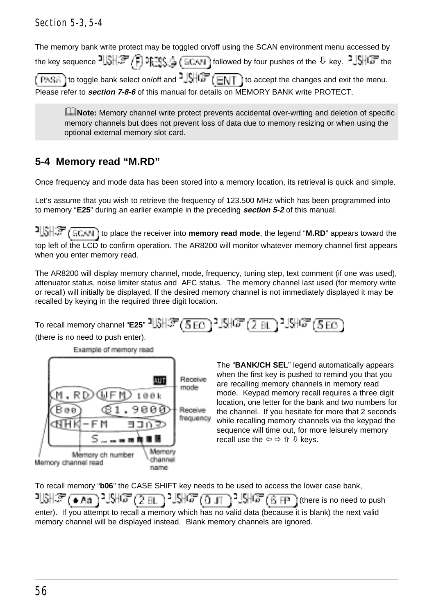## Section 5-3, 5-4

The memory bank write protect may be toggled on/off using the SCAN environment menu accessed by the key sequence  $\exists \Box \exists \Box \exists \Box \exists \Box \exists \Box \Box \exists \Box \Box \Box \Box$  followed by four pushes of the  $\Diamond$  key.  $\exists \Box \Box \Box \Box$  the to toggle bank select on/off and  $\frac{1}{2}$ ,  $\frac{1}{2}$ ,  $\frac{1}{2}$  to accept the changes and exit the menu. ( PASG. Please refer to **section 7-8-6** of this manual for details on MEMORY BANK write PROTECT.

&**Note:** Memory channel write protect prevents accidental over-writing and deletion of specific memory channels but does not prevent loss of data due to memory resizing or when using the optional external memory slot card.

# **5-4 Memory read "M.RD"**

Once frequency and mode data has been stored into a memory location, its retrieval is quick and simple.

Let's assume that you wish to retrieve the frequency of 123.500 MHz which has been programmed into to memory "**E25**" during an earlier example in the preceding **section 5-2** of this manual.

**t** ECAN if to place the receiver into **memory read mode**, the legend "**M.RD**" appears toward the top left of the LCD to confirm operation. The AR8200 will monitor whatever memory channel first appears when you enter memory read.

The AR8200 will display memory channel, mode, frequency, tuning step, text comment (if one was used), attenuator status, noise limiter status and AFC status. The memory channel last used (for memory write or recall) will initially be displayed, If the desired memory channel is not immediately displayed it may be recalled by keying in the required three digit location.

To recall memory channel "**E25**" 미해(第 (5 EG) 기해(第 (7 BL ) 기해(第 (5 EG) (there is no need to push enter).

Example of memory read



The "**BANK/CH SEL**" legend automatically appears when the first key is pushed to remind you that you are recalling memory channels in memory read mode. Keypad memory recall requires a three digit location, one letter for the bank and two numbers for the channel. If you hesitate for more that 2 seconds while recalling memory channels via the keypad the sequence will time out, for more leisurely memory recall use the  $\Leftrightarrow \Leftrightarrow \Uparrow \Downarrow$  keys.

To recall memory "**b06**" the CASE SHIFT key needs to be used to access the lower case bank,

 $10$ } $\frac{1}{2}$  ( $\frac{1}{2}$   $\frac{1}{2}$   $\frac{1}{2}$   $\frac{1}{2}$   $\frac{1}{2}$   $\frac{1}{2}$   $\frac{1}{2}$   $\frac{1}{2}$   $\frac{1}{2}$   $\frac{1}{2}$   $\frac{1}{2}$   $\frac{1}{2}$   $\frac{1}{2}$   $\frac{1}{2}$   $\frac{1}{2}$   $\frac{1}{2}$   $\frac{1}{2}$   $\frac{1}{2}$   $\frac{1}{2}$   $\frac{1}{2}$   $\frac{1$ enter). If you attempt to recall a memory which has no valid data (because it is blank) the next valid memory channel will be displayed instead. Blank memory channels are ignored.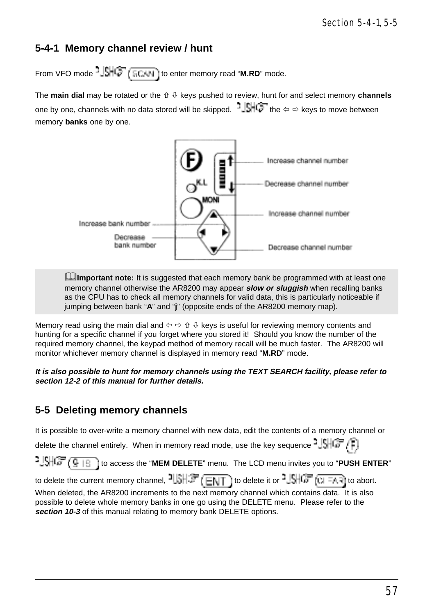## **5-4-1 Memory channel review / hunt**

From VFO mode  $-\frac{|\mathbb{S}|}{|\mathbb{S}|}$  ( $\frac{1}{|\mathbb{S}|}$  to enter memory read "**M.RD**" mode.

The **main dial** may be rotated or the ñ ò keys pushed to review, hunt for and select memory **channels** one by one, channels with no data stored will be skipped.  $\|\cdot\|$  of the  $\Leftrightarrow$  keys to move between memory **banks** one by one.



**Ellimportant note:** It is suggested that each memory bank be programmed with at least one memory channel otherwise the AR8200 may appear **slow or sluggish** when recalling banks as the CPU has to check all memory channels for valid data, this is particularly noticeable if jumping between bank "**A**" and "**j**" (opposite ends of the AR8200 memory map).

Memory read using the main dial and  $\Leftrightarrow \Uparrow \Downarrow$  keys is useful for reviewing memory contents and hunting for a specific channel if you forget where you stored it! Should you know the number of the required memory channel, the keypad method of memory recall will be much faster. The AR8200 will monitor whichever memory channel is displayed in memory read "**M.RD**" mode.

**It is also possible to hunt for memory channels using the TEXT SEARCH facility, please refer to section 12-2 of this manual for further details.**

### **5-5 Deleting memory channels**

It is possible to over-write a memory channel with new data, edit the contents of a memory channel or

delete the channel entirely. When in memory read mode, use the key sequence  $\frac{1}{2}$ ,  $\frac{1}{2}$ 

to access the "**MEM DELETE**" menu. The LCD menu invites you to "**PUSH ENTER**"

to delete the current memory channel,  $\frac{1}{3}$ ,  $\frac{1}{3}$ ,  $\frac{1}{3}$  to delete it or  $\frac{1}{3}$ ,  $\frac{1}{3}$ ,  $\frac{1}{3}$  to abort. When deleted, the AR8200 increments to the next memory channel which contains data. It is also possible to delete whole memory banks in one go using the DELETE menu. Please refer to the **section 10-3** of this manual relating to memory bank DELETE options.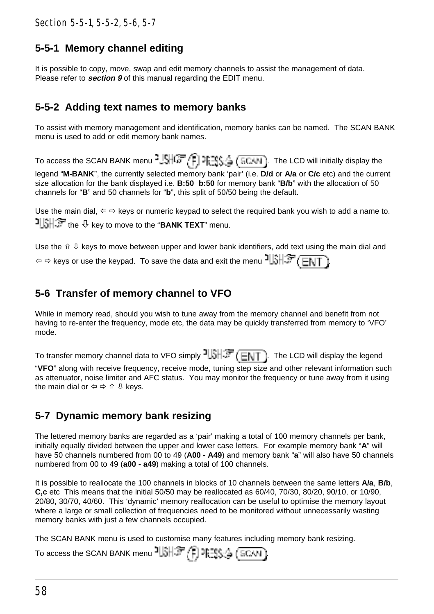## **5-5-1 Memory channel editing**

It is possible to copy, move, swap and edit memory channels to assist the management of data. Please refer to **section 9** of this manual regarding the EDIT menu.

## **5-5-2 Adding text names to memory banks**

To assist with memory management and identification, memory banks can be named. The SCAN BANK menu is used to add or edit memory bank names.

To access the SCAN BANK menu  $\frac{1.5167}{1.515}$  (Figs.  $(5.04)$ ). The LCD will initially display the legend "**M-BANK**", the currently selected memory bank 'pair' (i.e. **D/d** or **A/a** or **C/c** etc) and the current size allocation for the bank displayed i.e. **B:50 b:50** for memory bank "**B/b**" with the allocation of 50 channels for "**B**" and 50 channels for "**b**", this split of 50/50 being the default.

Use the main dial,  $\Leftrightarrow \Leftrightarrow$  keys or numeric keypad to select the required bank you wish to add a name to. the  $\overline{O}$  key to move to the "**BANK TEXT**" menu.

Use the  $\hat{v} \oplus k$  keys to move between upper and lower bank identifiers, add text using the main dial and  $\phi \Leftrightarrow$  keys or use the keypad. To save the data and exit the menu  $\frac{1}{2}$   $\frac{1}{2}$   $\frac{1}{2}$   $\frac{1}{2}$   $\frac{1}{2}$ 

# **5-6 Transfer of memory channel to VFO**

While in memory read, should you wish to tune away from the memory channel and benefit from not having to re-enter the frequency, mode etc, the data may be quickly transferred from memory to 'VFO' mode.

To transfer memory channel data to VFO simply  $\frac{1}{2}$ . The LCD will display the legend "**VFO**" along with receive frequency, receive mode, tuning step size and other relevant information such as attenuator, noise limiter and AFC status. You may monitor the frequency or tune away from it using the main dial or  $\Leftrightarrow \Leftrightarrow \Uparrow \Downarrow$  keys.

# **5-7 Dynamic memory bank resizing**

The lettered memory banks are regarded as a 'pair' making a total of 100 memory channels per bank, initially equally divided between the upper and lower case letters. For example memory bank "**A**" will have 50 channels numbered from 00 to 49 (**A00 - A49**) and memory bank "**a**" will also have 50 channels numbered from 00 to 49 (**a00 - a49**) making a total of 100 channels.

It is possible to reallocate the 100 channels in blocks of 10 channels between the same letters **A/a**, **B/b**, **C,c** etc This means that the initial 50/50 may be reallocated as 60/40, 70/30, 80/20, 90/10, or 10/90, 20/80, 30/70, 40/60. This 'dynamic' memory reallocation can be useful to optimise the memory layout where a large or small collection of frequencies need to be monitored without unnecessarily wasting memory banks with just a few channels occupied.

The SCAN BANK menu is used to customise many features including memory bank resizing.

| To access the SCAN BANK menu $\frac{31.37}{27}$ (FISS $\frac{1}{2}$ (SCAN). |  |  |  |  |
|-----------------------------------------------------------------------------|--|--|--|--|
|-----------------------------------------------------------------------------|--|--|--|--|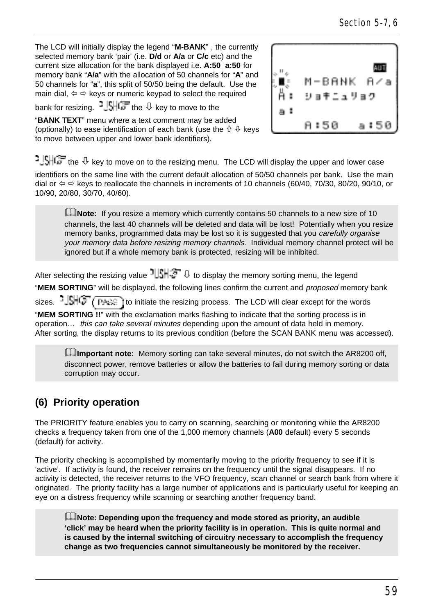The LCD will initially display the legend "**M-BANK**" , the currently selected memory bank 'pair' (i.e. **D/d** or **A/a** or **C/c** etc) and the current size allocation for the bank displayed i.e. **A:50 a:50** for memory bank "**A/a**" with the allocation of 50 channels for "**A**" and 50 channels for "**a**", this split of 50/50 being the default. Use the main dial,  $\Leftrightarrow$   $\Leftrightarrow$  keys or numeric keypad to select the required

bank for resizing.  $\frac{1}{2}$   $\frac{1}{2}$   $\frac{1}{2}$  the  $\sqrt{2}$  key to move to the

"**BANK TEXT**" menu where a text comment may be added (optionally) to ease identification of each bank (use the  $\hat{v} \oplus k$ eys to move between upper and lower bank identifiers).



 $\frac{1}{2}$  SHCF the  $\theta$  kev to move on to the resizing menu. The LCD will display the upper and lower case identifiers on the same line with the current default allocation of 50/50 channels per bank. Use the main dial or  $\Leftrightarrow$  keys to reallocate the channels in increments of 10 channels (60/40, 70/30, 80/20, 90/10, or 10/90, 20/80, 30/70, 40/60).

**ENote:** If you resize a memory which currently contains 50 channels to a new size of 10 channels, the last 40 channels will be deleted and data will be lost! Potentially when you resize memory banks, programmed data may be lost so it is suggested that you carefully organise your memory data before resizing memory channels. Individual memory channel protect will be ignored but if a whole memory bank is protected, resizing will be inhibited.

After selecting the resizing value  $\frac{1}{2}$   $\frac{1}{2}$   $\frac{1}{2}$  to display the memory sorting menu, the legend "MEM SORTING" will be displayed, the following lines confirm the current and *proposed* memory bank sizes.  $\frac{1}{2}$ ,  $\frac{1}{2}$ ,  $\frac{1}{2}$ ,  $\frac{1}{2}$  and  $\frac{1}{2}$  it initiate the resizing process. The LCD will clear except for the words "**MEM SORTING !!**" with the exclamation marks flashing to indicate that the sorting process is in operation… this can take several minutes depending upon the amount of data held in memory. After sorting, the display returns to its previous condition (before the SCAN BANK menu was accessed).

**External mote:** Memory sorting can take several minutes, do not switch the AR8200 off, disconnect power, remove batteries or allow the batteries to fail during memory sorting or data corruption may occur.

# **(6) Priority operation**

The PRIORITY feature enables you to carry on scanning, searching or monitoring while the AR8200 checks a frequency taken from one of the 1,000 memory channels (**A00** default) every 5 seconds (default) for activity.

The priority checking is accomplished by momentarily moving to the priority frequency to see if it is 'active'. If activity is found, the receiver remains on the frequency until the signal disappears. If no activity is detected, the receiver returns to the VFO frequency, scan channel or search bank from where it originated. The priority facility has a large number of applications and is particularly useful for keeping an eye on a distress frequency while scanning or searching another frequency band.

&**Note: Depending upon the frequency and mode stored as priority, an audible 'click' may be heard when the priority facility is in operation. This is quite normal and is caused by the internal switching of circuitry necessary to accomplish the frequency change as two frequencies cannot simultaneously be monitored by the receiver.**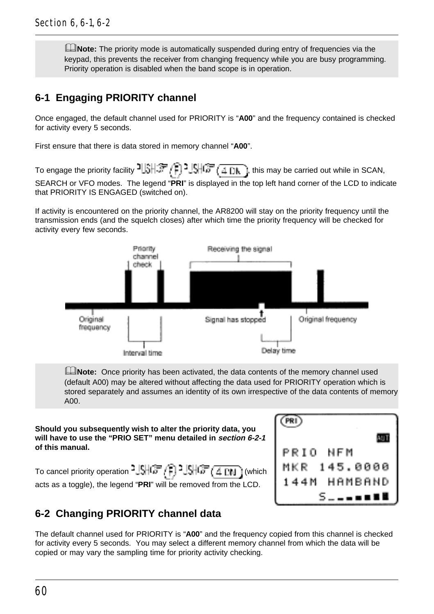**ENote:** The priority mode is automatically suspended during entry of frequencies via the keypad, this prevents the receiver from changing frequency while you are busy programming. Priority operation is disabled when the band scope is in operation.

# **6-1 Engaging PRIORITY channel**

Once engaged, the default channel used for PRIORITY is "**A00**" and the frequency contained is checked for activity every 5 seconds.

First ensure that there is data stored in memory channel "**A00**".

To engage the priority facility  $\frac{1}{3}$ ,  $\frac{1}{3}$ ,  $\frac{1}{3}$ ,  $\frac{1}{3}$ ,  $\frac{1}{3}$ ,  $\frac{1}{3}$ , this may be carried out while in SCAN, SEARCH or VFO modes. The legend "**PRI**" is displayed in the top left hand corner of the LCD to indicate that PRIORITY IS ENGAGED (switched on).

If activity is encountered on the priority channel, the AR8200 will stay on the priority frequency until the transmission ends (and the squelch closes) after which time the priority frequency will be checked for activity every few seconds.



**INote:** Once priority has been activated, the data contents of the memory channel used (default A00) may be altered without affecting the data used for PRIORITY operation which is stored separately and assumes an identity of its own irrespective of the data contents of memory A00.

#### **Should you subsequently wish to alter the priority data, you will have to use the "PRIO SET" menu detailed in section 6-2-1 of this manual.**

To cancel priority operation  $\frac{3}{5}$   $\frac{10}{10}$   $\frac{2}{5}$   $\frac{10}{10}$   $\frac{1}{100}$  i (which acts as a toggle), the legend "**PRI**" will be removed from the LCD.



# **6-2 Changing PRIORITY channel data**

The default channel used for PRIORITY is "**A00**" and the frequency copied from this channel is checked for activity every 5 seconds. You may select a different memory channel from which the data will be copied or may vary the sampling time for priority activity checking.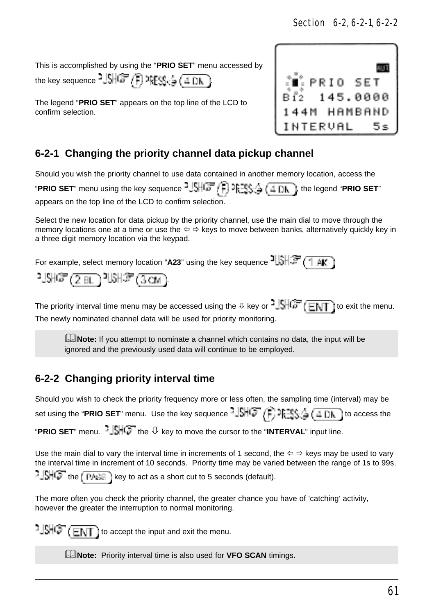This is accomplished by using the "**PRIO SET**" menu accessed by

the key sequence  $^2J\overline{\mathbb{S}}\overline{\mathbb{H}}\overline{\mathbb{G}}$ .  $\overline{\mathbb{F}}$ ,  $\overline{\mathbb{F}}\overline{\mathbb{S}}\overline{\mathbb{S}}$   $\overline{\mathbb{G}}$   $\overline{\mathbb{H}}\overline{\mathbb{D}}$ ,  $\overline{\mathbb{H}}$ 

The legend "**PRIO SET**" appears on the top line of the LCD to confirm selection.



# **6-2-1 Changing the priority channel data pickup channel**

Should you wish the priority channel to use data contained in another memory location, access the

"**PRIO SET**" menu using the key sequence  $^2 J_2^{\text{eff}}(\vec{r})$   $\rightarrow$   $\frac{15}{25}$ ,  $\frac{4}{4}$   $\frac{1}{4}$   $\frac{1}{4}$ , the legend "**PRIO SET**" appears on the top line of the LCD to confirm selection.

Select the new location for data pickup by the priority channel, use the main dial to move through the memory locations one at a time or use the  $\Leftrightarrow \Rightarrow$  keys to move between banks, alternatively quickly key in a three digit memory location via the keypad.

For example, select memory location "A23" using the key sequence  $\frac{1}{2}$ .

$$
\mathbb{M}\mathbb{G}(\underline{2m})\mathbb{M}\mathbb{F}(\underline{3m})
$$

The priority interval time menu may be accessed using the  $\sqrt{0}$  key or  $\sqrt[3]{\sqrt{0}}$  ( $\overline{E\setminus T}$ ) to exit the menu. The newly nominated channel data will be used for priority monitoring.

**LNote:** If you attempt to nominate a channel which contains no data, the input will be ignored and the previously used data will continue to be employed.

# **6-2-2 Changing priority interval time**

Should you wish to check the priority frequency more or less often, the sampling time (interval) may be set using the "**PRIO SET**" menu. Use the key sequence  $-\sqrt{16}$   $\sqrt{2}$ ,  $\sqrt{2}$ ,  $\frac{1}{2}$ ,  $\frac{1}{2}$  ( $\frac{1}{4}$   $\frac{1}{10}$ ) to access the "**PRIO SET**" menu.  $\frac{1}{2}$ .  $\frac{1}{2}$  the  $\frac{1}{2}$  key to move the cursor to the "**INTERVAL**" input line.

Use the main dial to vary the interval time in increments of 1 second, the  $\Leftrightarrow \Leftrightarrow$  keys may be used to vary the interval time in increment of 10 seconds. Priority time may be varied between the range of 1s to 99s.

 $\frac{1}{2}$  $\frac{1}{2}$  $\frac{1}{2}$  $\frac{1}{2}$  the  $\frac{1}{2}$   $\frac{1}{2}$  key to act as a short cut to 5 seconds (default).

The more often you check the priority channel, the greater chance you have of 'catching' activity, however the greater the interruption to normal monitoring.

 $t = \frac{1}{2}$   $\frac{1}{2}$   $\frac{1}{2}$   $\frac{1}{2}$   $\frac{1}{2}$   $\frac{1}{2}$  to accept the input and exit the menu.

**EXAMPLE:** Priority interval time is also used for **VFO SCAN** timings.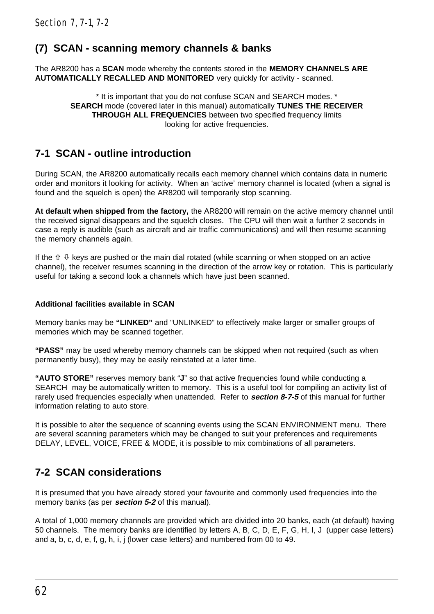## **(7) SCAN - scanning memory channels & banks**

The AR8200 has a **SCAN** mode whereby the contents stored in the **MEMORY CHANNELS ARE AUTOMATICALLY RECALLED AND MONITORED** very quickly for activity - scanned.

> \* It is important that you do not confuse SCAN and SEARCH modes. \* **SEARCH** mode (covered later in this manual) automatically **TUNES THE RECEIVER THROUGH ALL FREQUENCIES** between two specified frequency limits looking for active frequencies.

## **7-1 SCAN - outline introduction**

During SCAN, the AR8200 automatically recalls each memory channel which contains data in numeric order and monitors it looking for activity. When an 'active' memory channel is located (when a signal is found and the squelch is open) the AR8200 will temporarily stop scanning.

**At default when shipped from the factory,** the AR8200 will remain on the active memory channel until the received signal disappears and the squelch closes. The CPU will then wait a further 2 seconds in case a reply is audible (such as aircraft and air traffic communications) and will then resume scanning the memory channels again.

If the  $\hat{v} \theta$  keys are pushed or the main dial rotated (while scanning or when stopped on an active channel), the receiver resumes scanning in the direction of the arrow key or rotation. This is particularly useful for taking a second look a channels which have just been scanned.

#### **Additional facilities available in SCAN**

Memory banks may be **"LINKED"** and "UNLINKED" to effectively make larger or smaller groups of memories which may be scanned together.

**"PASS"** may be used whereby memory channels can be skipped when not required (such as when permanently busy), they may be easily reinstated at a later time.

**"AUTO STORE"** reserves memory bank "**J**" so that active frequencies found while conducting a SEARCH may be automatically written to memory. This is a useful tool for compiling an activity list of rarely used frequencies especially when unattended. Refer to **section 8-7-5** of this manual for further information relating to auto store.

It is possible to alter the sequence of scanning events using the SCAN ENVIRONMENT menu. There are several scanning parameters which may be changed to suit your preferences and requirements DELAY, LEVEL, VOICE, FREE & MODE, it is possible to mix combinations of all parameters.

## **7-2 SCAN considerations**

It is presumed that you have already stored your favourite and commonly used frequencies into the memory banks (as per **section 5-2** of this manual).

A total of 1,000 memory channels are provided which are divided into 20 banks, each (at default) having 50 channels. The memory banks are identified by letters A, B, C, D, E, F, G, H, I, J (upper case letters) and a, b, c, d, e, f, g, h, i, j (lower case letters) and numbered from 00 to 49.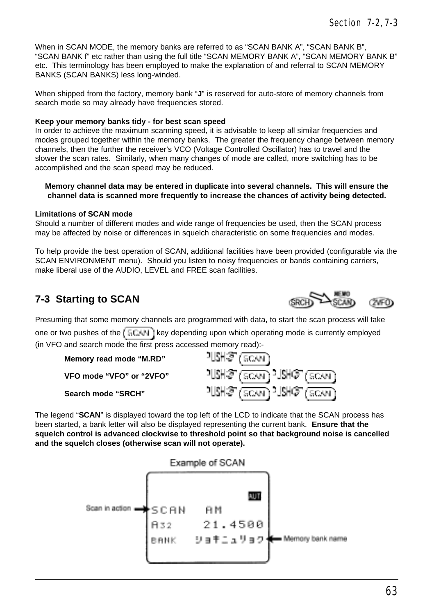When in SCAN MODE, the memory banks are referred to as "SCAN BANK A", "SCAN BANK B" "SCAN BANK f" etc rather than using the full title "SCAN MEMORY BANK A", "SCAN MEMORY BANK B" etc. This terminology has been employed to make the explanation of and referral to SCAN MEMORY BANKS (SCAN BANKS) less long-winded.

When shipped from the factory, memory bank "**J**" is reserved for auto-store of memory channels from search mode so may already have frequencies stored.

### **Keep your memory banks tidy - for best scan speed**

In order to achieve the maximum scanning speed, it is advisable to keep all similar frequencies and modes grouped together within the memory banks. The greater the frequency change between memory channels, then the further the receiver's VCO (Voltage Controlled Oscillator) has to travel and the slower the scan rates. Similarly, when many changes of mode are called, more switching has to be accomplished and the scan speed may be reduced.

### **Memory channel data may be entered in duplicate into several channels. This will ensure the channel data is scanned more frequently to increase the chances of activity being detected.**

### **Limitations of SCAN mode**

Should a number of different modes and wide range of frequencies be used, then the SCAN process may be affected by noise or differences in squelch characteristic on some frequencies and modes.

To help provide the best operation of SCAN, additional facilities have been provided (configurable via the SCAN ENVIRONMENT menu). Should you listen to noisy frequencies or bands containing carriers, make liberal use of the AUDIO, LEVEL and FREE scan facilities.

# **7-3 Starting to SCAN**

Presuming that some memory channels are programmed with data, to start the scan process will take one or two pushes of the  $\sqrt{5CAN}$  key depending upon which operating mode is currently employed (in VFO and search mode the first press accessed memory read):<br> **Memory read mode "M.RD"**<br> **VFO mode "VFO" or "2VFO"**  $\frac{11.5 + 37}{1.6 + 37} \cdot \frac{15}{60.40}$ 

```
Memory read mode "M.RD"
VFO mode "VFO" or "2VFO"
```
**Search mode "SRCH"**

The legend "**SCAN**" is displayed toward the top left of the LCD to indicate that the SCAN process has been started, a bank letter will also be displayed representing the current bank. **Ensure that the squelch control is advanced clockwise to threshold point so that background noise is cancelled and the squelch closes (otherwise scan will not operate).**

 $11$ SH $\mathcal{F}(\overline{\text{SCAN}})$  $2.1$ SH $\mathcal{F}(\overline{\text{SCAN}})$ 

### Example of SCAN



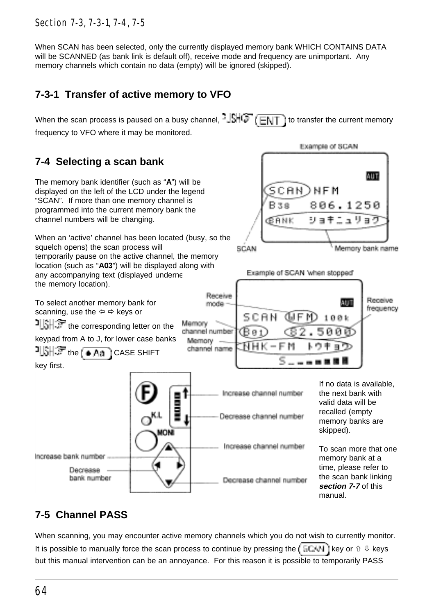### Section 7-3, 7-3-1, 7-4, 7-5

When SCAN has been selected, only the currently displayed memory bank WHICH CONTAINS DATA will be SCANNED (as bank link is default off), receive mode and frequency are unimportant. Any memory channels which contain no data (empty) will be ignored (skipped).

# **7-3-1 Transfer of active memory to VFO**

When the scan process is paused on a busy channel,  $\frac{1}{2}$   $\frac{1}{2}$  ( $\frac{1}{2}$ ) to transfer the current memory frequency to VFO where it may be monitored.

# **7-4 Selecting a scan bank**

The memory bank identifier (such as "**A**") will be displayed on the left of the LCD under the legend "SCAN". If more than one memory channel is programmed into the current memory bank the channel numbers will be changing.

When an 'active' channel has been located (busy, so the squelch opens) the scan process will temporarily pause on the active channel, the memory location (such as "**A03**") will be displayed along with any accompanying text (displayed underne the memory location).





# **7-5 Channel PASS**

When scanning, you may encounter active memory channels which you do not wish to currently monitor. It is possible to manually force the scan process to continue by pressing the  $\overline{K}$  ECAN ( key or  $\hat{u}$  & keys but this manual intervention can be an annoyance. For this reason it is possible to temporarily PASS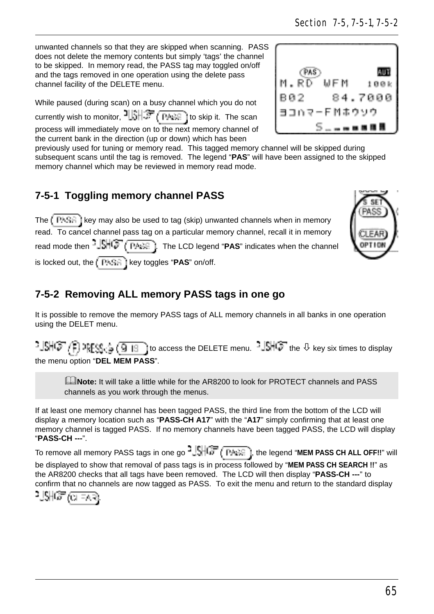unwanted channels so that they are skipped when scanning. PASS does not delete the memory contents but simply 'tags' the channel to be skipped. In memory read, the PASS tag may toggled on/off and the tags removed in one operation using the delete pass channel facility of the DELETE menu.

While paused (during scan) on a busy channel which you do not currently wish to monitor,  $\frac{1}{2}$   $\frac{1}{2}$   $\frac{1}{2}$   $\frac{1}{2}$   $\frac{1}{2}$  ito skip it. The scan process will immediately move on to the next memory channel of the current bank in the direction (up or down) which has been

previously used for tuning or memory read. This tagged memory channel will be skipped during subsequent scans until the tag is removed. The legend "**PAS**" will have been assigned to the skipped memory channel which may be reviewed in memory read mode.

# **7-5-1 Toggling memory channel PASS**

The  $\sqrt{P + 4\pi}$  i key may also be used to tag (skip) unwanted channels when in memory read. To cancel channel pass tag on a particular memory channel, recall it in memory read mode then  $-\sqrt{\frac{1}{2}}$   $\sqrt{\frac{P_1}{P_2}}$ . The LCD legend "PAS" indicates when the channel is locked out, the  $k = 1 + \frac{1}{2}$  is locked out, the  $k = 1 + \frac{1}{2}$  is locked out, the  $k = 1 + \frac{1}{2}$ 

# **7-5-2 Removing ALL memory PASS tags in one go**

It is possible to remove the memory PASS tags of ALL memory channels in all banks in one operation using the DELET menu.

지애어 /) ngg.  $\frac{1}{2}$  ( $\frac{1}{3}$  is access the DELETE menu.  $-\frac{1}{2}$  the  $\sqrt[3]{}$  key six times to display the menu option "**DEL MEM PASS**".

&**Note:** It will take a little while for the AR8200 to look for PROTECT channels and PASS channels as you work through the menus.

If at least one memory channel has been tagged PASS, the third line from the bottom of the LCD will display a memory location such as "**PASS-CH A17**" with the "**A17**" simply confirming that at least one memory channel is tagged PASS. If no memory channels have been tagged PASS, the LCD will display "**PASS-CH ---**".

To remove all memory PASS tags in one go  $\frac{3.15 \cdot 10^{17}}{10^{17}}$  ( $\frac{10.25 \cdot 10^{17}}{10^{17}}$ ), the legend "MEM PASS CH ALL OFF!!" will be displayed to show that removal of pass tags is in process followed by "**MEM PASS CH SEARCH !!**" as

the AR8200 checks that all tags have been removed. The LCD will then display "**PASS-CH ---**" to confirm that no channels are now tagged as PASS. To exit the menu and return to the standard display





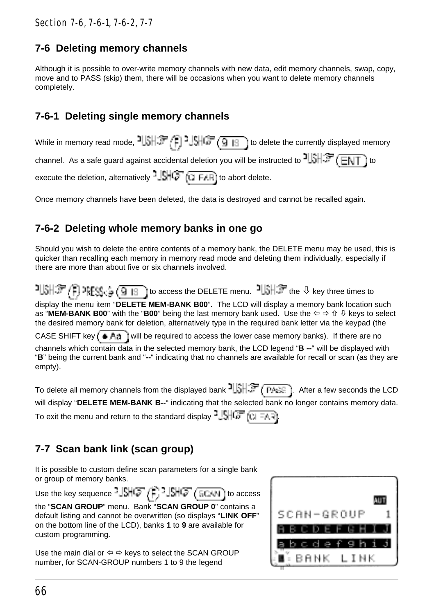## **7-6 Deleting memory channels**

Although it is possible to over-write memory channels with new data, edit memory channels, swap, copy, move and to PASS (skip) them, there will be occasions when you want to delete memory channels completely.

# **7-6-1 Deleting single memory channels**

| While in memory read mode, 기업学 (日) 35 (9 B) to delete the currently displayed memory                                  |
|-----------------------------------------------------------------------------------------------------------------------|
| channel. As a safe guard against accidental deletion you will be instructed to $\frac{1}{3}$ , $\frac{1}{3}$ (ENT) to |
| execute the deletion, alternatively $-\sqrt{5}$ ( $\sqrt{7}$ F/F) to abort delete.                                    |

Once memory channels have been deleted, the data is destroyed and cannot be recalled again.

# **7-6-2 Deleting whole memory banks in one go**

Should you wish to delete the entire contents of a memory bank, the DELETE menu may be used, this is quicker than recalling each memory in memory read mode and deleting them individually, especially if there are more than about five or six channels involved.

2||跳穿7月2003.第7回18| to access the DELETE menu.  $\frac{1}{3}$   $\frac{1}{3}$  the  $\theta$  key three times to display the menu item "**DELETE MEM-BANK B00**". The LCD will display a memory bank location such as "MEM-BANK B00" with the "B00" being the last memory bank used. Use the  $\Leftrightarrow \Leftrightarrow \Uparrow \Downarrow$  keys to select the desired memory bank for deletion, alternatively type in the required bank letter via the keypad (the CASE SHIFT key  $(w_1, w_2, w_3)$  will be required to access the lower case memory banks). If there are no channels which contain data in the selected memory bank, the LCD legend "**B --**" will be displayed with "**B**" being the current bank and "**--**" indicating that no channels are available for recall or scan (as they are empty).

To delete all memory channels from the displayed bank  $\frac{1}{3}$ ,  $\frac{1}{3}$  (PASS). After a few seconds the LCD will display "**DELETE MEM-BANK B--**" indicating that the selected bank no longer contains memory data. To exit the menu and return to the standard display  $\frac{1}{2}$ ,  $\frac{1}{2}$ ,  $\frac{1}{2}$ ,  $\frac{1}{2}$ ,  $\frac{1}{2}$ ,  $\frac{1}{2}$ ,  $\frac{1}{2}$ ,  $\frac{1}{2}$ ,  $\frac{1}{2}$ ,  $\frac{1}{2}$ ,  $\frac{1}{2}$ ,  $\frac{1}{2}$ ,  $\frac{1}{2}$ ,  $\frac{1}{2}$ ,  $\frac{1}{2}$ ,  $\frac{$ 

# **7-7 Scan bank link (scan group)**

It is possible to custom define scan parameters for a single bank or group of memory banks.

Use the key sequence  $\frac{1}{2}$  $\mathbb{S}$   $\mathbb{C}$   $\mathbb{C}$   $\mathbb{C}$   $\mathbb{C}$   $\mathbb{C}$   $\mathbb{C}$  access

|                     | the "SCAN GROUP" menu. Bank "SCAN GROUP 0" contains a             |
|---------------------|-------------------------------------------------------------------|
|                     | default listing and cannot be overwritten (so displays "LINK OFF" |
|                     | on the bottom line of the LCD), banks 1 to 9 are available for    |
| custom programming. |                                                                   |

Use the main dial or  $\Leftrightarrow$   $\Leftrightarrow$  keys to select the SCAN GROUP number, for SCAN-GROUP numbers 1 to 9 the legend

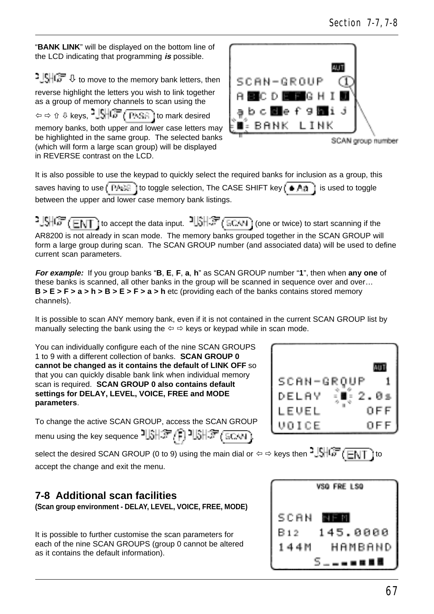"**BANK LINK**" will be displayed on the bottom line of the LCD indicating that programming **is** possible.

 $\frac{1}{2}$   $\frac{1}{2}$   $\frac{1}{2}$   $\frac{1}{2}$  to move to the memory bank letters, then reverse highlight the letters you wish to link together as a group of memory channels to scan using the  $\phi \Leftrightarrow \theta \psi$  keys,  $\frac{3}{2}$ ,  $\frac{15}{10}$ ,  $\frac{17}{10}$ ,  $\frac{17}{10}$ ,  $\frac{17}{10}$  to mark desired memory banks, both upper and lower case letters may be highlighted in the same group. The selected banks (which will form a large scan group) will be displayed in REVERSE contrast on the LCD.

It is also possible to use the keypad to quickly select the required banks for inclusion as a group, this saves having to use  $\left(\frac{P_1 + P_2}{P_1}\right)$  to toggle selection, The CASE SHIFT key  $\left(\frac{P_1}{P_1}\right)$  is used to toggle between the upper and lower case memory bank listings.

 $-1.9\sqrt{G}$  (FNT) to accept the data input.  $-1.8\sqrt{G}$  (SCAN) (one or twice) to start scanning if the AR8200 is not already in scan mode. The memory banks grouped together in the SCAN GROUP will form a large group during scan. The SCAN GROUP number (and associated data) will be used to define current scan parameters.

**For example:** If you group banks "**B**, **E**, **F**, **a**, **h**" as SCAN GROUP number "**1**", then when **any one** of these banks is scanned, all other banks in the group will be scanned in sequence over and over… **B > E > F > a > h > B > E > F > a > h** etc (providing each of the banks contains stored memory channels).

It is possible to scan ANY memory bank, even if it is not contained in the current SCAN GROUP list by manually selecting the bank using the  $\Leftrightarrow$   $\Leftrightarrow$  keys or keypad while in scan mode.

You can individually configure each of the nine SCAN GROUPS 1 to 9 with a different collection of banks. **SCAN GROUP 0 cannot be changed as it contains the default of LINK OFF** so that you can quickly disable bank link when individual memory scan is required. **SCAN GROUP 0 also contains default settings for DELAY, LEVEL, VOICE, FREE and MODE parameters**.

To change the active SCAN GROUP, access the SCAN GROUP menu using the key sequence ,

select the desired SCAN GROUP (0 to 9) using the main dial or  $\Leftrightarrow$   $\Leftrightarrow$  keys then  $\frac{15}{100}$  ( $\frac{12}{100}$ accept the change and exit the menu.

# **7-8 Additional scan facilities**

**(Scan group environment - DELAY, LEVEL, VOICE, FREE, MODE)**

It is possible to further customise the scan parameters for each of the nine SCAN GROUPS (group 0 cannot be altered as it contains the default information).





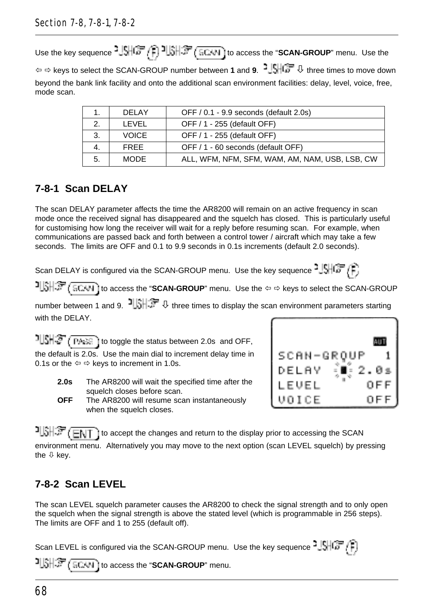Use the key sequence  $\frac{1}{2}$ ,  $\frac{1}{2}$ ,  $\frac{1}{2}$ ,  $\frac{1}{2}$ ,  $\frac{1}{2}$ ,  $\frac{1}{2}$ ,  $\frac{1}{2}$ ,  $\frac{1}{2}$ , to access the "**SCAN-GROUP**" menu. Use the ï ð keys to select the SCAN-GROUP number between **1** and **9**. ò three times to move down beyond the bank link facility and onto the additional scan environment facilities: delay, level, voice, free, mode scan.

|    | <b>DELAY</b> | OFF / 0.1 - 9.9 seconds (default 2.0s)         |
|----|--------------|------------------------------------------------|
| 2. | I EVEL       | OFF / 1 - 255 (default OFF)                    |
| 3. | <b>VOICE</b> | OFF / 1 - 255 (default OFF)                    |
| 4. | <b>FRFF</b>  | OFF / 1 - 60 seconds (default OFF)             |
| 5. | <b>MODE</b>  | ALL, WFM, NFM, SFM, WAM, AM, NAM, USB, LSB, CW |

# **7-8-1 Scan DELAY**

The scan DELAY parameter affects the time the AR8200 will remain on an active frequency in scan mode once the received signal has disappeared and the squelch has closed. This is particularly useful for customising how long the receiver will wait for a reply before resuming scan. For example, when communications are passed back and forth between a control tower / aircraft which may take a few seconds. The limits are OFF and 0.1 to 9.9 seconds in 0.1s increments (default 2.0 seconds).

Scan DELAY is configured via the SCAN-GROUP menu. Use the key sequence  $-15\sqrt{G}$ 

**TISH FOR A GROUP** (**SCAN-GROUP** menu. Use the  $\Leftrightarrow$  beys to select the SCAN-GROUP

number between 1 and 9.  $\exists$  of three times to display the scan environment parameters starting with the DFI AY.

 $1||\mathbf{S}||\mathbf{S}$  (PARE) to toggle the status between 2.0s and OFF, the default is 2.0s. Use the main dial to increment delay time in 0.1s or the  $\Leftrightarrow$   $\Leftrightarrow$  keys to increment in 1.0s.

- **2.0s** The AR8200 will wait the specified time after the squelch closes before scan.
- **OFF** The AR8200 will resume scan instantaneously when the squelch closes.



 $t$   $\frac{1}{3}$   $\frac{1}{3}$   $\frac{1}{3}$   $\frac{1}{3}$  to accept the changes and return to the display prior to accessing the SCAN environment menu. Alternatively you may move to the next option (scan LEVEL squelch) by pressing the  $\sqrt[1]{ }$  kev.

# **7-8-2 Scan LEVEL**

The scan LEVEL squelch parameter causes the AR8200 to check the signal strength and to only open the squelch when the signal strength is above the stated level (which is programmable in 256 steps). The limits are OFF and 1 to 255 (default off).

Scan LEVEL is configured via the SCAN-GROUP menu. Use the key sequence  $\frac{1}{2}$ **to access the "SCAN-GROUP"** menu.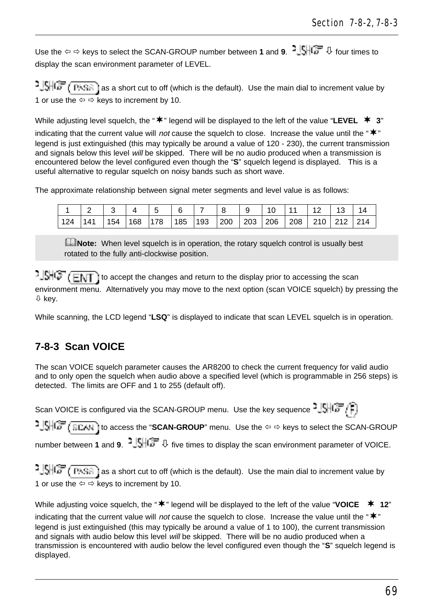Use the ⇔ ⇔ keys to select the SCAN-GROUP number between **1** and **9**. <sup>**3**  $\frac{1}{2}$  four times to</sup> display the scan environment parameter of LEVEL.

 $2\sqrt{g}$   $\sqrt{G}$   $\sqrt{P+G}$  as a short cut to off (which is the default). Use the main dial to increment value by 1 or use the  $\Leftrightarrow$   $\Leftrightarrow$  keys to increment by 10.

While adjusting level squelch, the " $\mathbf{\n}^*$ " legend will be displayed to the left of the value "LEVEL  $\mathbf{\n}$  **3**" indicating that the current value will not cause the squelch to close. Increase the value until the " $\mathbf{\ddot{*}}$ " legend is just extinguished (this may typically be around a value of 120 - 230), the current transmission and signals below this level will be skipped. There will be no audio produced when a transmission is encountered below the level configured even though the "**S**" squelch legend is displayed. This is a useful alternative to regular squelch on noisy bands such as short wave.

The approximate relationship between signal meter segments and level value is as follows:

|     |    |    |    |     |     |     |     | $\sim$ |     | . . | 14  |
|-----|----|----|----|-----|-----|-----|-----|--------|-----|-----|-----|
| 124 | 54 | 68 | 78 | 185 | 193 | 200 | 203 | 206    | 208 | 211 | 214 |

**E**Note: When level squelch is in operation, the rotary squelch control is usually best rotated to the fully anti-clockwise position.

 $t = \frac{1}{2}$ environment menu. Alternatively you may move to the next option (scan VOICE squelch) by pressing the ò key.

While scanning, the LCD legend "**LSQ**" is displayed to indicate that scan LEVEL squelch is in operation.

# **7-8-3 Scan VOICE**

The scan VOICE squelch parameter causes the AR8200 to check the current frequency for valid audio and to only open the squelch when audio above a specified level (which is programmable in 256 steps) is detected. The limits are OFF and 1 to 255 (default off).

Scan VOICE is configured via the SCAN-GROUP menu. Use the key sequence  $2\sqrt{3}$ 

1JSHC<sub>P</sub> (SCAN) to access the "**SCAN-GROUP**" menu. Use the  $\Leftrightarrow$   $\Leftrightarrow$  keys to select the SCAN-GROUP number between **1** and **9**. <sup>3</sup>  $\frac{1}{2}$  five times to display the scan environment parameter of VOICE.

 $\frac{1}{2}$ SHG  $\frac{1}{2}$  PASE as a short cut to off (which is the default). Use the main dial to increment value by 1 or use the  $\Leftrightarrow$   $\Leftrightarrow$  keys to increment by 10.

While adjusting voice squelch, the " $\mathbf{\ast}$ " legend will be displayed to the left of the value "VOICE  $\mathbf{\ast}$  12" indicating that the current value will not cause the squelch to close. Increase the value until the " $*$ " legend is just extinguished (this may typically be around a value of 1 to 100), the current transmission and signals with audio below this level will be skipped. There will be no audio produced when a transmission is encountered with audio below the level configured even though the "**S**" squelch legend is displayed.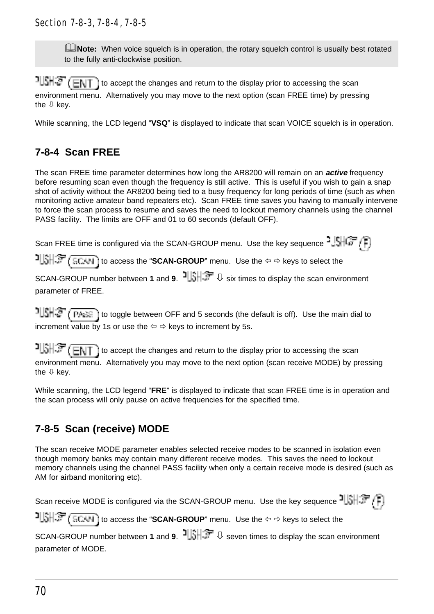**ENote:** When voice squelch is in operation, the rotary squelch control is usually best rotated to the fully anti-clockwise position.

 $1||\hat{S}||\hat{S}$  (ENT) to accept the changes and return to the display prior to accessing the scan environment menu. Alternatively you may move to the next option (scan FREE time) by pressing the  $\mathbb U$  kev.

While scanning, the LCD legend "**VSQ**" is displayed to indicate that scan VOICE squelch is in operation.

# **7-8-4 Scan FREE**

The scan FREE time parameter determines how long the AR8200 will remain on an **active** frequency before resuming scan even though the frequency is still active. This is useful if you wish to gain a snap shot of activity without the AR8200 being tied to a busy frequency for long periods of time (such as when monitoring active amateur band repeaters etc). Scan FREE time saves you having to manually intervene to force the scan process to resume and saves the need to lockout memory channels using the channel PASS facility. The limits are OFF and 01 to 60 seconds (default OFF).

Scan FREE time is configured via the SCAN-GROUP menu. Use the key sequence  $2\sqrt{167}$ 

**to access the "SCAN-GROUP"** menu. Use the  $\Leftrightarrow$   $\Leftrightarrow$  keys to select the

SCAN-GROUP number between **1** and **9**. **<sup>1</sup> b** six times to display the scan environment parameter of FREE.

 $1||S||\mathcal{F}$  ( $P_{A} \in \mathbb{R}$ ) to toggle between OFF and 5 seconds (the default is off). Use the main dial to increment value by 1s or use the  $\Leftrightarrow$   $\Leftrightarrow$  keys to increment by 5s.

 $T\left(\frac{1}{2}, \frac{1}{2}\right)$  to accept the changes and return to the display prior to accessing the scan environment menu. Alternatively you may move to the next option (scan receive MODE) by pressing the  $\theta$  key.

While scanning, the LCD legend "**FRE**" is displayed to indicate that scan FREE time is in operation and the scan process will only pause on active frequencies for the specified time.

# **7-8-5 Scan (receive) MODE**

The scan receive MODE parameter enables selected receive modes to be scanned in isolation even though memory banks may contain many different receive modes. This saves the need to lockout memory channels using the channel PASS facility when only a certain receive mode is desired (such as AM for airband monitoring etc).

```
Scan receive MODE is configured via the SCAN-GROUP menu. Use the key sequence \frac{1}{3}to access the "SCAN-GROUP" menu. Use the \Leftrightarrow keys to select the
SCAN-GROUP number between 1 and 9. \frac{1}{2}, \frac{1}{2}, seven times to display the scan environment
parameter of MODE.
```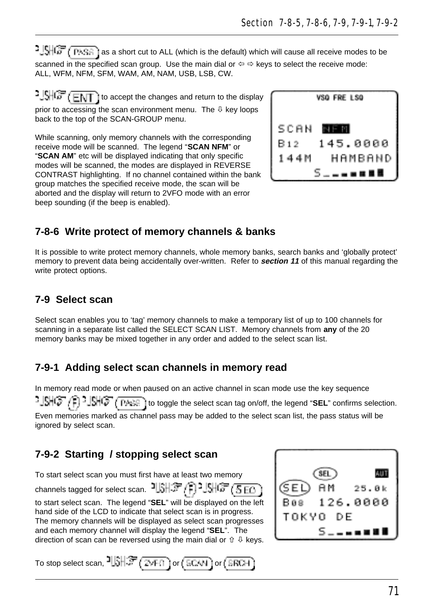**3**  $\frac{1}{2}$   $\frac{1}{2}$   $\frac{1}{2}$   $\frac{1}{2}$  as a short cut to ALL (which is the default) which will cause all receive modes to be scanned in the specified scan group. Use the main dial or  $\Leftrightarrow \Rightarrow$  keys to select the receive mode: ALL, WFM, NFM, SFM, WAM, AM, NAM, USB, LSB, CW.

 $1.5\sqrt{G}$   $\sqrt{E\sqrt{T}}$  to accept the changes and return to the display prior to accessing the scan environment menu. The  $\theta$  key loops back to the top of the SCAN-GROUP menu.

While scanning, only memory channels with the corresponding receive mode will be scanned. The legend "**SCAN NFM**" or "**SCAN AM**" etc will be displayed indicating that only specific modes will be scanned, the modes are displayed in REVERSE CONTRAST highlighting. If no channel contained within the bank group matches the specified receive mode, the scan will be aborted and the display will return to 2VFO mode with an error beep sounding (if the beep is enabled).



# **7-8-6 Write protect of memory channels & banks**

It is possible to write protect memory channels, whole memory banks, search banks and 'globally protect' memory to prevent data being accidentally over-written. Refer to **section 11** of this manual regarding the write protect options.

## **7-9 Select scan**

Select scan enables you to 'tag' memory channels to make a temporary list of up to 100 channels for scanning in a separate list called the SELECT SCAN LIST. Memory channels from **any** of the 20 memory banks may be mixed together in any order and added to the select scan list.

# **7-9-1 Adding select scan channels in memory read**

In memory read mode or when paused on an active channel in scan mode use the key sequence to to top to toggle the select scan tag on/off, the legend "SEL" confirms selection. Even memories marked as channel pass may be added to the select scan list, the pass status will be ignored by select scan.

# **7-9-2 Starting / stopping select scan**

To start select scan you must first have at least two memory channels tagged for select scan.  $15H\mathcal{F}$  (1)  $15H\mathcal{F}$  (5 FO) to start select scan. The legend "**SEL**" will be displayed on the left hand side of the LCD to indicate that select scan is in progress. The memory channels will be displayed as select scan progresses and each memory channel will display the legend "**SEL**". The direction of scan can be reversed using the main dial or  $\hat{v} \oplus k$ eys.



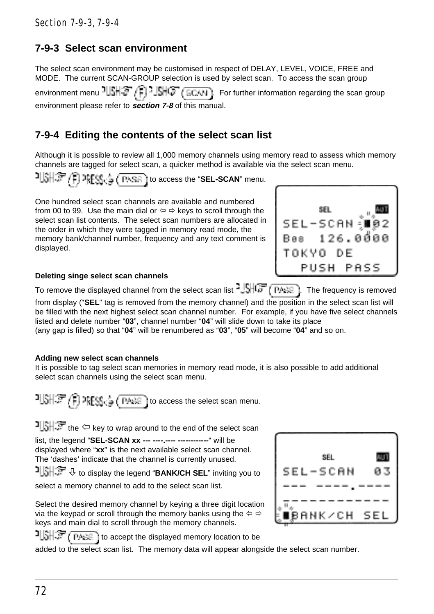## **7-9-3 Select scan environment**

The select scan environment may be customised in respect of DELAY, LEVEL, VOICE, FREE and MODE. The current SCAN-GROUP selection is used by select scan. To access the scan group

environment menu  $\frac{1}{3}$   $\frac{1}{3}$   $\frac{1}{3}$   $\frac{1}{3}$   $\frac{1}{3}$   $\frac{1}{3}$   $\frac{1}{3}$   $\frac{1}{3}$   $\frac{1}{3}$  For further information regarding the scan group environment please refer to **section 7-8** of this manual.

## **7-9-4 Editing the contents of the select scan list**

Although it is possible to review all 1,000 memory channels using memory read to assess which memory channels are tagged for select scan, a quicker method is available via the select scan menu.

<sup>1</sup>USH字 (1) PRESS<sub>Ca</sub> ( PASR ) to access the "**SEL-SCAN**" menu.

One hundred select scan channels are available and numbered from 00 to 99. Use the main dial or  $\Leftrightarrow$   $\Leftrightarrow$  keys to scroll through the select scan list contents. The select scan numbers are allocated in the order in which they were tagged in memory read mode, the memory bank/channel number, frequency and any text comment is displayed.



### **Deleting singe select scan channels**

To remove the displayed channel from the select scan list  $\frac{16}{167}$  ( $\frac{16}{167}$ ). The frequency is removed from display ("**SEL**" tag is removed from the memory channel) and the position in the select scan list will be filled with the next highest select scan channel number. For example, if you have five select channels listed and delete number "**03**", channel number "**04**" will slide down to take its place

(any gap is filled) so that "**04**" will be renumbered as "**03**", "**05**" will become "**04**" and so on.

#### **Adding new select scan channels**

It is possible to tag select scan memories in memory read mode, it is also possible to add additional select scan channels using the select scan menu.

 $T[\hat{s}|\hat{s}^T f]$  apply,  $\frac{1}{2}$  ( $\frac{1}{2}$  access the select scan menu.

the  $\Leftrightarrow$  key to wrap around to the end of the select scan

list, the legend "**SEL-SCAN xx --- ----.---- ------------**" will be displayed where "**xx**" is the next available select scan channel. The 'dashes' indicate that the channel is currently unused.

**b** to display the legend "**BANK/CH SEL**" inviting you to

select a memory channel to add to the select scan list.

Select the desired memory channel by keying a three digit location via the keypad or scroll through the memory banks using the  $\Leftrightarrow \Rightarrow$ keys and main dial to scroll through the memory channels.

SFI мn 03 -SCAN BANK⁄CH SEL

 $t \in F$  is accept the displayed memory location to be

added to the select scan list. The memory data will appear alongside the select scan number.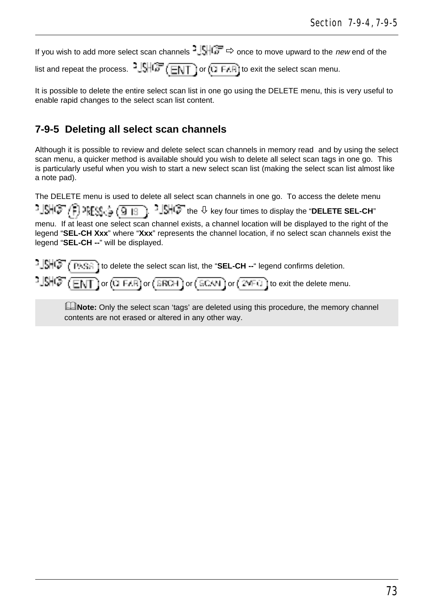If you wish to add more select scan channels  $\frac{1}{2}$  once to move upward to the new end of the

list and repeat the process.  $^{2}$  SHCF (ENT) or (1 F.(R) to exit the select scan menu.

It is possible to delete the entire select scan list in one go using the DELETE menu, this is very useful to enable rapid changes to the select scan list content.

# **7-9-5 Deleting all select scan channels**

Although it is possible to review and delete select scan channels in memory read and by using the select scan menu, a quicker method is available should you wish to delete all select scan tags in one go. This is particularly useful when you wish to start a new select scan list (making the select scan list almost like a note pad).

The DELETE menu is used to delete all select scan channels in one go. To access the delete menu

<u> ଏହାରେ (ମି</u>.୪୫୪)  $\frac{1}{2}$ SHC<sup>T</sup> the  $\theta$  key four times to display the "DELETE SEL-CH" 9 ( 9 ) -19 menu. If at least one select scan channel exists, a channel location will be displayed to the right of the legend "**SEL-CH Xxx**" where "Xxx" represents the channel location, if no select scan channels exist the legend "**SEL-CH --**" will be displayed.

 $\frac{1}{2}$  $\frac{1}{2}$  $\frac{1}{2}$  $\frac{1}{2}$  $\frac{1}{2}$  ( $\frac{1}{2}$  is delete the select scan list, the "SEL-CH --" legend confirms deletion.

 $\frac{1}{2}$  $\frac{1}{2}$  $\frac{1}{2}$   $\frac{1}{2}$   $\frac{1}{2}$  or  $\frac{1}{2}$  or  $\frac{1}{2}$   $\frac{1}{2}$  or  $\frac{1}{2}$   $\frac{1}{2}$   $\frac{1}{2}$   $\frac{1}{2}$   $\frac{1}{2}$   $\frac{1}{2}$   $\frac{1}{2}$  to exit the delete menu.

**ENote:** Only the select scan 'tags' are deleted using this procedure, the memory channel contents are not erased or altered in any other way.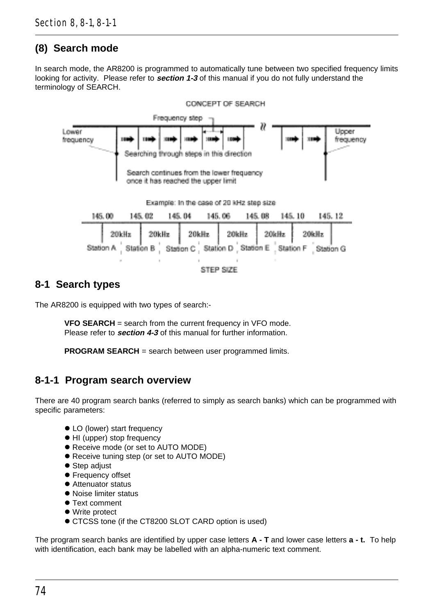# **(8) Search mode**

In search mode, the AR8200 is programmed to automatically tune between two specified frequency limits looking for activity. Please refer to **section 1-3** of this manual if you do not fully understand the terminology of SEARCH.



## **8-1 Search types**

The AR8200 is equipped with two types of search:-

**VFO SEARCH** = search from the current frequency in VFO mode. Please refer to **section 4-3** of this manual for further information.

**PROGRAM SEARCH** = search between user programmed limits.

## **8-1-1 Program search overview**

There are 40 program search banks (referred to simply as search banks) which can be programmed with specific parameters:

- LO (lower) start frequency
- HI (upper) stop frequency
- **Receive mode (or set to AUTO MODE)**
- **Receive tuning step (or set to AUTO MODE)**
- **•** Step adjust
- **•** Frequency offset
- Attenuator status
- **Noise limiter status**
- Text comment
- Write protect
- **CTCSS tone (if the CT8200 SLOT CARD option is used)**

The program search banks are identified by upper case letters **A - T** and lower case letters **a - t.** To help with identification, each bank may be labelled with an alpha-numeric text comment.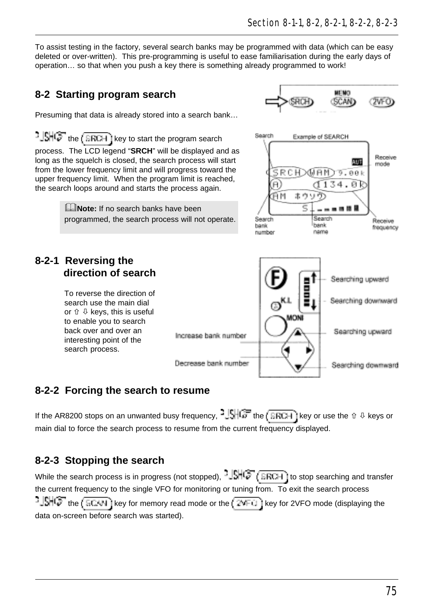To assist testing in the factory, several search banks may be programmed with data (which can be easy deleted or over-written). This pre-programming is useful to ease familiarisation during the early days of operation… so that when you push a key there is something already programmed to work!

## **8-2 Starting program search**

**8-2-1 Reversing the**

 **direction of search** To reverse the direction of search use the main dial or  $\hat{u} \, \, \theta$  keys, this is useful to enable you to search back over and over an interesting point of the search process.

Presuming that data is already stored into a search bank…

 $t\in \mathbb{R}$  the  $(\overline{\mathsf{ERTH}})$  key to start the program search process. The LCD legend "**SRCH**" will be displayed and as long as the squelch is closed, the search process will start from the lower frequency limit and will progress toward the upper frequency limit. When the program limit is reached, the search loops around and starts the process again.

> **ENote:** If no search banks have been programmed, the search process will not operate.



### **8-2-2 Forcing the search to resume**

If the AR8200 stops on an unwanted busy frequency,  $\frac{1}{2}$ ,  $\frac{1}{2}$ ,  $\frac{1}{2}$  the  $\frac{1}{2}$  ERCH is key or use the  $\hat{v}$  & keys or main dial to force the search process to resume from the current frequency displayed.

## **8-2-3 Stopping the search**

While the search process is in progress (not stopped),  $-\sqrt{1+\sqrt{2}}$  ( $\sqrt{3}$  is stop searching and transfer the current frequency to the single VFO for monitoring or tuning from. To exit the search process  $-15H$  the  $(\overline{5CAN})$  key for memory read mode or the  $(\overline{2NFC})$  key for 2VFO mode (displaying the data on-screen before search was started).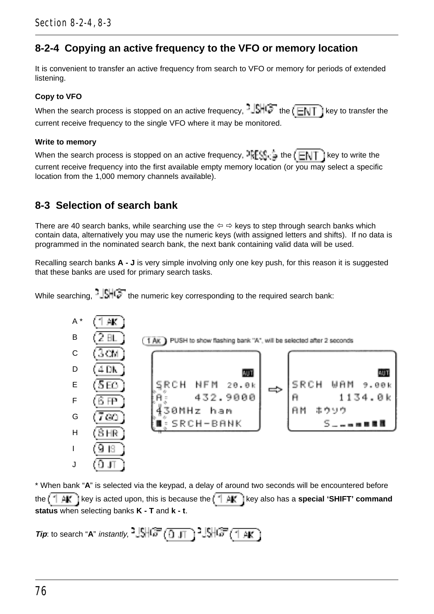# **8-2-4 Copying an active frequency to the VFO or memory location**

It is convenient to transfer an active frequency from search to VFO or memory for periods of extended listening.

### **Copy to VFO**

When the search process is stopped on an active frequency,  $-\sqrt{h^2 + h^2}$  the  $\sqrt{F(1)}$  key to transfer the current receive frequency to the single VFO where it may be monitored.

#### **Write to memory**

When the search process is stopped on an active frequency,  $\frac{1}{2}$   $\frac{1}{2}$  the  $\left(\frac{1}{\Box\setminus\Box\setminus\Box\setminus}$  is key to write the current receive frequency into the first available empty memory location (or you may select a specific location from the 1,000 memory channels available).

## **8-3 Selection of search bank**

There are 40 search banks, while searching use the  $\Leftrightarrow \Leftrightarrow$  keys to step through search banks which contain data, alternatively you may use the numeric keys (with assigned letters and shifts). If no data is programmed in the nominated search bank, the next bank containing valid data will be used.

Recalling search banks **A - J** is very simple involving only one key push, for this reason it is suggested that these banks are used for primary search tasks.

While searching,  $\frac{|\cdot|}{|\cdot|}$  at the numeric key corresponding to the required search bank:



\* When bank "**A**" is selected via the keypad, a delay of around two seconds will be encountered before the  $k + \mu$ , it is acted upon, this is because the  $k + \mu$ , it is also has a **special 'SHIFT' command status** when selecting banks **K - T** and **k - t**.

**Tip:** to search "**A**" instantly,  $\frac{3}{5}$   $\frac{10}{10}$   $\frac{1}{10}$   $\frac{1}{10}$   $\frac{10}{10}$   $\frac{10}{10}$   $\frac{10}{10}$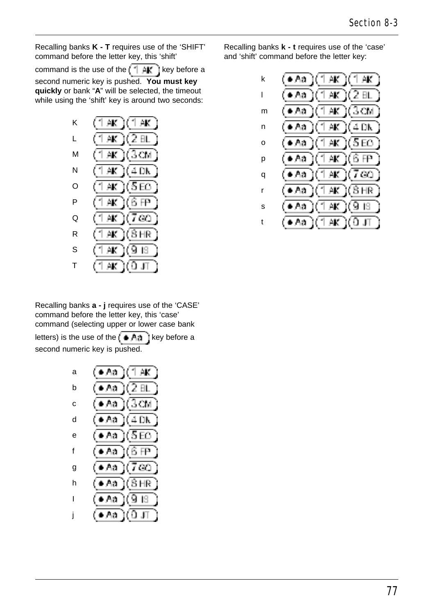Recalling banks **K - T** requires use of the 'SHIFT' command before the letter key, this 'shift'

command is the use of the  $k + \frac{1}{2}$  key before a second numeric key is pushed. **You must key quickly** or bank "**A**" will be selected, the timeout while using the 'shift' key is around two seconds:



Recalling banks **a - j** requires use of the 'CASE' command before the letter key, this 'case' command (selecting upper or lower case bank

letters) is the use of the  $k + A + B$  ikey before a second numeric key is pushed.



Recalling banks **k - t** requires use of the 'case' and 'shift' command before the letter key:

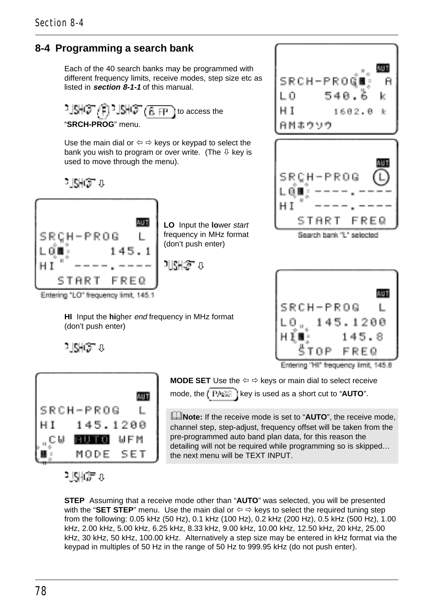# **8-4 Programming a search bank**

Each of the 40 search banks may be programmed with different frequency limits, receive modes, step size etc as listed in **section 8-1-1** of this manual.

<sup>3</sup> JSHO (B FP ) to access the "**SRCH-PROG**" menu.

Use the main dial or  $\Leftrightarrow$   $\Leftrightarrow$  keys or keypad to select the bank you wish to program or over write. (The  $\theta$  key is used to move through the menu).

**HI** Input the **hi**gher end frequency in MHz format

altiko a



**LO** Input the **lo**wer start frequency in MHz format (don't push enter)

⊃ll¢H:S⊓ π



Search bank "L" selected



a Niger a

(don't push enter)



**MODE SET** Use the  $\Leftrightarrow$   $\Leftrightarrow$  keys or main dial to select receive mode, the  $k = k + 1$  is used as a short cut to "**AUTO**".

&**Note:** If the receive mode is set to "**AUTO**", the receive mode, channel step, step-adjust, frequency offset will be taken from the pre-programmed auto band plan data, for this reason the detailing will not be required while programming so is skipped… the next menu will be TEXT INPUT.

ر @pyl

**STEP** Assuming that a receive mode other than "**AUTO**" was selected, you will be presented with the "**SET STEP**" menu. Use the main dial or  $\Leftrightarrow$   $\Leftrightarrow$  keys to select the required tuning step from the following: 0.05 kHz (50 Hz), 0.1 kHz (100 Hz), 0.2 kHz (200 Hz), 0.5 kHz (500 Hz), 1.00 kHz, 2.00 kHz, 5.00 kHz, 6.25 kHz, 8.33 kHz, 9.00 kHz, 10.00 kHz, 12.50 kHz, 20 kHz, 25.00 kHz, 30 kHz, 50 kHz, 100.00 kHz. Alternatively a step size may be entered in kHz format via the keypad in multiples of 50 Hz in the range of 50 Hz to 999.95 kHz (do not push enter).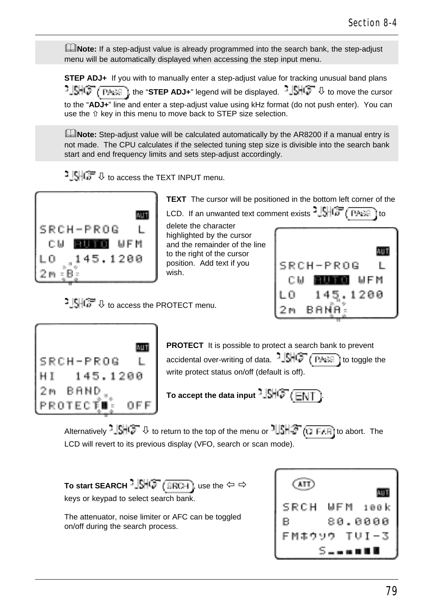**ENote:** If a step-adjust value is already programmed into the search bank, the step-adjust menu will be automatically displayed when accessing the step input menu.

**STEP ADJ+** If you with to manually enter a step-adjust value for tracking unusual band plans , **SHO** TPASE I, the "STEP ADJ+" legend will be displayed. △ SHO ↓ to move the cursor to the "**ADJ+**" line and enter a step-adjust value using kHz format (do not push enter). You can use the  $\hat{u}$  key in this menu to move back to STEP size selection.

**ENote:** Step-adiust value will be calculated automatically by the AR8200 if a manual entry is not made. The CPU calculates if the selected tuning step size is divisible into the search bank start and end frequency limits and sets step-adjust accordingly.

 $\frac{1}{2}$  SHG  $\frac{1}{2}$  to access the TEXT INPUT menu.

**CONTECT**  $\theta$  to access the PROTECT menu.



**TEXT** The cursor will be positioned in the bottom left corner of the

LCD. If an unwanted text comment exists  $\frac{1}{2}$ ,  $\frac{1}{2}$ ,  $\frac{1}{2}$ ,  $\frac{1}{2}$ ,  $\frac{1}{2}$  to

delete the character highlighted by the cursor and the remainder of the line to the right of the cursor position. Add text if you wish.





**PROTECT** It is possible to protect a search bank to prevent accidental over-writing of data.  $-\sqrt{5+4}$   $\sqrt{7+4}$  to toggle the write protect status on/off (default is off).

**To accept the data input**  $\frac{1}{2}$ **.**  $\frac{1}{2}$ .  $\frac{1}{2}$ 

Alternatively  $\frac{1}{2}$   $\frac{1}{2}$   $\frac{1}{2}$  to return to the top of the menu or  $\frac{1}{2}$   $\frac{1}{2}$   $\frac{1}{2}$  ( $\frac{1}{2}$  F. Fi) to abort. The LCD will revert to its previous display (VFO, search or scan mode).

**To start SEARCH**  $\frac{1}{2}$ **SHCP** (**GRCH**), use the  $\Leftrightarrow$   $\Leftrightarrow$ keys or keypad to select search bank.

The attenuator, noise limiter or AFC can be toggled on/off during the search process.

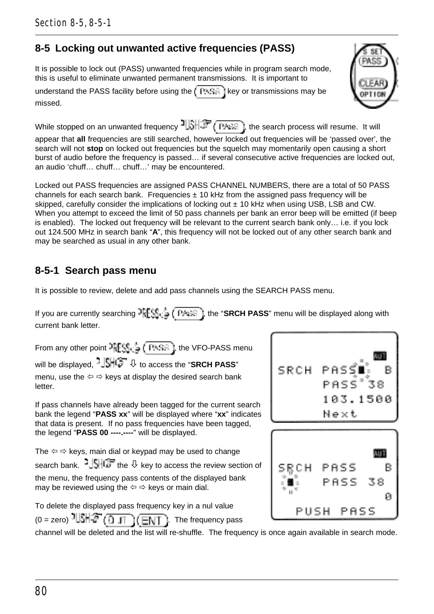80

Section 8-5, 8-5-1

# **8-5 Locking out unwanted active frequencies (PASS)**

It is possible to lock out (PASS) unwanted frequencies while in program search mode, this is useful to eliminate unwanted permanent transmissions. It is important to

understand the PASS facility before using the  $k_{\text{B}}$  [key or transmissions may be missed.

While stopped on an unwanted frequency  $\frac{1}{3}$ ,  $\frac{1}{3}$  (PASE), the search process will resume. It will appear that **all** frequencies are still searched, however locked out frequencies will be 'passed over', the search will not **stop** on locked out frequencies but the squelch may momentarily open causing a short burst of audio before the frequency is passed… if several consecutive active frequencies are locked out, an audio 'chuff… chuff… chuff…' may be encountered.

Locked out PASS frequencies are assigned PASS CHANNEL NUMBERS, there are a total of 50 PASS channels for each search bank. Frequencies  $\pm$  10 kHz from the assigned pass frequency will be skipped, carefully consider the implications of locking out  $\pm$  10 kHz when using USB, LSB and CW. When you attempt to exceed the limit of 50 pass channels per bank an error beep will be emitted (if beep is enabled). The locked out frequency will be relevant to the current search bank only… i.e. if you lock out 124.500 MHz in search bank "**A**", this frequency will not be locked out of any other search bank and may be searched as usual in any other bank.

# **8-5-1 Search pass menu**

It is possible to review, delete and add pass channels using the SEARCH PASS menu.

If you are currently searching  $\lceil \frac{1}{n} \rceil \leq \frac{1}{n}$ , the "SRCH PASS" menu will be displayed along with current bank letter.

From any other point  $\frac{1}{2}$   $\left[\frac{1}{2} + \frac{1}{2} + \frac{1}{2} + \frac{1}{2} + \frac{1}{2} + \frac{1}{2} + \frac{1}{2} + \frac{1}{2} + \frac{1}{2} + \frac{1}{2} + \frac{1}{2} + \frac{1}{2} + \frac{1}{2} + \frac{1}{2} + \frac{1}{2} + \frac{1}{2} + \frac{1}{2} + \frac{1}{2} + \frac{1}{2} + \frac{1}{2} + \frac{1}{2} + \frac{1}{2} + \frac{1}{2} + \frac{$ will be displayed,  $\frac{1}{2}$   $\frac{1}{2}$  to access the "**SRCH PASS**" menu, use the  $\Leftrightarrow$   $\Leftrightarrow$  keys at display the desired search bank letter.

If pass channels have already been tagged for the current search bank the legend "**PASS xx**" will be displayed where "**xx**" indicates that data is present. If no pass frequencies have been tagged, the legend "**PASS 00 ----.----**" will be displayed.

The  $\Leftrightarrow$   $\Leftrightarrow$  keys, main dial or keypad may be used to change search bank.  $\frac{1}{3}$ ,  $\frac{1}{3}$ , the  $\theta$  key to access the review section of the menu, the frequency pass contents of the displayed bank may be reviewed using the  $\Leftrightarrow$   $\Leftrightarrow$  keys or main dial.

To delete the displayed pass frequency key in a nul value  $(0 = zero)$   $\frac{1}{3}$ . The frequency pass

channel will be deleted and the list will re-shuffle. The frequency is once again available in search mode.



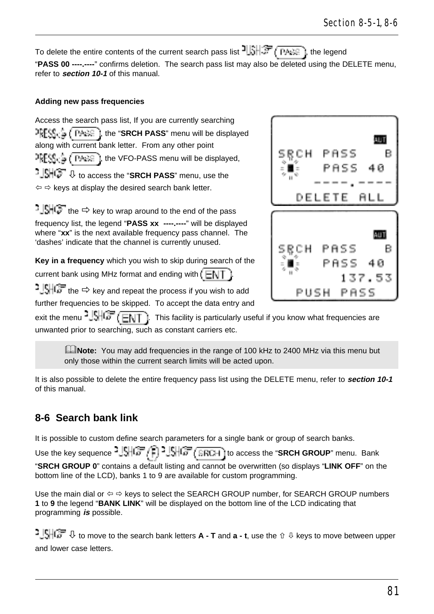Section 8-5-1, 8-6

To delete the entire contents of the current search pass list  $\frac{1}{3}$ ,  $\frac{1}{3}$ ,  $\frac{1}{3}$ , the legend "**PASS 00 ----.----**" confirms deletion. The search pass list may also be deleted using the DELETE menu, refer to **section 10-1** of this manual.

#### **Adding new pass frequencies**

Access the search pass list, If you are currently searching **PRESE:** ( PASS I, the "SRCH PASS" menu will be displayed along with current bank letter. From any other point  $\frac{1}{2}$   $\left($   $\frac{1}{2}$   $\left($   $\frac{1}{2}$   $\left($   $\frac{1}{2}$   $\frac{1}{2}$   $\right)$ , the VFO-PASS menu will be displayed, ò to access the "**SRCH PASS**" menu, use the  $\Leftrightarrow$   $\Leftrightarrow$  keys at display the desired search bank letter.

 $1.5$  the  $\Rightarrow$  key to wrap around to the end of the pass frequency list, the legend "**PASS xx ----.----**" will be displayed where "**xx**" is the next available frequency pass channel. The 'dashes' indicate that the channel is currently unused.

**Key in a frequency** which you wish to skip during search of the

current bank using MHz format and ending with  $(E \cup T)$ 

 $1!$   $\mathbb{C}$  the  $\Rightarrow$  key and repeat the process if you wish to add

further frequencies to be skipped. To accept the data entry and

exit the menu  $^2$   $\frac{1}{\sqrt{5}}$  ( $\frac{1}{\sqrt{5}}$ ). This facility is particularly useful if you know what frequencies are unwanted prior to searching, such as constant carriers etc.

**LNote:** You may add frequencies in the range of 100 kHz to 2400 MHz via this menu but only those within the current search limits will be acted upon.

It is also possible to delete the entire frequency pass list using the DELETE menu, refer to **section 10-1** of this manual.

### **8-6 Search bank link**

It is possible to custom define search parameters for a single bank or group of search banks.

Use the key sequence  $\frac{1}{2}$ ,  $\frac{1}{2}$ ,  $\frac{1}{2}$ ,  $\frac{1}{2}$ ,  $\frac{1}{2}$ ,  $\frac{1}{2}$ ,  $\frac{1}{2}$ ,  $\frac{1}{2}$ ,  $\frac{1}{2}$ ,  $\frac{1}{2}$ , to access the "SRCH GROUP" menu. Bank "**SRCH GROUP 0**" contains a default listing and cannot be overwritten (so displays "**LINK OFF**" on the bottom line of the LCD), banks 1 to 9 are available for custom programming.

Use the main dial or  $\Leftrightarrow$  keys to select the SEARCH GROUP number, for SEARCH GROUP numbers **1** to **9** the legend "**BANK LINK**" will be displayed on the bottom line of the LCD indicating that programming **is** possible.

**CONTEXT I** to move to the search bank letters **A** - **T** and **a** - t, use the  $\hat{v}$  **D** keys to move between upper and lower case letters.

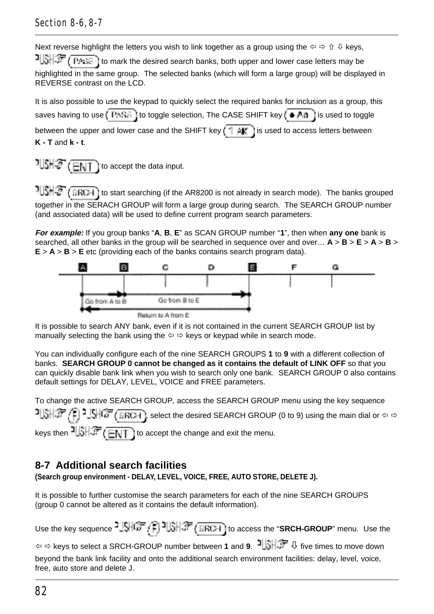### Section 8-6, 8-7

Next reverse highlight the letters you wish to link together as a group using the  $\Leftrightarrow \oplus \oplus \mathbb{R}$  keys,

to mark the desired search banks, both upper and lower case letters may be highlighted in the same group. The selected banks (which will form a large group) will be displayed in REVERSE contrast on the LCD.

It is also possible to use the keypad to quickly select the required banks for inclusion as a group, this saves having to use  $t'$  PASE if to toggle selection, The CASE SHIFT key  $t' \oplus A$ g is used to toggle between the upper and lower case and the SHIFT key  $\left( \begin{array}{c} \uparrow \downarrow \downarrow \downarrow \downarrow \\ \downarrow \downarrow \downarrow \end{array} \right)$  is used to access letters between **K - T** and **k - t**.

 $1|\mathcal{S}||\mathcal{S}$  ( $\overline{ENT}$ ) to accept the data input.

 $15H\$  ( SRCH) to start searching (if the AR8200 is not already in search mode). The banks grouped together in the SERACH GROUP will form a large group during search. The SEARCH GROUP number (and associated data) will be used to define current program search parameters.

**For example:** If you group banks "**A**, **B**, **E**" as SCAN GROUP number "**1**", then when **any one** bank is searched, all other banks in the group will be searched in sequence over and over… **A** > **B** > **E** > **A** > **B** >  $E > A > B > E$  etc (providing each of the banks contains search program data).



It is possible to search ANY bank, even if it is not contained in the current SEARCH GROUP list by manually selecting the bank using the  $\Leftrightarrow$   $\Leftrightarrow$  keys or keypad while in search mode.

You can individually configure each of the nine SEARCH GROUPS **1** to **9** with a different collection of banks. **SEARCH GROUP 0 cannot be changed as it contains the default of LINK OFF** so that you can quickly disable bank link when you wish to search only one bank. SEARCH GROUP 0 also contains default settings for DELAY, LEVEL, VOICE and FREE parameters.

```
To change the active SEARCH GROUP, access the SEARCH GROUP menu using the key sequence
-1\frac{1}{2}, \frac{1}{2}, \frac{1}{2}, \frac{1}{2}, \frac{1}{2} and \frac{1}{2} is select the desired SEARCH GROUP (0 to 9) using the main dial or \Leftrightarrow \Leftrightarrowkeys then \frac{1}{2}, \frac{1}{2} \frac{1}{2} \frac{1}{2} to accept the change and exit the menu.
```
# **8-7 Additional search facilities**

**(Search group environment - DELAY, LEVEL, VOICE, FREE, AUTO STORE, DELETE J).**

It is possible to further customise the search parameters for each of the nine SEARCH GROUPS (group 0 cannot be altered as it contains the default information).

Use the key sequence  $\frac{1}{2}$ ,  $\frac{1}{2}$ ,  $\frac{1}{2}$ ,  $\frac{1}{2}$ ,  $\frac{1}{2}$ ,  $\frac{1}{2}$ ,  $\frac{1}{2}$ ,  $\frac{1}{2}$ , to access the "**SRCH-GROUP**" menu. Use the ï ð keys to select a SRCH-GROUP number between **1** and **9**. ò five times to move down beyond the bank link facility and onto the additional search environment facilities: delay, level, voice, free, auto store and delete J.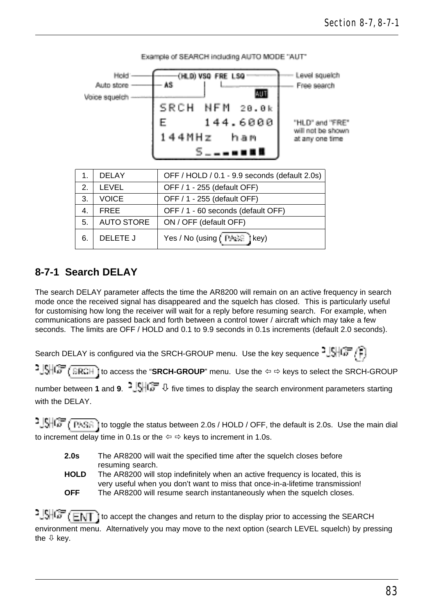

Example of SEARCH including AUTO MODE "AUT"

## **8-7-1 Search DELAY**

The search DELAY parameter affects the time the AR8200 will remain on an active frequency in search mode once the received signal has disappeared and the squelch has closed. This is particularly useful for customising how long the receiver will wait for a reply before resuming search. For example, when communications are passed back and forth between a control tower / aircraft which may take a few seconds. The limits are OFF / HOLD and 0.1 to 9.9 seconds in 0.1s increments (default 2.0 seconds).

Search DELAY is configured via the SRCH-GROUP menu. Use the key sequence  $\frac{1}{2}$ 

1. SHOF (SRCH) to access the "SRCH-GROUP" menu. Use the  $\Leftrightarrow$   $\Leftrightarrow$  keys to select the SRCH-GROUP

number between **1** and **9. <sup>2</sup>. SHC** ↓ five times to display the search environment parameters starting with the DELAY.

**to the final interpretatus between 2.0s / HOLD / OFF, the default is 2.0s.** Use the main dial to increment delay time in 0.1s or the  $\Leftrightarrow$   $\Leftrightarrow$  keys to increment in 1.0s.

- **2.0s** The AR8200 will wait the specified time after the squelch closes before resuming search.
- **HOLD** The AR8200 will stop indefinitely when an active frequency is located, this is very useful when you don't want to miss that once-in-a-lifetime transmission! **OFF** The AR8200 will resume search instantaneously when the squelch closes.

 $1.5 + 1.7 + 1.7$  to accept the changes and return to the display prior to accessing the SEARCH environment menu. Alternatively you may move to the next option (search LEVEL squelch) by pressing the  $\mathbb U$  key.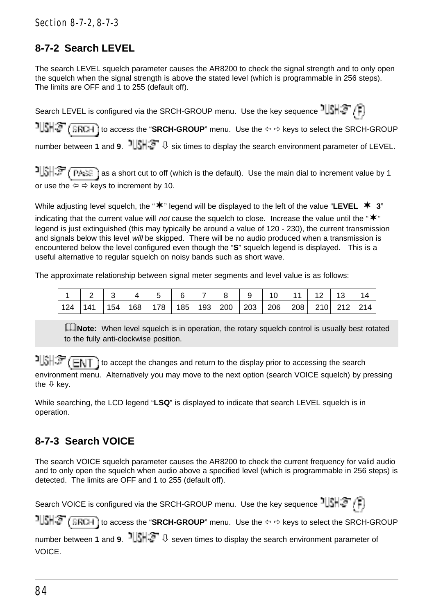# **8-7-2 Search LEVEL**

The search LEVEL squelch parameter causes the AR8200 to check the signal strength and to only open the squelch when the signal strength is above the stated level (which is programmable in 256 steps). The limits are OFF and 1 to 255 (default off).

Search LEVEL is configured via the SRCH-GROUP menu. Use the key sequence  $\frac{1}{3}$ **ISHS** (**SRCH**) to access the "SRCH-GROUP" menu. Use the  $\Leftrightarrow$   $\Leftrightarrow$  keys to select the SRCH-GROUP number between **1** and **9.**  $\frac{1}{2}$ ,  $\frac{1}{2}$ ,  $\frac{1}{2}$  six times to display the search environment parameter of LEVEL.

**a**  $\frac{1}{3}$   $\frac{1}{3}$   $\frac{1}{3}$  as a short cut to off (which is the default). Use the main dial to increment value by 1 or use the  $\Leftrightarrow$   $\Leftrightarrow$  keys to increment by 10.

While adjusting level squelch, the " $\mathbf{\n}^*$ " legend will be displayed to the left of the value "LEVEL  $\mathbf{\n}^*$  3" indicating that the current value will not cause the squelch to close. Increase the value until the " $*$ " legend is just extinguished (this may typically be around a value of 120 - 230), the current transmission and signals below this level will be skipped. There will be no audio produced when a transmission is encountered below the level configured even though the "**S**" squelch legend is displayed. This is a useful alternative to regular squelch on noisy bands such as short wave.

The approximate relationship between signal meter segments and level value is as follows:

|  |  |  |  |  |  | ,   2   3   4   5   6   7   8   9   10   11   12   13   14                        |  |
|--|--|--|--|--|--|-----------------------------------------------------------------------------------|--|
|  |  |  |  |  |  | 124   141   154   168   178   185   193   200   203   206   208   210   212   214 |  |

**L**Note: When level squelch is in operation, the rotary squelch control is usually best rotated to the fully anti-clockwise position.

 $t\in\mathbb{R}$  is accept the changes and return to the display prior to accessing the search environment menu. Alternatively you may move to the next option (search VOICE squelch) by pressing the  $\theta$  key.

While searching, the LCD legend "**LSQ**" is displayed to indicate that search LEVEL squelch is in operation.

# **8-7-3 Search VOICE**

The search VOICE squelch parameter causes the AR8200 to check the current frequency for valid audio and to only open the squelch when audio above a specified level (which is programmable in 256 steps) is detected. The limits are OFF and 1 to 255 (default off).

Search VOICE is configured via the SRCH-GROUP menu. Use the key sequence  $\frac{1}{3}$ 

**IISHS** (SRCH) to access the "SRCH-GROUP" menu. Use the ⇔ ⇔ keys to select the SRCH-GROUP

number between **1** and **9**. **b**  $\frac{1}{2}$   $\sqrt{3}$  seven times to display the search environment parameter of VOICE.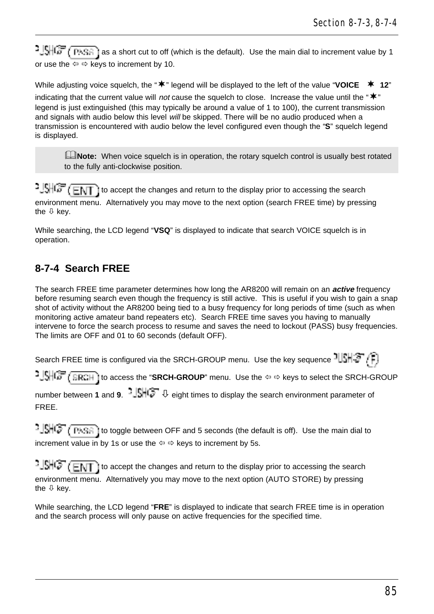$\frac{1}{2}$ SHG (PASS) as a short cut to off (which is the default). Use the main dial to increment value by 1 or use the  $\Leftrightarrow$   $\Leftrightarrow$  keys to increment by 10.

While adjusting voice squelch, the " $\bf{*}$ " legend will be displayed to the left of the value "VOICE  $\bf{*}$  12" indicating that the current value will not cause the squelch to close. Increase the value until the " $\ast$ " legend is just extinguished (this may typically be around a value of 1 to 100), the current transmission and signals with audio below this level will be skipped. There will be no audio produced when a transmission is encountered with audio below the level configured even though the "**S**" squelch legend is displayed.

**ENote:** When voice squelch is in operation, the rotary squelch control is usually best rotated to the fully anti-clockwise position.

 $1.5 + 1.7$  to accept the changes and return to the display prior to accessing the search environment menu. Alternatively you may move to the next option (search FREE time) by pressing the  $\mathbb U$  key.

While searching, the LCD legend "**VSQ**" is displayed to indicate that search VOICE squelch is in operation.

# **8-7-4 Search FREE**

The search FREE time parameter determines how long the AR8200 will remain on an **active** frequency before resuming search even though the frequency is still active. This is useful if you wish to gain a snap shot of activity without the AR8200 being tied to a busy frequency for long periods of time (such as when monitoring active amateur band repeaters etc). Search FREE time saves you having to manually intervene to force the search process to resume and saves the need to lockout (PASS) busy frequencies. The limits are OFF and 01 to 60 seconds (default OFF).

Search FREE time is configured via the SRCH-GROUP menu. Use the key sequence  $1||S|| \geq r \ln$ 

1.  $\frac{1}{2}$  **SRCH** to access the "SRCH-GROUP" menu. Use the  $\Leftrightarrow$   $\Leftrightarrow$  keys to select the SRCH-GROUP

number between **1** and **9.**  $\frac{1}{2}$   $\frac{1}{2}$  eight times to display the search environment parameter of FREE.

to the total to toggle between OFF and 5 seconds (the default is off). Use the main dial to increment value in by 1s or use the  $\Leftrightarrow$   $\Leftrightarrow$  keys to increment by 5s.

 $1.5\sqrt{m}$  (ENT) to accept the changes and return to the display prior to accessing the search environment menu. Alternatively you may move to the next option (AUTO STORE) by pressing the  $\theta$  key.

While searching, the LCD legend "**FRE**" is displayed to indicate that search FREE time is in operation and the search process will only pause on active frequencies for the specified time.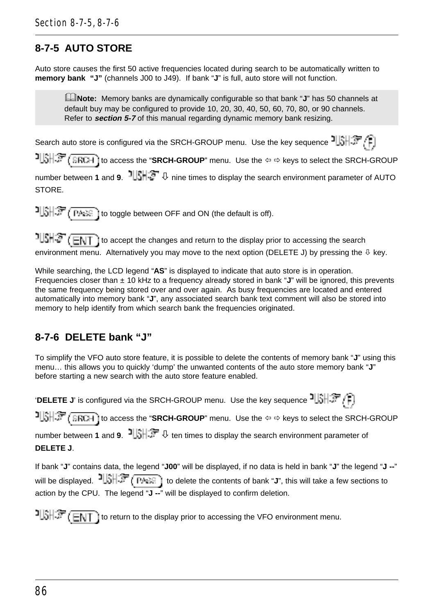## **8-7-5 AUTO STORE**

Auto store causes the first 50 active frequencies located during search to be automatically written to **memory bank "J"** (channels J00 to J49). If bank "**J**" is full, auto store will not function.

&**Note:** Memory banks are dynamically configurable so that bank "**J**" has 50 channels at default buy may be configured to provide 10, 20, 30, 40, 50, 60, 70, 80, or 90 channels. Refer to **section 5-7** of this manual regarding dynamic memory bank resizing.

Search auto store is configured via the SRCH-GROUP menu. Use the key sequence

**to access the "SRCH-GROUP**" menu. Use the ⇔ ⇔ keys to select the SRCH-GROUP

number between **1** and **9**. **b**  $\frac{1}{2}$  **i**  $\downarrow$  nine times to display the search environment parameter of AUTO **STORE** 

 $1$  $\frac{1}{2}$  $\frac{1}{2}$  $\frac{1}{2}$  $\frac{1}{2}$  $\frac{1}{2}$  to toggle between OFF and ON (the default is off).

 $1||\hat{\textbf{S}}||\hat{\textbf{S}}||$  to accept the changes and return to the display prior to accessing the search environment menu. Alternatively you may move to the next option (DELETE J) by pressing the  $\overline{\psi}$  key.

While searching, the LCD legend "**AS**" is displayed to indicate that auto store is in operation. Frequencies closer than ± 10 kHz to a frequency already stored in bank "**J**" will be ignored, this prevents the same frequency being stored over and over again. As busy frequencies are located and entered automatically into memory bank "**J**", any associated search bank text comment will also be stored into memory to help identify from which search bank the frequencies originated.

## **8-7-6 DELETE bank "J"**

To simplify the VFO auto store feature, it is possible to delete the contents of memory bank "**J**" using this menu… this allows you to quickly 'dump' the unwanted contents of the auto store memory bank "**J**" before starting a new search with the auto store feature enabled.

'DELETE J' is configured via the SRCH-GROUP menu. Use the key sequence  $J\left(\frac{1}{2}, \frac{1}{2}\right)$ 

**to access the "SRCH-GROUP**" menu. Use the ⇔ ⇔ keys to select the SRCH-GROUP

number between **1** and **9. <sup>1</sup>** $\left|\frac{1}{2}\right| \leq \theta$  ten times to display the search environment parameter of **DELETE J**.

If bank "**J**" contains data, the legend "**J00**" will be displayed, if no data is held in bank "**J**" the legend "**J --**" will be displayed.  $\frac{1}{2}$   $\frac{1}{2}$   $\frac{1}{2}$   $\frac{1}{2}$   $\frac{1}{2}$   $\frac{1}{2}$  to delete the contents of bank "**J**", this will take a few sections to action by the CPU. The legend "**J --**" will be displayed to confirm deletion.

 $T\left(\frac{1}{2}T\right)$  to return to the display prior to accessing the VFO environment menu.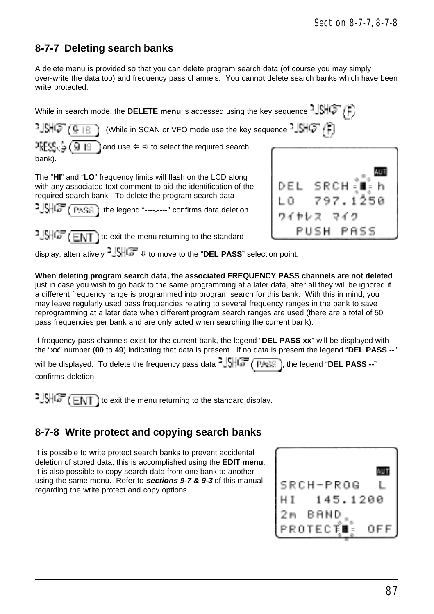### **8-7-7 Deleting search banks**

A delete menu is provided so that you can delete program search data (of course you may simply over-write the data too) and frequency pass channels. You cannot delete search banks which have been write protected.

While in search mode, the **DELETE menu** is accessed using the key sequence  $-\sqrt{S/(S+P)}$ 

 $1992.918$ . (While in SCAN or VFO mode use the key sequence  $-\left|\mathbb{C}\right|$   $\left(\mathbb{C}\right)^{n}$  $2553.5$  (9  $19$ and use  $\Leftrightarrow$   $\Leftrightarrow$  to select the required search bank).

The "**HI**" and "**LO**" frequency limits will flash on the LCD along with any associated text comment to aid the identification of the required search bank. To delete the program search data

1. SHGF (PASE), the legend "---------" confirms data deletion.





display, alternatively ò to move to the "**DEL PASS**" selection point.

**When deleting program search data, the associated FREQUENCY PASS channels are not deleted** just in case you wish to go back to the same programming at a later data, after all they will be ignored if a different frequency range is programmed into program search for this bank. With this in mind, you may leave regularly used pass frequencies relating to several frequency ranges in the bank to save reprogramming at a later date when different program search ranges are used (there are a total of 50 pass frequencies per bank and are only acted when searching the current bank).

If frequency pass channels exist for the current bank, the legend "**DEL PASS xx**" will be displayed with the "**xx**" number (**00** to **49**) indicating that data is present. If no data is present the legend "**DEL PASS --**"

will be displayed. To delete the frequency pass data  $\frac{1}{2}$ ,  $\frac{1}{2}$ ,  $\frac{1}{2}$ , the legend "**DEL PASS** --" confirms deletion.

 $\frac{1}{2}$  $\frac{1}{2}$  $\frac{1}{2}$  $\frac{1}{2}$  $\frac{1}{2}$  $\frac{1}{2}$   $\frac{1}{2}$  to exit the menu returning to the standard display.

## **8-7-8 Write protect and copying search banks**

It is possible to write protect search banks to prevent accidental deletion of stored data, this is accomplished using the **EDIT menu**. It is also possible to copy search data from one bank to another using the same menu. Refer to **sections 9-7 & 9-3** of this manual regarding the write protect and copy options.

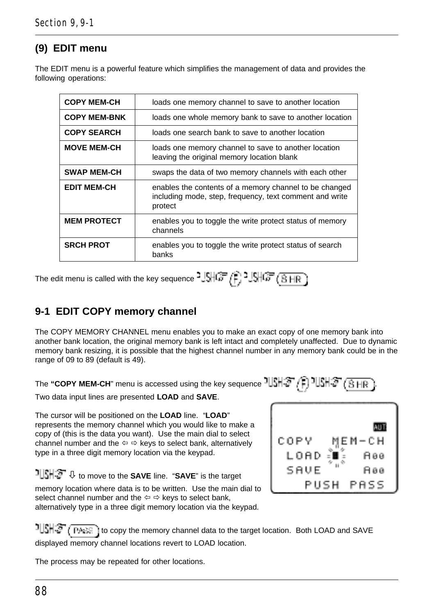## **(9) EDIT menu**

The EDIT menu is a powerful feature which simplifies the management of data and provides the following operations:

| <b>COPY MEM-CH</b>  | loads one memory channel to save to another location                                                                         |
|---------------------|------------------------------------------------------------------------------------------------------------------------------|
| <b>COPY MEM-BNK</b> | loads one whole memory bank to save to another location                                                                      |
| <b>COPY SEARCH</b>  | loads one search bank to save to another location                                                                            |
| <b>MOVE MEM-CH</b>  | loads one memory channel to save to another location<br>leaving the original memory location blank                           |
| <b>SWAP MEM-CH</b>  | swaps the data of two memory channels with each other                                                                        |
| <b>EDIT MEM-CH</b>  | enables the contents of a memory channel to be changed<br>including mode, step, frequency, text comment and write<br>protect |
| <b>MEM PROTECT</b>  | enables you to toggle the write protect status of memory<br>channels                                                         |
| <b>SRCH PROT</b>    | enables you to toggle the write protect status of search<br>banks                                                            |

The edit menu is called with the key sequence  $^{2}$  SHCF  $(F)$ <sup>2</sup> SHCF  $(B \text{ HF})$ 

### **9-1 EDIT COPY memory channel**

The COPY MEMORY CHANNEL menu enables you to make an exact copy of one memory bank into another bank location, the original memory bank is left intact and completely unaffected. Due to dynamic memory bank resizing, it is possible that the highest channel number in any memory bank could be in the range of 09 to 89 (default is 49).

The "COPY MEM-CH" menu is accessed using the key sequence  $\frac{1}{3}$   $\frac{1}{3}$   $\frac{1}{3}$   $\frac{1}{3}$   $\frac{1}{3}$   $\frac{1}{3}$   $\frac{1}{3}$   $\frac{1}{3}$ 

Two data input lines are presented **LOAD** and **SAVE**.

The cursor will be positioned on the **LOAD** line. "**LOAD**" represents the memory channel which you would like to make a copy of (this is the data you want). Use the main dial to select channel number and the  $\Leftrightarrow$   $\Leftrightarrow$  keys to select bank, alternatively type in a three digit memory location via the keypad.

ò to move to the **SAVE** line. "**SAVE**" is the target memory location where data is to be written. Use the main dial to select channel number and the  $\Leftrightarrow$   $\Leftrightarrow$  keys to select bank, alternatively type in a three digit memory location via the keypad.



TUSH  $\mathbb{CP}$  (TAGE) to copy the memory channel data to the target location. Both LOAD and SAVE displayed memory channel locations revert to LOAD location.

The process may be repeated for other locations.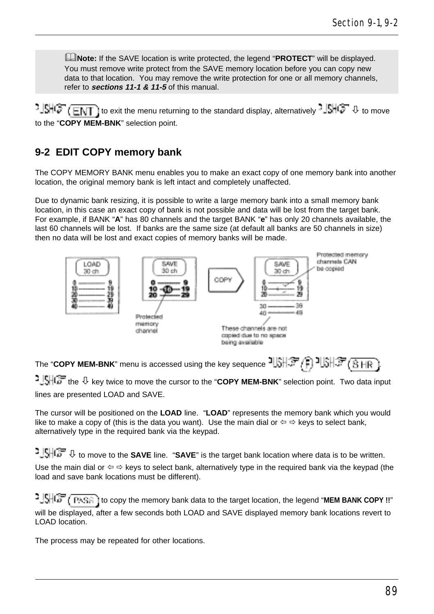&**Note:** If the SAVE location is write protected, the legend "**PROTECT**" will be displayed. You must remove write protect from the SAVE memory location before you can copy new data to that location. You may remove the write protection for one or all memory channels, refer to **sections 11-1 & 11-5** of this manual.

 $^{1.9\pm 0.7\pm 0.01\pm 0.01\pm 0.00\pm 0.00\pm 0.00\pm 0.00\pm 0.00\pm 0.00\pm 0.00\pm 0.00\pm 0.00\pm 0.00\pm 0.00\pm 0.00\pm 0.00\pm 0.00\pm 0.00\pm 0.00\pm 0.00\pm 0.00\pm 0.00\pm 0.00\pm 0.00\pm 0.00\pm 0.00\pm 0.00\pm 0.00\pm 0.00\pm 0.00\pm 0.00$ ] to exit the menu returning to the standard display, alternatively  $-\Box H\Box$   $\Box$  to move to the "**COPY MEM-BNK**" selection point.

### **9-2 EDIT COPY memory bank**

The COPY MEMORY BANK menu enables you to make an exact copy of one memory bank into another location, the original memory bank is left intact and completely unaffected.

Due to dynamic bank resizing, it is possible to write a large memory bank into a small memory bank location, in this case an exact copy of bank is not possible and data will be lost from the target bank. For example, if BANK "**A**" has 80 channels and the target BANK "**e**" has only 20 channels available, the last 60 channels will be lost. If banks are the same size (at default all banks are 50 channels in size) then no data will be lost and exact copies of memory banks will be made.



The "**COPY MEM-BNK**" menu is accessed using the key sequence  $\frac{1}{3}$ ,  $\frac{1}{3}$ ,  $\frac{1}{3}$ ,  $\frac{1}{3}$ ,  $\frac{1}{3}$ ,  $\frac{1}{3}$ ,  $\frac{1}{3}$ ,  $\frac{1}{3}$ ,  $\frac{1}{3}$ ,  $\frac{1}{3}$ ,  $\frac{1}{3}$ ,  $\frac{1}{3}$ ,  $\frac{1}{3}$ 1.5HCF the  $\overline{\psi}$  key twice to move the cursor to the "**COPY MEM-BNK**" selection point. Two data input lines are presented LOAD and SAVE.

The cursor will be positioned on the **LOAD** line. "**LOAD**" represents the memory bank which you would like to make a copy of (this is the data you want). Use the main dial or  $\Leftrightarrow$   $\Leftrightarrow$  keys to select bank, alternatively type in the required bank via the keypad.

<sup>1</sup>  $\frac{1}{2}$  to move to the **SAVE** line. "**SAVE**" is the target bank location where data is to be written. Use the main dial or  $\Leftrightarrow \Leftrightarrow$  keys to select bank, alternatively type in the required bank via the keypad (the load and save bank locations must be different).

**to copy the memory bank data to the target location, the legend "MEM BANK COPY !!"** will be displayed, after a few seconds both LOAD and SAVE displayed memory bank locations revert to LOAD location.

The process may be repeated for other locations.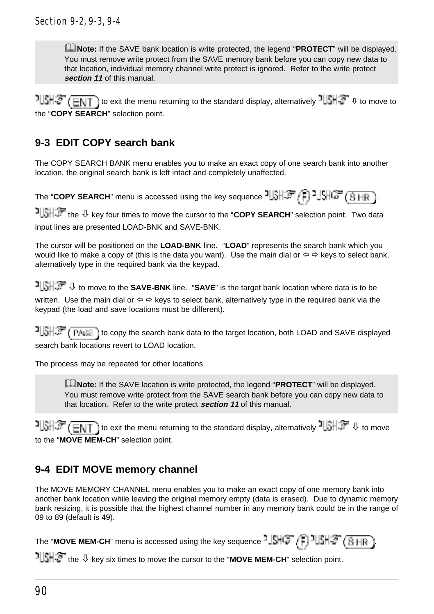&**Note:** If the SAVE bank location is write protected, the legend "**PROTECT**" will be displayed. You must remove write protect from the SAVE memory bank before you can copy new data to that location, individual memory channel write protect is ignored. Refer to the write protect **section 11** of this manual.

 $1$   $\frac{1}{2}$   $\frac{1}{2}$   $\frac{1}{2}$   $\frac{1}{2}$  to exit the menu returning to the standard display, alternatively  $1$   $\frac{1}{2}$   $\frac{1}{2}$   $\frac{1}{2}$  to move to the "**COPY SEARCH**" selection point.

## **9-3 EDIT COPY search bank**

The COPY SEARCH BANK menu enables you to make an exact copy of one search bank into another location, the original search bank is left intact and completely unaffected.

The "**COPY SEARCH**" menu is accessed using the key sequence  $\frac{1}{3}$ ,  $\frac{1}{3}$ ,  $\frac{1}{3}$ ,  $\frac{1}{3}$ ,  $\frac{1}{6}$ ,  $\frac{1}{16}$ ,  $\frac{1}{16}$ 

 the ò key four times to move the cursor to the "**COPY SEARCH**" selection point. Two data input lines are presented LOAD-BNK and SAVE-BNK.

The cursor will be positioned on the **LOAD-BNK** line. "**LOAD**" represents the search bank which you would like to make a copy of (this is the data you want). Use the main dial or  $\Leftrightarrow$  keys to select bank, alternatively type in the required bank via the keypad.

**i**  $\frac{1}{2}$  **i**  $\frac{1}{2}$  **v** to move to the **SAVE-BNK** line. "**SAVE**" is the target bank location where data is to be written. Use the main dial or  $\Leftrightarrow \Rightarrow$  keys to select bank, alternatively type in the required bank via the keypad (the load and save locations must be different).

to copy the search bank data to the target location, both LOAD and SAVE displayed search bank locations revert to LOAD location.

The process may be repeated for other locations.

&**Note:** If the SAVE location is write protected, the legend "**PROTECT**" will be displayed. You must remove write protect from the SAVE search bank before you can copy new data to that location. Refer to the write protect **section 11** of this manual.

 $t$  to exit the menu returning to the standard display, alternatively  $t$  to move to the "**MOVE MEM-CH**" selection point.

## **9-4 EDIT MOVE memory channel**

The MOVE MEMORY CHANNEL menu enables you to make an exact copy of one memory bank into another bank location while leaving the original memory empty (data is erased). Due to dynamic memory bank resizing, it is possible that the highest channel number in any memory bank could be in the range of 09 to 89 (default is 49).

The "**MOVE MEM-CH**" menu is accessed using the key sequence  $\frac{1}{2}$ HIF  $\left($ F<sub>1</sub>  $\frac{1}{2}$ HIF  $\left($ B<sub>HR</sub>

the ò key six times to move the cursor to the "**MOVE MEM-CH**" selection point.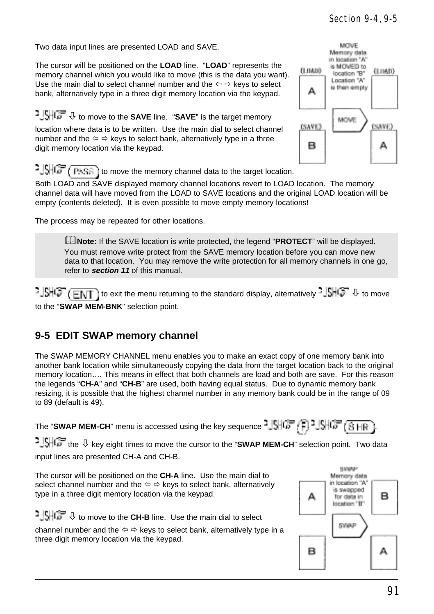Two data input lines are presented LOAD and SAVE.

The cursor will be positioned on the **LOAD** line. "**LOAD**" represents the memory channel which you would like to move (this is the data you want). Use the main dial to select channel number and the  $\Leftrightarrow \Leftrightarrow$  keys to select bank, alternatively type in a three digit memory location via the keypad.

ò to move to the **SAVE** line. "**SAVE**" is the target memory

location where data is to be written. Use the main dial to select channel number and the  $\Leftrightarrow$   $\Leftrightarrow$  keys to select bank, alternatively type in a three digit memory location via the keypad.



**to set of the move the memory channel data to the target location.** 

Both LOAD and SAVE displayed memory channel locations revert to LOAD location. The memory channel data will have moved from the LOAD to SAVE locations and the original LOAD location will be empty (contents deleted). It is even possible to move empty memory locations!

The process may be repeated for other locations.

&**Note:** If the SAVE location is write protected, the legend "**PROTECT**" will be displayed. You must remove write protect from the SAVE memory location before you can move new data to that location. You may remove the write protection for all memory channels in one go, refer to **section 11** of this manual.

 $t\cdot \frac{1}{2}$   $\frac{1}{2}$   $\frac{1}{2}$  to exit the menu returning to the standard display, alternatively  $\frac{1}{2}$   $\frac{1}{2}$   $\frac{1}{2}$  to move to the "**SWAP MEM-BNK**" selection point.

### **9-5 EDIT SWAP memory channel**

The SWAP MEMORY CHANNEL menu enables you to make an exact copy of one memory bank into another bank location while simultaneously copying the data from the target location back to the original memory location…. This means in effect that both channels are load and both are save. For this reason the legends "**CH-A**" and "**CH-B**" are used, both having equal status. Due to dynamic memory bank resizing, it is possible that the highest channel number in any memory bank could be in the range of 09 to 89 (default is 49).

The "SWAP MEM-CH" menu is accessed using the key sequence  $^2\sqrt{\frac{1}{2} + \left(\frac{1}{n}\right)^2}$ ,  $\sqrt{\frac{1}{n}} + \left(\frac{1}{n}\right) + \left(\frac{1}{n}\right)^2$ 

1.5 The  $\overline{\psi}$  key eight times to move the cursor to the "SWAP MEM-CH" selection point. Two data input lines are presented CH-A and CH-B.



channel number and the  $\Leftrightarrow$   $\Leftrightarrow$  keys to select bank, alternatively type in a three digit memory location via the keypad.

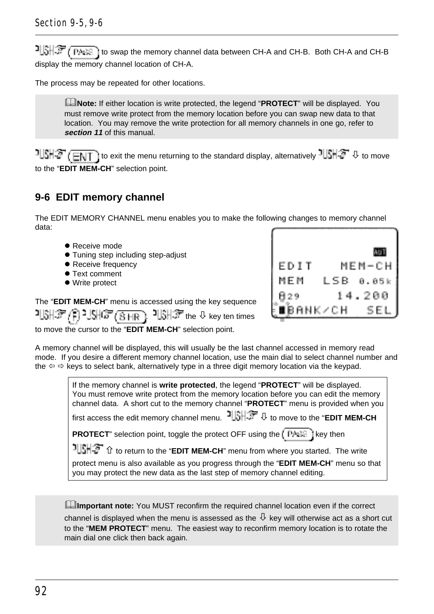to swap the memory channel data between CH-A and CH-B. Both CH-A and CH-B. Both CH-A and CH-B display the memory channel location of CH-A.

The process may be repeated for other locations.

&**Note:** If either location is write protected, the legend "**PROTECT**" will be displayed. You must remove write protect from the memory location before you can swap new data to that location. You may remove the write protection for all memory channels in one go, refer to **section 11** of this manual.

 $t$   $\frac{1}{2}$   $\frac{1}{2}$   $\frac{1}{2}$   $\frac{1}{2}$  to exit the menu returning to the standard display, alternatively  $\frac{1}{2}$   $\frac{1}{2}$   $\frac{1}{2}$   $\frac{1}{2}$  to move to the "**EDIT MEM-CH**" selection point.

#### **9-6 EDIT memory channel**

The EDIT MEMORY CHANNEL menu enables you to make the following changes to memory channel data:

- Receive mode
- **Tuning step including step-adjust**
- **Receive frequency**
- **Text comment**
- Write protect

| EDIT     |      | МЕМ-СН |
|----------|------|--------|
| MEM      | LSB. | 0.05k  |
| 329      |      | 14.200 |
| ∎BANK⁄CH |      | SEI    |

The "**EDIT MEM-CH**" menu is accessed using the key sequence

개에서 이 시대 아이들 아이들이 사용하는 한 key ten times

to move the cursor to the "**EDIT MEM-CH**" selection point.

A memory channel will be displayed, this will usually be the last channel accessed in memory read mode. If you desire a different memory channel location, use the main dial to select channel number and the  $\Leftrightarrow$   $\Leftrightarrow$  keys to select bank, alternatively type in a three digit memory location via the keypad.

> If the memory channel is **write protected**, the legend "**PROTECT**" will be displayed. You must remove write protect from the memory location before you can edit the memory channel data. A short cut to the memory channel "**PROTECT**" menu is provided when you

first access the edit memory channel menu.  $\exists \exists \exists \exists \exists \forall$  to move to the "EDIT MEM-CH

**PROTECT**" selection point, toggle the protect OFF using the  $k$  **PARE** key then

**illition** to return to the "**EDIT MEM-CH**" menu from where you started. The write

protect menu is also available as you progress through the "**EDIT MEM-CH**" menu so that you may protect the new data as the last step of memory channel editing.

**Ellmportant note:** You MUST reconfirm the required channel location even if the correct

channel is displayed when the menu is assessed as the  $\mathcal{P}$  key will otherwise act as a short cut to the "**MEM PROTECT**" menu. The easiest way to reconfirm memory location is to rotate the main dial one click then back again.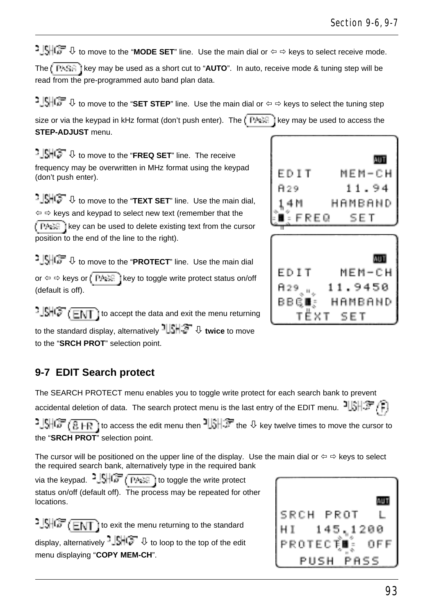<sup>1</sup> SHCF U to move to the "MODE SET" line. Use the main dial or  $\Leftrightarrow$   $\Leftrightarrow$  keys to select receive mode.

The  $\sqrt{\frac{p_{k}}{n}}$  i key may be used as a short cut to "**AUTO**". In auto, receive mode & tuning step will be read from the pre-programmed auto band plan data.

**े | पेनि अपने अपने अपने अपने पर 3 to move to the "SET STEP"** line. Use the main dial or  $\Leftrightarrow$   $\Leftrightarrow$  keys to select the tuning step

size or via the keypad in kHz format (don't push enter). The  $\int P \cdot \mathbb{H}$  key may be used to access the **STEP-ADJUST** menu.

**b**  $\frac{1}{2}$ **SHC** $\rightarrow$  to move to the "FREQ SET" line. The receive frequency may be overwritten in MHz format using the keypad (don't push enter).

**b**  $\frac{1}{2}$   $\frac{1}{2}$  to move to the "TEXT SET" line. Use the main dial,  $\Leftarrow$   $\Leftrightarrow$  keys and keypad to select new text (remember that the  $k = \sqrt{P + \epsilon^2}$  key can be used to delete existing text from the cursor position to the end of the line to the right).

<sup>2</sup>. SHOF U to move to the "PROTECT" line. Use the main dial or  $\Leftrightarrow$   $\Leftrightarrow$  keys or  $\sqrt{\frac{\Gamma A + \Gamma}{\Gamma A}}$  i key to toggle write protect status on/off (default is off).

 $t = \frac{1}{2}$   $\frac{1}{2}$   $\frac{1}{2}$   $\frac{1}{2}$   $\frac{1}{2}$  to accept the data and exit the menu returning to the standard display, alternatively **illibrary**  $\Phi$  twice to move to the "**SRCH PROT**" selection point.

# **9-7 EDIT Search protect**

The SEARCH PROTECT menu enables you to toggle write protect for each search bank to prevent accidental deletion of data. The search protect menu is the last entry of the EDIT menu. ILSHEP  $1.9\%$   $\frac{1}{10}$  to access the edit menu then  $\frac{1}{10}$ . The  $\theta$  key twelve times to move the cursor to the "**SRCH PROT**" selection point.

The cursor will be positioned on the upper line of the display. Use the main dial or  $\Leftrightarrow \Rightarrow$  keys to select the required search bank, alternatively type in the required bank

via the keypad.  $\frac{1}{2}$   $\frac{1}{2}$   $\frac{1}{2}$   $\frac{1}{2}$   $\frac{1}{2}$  ( $\frac{1}{2}$   $\frac{1}{2}$  to toggle the write protect status on/off (default off). The process may be repeated for other locations.

 $1.5\sqrt{G}$  ( $E\sqrt{T}$ ) to exit the menu returning to the standard display, alternatively  $-\sqrt{\frac{1}{2}}\sqrt{\frac{1}{2}}$  to loop to the top of the edit menu displaying "**COPY MEM-CH**".





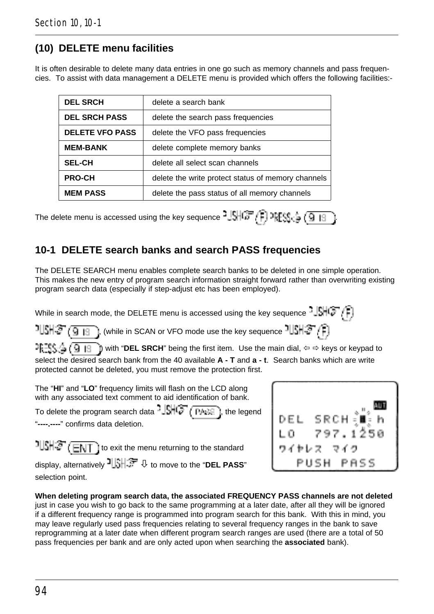## **(10) DELETE menu facilities**

It is often desirable to delete many data entries in one go such as memory channels and pass frequencies. To assist with data management a DELETE menu is provided which offers the following facilities:-

| <b>DEL SRCH</b>        | delete a search bank                               |
|------------------------|----------------------------------------------------|
| <b>DEL SRCH PASS</b>   | delete the search pass frequencies                 |
| <b>DELETE VFO PASS</b> | delete the VFO pass frequencies                    |
| <b>MEM-BANK</b>        | delete complete memory banks                       |
| <b>SEL-CH</b>          | delete all select scan channels                    |
| <b>PRO-CH</b>          | delete the write protect status of memory channels |
| <b>MEM PASS</b>        | delete the pass status of all memory channels      |

The delete menu is accessed using the key sequence  $-15\sqrt{37}$   $\sqrt{2}$   $\sqrt{9}$   $\sqrt{9}$ 

### **10-1 DELETE search banks and search PASS frequencies**

The DELETE SEARCH menu enables complete search banks to be deleted in one simple operation. This makes the new entry of program search information straight forward rather than overwriting existing program search data (especially if step-adjust etc has been employed).

While in search mode, the DELETE menu is accessed using the key sequence  $\frac{1}{2}$   $\mathbb{S}$   $\left( \frac{2}{3} \right)$ 

 $1$  $\mathbb{E}[\mathcal{F}(\mathbf{Q}_1|\mathbf{g}_2],$  (while in SCAN or VFO mode use the key sequence  $1$  $\mathbb{E}[\mathcal{F}/\mathbf{p}]$ 

 $\mathbb{P}[\mathbb{F}^n]$ ,  $\mathbb{Q}$  is  $\mathbb{Q}$  is  $\mathbb{Q}$  be ing the first item. Use the main dial,  $\Leftrightarrow$  keys or keypad to select the desired search bank from the 40 available **A - T** and **a - t**. Search banks which are write protected cannot be deleted, you must remove the protection first.

The "**HI**" and "**LO**" frequency limits will flash on the LCD along with any associated text comment to aid identification of bank.

To delete the program search data  $-\sqrt{5H}$   $\sqrt{F}$  ( $\frac{F}{F}$ ), the legend "**----.----**" confirms data deletion.

 $1$  $1$  $1$  $1$  $2$   $($   $E\setminus T$  to exit the menu returning to the standard

display, alternatively ò to move to the "**DEL PASS**" selection point.



**When deleting program search data, the associated FREQUENCY PASS channels are not deleted** just in case you wish to go back to the same programming at a later date, after all they will be ignored if a different frequency range is programmed into program search for this bank. With this in mind, you may leave regularly used pass frequencies relating to several frequency ranges in the bank to save reprogramming at a later date when different program search ranges are used (there are a total of 50 pass frequencies per bank and are only acted upon when searching the **associated** bank).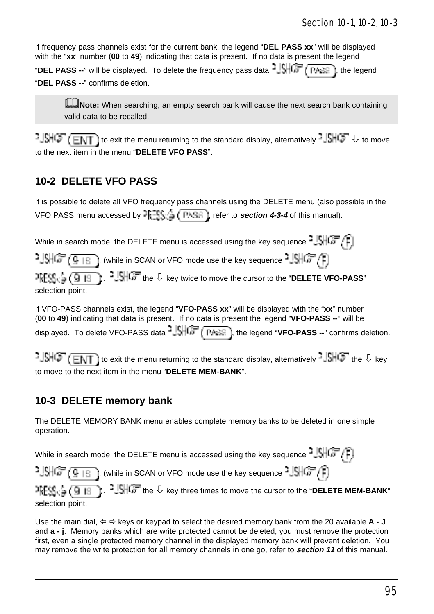If frequency pass channels exist for the current bank, the legend "**DEL PASS xx**" will be displayed with the "**xx**" number (**00** to **49**) indicating that data is present. If no data is present the legend

"DEL PASS --" will be displayed. To delete the frequency pass data  $\frac{1}{2}$ . (PASS), the legend "**DEL PASS --**" confirms deletion.

**ANote:** When searching, an empty search bank will cause the next search bank containing valid data to be recalled.

 $t\cdot \frac{1}{2}$   $\frac{1}{2}$   $\frac{1}{2}$  to exit the menu returning to the standard display, alternatively  $\frac{1}{2}$   $\frac{1}{2}$  to move to the next item in the menu "**DELETE VFO PASS**".

### **10-2 DELETE VFO PASS**

It is possible to delete all VFO frequency pass channels using the DELETE menu (also possible in the VFO PASS menu accessed by  $\frac{125\sqrt{3}}{2}$  ( $\frac{1255\sqrt{3}}{2}$ ), refer to **section 4-3-4** of this manual).

While in search mode, the DELETE menu is accessed using the key sequence  $2 \sqrt{\frac{1}{n}}$ 

 $-1.5$   $\sqrt{3}$  ,  $\sqrt{9}$  is 1.1, (while in SCAN or VFO mode use the key sequence  $-1.5$   $\sqrt{3}$   $\sqrt{3}$ 

 $\frac{1}{2}$  $\frac{1}{2}$  $\frac{1}{2}$  $\frac{1}{3}$  $\frac{1}{3}$  $\frac{1}{2}$  $\frac{1}{3}$  $\frac{1}{6}$  $\frac{1}{3}$  the  $\frac{1}{2}$  key twice to move the cursor to the "DELETE VFO-PASS" selection point.

If VFO-PASS channels exist, the legend "**VFO-PASS xx**" will be displayed with the "**xx**" number (**00** to **49**) indicating that data is present. If no data is present the legend "**VFO-PASS --**" will be displayed. To delete VFO-PASS data  $\frac{1}{2}$ ,  $\frac{1}{2}$ ,  $\frac{1}{2}$ , the legend "**VFO-PASS** --" confirms deletion.

 $\frac{1}{2}$   $\frac{1}{2}$   $\frac{1}{2}$   $\frac{1}{2}$  to exit the menu returning to the standard display, alternatively  $-\frac{1}{2}$   $\frac{1}{2}$  the  $\theta$  key to move to the next item in the menu "**DELETE MEM-BANK**".

### **10-3 DELETE memory bank**

The DELETE MEMORY BANK menu enables complete memory banks to be deleted in one simple operation.

While in search mode, the DELETE menu is accessed using the key sequence  $^2\sqrt{9+6}$  $-1.5$ ,  $\sqrt{3}$  ,  $\sqrt{2}$  is  $\sqrt{2}$  , (while in SCAN or VFO mode use the key sequence  $-1.5$   $\sqrt{2}$  ,  $\sqrt{2}$  ) b. <sup>2</sup> JSHC the  $\overline{\psi}$  key three times to move the cursor to the "DELETE MEM-BANK" 개명 출(9 m selection point.

Use the main dial,  $\Leftrightarrow \Rightarrow$  keys or keypad to select the desired memory bank from the 20 available  $\mathsf{A}$  - **J** and **a - j**. Memory banks which are write protected cannot be deleted, you must remove the protection first, even a single protected memory channel in the displayed memory bank will prevent deletion. You may remove the write protection for all memory channels in one go, refer to **section 11** of this manual.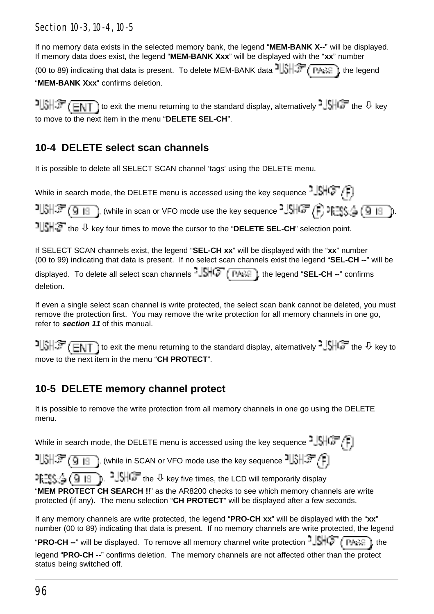#### Section 10-3, 10-4, 10-5

If no memory data exists in the selected memory bank, the legend "**MEM-BANK X--**" will be displayed. If memory data does exist, the legend "**MEM-BANK Xxx**" will be displayed with the "**xx**" number

(00 to 89) indicating that data is present. To delete MEM-BANK data  $\frac{1}{3}$ ,  $\frac{1}{3}$  ( $\frac{1}{3}$ , the legend "**MEM-BANK Xxx**" confirms deletion.

 $1.31.37$  (ENT) to exit the menu returning to the standard display, alternatively  $1.5$  ( $3.7$  the  $\sqrt{ }$  key to move to the next item in the menu "**DELETE SEL-CH**".

### **10-4 DELETE select scan channels**

It is possible to delete all SELECT SCAN channel 'tags' using the DELETE menu.

While in search mode, the DELETE menu is accessed using the key sequence  $-|\mathbb{S}||\mathbb{G}^{\top}/\hat{L}|$ .

 $1.3\pm 3.0$  , (while in scan or VFO mode use the key sequence  $1.3\pm 3.0$  ). The section is a set the key sequence  $1.3\pm 3.0$ 

the ò key four times to move the cursor to the "**DELETE SEL-CH**" selection point.

If SELECT SCAN channels exist, the legend "**SEL-CH xx**" will be displayed with the "**xx**" number (00 to 99) indicating that data is present. If no select scan channels exist the legend "**SEL-CH --**" will be

displayed. To delete all select scan channels  $-\sqrt{S}$   $\rightarrow$   $\rightarrow$   $\rightarrow$  ; the legend "SEL-CH --" confirms deletion.

If even a single select scan channel is write protected, the select scan bank cannot be deleted, you must remove the protection first. You may remove the write protection for all memory channels in one go, refer to **section 11** of this manual.

 $1.31.37$  (FMT) to exit the menu returning to the standard display, alternatively  $1.51.67$  the  $\theta$  key to move to the next item in the menu "**CH PROTECT**".

## **10-5 DELETE memory channel protect**

It is possible to remove the write protection from all memory channels in one go using the DELETE menu.

While in search mode, the DELETE menu is accessed using the key sequence  $\frac{1}{2}$ ,  $\left[\frac{1}{2}, \frac{1}{2}\right]$ 

 $\mathbb{CP}$  (9  $\pm$  19 ), (while in SCAN or VFO mode use the key sequence  $\frac{1}{3}$  ),  $\pm$ 

**I.** I.  $\frac{1}{2}$  ( $\frac{1}{9}$  |  $\frac{1}{3}$  ).  $\frac{1}{3}$  HGF the  $\theta$  key five times, the LCD will temporarily display

"**MEM PROTECT CH SEARCH !!**" as the AR8200 checks to see which memory channels are write protected (if any). The menu selection "**CH PROTECT**" will be displayed after a few seconds.

If any memory channels are write protected, the legend "**PRO-CH xx**" will be displayed with the "**xx**" number (00 to 89) indicating that data is present. If no memory channels are write protected, the legend

"**PRO-CH --**" will be displayed. To remove all memory channel write protection  $\frac{1}{2}$ s  $\frac{1}{2}$  ( $\frac{1}{2}$  ( $\frac{1}{2}$ ), the

legend "**PRO-CH --**" confirms deletion. The memory channels are not affected other than the protect status being switched off.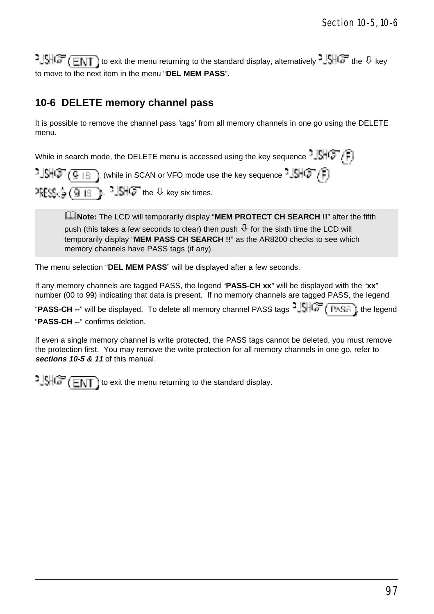$1.5 + 1.5 + 1.5 + 1.5$  to exit the menu returning to the standard display, alternatively  $1.5 + 1.5 + 1.5 + 1.5$  the  $\sqrt{10}$  key to move to the next item in the menu "**DEL MEM PASS**".

### **10-6 DELETE memory channel pass**

It is possible to remove the channel pass 'tags' from all memory channels in one go using the DELETE menu.

While in search mode, the DELETE menu is accessed using the key sequence  $-|\mathbb{S}||\mathbb{G}^{\top}/\widehat{F}|$ 

 $\cdot$   $\frac{1}{2}$  ( $\frac{1}{2}$   $\frac{1}{2}$  i, (while in SCAN or VFO mode use the key sequence  $\cdot$   $\frac{1}{2}$   $\left[\frac{1}{2}$   $\cdot$   $\frac{1}{2}\right]$  $\text{DFSS}_{12} \subseteq \boxed{9 \mid 8}$ .  $\text{-} \frac{1}{3}$ HC $\text{-}$  the  $\theta$  key six times.

&**Note:** The LCD will temporarily display "**MEM PROTECT CH SEARCH !!**" after the fifth push (this takes a few seconds to clear) then push  $\mathcal{\downarrow}$  for the sixth time the LCD will temporarily display "**MEM PASS CH SEARCH !!**" as the AR8200 checks to see which memory channels have PASS tags (if any).

The menu selection "**DEL MEM PASS**" will be displayed after a few seconds.

If any memory channels are tagged PASS, the legend "**PASS-CH xx**" will be displayed with the "**xx**" number (00 to 99) indicating that data is present. If no memory channels are tagged PASS, the legend

"PASS-CH --" will be displayed. To delete all memory channel PASS tags <sup>3</sup>. SHCF (FASE), the legend "**PASS-CH --**" confirms deletion.

If even a single memory channel is write protected, the PASS tags cannot be deleted, you must remove the protection first. You may remove the write protection for all memory channels in one go, refer to **sections 10-5 & 11** of this manual.

 $\frac{1}{2}$   $\frac{1}{2}$   $\frac{1}{2}$   $\frac{1}{2}$   $\frac{1}{2}$  ito exit the menu returning to the standard display.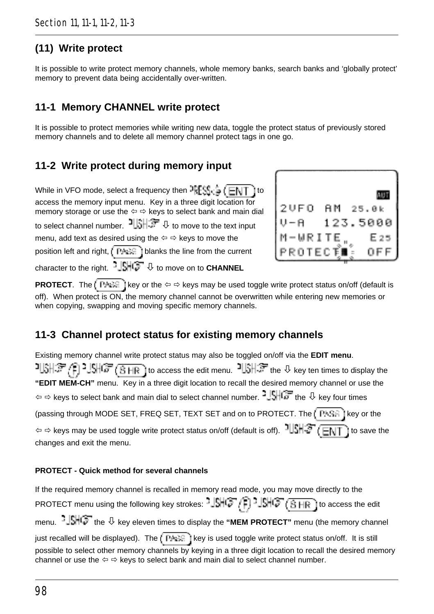## **(11) Write protect**

It is possible to write protect memory channels, whole memory banks, search banks and 'globally protect' memory to prevent data being accidentally over-written.

### **11-1 Memory CHANNEL write protect**

It is possible to protect memories while writing new data, toggle the protect status of previously stored memory channels and to delete all memory channel protect tags in one go.

### **11-2 Write protect during memory input**

While in VFO mode, select a frequency then  $\frac{1}{2} \mathbb{E} \mathbb{S}_0$   $\mathbb{E} \setminus \overline{\mathbb{F}}$  to access the memory input menu. Key in a three digit location for memory storage or use the  $\Leftrightarrow$   $\Leftrightarrow$  keys to select bank and main dial to select channel number.  $\frac{1}{\sqrt{2}}$  or to move to the text input menu, add text as desired using the  $\Leftrightarrow$   $\Leftrightarrow$  keys to move the position left and right,  $\overline{b}$   $\overline{b}$  is  $\overline{c}$  i blanks the line from the current character to the right.  $-\frac{1}{2}$   $\frac{1}{2}$  to move on to **CHANNEL** 



**PROTECT**. The  $k \in \mathbb{R}$  is key or the  $\Leftrightarrow$   $\Leftrightarrow$  keys may be used toggle write protect status on/off (default is off). When protect is ON, the memory channel cannot be overwritten while entering new memories or when copying, swapping and moving specific memory channels.

## **11-3 Channel protect status for existing memory channels**

Existing memory channel write protect status may also be toggled on/off via the **EDIT menu**.  $15H^2$  (1)  $15H^2$  (1)  $15H^2$  (1) to access the edit menu.  $15H^2$  the  $\theta$  key ten times to display the **"EDIT MEM-CH"** menu. Key in a three digit location to recall the desired memory channel or use the  $\phi \Leftrightarrow$  keys to select bank and main dial to select channel number.  $\frac{1}{2}$   $\frac{1}{2}$  the  $\theta$  key four times (passing through MODE SET, FREQ SET, TEXT SET and on to PROTECT. The  $\sqrt{P+Se}$ ) key or the  $\phi \circ \phi$  keys may be used toggle write protect status on/off (default is off).  $\frac{1}{100}$   $\frac{1}{100}$   $\frac{1}{100}$  ito save the changes and exit the menu.

#### **PROTECT - Quick method for several channels**

If the required memory channel is recalled in memory read mode, you may move directly to the PROTECT menu using the following key strokes:  $\frac{15}{10}$ ,  $\frac{1}{F}$ ,  $\frac{11}{10}$ ,  $\frac{11}{10}$ ,  $\frac{11}{10}$  access the edit menu.  $-\sqrt{\frac{1}{2}}$  the  $\sqrt{1}$  key eleven times to display the "MEM PROTECT" menu (the memory channel just recalled will be displayed). The *key* is used toggle write protect status on/off. It is still possible to select other memory channels by keying in a three digit location to recall the desired memory channel or use the  $\Leftrightarrow$   $\Leftrightarrow$  keys to select bank and main dial to select channel number.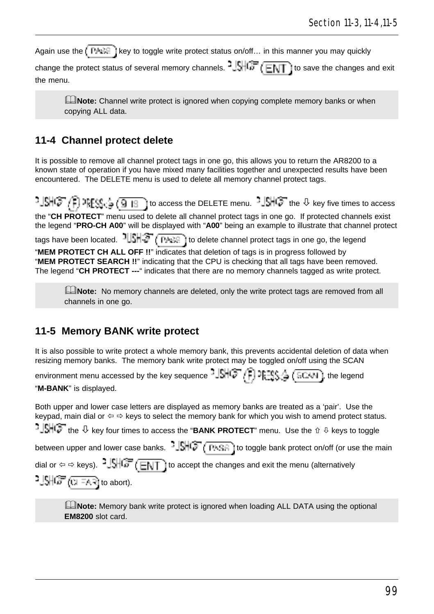Again use the  $\overline{P \triangle}$  i key to toggle write protect status on/off... in this manner you may quickly

change the protect status of several memory channels.  $\frac{1}{2}$   $\frac{1}{2}$   $\frac{1}{\sqrt{2}}$  ( $\frac{1}{\sqrt{2}}$ ) to save the changes and exit the menu.

**ENote:** Channel write protect is ignored when copying complete memory banks or when copying ALL data.

### **11-4 Channel protect delete**

It is possible to remove all channel protect tags in one go, this allows you to return the AR8200 to a known state of operation if you have mixed many facilities together and unexpected results have been encountered. The DELETE menu is used to delete all memory channel protect tags.

 $t\cdot \text{SNG} \left( \text{P} \right)$  are  $\text{St}_\mathbb{G} \left( \text{Q} \right)$  to access the DELETE menu.  $t\cdot \text{SNG}$  the  $\theta$  key five times to access the "**CH PROTECT**" menu used to delete all channel protect tags in one go. If protected channels exist the legend "**PRO-CH A00**" will be displayed with "**A00**" being an example to illustrate that channel protect tags have been located.  $1||\hat{S}||\hat{S}$  ( $\overline{P_{A}S}$ ) to delete channel protect tags in one go, the legend "**MEM PROTECT CH ALL OFF !!**" indicates that deletion of tags is in progress followed by "**MEM PROTECT SEARCH !!**" indicating that the CPU is checking that all tags have been removed. The legend "**CH PROTECT ---**" indicates that there are no memory channels tagged as write protect.

**ENote:** No memory channels are deleted, only the write protect tags are removed from all channels in one go.

#### **11-5 Memory BANK write protect**

It is also possible to write protect a whole memory bank, this prevents accidental deletion of data when resizing memory banks. The memory bank write protect may be toggled on/off using the SCAN

environment menu accessed by the key sequence  $-\int f(x) \sqrt{f}$ ,  $\int \frac{1}{2} \int f(x) \sqrt{f}$ , the legend "**M-BANK**" is displayed.

Both upper and lower case letters are displayed as memory banks are treated as a 'pair'. Use the keypad, main dial or  $\Leftrightarrow$   $\Leftrightarrow$  keys to select the memory bank for which you wish to amend protect status.  $\frac{1}{2}$  $\frac{1}{2}$ <sup>1</sup> the  $\sqrt{2}$  key four times to access the "**BANK PROTECT**" menu. Use the  $\frac{1}{2}$  keys to toggle between upper and lower case banks.  $-\sqrt{1+\sqrt{1-\frac{1}{n}}\cdot\frac{1}{n}}$  to toggle bank protect on/off (or use the main dial or  $\Leftrightarrow$   $\Leftrightarrow$  keys).  $3\sqrt{3}\sqrt{m}$  ( $\sqrt{m}$ ) to accept the changes and exit the menu (alternatively  $2 \cdot \frac{1}{2}$ SHG $\overline{r}$  (  $\overline{1}$  =4.3) to abort).

**ENote:** Memory bank write protect is ignored when loading ALL DATA using the optional **EM8200** slot card.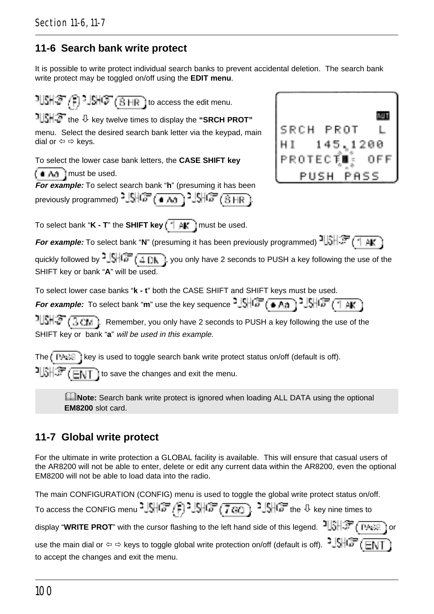### **11-6 Search bank write protect**

It is possible to write protect individual search banks to prevent accidental deletion. The search bank write protect may be toggled on/off using the **EDIT menu**.

 $1$   $\mathbb{R}$   $\mathbb{S}$   $\mathbb{C}$   $\mathbb{S}$   $\mathbb{R}$   $\mathbb{S}$   $\mathbb{R}$   $\mathbb{S}$  to access the edit menu. **AUT**  the ò key twelve times to display the **"SRCH PROT"** SRCH PROT menu. Select the desired search bank letter via the keypad, main dial or  $\Leftrightarrow$   $\Leftrightarrow$  keys. 145,1200 PROTECȚ To select the lower case bank letters, the **CASE SHIFT key**  $i + h$  must be used. PUSH PASS **For example:** To select search bank "**h**" (presuming it has been previously programmed)  $2.5\frac{1}{100}$  ( $\frac{2.5}{100}$ )  $2.5\frac{1}{100}$  ( $\frac{3.1}{100}$ ) To select bank "**K - T**" the **SHIFT key**  $\boxed{\uparrow \mathbf{A}^*}$  must be used. **For example:** To select bank "N" (presuming it has been previously programmed)  $\frac{1}{3}$   $\frac{1}{3}$   $\frac{1}{3}$   $\frac{1}{3}$ quickly followed by  $\frac{1}{2}$ ,  $\frac{1}{2}$ ,  $\frac{1}{2}$   $\frac{1}{2}$ , you only have 2 seconds to PUSH a key following the use of the SHIFT key or bank "**A**" will be used. To select lower case banks "**k - t**" both the CASE SHIFT and SHIFT keys must be used. **For example:** To select bank "**m**" use the key sequence  $\frac{1}{2}$   $\frac{1}{2}$   $\frac{1}{2}$   $\frac{1}{6}$   $\frac{1}{2}$   $\frac{1}{2}$   $\frac{1}{6}$   $\frac{1}{6}$   $\frac{1}{1}$   $\frac{1}{6}$   $\frac{1}{1}$  $\frac{1}{3}$ . Remember, you only have 2 seconds to PUSH a key following the use of the SHIFT key or bank "**a**" will be used in this example. The  $k$  PASS is used to toggle search bank write protect status on/off (default is off).  $\frac{1}{3}$  $\frac{1}{3}$   $\frac{1}{3}$   $\frac{1}{3}$   $\frac{1}{3}$  ito save the changes and exit the menu.

**ENote:** Search bank write protect is ignored when loading ALL DATA using the optional **EM8200** slot card.

### **11-7 Global write protect**

For the ultimate in write protection a GLOBAL facility is available. This will ensure that casual users of the AR8200 will not be able to enter, delete or edit any current data within the AR8200, even the optional EM8200 will not be able to load data into the radio.

The main CONFIGURATION (CONFIG) menu is used to toggle the global write protect status on/off.

| To access the CONFIG menu $35\frac{15}{107}$ ( $33\frac{15}{107}$ ( $7\frac{20}{107}$ ) $35\frac{15}{107}$ the $\theta$ key nine times to |  |  |  |
|-------------------------------------------------------------------------------------------------------------------------------------------|--|--|--|
|-------------------------------------------------------------------------------------------------------------------------------------------|--|--|--|

display "**WRITE PROT**" with the cursor flashing to the left hand side of this legend.  $\frac{1}{3}$   $\frac{1}{3}$   $\frac{1}{3}$   $\frac{1}{3}$  or use the main dial or  $\Leftrightarrow$   $\Leftrightarrow$  keys to toggle global write protection on/off (default is off).  $\frac{1}{2}$ SHCF (ENT

to accept the changes and exit the menu.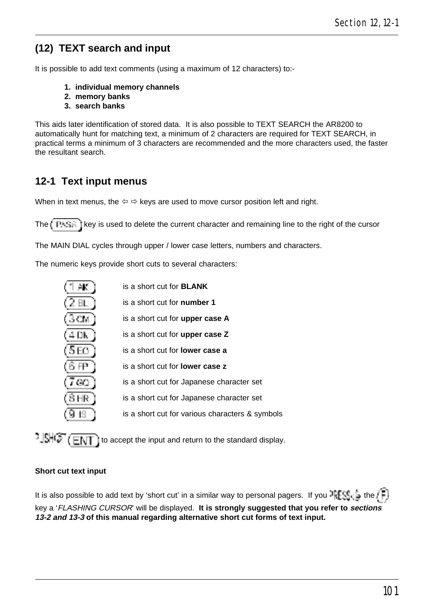## **(12) TEXT search and input**

It is possible to add text comments (using a maximum of 12 characters) to:-

- **1. individual memory channels**
- **2. memory banks**
- **3. search banks**

This aids later identification of stored data. It is also possible to TEXT SEARCH the AR8200 to automatically hunt for matching text, a minimum of 2 characters are required for TEXT SEARCH, in practical terms a minimum of 3 characters are recommended and the more characters used, the faster .<br>the resultant search

### **12-1 Text input menus**

When in text menus, the  $\Leftrightarrow$   $\Leftrightarrow$  keys are used to move cursor position left and right.

The  $k$  PASA is used to delete the current character and remaining line to the right of the cursor

The MAIN DIAL cycles through upper / lower case letters, numbers and characters.

The numeric keys provide short cuts to several characters:

| AК       | is a short cut for <b>BLANK</b>                 |
|----------|-------------------------------------------------|
| ĐL.      | is a short cut for <b>number 1</b>              |
| 3 CM.    | is a short cut for upper case A                 |
| 4 D.N    | is a short cut for upper case Z                 |
| 5 E.O. . | is a short cut for <b>lower case a</b>          |
| 6 FF.    | is a short cut for <b>lower case z</b>          |
| -90.     | is a short cut for Japanese character set       |
| 8 HR I   | is a short cut for Japanese character set       |
|          | is a short cut for various characters & symbols |
|          |                                                 |

 $\frac{15}{15}$  ( $\overline{E}$ ) to accept the input and return to the standard display.

#### **Short cut text input**

It is also possible to add text by 'short cut' in a similar way to personal pagers. If you  $\frac{1}{2} \mathbb{E} \mathbb{S}^n$  is the  $\mathbb{E} \mathbb{F}$ key a 'FLASHING CURSOR' will be displayed. **It is strongly suggested that you refer to sections 13-2 and 13-3 of this manual regarding alternative short cut forms of text input.**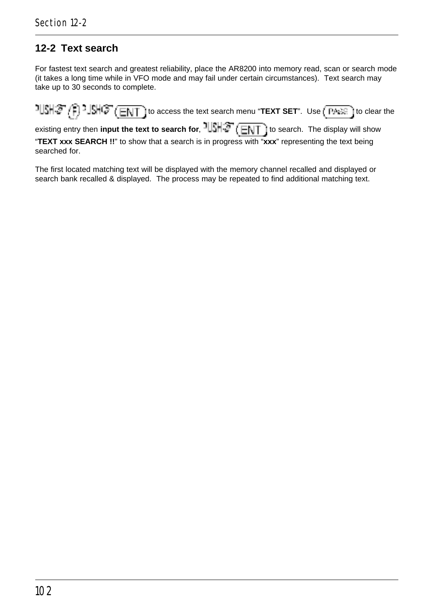## **12-2 Text search**

For fastest text search and greatest reliability, place the AR8200 into memory read, scan or search mode (it takes a long time while in VFO mode and may fail under certain circumstances). Text search may take up to 30 seconds to complete.

 $t\in \mathbb{R}$  to access the text search menu "**TEXT SET**". Use  $\left(\frac{\text{PASE}}{\text{PASE}}\right)$  to clear the existing entry then **input the text to search for**,  $\frac{1}{s}$ ,  $\frac{1}{s}$ ,  $\frac{1}{s}$  to search. The display will show

"**TEXT xxx SEARCH !!**" to show that a search is in progress with "**xxx**" representing the text being searched for.

The first located matching text will be displayed with the memory channel recalled and displayed or search bank recalled & displayed. The process may be repeated to find additional matching text.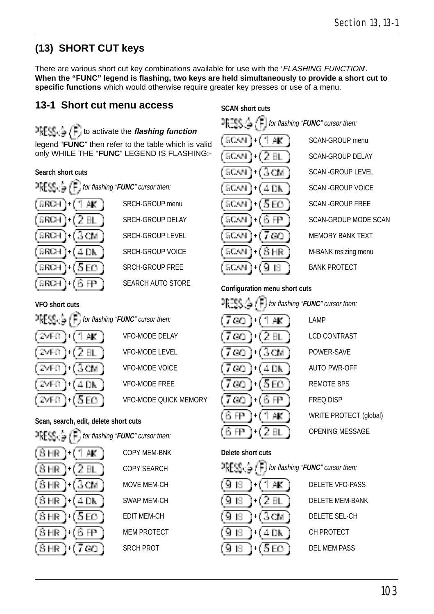# **(13) SHORT CUT keys**

There are various short cut key combinations available for use with the 'FLASHING FUNCTION. **When the "FUNC" legend is flashing, two keys are held simultaneously to provide a short cut to specific functions** which would otherwise require greater key presses or use of a menu.

### **13-1 Short cut menu access**

 $T_{\text{F}}$   $\text{F}_{\text{G}}$   $\subset$   $\text{F}_{\text{G}}$  to activate the *flashing function* legend "**FUNC**" then refer to the table which is valid only WHILE THE "**FUNC**" LEGEND IS FLASHING:-

#### **Search short cuts**

2만명 일. for flashing "**FUNC**" cursor then: **SRCH**  $\mathbf{L} \mathbf{L}^{\dagger}$  SRCH-GROUP menu SRCH. + SRCH-GROUP LEVEL **SRCH** SRCH.  $\perp$  DK | SRCH-GROUP VOICE  $\overline{5}$  F<sub>1</sub> i SRCH-GROUP FREE **SRCH** SEARCH AUTO STORE SRCH.

SRCH-GROUP DELAY

**SCAN short cuts** for flashing "**FUNC**" cursor then: SONN SCAN. SONN SCAN SOMM SONN 50.W SCNN.  $\overline{H}$   $\overline{H}$  BANK PROTECT SCANI

 $+$   $+$  SCAN-GROUP menu SCAN-GROUP DELAY SCAN - GROUP LEVEL + SCAN -GROUP VOICE SCAN - GROUP FREE SCAN-GROUP MODE SCAN  $\overline{a}$   $\overline{a}$  i MEMORY BANK TEXT  $H_H$  | M-BANK resizing menu

#### **Configuration menu short cuts**

|     | $\exists \exists \subseteq \bigcap_{i=1}^n \bigcap_{i=1}^n$ for flashing " <b>FUNC</b> " cursor then: |                      |
|-----|-------------------------------------------------------------------------------------------------------|----------------------|
|     | 700.<br>1+1 1 AK                                                                                      | LAMP                 |
|     | $(7\infty)+(2\text{ BL})$                                                                             | <b>LCD CONTRAST</b>  |
|     | $(7\omega)$ + $(3\overline{\omega})$                                                                  | POWER-SAVE           |
|     | $(7\,60\,)(4\,0\rm K\,)$                                                                              | <b>AUTO PWR-OFF</b>  |
|     | $(7\infty)$ + $(5\infty)$                                                                             | <b>REMOTE BPS</b>    |
| )RY | $(7\omega)$ +(6 FP )                                                                                  | <b>FREQ DISP</b>     |
|     | (6 FP.<br>1+1 T                                                                                       | <b>WRITE PROTECT</b> |
|     |                                                                                                       | <b>OPENING MESS</b>  |

 + LAMP **LCD CONTRAST** POWER-SAVE AUTO PWR-OFF REMOTE BPS **FREQ DISP** WRITE PROTECT (global) OPENING MESSAGE

#### **Delete short cuts**

| $\mathbb{P} \mathsf{F} \mathsf{F} \mathsf{S} \mathsf{S} \subsetneq \mathsf{F}$ for flashing " <b>FUNC</b> " cursor then: |                        |
|--------------------------------------------------------------------------------------------------------------------------|------------------------|
| (9 is 1+(1 am)                                                                                                           | DELETE VFO-PASS        |
| $(\overline{9}$ is [+(2 at )                                                                                             | <b>DELETE MEM-BANK</b> |
| (918 )+(3cm)                                                                                                             | DELETE SEL-CH          |
| (9 IST<br>$]+$ $(40k)$                                                                                                   | CH PROTECT             |
| $(9.6\pm(5E))$                                                                                                           | <b>DEL MEM PASS</b>    |

**FIFRE**  $f = \sqrt{F}$  for flashing "**FUNC**" cursor then: 74E O 27FO

**VFO short cuts**

**VFO-MODE DELAY VFO-MODE LEVEL VFO-MODE VOICE** VFO-MODE FREE **VFO-MODE QUICK MEMOR** 

#### **Scan, search, edit, delete short cuts**

| $\mathbb{P}\text{REG} \subseteq \left(\mathbb{F}\right)$ for flashing "FUNC" cursor then: |                     |
|-------------------------------------------------------------------------------------------|---------------------|
| $(\overline{\text{SHR}})$ + $(\overline{\text{1AK}})$                                     | <b>COPY MEM-BNK</b> |
| $(\overline{\text{SHR}})$ + $(2$ BL $)$                                                   | <b>COPY SEARCH</b>  |
| $(\overline{\text{SHR}})$ + $(\overline{\text{3CM}})$                                     | MOVE MEM-CH         |
| $(BHR)+(4DK)$                                                                             | <b>SWAP MEM-CH</b>  |
| $(\overline{\text{S}}\text{HR})$ + $(\overline{\text{S}}\text{ED})$                       | <b>EDIT MEM-CH</b>  |
| (BHR)(BHP)                                                                                | <b>MEM PROTECT</b>  |
| $(BHR)+(760)$                                                                             | <b>SRCH PROT</b>    |
|                                                                                           |                     |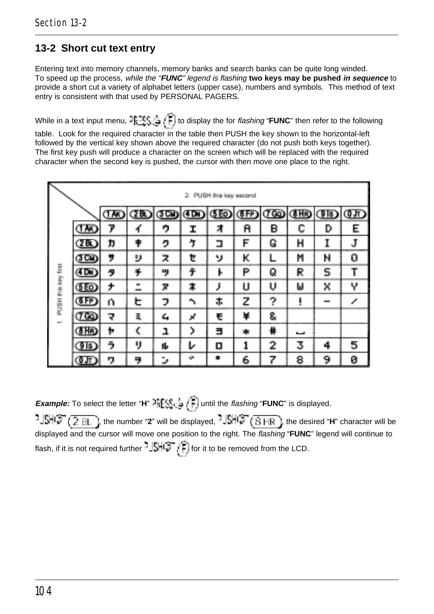## **13-2 Short cut text entry**

Entering text into memory channels, memory banks and search banks can be quite long winded. To speed up the process, while the "**FUNC**" legend is flashing **two keys may be pushed in sequence** to provide a short cut a variety of alphabet letters (upper case), numbers and symbols. This method of text entry is consistent with that used by PERSONAL PAGERS.

While in a text input menu,  $\frac{1}{2}$ ,  $\frac{1}{2}$ ,  $\frac{1}{2}$  to display the for *flashing* "**FUNC**" then refer to the following table. Look for the required character in the table then PUSH the key shown to the horizontal-left followed by the vertical key shown above the required character (do not push both keys together). The first key push will produce a character on the screen which will be replaced with the required character when the second key is pushed, the cursor with then move one place to the right.

| 2. PUSH this key second |          |    |      |    |                           |                |   |   |   |                                |   |
|-------------------------|----------|----|------|----|---------------------------|----------------|---|---|---|--------------------------------|---|
|                         |          | ໝ  | (ZB) | അണ | ŒD                        | (SEO)          |   |   |   | <b>(FP) (TO) (FR) (FB) (TD</b> |   |
|                         | ໝ        | 7  |      | ゥ  | Ι                         | 7              | A | в | с | D                              | Ε |
|                         | $\sigma$ | ħ  |      | ヮ  | <b>ำ</b>                  | ב              | F | G | н |                                |   |
|                         | ത്ത      | ÿ  | IJ   | z  | ŧ                         | v              | κ |   | M | N                              | 0 |
|                         | (TDK)    | タ  | ¥    | ۰ŋ | ÷                         | ١              | P | Q | R | 5                              |   |
|                         | (SEO)    | ÷, | ٠    | π  | ≭                         |                | υ | υ | ω | ×                              | Υ |
| PUSH this key first     | (FFP)    | n  | ᇆ    | っ  | $\hat{\phantom{1}}$       | ホ              | z | ? | ı |                                |   |
| ÷                       | 760      | ₹  | ä,   | 4  | Χ                         | €              | ¥ | 8 |   |                                |   |
|                         | (SHR)    | þ  | Ć    | ٦  | 5                         | Е              | * | # | ٮ |                                |   |
|                         | TD)      | ぅ  | IJ   | ۱Ŀ | ı                         | о              |   | 2 | 3 | 4                              | 5 |
|                         | Œ        | 7  | ₹    | ٠  | $\mathbf{v}^{\mathbf{v}}$ | $\blacksquare$ | 6 | 7 | 8 | 9                              | ø |

**Example:** To select the letter "**H**"  $\mathbb{P}[\mathbb{E}\setminus\mathbb{S}]\subset\mathbb{P}$  until the *flashing* "**FUNC**" is displayed.

, the number "**2**" will be displayed, -님게 ( 탐 HR ), the desired "**H**" character will be displayed and the cursor will move one position to the right. The flashing "**FUNC**" legend will continue to flash, if it is not required further  $\frac{1}{2}$   $\left(\frac{1}{n}\right)$  for it to be removed from the LCD.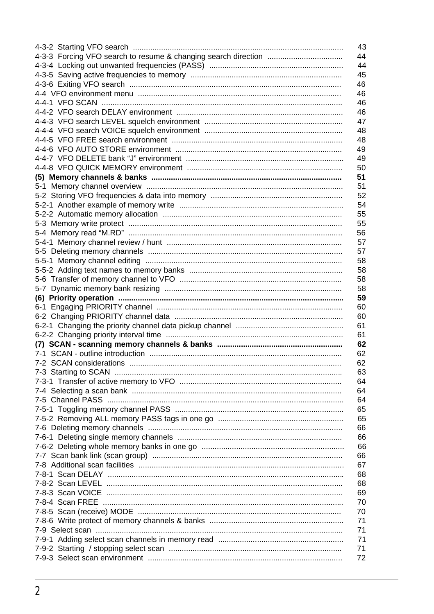| 43 |
|----|
| 44 |
| 44 |
| 45 |
| 46 |
| 46 |
| 46 |
| 46 |
| 47 |
| 48 |
| 48 |
| 49 |
| 49 |
| 50 |
| 51 |
| 51 |
| 52 |
| 54 |
| 55 |
| 55 |
| 56 |
| 57 |
| 57 |
| 58 |
| 58 |
| 58 |
| 58 |
| 59 |
|    |
| 60 |
| 60 |
| 61 |
| 61 |
| 62 |
| 62 |
| 62 |
| 63 |
| 64 |
| 64 |
| 64 |
| 65 |
| 65 |
| 66 |
| 66 |
| 66 |
| 66 |
| 67 |
| 68 |
| 68 |
| 69 |
| 70 |
| 70 |
| 71 |
| 71 |
| 71 |
| 71 |
| 72 |
|    |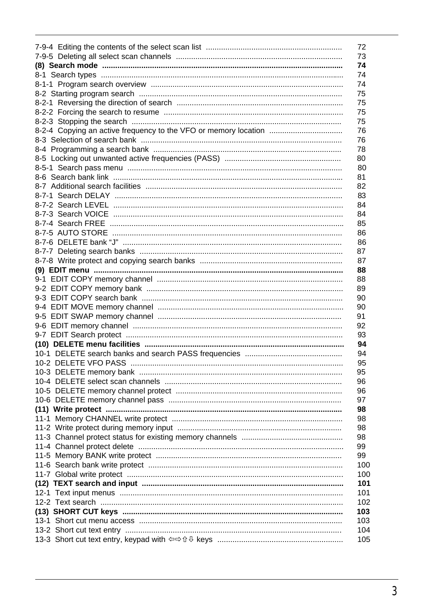|                                                         | 72  |
|---------------------------------------------------------|-----|
|                                                         | 73  |
|                                                         | 74  |
|                                                         | 74  |
|                                                         | 74  |
|                                                         | 75  |
|                                                         | 75  |
|                                                         | 75  |
|                                                         | 75  |
|                                                         | 76  |
|                                                         | 76  |
|                                                         | 78  |
|                                                         | 80  |
|                                                         | 80  |
|                                                         | 81  |
|                                                         | 82  |
|                                                         | 83  |
|                                                         | 84  |
|                                                         | 84  |
|                                                         | 85  |
|                                                         | 86  |
|                                                         | 86  |
|                                                         | 87  |
|                                                         | 87  |
|                                                         | 88  |
|                                                         | 88  |
|                                                         | 89  |
|                                                         | 90  |
|                                                         | 90  |
|                                                         | 91  |
|                                                         | 92  |
| 9-7 EDIT Search protect ………………………………………………………………………………… | 93  |
|                                                         | 94  |
|                                                         | 94  |
| 10-2 DELETE VFO PASS …………………………………………………………………………………    | 95  |
|                                                         | 95  |
|                                                         | 96  |
|                                                         | 96  |
|                                                         | 97  |
|                                                         | 98  |
|                                                         | 98  |
|                                                         | 98  |
|                                                         | 98  |
|                                                         | 99  |
|                                                         | 99  |
|                                                         | 100 |
|                                                         | 100 |
|                                                         | 101 |
|                                                         | 101 |
|                                                         | 102 |
|                                                         | 103 |
| (13) SHORT CUT keys ………………………………………………………………………………………   | 103 |
|                                                         | 104 |
|                                                         |     |
|                                                         | 105 |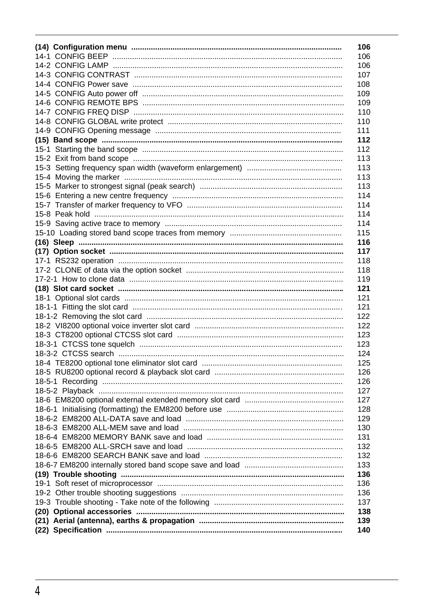| 106 |  |
|-----|--|
| 106 |  |
| 106 |  |
| 107 |  |
| 108 |  |
| 109 |  |
| 109 |  |
| 110 |  |
| 110 |  |
| 111 |  |
| 112 |  |
| 112 |  |
| 113 |  |
| 113 |  |
| 113 |  |
| 113 |  |
| 114 |  |
| 114 |  |
| 114 |  |
| 114 |  |
| 115 |  |
| 116 |  |
| 117 |  |
| 118 |  |
| 118 |  |
| 119 |  |
| 121 |  |
| 121 |  |
| 121 |  |
| 122 |  |
| 122 |  |
| 123 |  |
| 123 |  |
| 124 |  |
| 125 |  |
| 126 |  |
| 126 |  |
| 127 |  |
| 127 |  |
| 128 |  |
| 129 |  |
| 130 |  |
| 131 |  |
| 132 |  |
| 132 |  |
| 133 |  |
| 136 |  |
| 136 |  |
| 136 |  |
| 137 |  |
| 138 |  |
| 139 |  |
| 140 |  |
|     |  |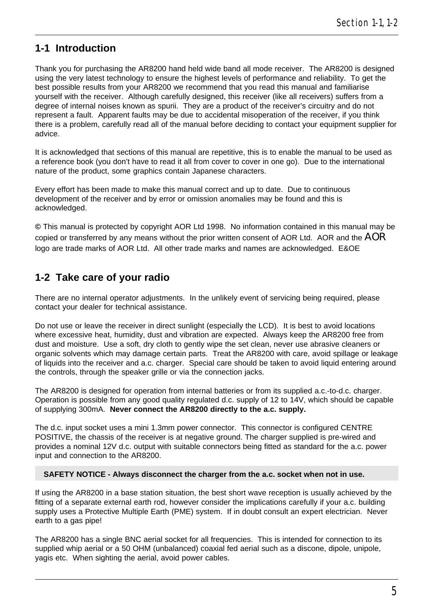#### **1-1 Introduction**

Thank you for purchasing the AR8200 hand held wide band all mode receiver. The AR8200 is designed using the very latest technology to ensure the highest levels of performance and reliability. To get the best possible results from your AR8200 we recommend that you read this manual and familiarise yourself with the receiver. Although carefully designed, this receiver (like all receivers) suffers from a degree of internal noises known as spurii. They are a product of the receiver's circuitry and do not represent a fault. Apparent faults may be due to accidental misoperation of the receiver, if you think there is a problem, carefully read all of the manual before deciding to contact your equipment supplier for advice.

It is acknowledged that sections of this manual are repetitive, this is to enable the manual to be used as a reference book (you don't have to read it all from cover to cover in one go). Due to the international nature of the product, some graphics contain Japanese characters.

Every effort has been made to make this manual correct and up to date. Due to continuous development of the receiver and by error or omission anomalies may be found and this is acknowledged.

**©** This manual is protected by copyright AOR Ltd 1998. No information contained in this manual may be copied or transferred by any means without the prior written consent of AOR Ltd. AOR and the **AOR** logo are trade marks of AOR Ltd. All other trade marks and names are acknowledged. E&OE

### **1-2 Take care of your radio**

There are no internal operator adjustments. In the unlikely event of servicing being required, please contact your dealer for technical assistance.

Do not use or leave the receiver in direct sunlight (especially the LCD). It is best to avoid locations where excessive heat, humidity, dust and vibration are expected. Always keep the AR8200 free from dust and moisture. Use a soft, dry cloth to gently wipe the set clean, never use abrasive cleaners or organic solvents which may damage certain parts. Treat the AR8200 with care, avoid spillage or leakage of liquids into the receiver and a.c. charger. Special care should be taken to avoid liquid entering around the controls, through the speaker grille or via the connection jacks.

The AR8200 is designed for operation from internal batteries or from its supplied a.c.-to-d.c. charger. Operation is possible from any good quality regulated d.c. supply of 12 to 14V, which should be capable of supplying 300mA. **Never connect the AR8200 directly to the a.c. supply.**

The d.c. input socket uses a mini 1.3mm power connector. This connector is configured CENTRE POSITIVE, the chassis of the receiver is at negative ground. The charger supplied is pre-wired and provides a nominal 12V d.c. output with suitable connectors being fitted as standard for the a.c. power input and connection to the AR8200.

#### **SAFETY NOTICE - Always disconnect the charger from the a.c. socket when not in use.**

If using the AR8200 in a base station situation, the best short wave reception is usually achieved by the fitting of a separate external earth rod, however consider the implications carefully if your a.c. building supply uses a Protective Multiple Earth (PME) system. If in doubt consult an expert electrician. Never earth to a gas pipe!

The AR8200 has a single BNC aerial socket for all frequencies. This is intended for connection to its supplied whip aerial or a 50 OHM (unbalanced) coaxial fed aerial such as a discone, dipole, unipole, yagis etc. When sighting the aerial, avoid power cables.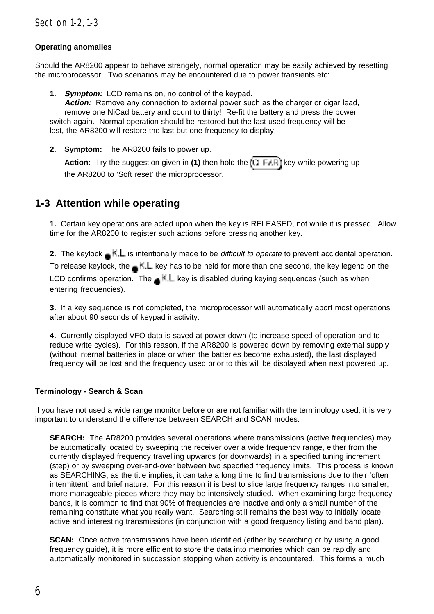#### **Operating anomalies**

Should the AR8200 appear to behave strangely, normal operation may be easily achieved by resetting the microprocessor. Two scenarios may be encountered due to power transients etc:

**1. Symptom:** LCD remains on, no control of the keypad.

**Action:** Remove any connection to external power such as the charger or cigar lead, remove one NiCad battery and count to thirty! Re-fit the battery and press the power switch again. Normal operation should be restored but the last used frequency will be lost, the AR8200 will restore the last but one frequency to display.

**2. Symptom:** The AR8200 fails to power up.

Action: Try the suggestion given in (1) then hold the **KET FARI** key while powering up the AR8200 to 'Soft reset' the microprocessor.

#### **1-3 Attention while operating**

**1.** Certain key operations are acted upon when the key is RELEASED, not while it is pressed. Allow time for the AR8200 to register such actions before pressing another key.

**2.** The keylock  $\leq \frac{1}{2}$  is intentionally made to be *difficult to operate* to prevent accidental operation.

To release keylock, the  $\blacksquare$  K. L. key has to be held for more than one second, the key legend on the LCD confirms operation. The  $\blacksquare$  key is disabled during keying sequences (such as when entering frequencies).

**3.** If a key sequence is not completed, the microprocessor will automatically abort most operations after about 90 seconds of keypad inactivity.

**4.** Currently displayed VFO data is saved at power down (to increase speed of operation and to reduce write cycles). For this reason, if the AR8200 is powered down by removing external supply (without internal batteries in place or when the batteries become exhausted), the last displayed frequency will be lost and the frequency used prior to this will be displayed when next powered up.

#### **Terminology - Search & Scan**

If you have not used a wide range monitor before or are not familiar with the terminology used, it is very important to understand the difference between SEARCH and SCAN modes.

**SEARCH:** The AR8200 provides several operations where transmissions (active frequencies) may be automatically located by sweeping the receiver over a wide frequency range, either from the currently displayed frequency travelling upwards (or downwards) in a specified tuning increment (step) or by sweeping over-and-over between two specified frequency limits. This process is known as SEARCHING, as the title implies, it can take a long time to find transmissions due to their 'often intermittent' and brief nature. For this reason it is best to slice large frequency ranges into smaller, more manageable pieces where they may be intensively studied. When examining large frequency bands, it is common to find that 90% of frequencies are inactive and only a small number of the remaining constitute what you really want. Searching still remains the best way to initially locate active and interesting transmissions (in conjunction with a good frequency listing and band plan).

**SCAN:** Once active transmissions have been identified (either by searching or by using a good frequency guide), it is more efficient to store the data into memories which can be rapidly and automatically monitored in succession stopping when activity is encountered. This forms a much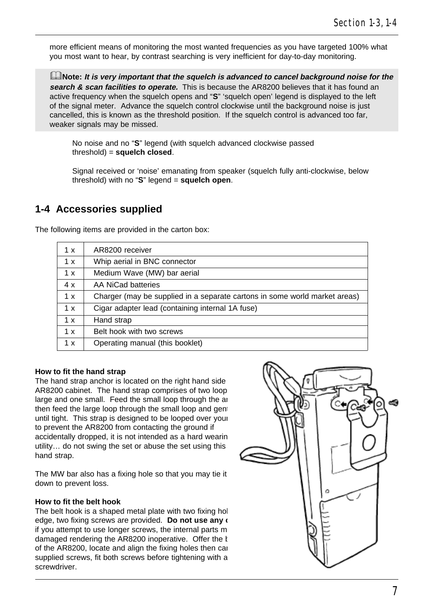more efficient means of monitoring the most wanted frequencies as you have targeted 100% what you most want to hear, by contrast searching is very inefficient for day-to-day monitoring.

&**Note: It is very important that the squelch is advanced to cancel background noise for the search & scan facilities to operate.** This is because the AR8200 believes that it has found an active frequency when the squelch opens and "**S**" 'squelch open' legend is displayed to the left of the signal meter. Advance the squelch control clockwise until the background noise is just cancelled, this is known as the threshold position. If the squelch control is advanced too far, weaker signals may be missed.

No noise and no "**S**" legend (with squelch advanced clockwise passed threshold) = **squelch closed**.

Signal received or 'noise' emanating from speaker (squelch fully anti-clockwise, below threshold) with no "**S**" legend = **squelch open**.

#### **1-4 Accessories supplied**

The following items are provided in the carton box:

| 1 x | AR8200 receiver                                                            |
|-----|----------------------------------------------------------------------------|
| 1 x | Whip aerial in BNC connector                                               |
| 1 x | Medium Wave (MW) bar aerial                                                |
| 4x  | AA NiCad batteries                                                         |
| 1 x | Charger (may be supplied in a separate cartons in some world market areas) |
| 1 x | Cigar adapter lead (containing internal 1A fuse)                           |
| 1 x | Hand strap                                                                 |
| 1 x | Belt hook with two screws                                                  |
| 1 x | Operating manual (this booklet)                                            |

#### **How to fit the hand strap**

The hand strap anchor is located on the right hand side AR8200 cabinet. The hand strap comprises of two loop large and one small. Feed the small loop through the an then feed the large loop through the small loop and gent until tight. This strap is designed to be looped over your to prevent the AR8200 from contacting the ground if accidentally dropped, it is not intended as a hard wearing utility… do not swing the set or abuse the set using this hand strap.

The MW bar also has a fixing hole so that you may tie it down to prevent loss.

#### **How to fit the belt hook**

The belt hook is a shaped metal plate with two fixing hol edge, two fixing screws are provided. Do not use any  $\epsilon$ if you attempt to use longer screws, the internal parts m damaged rendering the AR8200 inoperative. Offer the  $k$ of the AR8200, locate and align the fixing holes then car supplied screws, fit both screws before tightening with a screwdriver.

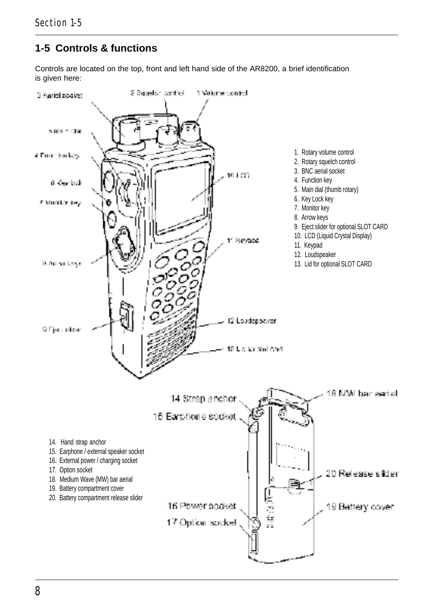### **1-5 Controls & functions**

Controls are located on the top, front and left hand side of the AR8200, a brief identification is given here:

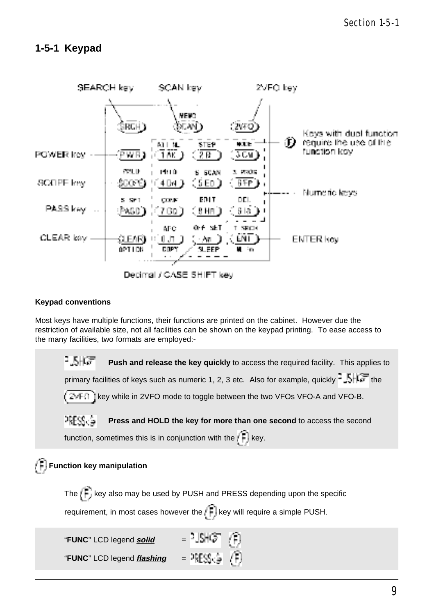#### **1-5-1 Keypad**



#### **Keypad conventions**

Most keys have multiple functions, their functions are printed on the cabinet. However due the restriction of available size, not all facilities can be shown on the keypad printing. To ease access to the many facilities, two formats are employed:-

: KHC≣ **Push and release the key quickly** to access the required facility. This applies to primary facilities of keys such as numeric 1, 2, 3 etc. Also for example, quickly  $\frac{1}{2}$ ,  $\frac{1}{2}$ , the  $k \in \mathbb{Z}$  if  $\mathbb{R}$  is they while in 2VFO mode to toggle between the two VFOs VFO-A and VFO-B. PRESS<sub>CR</sub> **Press and HOLD the key for more than one second** to access the second function, sometimes this is in conjunction with the  $k$  key.  **Function key manipulation** The  $\widehat{f}$  key also may be used by PUSH and PRESS depending upon the specific requirement, in most cases however the  $\mathbb{E}[\ker \mathbb{R}]$  key will require a simple PUSH. "**FUNC**" LCD legend **solid**  $=$   $\frac{1}{2}$  $\frac{1}{2}$  $\frac{1}{2}$ "**FUNC**" LCD legend *flashing* =  $\frac{1}{2}$   $\mathbb{E}[\mathcal{S}_1]$   $\mathbb{E}[\mathcal{S}_2]$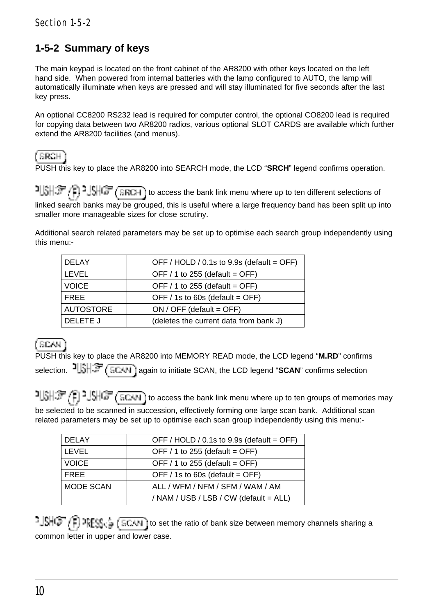## **1-5-2 Summary of keys**

The main keypad is located on the front cabinet of the AR8200 with other keys located on the left hand side. When powered from internal batteries with the lamp configured to AUTO, the lamp will automatically illuminate when keys are pressed and will stay illuminated for five seconds after the last key press.

An optional CC8200 RS232 lead is required for computer control, the optional CO8200 lead is required for copying data between two AR8200 radios, various optional SLOT CARDS are available which further extend the AR8200 facilities (and menus).

(SBCH)

PUSH this key to place the AR8200 into SEARCH mode, the LCD "**SRCH**" legend confirms operation.

to access the bank link menu where up to ten different selections of  $\mathbb{CP}(\mathbb{R}^n)$  and  $\mathbb{CP}(\mathbb{R}^n)$  to access the bank link menu where up to ten different selections of linked search banks may be grouped, this is useful where a large frequency band has been split up into smaller more manageable sizes for close scrutiny.

Additional search related parameters may be set up to optimise each search group independently using this menu:-

| <b>DELAY</b>     | OFF / HOLD / 0.1s to 9.9s (default = OFF) |
|------------------|-------------------------------------------|
| LEVEL            | OFF $/$ 1 to 255 (default = OFF)          |
| <b>VOICE</b>     | OFF $/ 1$ to 255 (default = OFF)          |
| <b>FRFF</b>      | OFF / 1s to 60s (default = OFF)           |
| <b>AUTOSTORE</b> | $ON / OFF$ (default = OFF)                |
| DELETE J         | (deletes the current data from bank J)    |

(BCAH)

PUSH this key to place the AR8200 into MEMORY READ mode, the LCD legend "**M.RD**" confirms selection. **JUSH 37** (SCAN) again to initiate SCAN, the LCD legend "SCAN" confirms selection

 $t\in [0,1]$   $\frac{1}{2}$   $\frac{1}{2}$   $\frac{1}{2}$   $\frac{1}{2}$   $\frac{1}{2}$   $\frac{1}{2}$   $\frac{1}{2}$   $\frac{1}{2}$   $\frac{1}{2}$  to access the bank link menu where up to ten groups of memories may be selected to be scanned in succession, effectively forming one large scan bank. Additional scan related parameters may be set up to optimise each scan group independently using this menu:-

| <b>DELAY</b> | OFF / HOLD / 0.1s to 9.9s (default = OFF) |
|--------------|-------------------------------------------|
| LEVEL        | OFF $/$ 1 to 255 (default = OFF)          |
| <b>VOICE</b> | OFF $/ 1$ to 255 (default = OFF)          |
| <b>FRFF</b>  | OFF / 1s to 60s (default = OFF)           |
| MODE SCAN    | ALL / WFM / NFM / SFM / WAM / AM          |
|              | / NAM / USB / LSB / CW (default = ALL)    |

 $-1$ SHC $^{-}$  (F)  $25$ FS<sub>1</sub>,  $\frac{1}{4}$  (ECUN) to set the ratio of bank size between memory channels sharing a common letter in upper and lower case.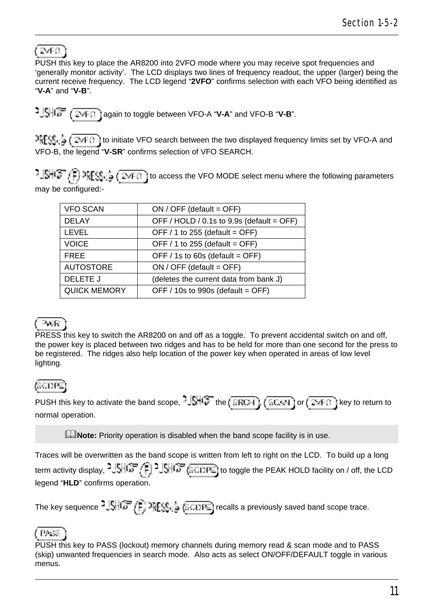## (2vF0)

PUSH this key to place the AR8200 into 2VFO mode where you may receive spot frequencies and 'generally monitor activity'. The LCD displays two lines of frequency readout, the upper (larger) being the current receive frequency. The LCD legend "**2VFO**" confirms selection with each VFO being identified as "**V-A**" and "**V-B**".

again to toggle between VFO-A "**V-A**" and VFO-B "**V-B**".

 $\frac{1}{2} \sum_{i=1}^{n} \sum_{i=1}^{n}$  to initiate VFO search between the two displayed frequency limits set by VFO-A and VFO-B, the legend "**V-SR**" confirms selection of VFO SEARCH.

 $t\cdot \frac{1}{2}$  or  $t\in \mathbb{R}$  and  $\frac{1}{2}$  ( $\frac{1}{2}$  access the VFO MODE select menu where the following parameters may be configured:-

| $ON / OFF$ (default = OFF)                |
|-------------------------------------------|
| OFF / HOLD / 0.1s to 9.9s (default = OFF) |
| OFF $/ 1$ to 255 (default = OFF)          |
| OFF $/ 1$ to 255 (default = OFF)          |
| OFF / 1s to 60s (default = OFF)           |
| ON / OFF (default = OFF)                  |
| (deletes the current data from bank J)    |
| OFF / 10s to 990s (default = OFF)         |
|                                           |

### PAR

PRESS this key to switch the AR8200 on and off as a toggle. To prevent accidental switch on and off, the power key is placed between two ridges and has to be held for more than one second for the press to be registered. The ridges also help location of the power key when operated in areas of low level lighting.

## (SCOFE)

PUSH this key to activate the band scope,  $-\frac{|k|}{\sqrt{2}}$  the  $(\overline{BRIH})$ ,  $(\overline{BRIH})$  or  $(\overline{Z*FI})$  key to return to normal operation.

**ENote:** Priority operation is disabled when the band scope facility is in use.

Traces will be overwritten as the band scope is written from left to right on the LCD. To build up a long term activity display,  $1\frac{1}{2}$ ,  $\frac{1}{2}$ ,  $\frac{1}{2}$ ,  $\frac{1}{2}$ ,  $\frac{1}{2}$ ,  $\frac{1}{2}$ ,  $\frac{1}{2}$ ,  $\frac{1}{2}$ ,  $\frac{1}{2}$ ,  $\frac{1}{2}$ , to toggle the PEAK HOLD facility on / off, the LCD legend "**HLD**" confirms operation.

The key sequence  $^2$  SHGF  $(F)$  art  $\mathbb{SE}$  (a CDFE) recalls a previously saved band scope trace.

#### (PAAS)

PUSH this key to PASS (lockout) memory channels during memory read & scan mode and to PASS (skip) unwanted frequencies in search mode. Also acts as select ON/OFF/DEFAULT toggle in various menus.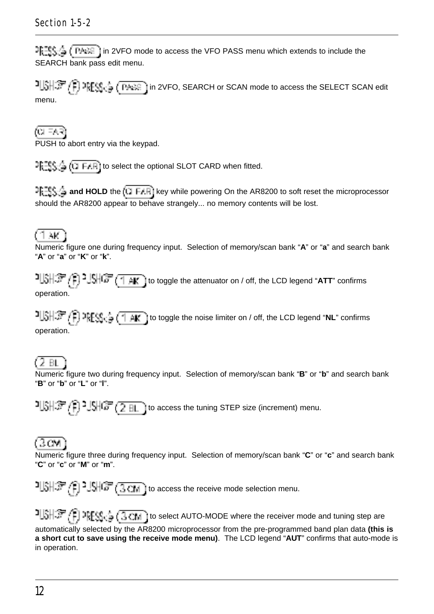#### Section 1-5-2

 $P_{k=1}^{max}$  ( $P_{k=1}^{max}$ ) in 2VFO mode to access the VFO PASS menu which extends to include the SEARCH bank pass edit menu.

**in 2VFO, SEARCH or SCAN mode to access the SELECT SCAN edit** menu.

টো দ্যান

PUSH to abort entry via the keypad.

 $T_t = \frac{1}{2}$  ( $T_t = \frac{1}{2}$ ) to select the optional SLOT CARD when fitted.

**and HOLD** the (TLEAR) key while powering On the AR8200 to soft reset the microprocessor should the AR8200 appear to behave strangely... no memory contents will be lost.

#### 1 AK 1

Numeric figure one during frequency input. Selection of memory/scan bank "**A**" or "**a**" and search bank "**A**" or "**a**" or "**K**" or "**k**".

<sup>1</sup> [3] <sup>2</sup> [4] <sup>2</sup> [4] <sup>2</sup> [4] <sup>2</sup> [4] <sup>1</sup> [4] (to toggle the attenuator on / off, the LCD legend "ATT" confirms operation.

 to toggle the noise limiter on / off, the LCD legend "**NL**" confirms operation.

#### 62 BL

Numeric figure two during frequency input. Selection of memory/scan bank "**B**" or "**b**" and search bank "**B**" or "**b**" or "**L**" or "**l**".

 $15\frac{1}{2}$  and  $15\frac{1}{2}$  and  $15\frac{1}{2}$  ito access the tuning STEP size (increment) menu.

### (BOM

Numeric figure three during frequency input. Selection of memory/scan bank "**C**" or "**c**" and search bank "**C**" or "**c**" or "**M**" or "**m**".

 $15\frac{1}{2}$  (1)  $15\frac{1}{2}$  (1)  $15\frac{1}{2}$  (1) to access the receive mode selection menu.

 $1.31\$   $1.37$  (1)  $2.33\%$  (10 select AUTO-MODE where the receiver mode and tuning step are automatically selected by the AR8200 microprocessor from the pre-programmed band plan data **(this is a short cut to save using the receive mode menu)**. The LCD legend "**AUT**" confirms that auto-mode is in operation.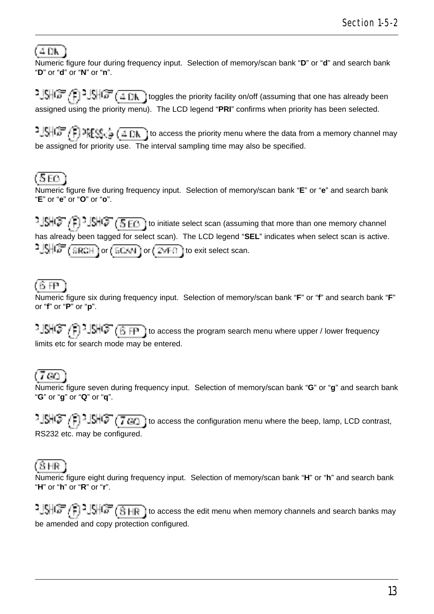## (4 DK)

Numeric figure four during frequency input. Selection of memory/scan bank "**D**" or "**d**" and search bank "**D**" or "**d**" or "**N**" or "**n**".

 $1.5 + 1.7 + 1.9 + 1.0 + 1.0 + 1.0$  toggles the priority facility on/off (assuming that one has already been assigned using the priority menu). The LCD legend "**PRI**" confirms when priority has been selected.

 $t^2$   $\frac{1}{2}$   $\frac{1}{2}$   $\frac{1}{2}$   $\frac{1}{2}$   $\frac{1}{2}$   $\frac{1}{2}$   $\frac{1}{2}$   $\frac{1}{2}$  to access the priority menu where the data from a memory channel may be assigned for priority use. The interval sampling time may also be specified.

# (5 EQ)

Numeric figure five during frequency input. Selection of memory/scan bank "**E**" or "**e**" and search bank "**E**" or "**e**" or "**O**" or "**o**".

 $t=$   $\frac{1}{2}$  in  $\frac{1}{2}$  in initiate select scan (assuming that more than one memory channel has already been tagged for select scan). The LCD legend "**SEL**" indicates when select scan is active.  $\frac{1.5}{2}$  (SRCH ) or  $(50.01)$  or  $(2.01)$  to exit select scan.

### 佰田

Numeric figure six during frequency input. Selection of memory/scan bank "**F**" or "**f**" and search bank "**F**" or "**f**" or "**P**" or "**p**".

 $t\cdot \frac{1}{2}$   $\frac{1}{2}$   $\frac{1}{2}$   $\frac{1}{2}$   $\frac{1}{2}$   $\frac{1}{2}$   $\frac{1}{2}$  to access the program search menu where upper / lower frequency limits etc for search mode may be entered.

### (7.GC)

Numeric figure seven during frequency input. Selection of memory/scan bank "**G**" or "**g**" and search bank "**G**" or "**g**" or "**Q**" or "**q**".

 $t\in [S\setminus F]$   $\exists$   $\exists$   $\exists$   $\exists$   $\forall$   $\exists$   $\exists$   $\exists$  to access the configuration menu where the beep, lamp, LCD contrast, RS232 etc. may be configured.

## (BHR)

Numeric figure eight during frequency input. Selection of memory/scan bank "**H**" or "**h**" and search bank "**H**" or "**h**" or "**R**" or "**r**".

 to access the edit menu when memory channels and search banks may be amended and copy protection configured.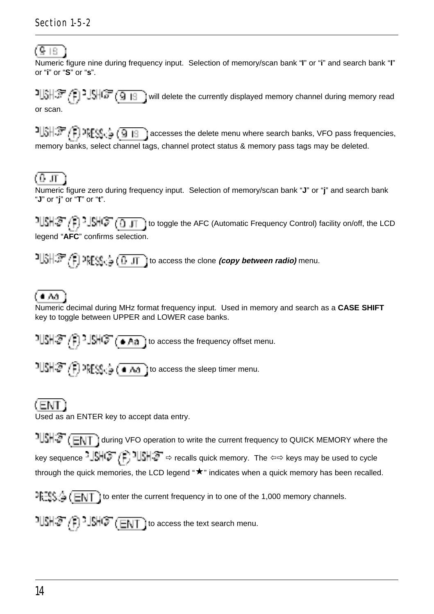## (9 IS)

Numeric figure nine during frequency input. Selection of memory/scan bank "**I**" or "**i**" and search bank "**I**" or "**i**" or "**S**" or "**s**".

 $\frac{1}{2} \left( \frac{1}{2} \right)^2 \left( \frac{1}{2} \right)^2 \left( \frac{1}{2} \right)^2 \left( \frac{1}{2} \right)^2 \left( \frac{1}{2} \right)^2 \left( \frac{1}{2} \right)^2 \left( \frac{1}{2} \right)^2 \left( \frac{1}{2} \right)^2 \left( \frac{1}{2} \right)^2 \left( \frac{1}{2} \right)^2 \left( \frac{1}{2} \right)^2 \left( \frac{1}{2} \right)^2 \left( \frac{1}{2} \right)^2 \left( \frac{1}{2} \right)^2 \left( \frac{1}{2} \right)^2 \left($ or scan.

**a**  $\frac{1}{2}$   $\frac{1}{2}$   $\frac{1}{2}$   $\frac{1}{2}$   $\frac{1}{2}$   $\frac{1}{3}$  accesses the delete menu where search banks, VFO pass frequencies, memory banks, select channel tags, channel protect status & memory pass tags may be deleted.

## (0 л

Numeric figure zero during frequency input. Selection of memory/scan bank "**J**" or "**j**" and search bank "**J**" or "**j**" or "**T**" or "**t**".

 $t\in T$  to toggle the AFC (Automatic Frequency Control) facility on/off, the LCD legend "**AFC**" confirms selection.

 $t\in \mathbb{R}$  if  $\mathbb{R}[\mathbb{S}_0]$  is  $\mathbb{R}[\mathbb{S}_0]$  of  $\mathbb{R}$  to access the clone *(copy between radio)* menu.

## í e Ani

Numeric decimal during MHz format frequency input. Used in memory and search as a **CASE SHIFT** key to toggle between UPPER and LOWER case banks.

 $1||S|| \mathcal{F}(\mathbb{F})$  -  $||S|| \mathcal{F}(\bullet Aa)$  to access the frequency offset menu.

 $1$ USH $3$ ,  $\binom{2}{1}$   $2$ RESS<sub>1</sub>,  $\frac{1}{3}$  ( $\bullet$  AA) to access the sleep timer menu.

# (ENT-

Used as an ENTER key to accept data entry.

**ILSHS** (ENT) during VFO operation to write the current frequency to QUICK MEMORY where the key sequence  $\frac{1}{2}$   $\frac{1}{2}$   $\frac{1}{2}$   $\frac{1}{2}$   $\frac{1}{2}$   $\frac{1}{2}$   $\Rightarrow$  recalls quick memory. The  $\Leftrightarrow$  keys may be used to cycle through the quick memories, the LCD legend " $\star$ " indicates when a quick memory has been recalled.

 $\exists \exists S \land (\blacksquare \blacksquare \top)$  to enter the current frequency in to one of the 1,000 memory channels.

 $1.31 \times 10^{-1}$ .  $1.31 \times 10^{-1}$  to access the text search menu.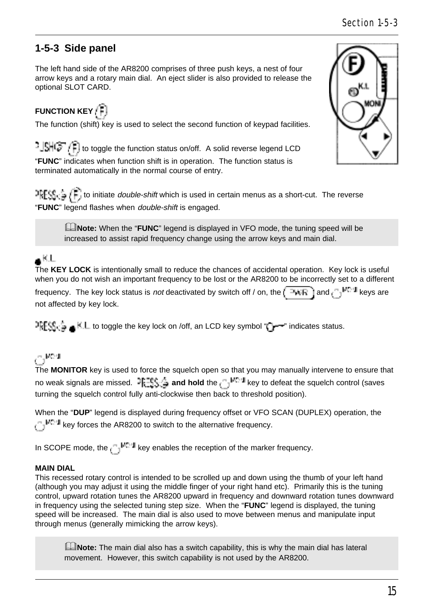# **1-5-3 Side panel**

The left hand side of the AR8200 comprises of three push keys, a nest of four arrow keys and a rotary main dial. An eject slider is also provided to release the optional SLOT CARD.

# **FUNCTION KEY**

The function (shift) key is used to select the second function of keypad facilities.

 $\frac{1}{2}$   $\frac{1}{2}$   $\frac{1}{2}$  to toggle the function status on/off. A solid reverse legend LCD "**FUNC**" indicates when function shift is in operation. The function status is terminated automatically in the normal course of entry.

 $\frac{1}{2} \sum_{i=1}^{n} \sum_{i=1}^{n}$  to initiate *double-shift* which is used in certain menus as a short-cut. The reverse "**FUNC**" legend flashes when double-shift is engaged.

**ENote:** When the "**FUNC**" legend is displayed in VFO mode, the tuning speed will be increased to assist rapid frequency change using the arrow keys and main dial.

# $\bullet$ KL

The **KEY LOCK** is intentionally small to reduce the chances of accidental operation. Key lock is useful when you do not wish an important frequency to be lost or the AR8200 to be incorrectly set to a different frequency. The key lock status is not deactivated by switch off / on, the  $\sqrt{4|R|}$  and  $\sqrt{2|R|}$  keys are not affected by key lock.

IFFSIC  $\triangleq$  K.L to toggle the key lock on /off, an LCD key symbol " " --" indicates status.

# $\sim$  MeV

The **MONITOR** key is used to force the squelch open so that you may manually intervene to ensure that no weak signals are missed. **JERES in and hold** the <sub>CD</sub><sup>MC-II</sup> key to defeat the squelch control (saves turning the squelch control fully anti-clockwise then back to threshold position).

When the "**DUP**" legend is displayed during frequency offset or VFO SCAN (DUPLEX) operation, the  $k_{\text{B}}$  $\sim$  key forces the AR8200 to switch to the alternative frequency.

In SCOPE mode, the  $\binom{n-1}{k}$  key enables the reception of the marker frequency.

#### **MAIN DIAL**

This recessed rotary control is intended to be scrolled up and down using the thumb of your left hand (although you may adjust it using the middle finger of your right hand etc). Primarily this is the tuning control, upward rotation tunes the AR8200 upward in frequency and downward rotation tunes downward in frequency using the selected tuning step size. When the "**FUNC**" legend is displayed, the tuning speed will be increased. The main dial is also used to move between menus and manipulate input through menus (generally mimicking the arrow keys).

**ENote:** The main dial also has a switch capability, this is why the main dial has lateral movement. However, this switch capability is not used by the AR8200.

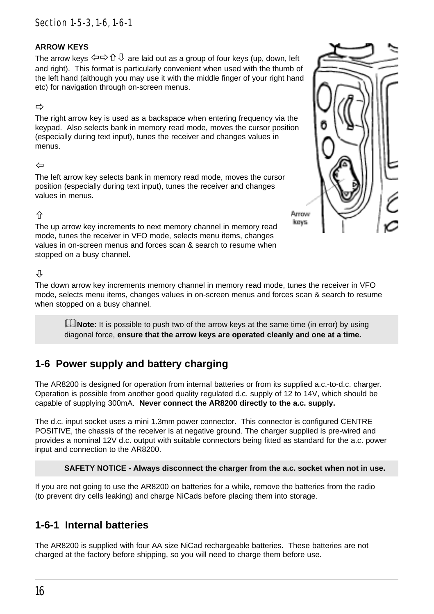#### **ARROW KEYS**

The arrow keys  $\Leftrightarrow$   $\oplus \Leftrightarrow \Leftrightarrow \Leftrightarrow \Leftrightarrow$  are laid out as a group of four keys (up, down, left and right). This format is particularly convenient when used with the thumb of the left hand (although you may use it with the middle finger of your right hand etc) for navigation through on-screen menus.

#### ð

The right arrow key is used as a backspace when entering frequency via the keypad. Also selects bank in memory read mode, moves the cursor position (especially during text input), tunes the receiver and changes values in menus.

#### $\leftarrow$

The left arrow key selects bank in memory read mode, moves the cursor position (especially during text input), tunes the receiver and changes values in menus.

#### $\hat{r}$

The up arrow key increments to next memory channel in memory read mode, tunes the receiver in VFO mode, selects menu items, changes values in on-screen menus and forces scan & search to resume when stopped on a busy channel.

#### Л,

The down arrow key increments memory channel in memory read mode, tunes the receiver in VFO mode, selects menu items, changes values in on-screen menus and forces scan & search to resume when stopped on a busy channel.

**ENote:** It is possible to push two of the arrow keys at the same time (in error) by using diagonal force, **ensure that the arrow keys are operated cleanly and one at a time.**

## **1-6 Power supply and battery charging**

The AR8200 is designed for operation from internal batteries or from its supplied a.c.-to-d.c. charger. Operation is possible from another good quality regulated d.c. supply of 12 to 14V, which should be capable of supplying 300mA. **Never connect the AR8200 directly to the a.c. supply.**

The d.c. input socket uses a mini 1.3mm power connector. This connector is configured CENTRE POSITIVE, the chassis of the receiver is at negative ground. The charger supplied is pre-wired and provides a nominal 12V d.c. output with suitable connectors being fitted as standard for the a.c. power input and connection to the AR8200.

**SAFETY NOTICE - Always disconnect the charger from the a.c. socket when not in use.**

If you are not going to use the AR8200 on batteries for a while, remove the batteries from the radio (to prevent dry cells leaking) and charge NiCads before placing them into storage.

### **1-6-1 Internal batteries**

The AR8200 is supplied with four AA size NiCad rechargeable batteries. These batteries are not charged at the factory before shipping, so you will need to charge them before use.

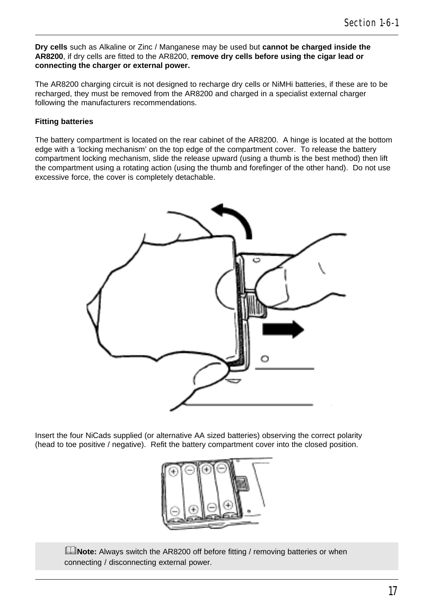**Dry cells** such as Alkaline or Zinc / Manganese may be used but **cannot be charged inside the AR8200**, if dry cells are fitted to the AR8200, **remove dry cells before using the cigar lead or connecting the charger or external power.**

The AR8200 charging circuit is not designed to recharge dry cells or NiMHi batteries, if these are to be recharged, they must be removed from the AR8200 and charged in a specialist external charger following the manufacturers recommendations.

#### **Fitting batteries**

The battery compartment is located on the rear cabinet of the AR8200. A hinge is located at the bottom edge with a 'locking mechanism' on the top edge of the compartment cover. To release the battery compartment locking mechanism, slide the release upward (using a thumb is the best method) then lift the compartment using a rotating action (using the thumb and forefinger of the other hand). Do not use excessive force, the cover is completely detachable.



Insert the four NiCads supplied (or alternative AA sized batteries) observing the correct polarity (head to toe positive / negative). Refit the battery compartment cover into the closed position.



**ENote:** Always switch the AR8200 off before fitting / removing batteries or when connecting / disconnecting external power.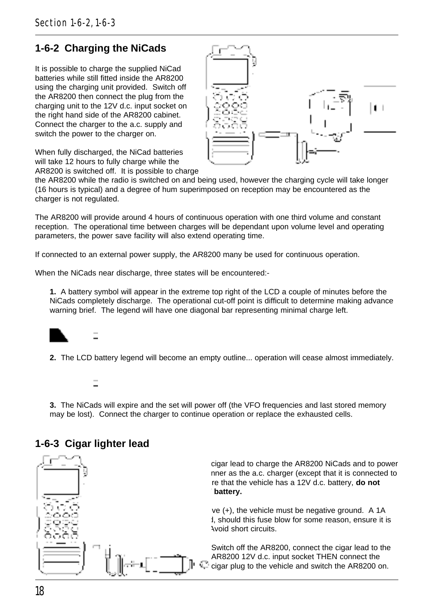### **1-6-2 Charging the NiCads**

It is possible to charge the supplied NiCad batteries while still fitted inside the AR8200 using the charging unit provided. Switch off the AR8200 then connect the plug from the charging unit to the 12V d.c. input socket on the right hand side of the AR8200 cabinet. Connect the charger to the a.c. supply and switch the power to the charger on.

When fully discharged, the NiCad batteries will take 12 hours to fully charge while the AR8200 is switched off. It is possible to charge



the AR8200 while the radio is switched on and being used, however the charging cycle will take longer (16 hours is typical) and a degree of hum superimposed on reception may be encountered as the charger is not regulated.

The AR8200 will provide around 4 hours of continuous operation with one third volume and constant reception. The operational time between charges will be dependant upon volume level and operating parameters, the power save facility will also extend operating time.

If connected to an external power supply, the AR8200 many be used for continuous operation.

When the NiCads near discharge, three states will be encountered:-

**1.** A battery symbol will appear in the extreme top right of the LCD a couple of minutes before the NiCads completely discharge. The operational cut-off point is difficult to determine making advance warning brief. The legend will have one diagonal bar representing minimal charge left.



**2.** The LCD battery legend will become an empty outline... operation will cease almost immediately.

**3.** The NiCads will expire and the set will power off (the VFO frequencies and last stored memory may be lost). Connect the charger to continue operation or replace the exhausted cells.

#### **1-6-3 Cigar lighter lead**



cigar lead to charge the AR8200 NiCads and to power nner as the a.c. charger (except that it is connected to re that the vehicle has a 12V d.c. battery, **do not** battery.

 $ve (+)$ , the vehicle must be negative ground. A 1A I, should this fuse blow for some reason, ensure it is replaced with the correct type. Avoid short circuits.

Switch off the AR8200, connect the cigar lead to the AR8200 12V d.c. input socket THEN connect the cigar plug to the vehicle and switch the AR8200 on.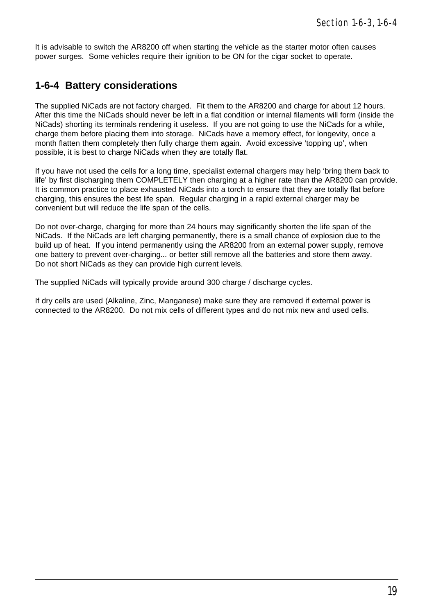It is advisable to switch the AR8200 off when starting the vehicle as the starter motor often causes power surges. Some vehicles require their ignition to be ON for the cigar socket to operate.

### **1-6-4 Battery considerations**

The supplied NiCads are not factory charged. Fit them to the AR8200 and charge for about 12 hours. After this time the NiCads should never be left in a flat condition or internal filaments will form (inside the NiCads) shorting its terminals rendering it useless. If you are not going to use the NiCads for a while, charge them before placing them into storage. NiCads have a memory effect, for longevity, once a month flatten them completely then fully charge them again. Avoid excessive 'topping up', when possible, it is best to charge NiCads when they are totally flat.

If you have not used the cells for a long time, specialist external chargers may help 'bring them back to life' by first discharging them COMPLETELY then charging at a higher rate than the AR8200 can provide. It is common practice to place exhausted NiCads into a torch to ensure that they are totally flat before charging, this ensures the best life span. Regular charging in a rapid external charger may be convenient but will reduce the life span of the cells.

Do not over-charge, charging for more than 24 hours may significantly shorten the life span of the NiCads. If the NiCads are left charging permanently, there is a small chance of explosion due to the build up of heat. If you intend permanently using the AR8200 from an external power supply, remove one battery to prevent over-charging... or better still remove all the batteries and store them away. Do not short NiCads as they can provide high current levels.

The supplied NiCads will typically provide around 300 charge / discharge cycles.

If dry cells are used (Alkaline, Zinc, Manganese) make sure they are removed if external power is connected to the AR8200. Do not mix cells of different types and do not mix new and used cells.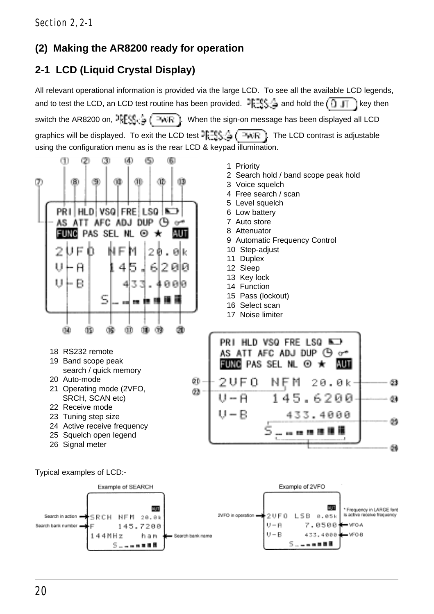## **(2) Making the AR8200 ready for operation**

# **2-1 LCD (Liquid Crystal Display)**

All relevant operational information is provided via the large LCD. To see all the available LCD legends, and to test the LCD, an LCD test routine has been provided.  $\exists k = 0$  and hold the  $\Box \Box \Box$  key then switch the AR8200 on,  $\frac{1}{2}$   $\left(\frac{1}{2} + \frac{1}{2} + \frac{1}{2} + \frac{1}{2} + \frac{1}{2} + \frac{1}{2} + \frac{1}{2} + \frac{1}{2} + \frac{1}{2} + \frac{1}{2} + \frac{1}{2} + \frac{1}{2} + \frac{1}{2} + \frac{1}{2} + \frac{1}{2} + \frac{1}{2} + \frac{1}{2} + \frac{1}{2} + \frac{1}{2} + \frac{1}{2} + \frac{1}{2} + \frac{1}{2} + \frac{1}{2} + \frac$ graphics will be displayed. To exit the LCD test  $\frac{1}{2}$ ,  $\frac{1}{2}$ ,  $\frac{1}{2}$ ,  $\frac{1}{2}$ , The LCD contrast is adjustable using the configuration menu as is the rear LCD & keypad illumination.

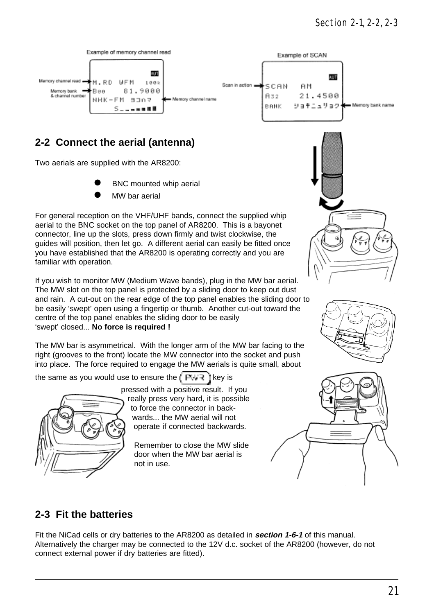

## **2-2 Connect the aerial (antenna)**

Two aerials are supplied with the AR8200:

- BNC mounted whip aerial
- MW har aerial

For general reception on the VHF/UHF bands, connect the supplied whip aerial to the BNC socket on the top panel of AR8200. This is a bayonet connector, line up the slots, press down firmly and twist clockwise, the guides will position, then let go. A different aerial can easily be fitted once you have established that the AR8200 is operating correctly and you are familiar with operation.

If you wish to monitor MW (Medium Wave bands), plug in the MW bar aerial. The MW slot on the top panel is protected by a sliding door to keep out dust and rain. A cut-out on the rear edge of the top panel enables the sliding door to be easily 'swept' open using a fingertip or thumb. Another cut-out toward the centre of the top panel enables the sliding door to be easily 'swept' closed... **No force is required !**

The MW bar is asymmetrical. With the longer arm of the MW bar facing to the right (grooves to the front) locate the MW connector into the socket and push into place. The force required to engage the MW aerials is quite small, about

the same as you would use to ensure the  $k \in \mathbb{R}$  if  $\bar{x}$  is



pressed with a positive result. If you really press very hard, it is possible to force the connector in backwards... the MW aerial will not operate if connected backwards.

> Remember to close the MW slide door when the MW bar aerial is not in use.







### **2-3 Fit the batteries**

Fit the NiCad cells or dry batteries to the AR8200 as detailed in **section 1-6-1** of this manual. Alternatively the charger may be connected to the 12V d.c. socket of the AR8200 (however, do not connect external power if dry batteries are fitted).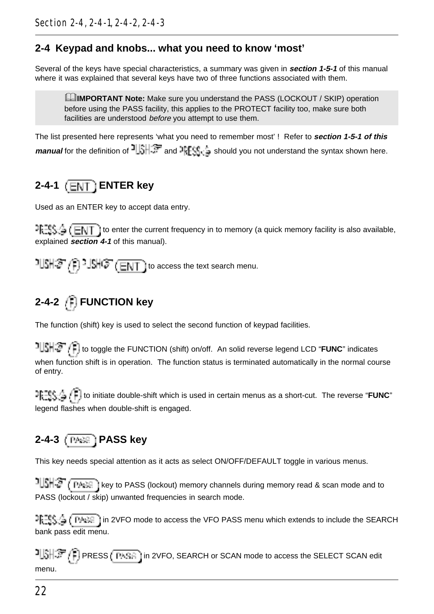## **2-4 Keypad and knobs... what you need to know 'most'**

Several of the keys have special characteristics, a summary was given in **section 1-5-1** of this manual where it was explained that several keys have two of three functions associated with them.

**ExamPORTANT Note:** Make sure you understand the PASS (LOCKOUT / SKIP) operation before using the PASS facility, this applies to the PROTECT facility too, make sure both facilities are understood before you attempt to use them.

The list presented here represents 'what you need to remember most' ! Refer to **section 1-5-1 of this** manual for the definition of  $\frac{1}{2}$  and  $\frac{1}{2}$  and  $\frac{1}{2}$  should you not understand the syntax shown here.

# **2-4-1 ENTER key**

Used as an ENTER key to accept data entry.

 $T_{\text{t}}$   $T_{\text{t}}$   $\leq$   $\leq$   $\leq$   $\sim$  T ito enter the current frequency in to memory (a quick memory facility is also available, explained **section 4-1** of this manual).

 $15 + 27$ .  $15 + 37$  (ENT) to access the text search menu.

# **2-4-2 FUNCTION key**

The function (shift) key is used to select the second function of keypad facilities.

 to toggle the FUNCTION (shift) on/off. An solid reverse legend LCD "**FUNC**" indicates when function shift is in operation. The function status is terminated automatically in the normal course of entry.

 to initiate double-shift which is used in certain menus as a short-cut. The reverse "**FUNC**" legend flashes when double-shift is engaged.

# **2-4-3 PASS key**

This key needs special attention as it acts as select ON/OFF/DEFAULT toggle in various menus.

**ILSHS (TARE)** key to PASS (lockout) memory channels during memory read & scan mode and to PASS (lockout / skip) unwanted frequencies in search mode.

마記59章 ( PAAS 1in 2VFO mode to access the VFO PASS menu which extends to include the SEARCH bank pass edit menu.

PISH FIGHT (PRESS (PASS in 2VFO, SEARCH or SCAN mode to access the SELECT SCAN edit menu.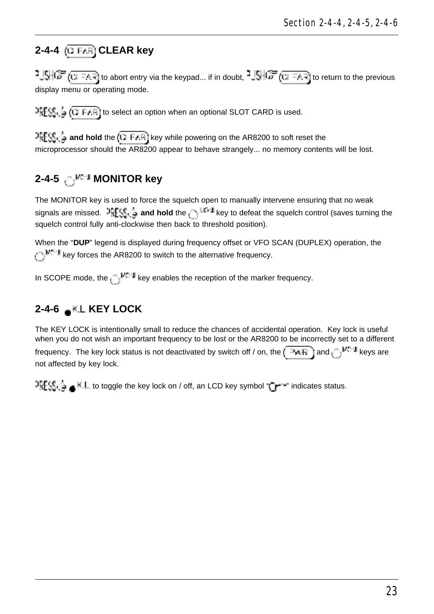# **2-4-4 CLEAR key**

 $-1.5$   $\sqrt{10}$  (  $\sqrt{10}$  = A.R) to abort entry via the keypad... if in doubt,  $-1.5$   $\sqrt{10}$  (  $\sqrt{10}$  = A.R) to return to the previous display menu or operating mode.

 $R_{\text{max}}^{\text{max}}$  (1 FAR) to select an option when an optional SLOT CARD is used.

**and hold** the (CLEAR) key while powering on the AR8200 to soft reset the microprocessor should the AR8200 appear to behave strangely... no memory contents will be lost.

# 2-4-5 .<sup>1</sup> MONITOR kev

The MONITOR key is used to force the squelch open to manually intervene ensuring that no weak signals are missed. **and hold** the  $\frac{1}{k}$  the key to defeat the squelch control (saves turning the squelch control fully anti-clockwise then back to threshold position).

When the "**DUP**" legend is displayed during frequency offset or VFO SCAN (DUPLEX) operation, the key forces the AR8200 to switch to the alternative frequency.

In SCOPE mode, the  $k_{\text{e}}$ <sup>e</sup>  $\mathbb{H}^{n+1}$  key enables the reception of the marker frequency.

# **2-4-6 KIL KEY LOCK**

The KEY LOCK is intentionally small to reduce the chances of accidental operation. Key lock is useful when you do not wish an important frequency to be lost or the AR8200 to be incorrectly set to a different frequency. The key lock status is not deactivated by switch off / on, the  $\sqrt{24kR}$  and  $\sqrt{16M}$  keys are not affected by key lock.

 $\frac{1}{2}$ FSi<sub>1</sub>  $\frac{1}{2}$  and  $\frac{1}{2}$  to toggle the key lock on / off, an LCD key symbol "  $\frac{1}{2}$   $\frac{1}{2}$ " indicates status.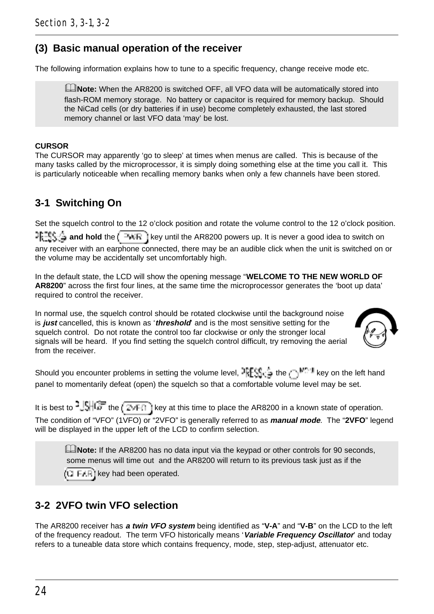## **(3) Basic manual operation of the receiver**

The following information explains how to tune to a specific frequency, change receive mode etc.

**ENote:** When the AR8200 is switched OFF, all VFO data will be automatically stored into flash-ROM memory storage. No battery or capacitor is required for memory backup. Should the NiCad cells (or dry batteries if in use) become completely exhausted, the last stored memory channel or last VFO data 'may' be lost.

#### **CURSOR**

The CURSOR may apparently 'go to sleep' at times when menus are called. This is because of the many tasks called by the microprocessor, it is simply doing something else at the time you call it. This is particularly noticeable when recalling memory banks when only a few channels have been stored.

### **3-1 Switching On**

Set the squelch control to the 12 o'clock position and rotate the volume control to the 12 o'clock position. **and hold** the  $\sqrt{4\pi R}$  is key until the AR8200 powers up. It is never a good idea to switch on any receiver with an earphone connected, there may be an audible click when the unit is switched on or the volume may be accidentally set uncomfortably high.

In the default state, the LCD will show the opening message "**WELCOME TO THE NEW WORLD OF AR8200**" across the first four lines, at the same time the microprocessor generates the 'boot up data' required to control the receiver.

In normal use, the squelch control should be rotated clockwise until the background noise is **just** cancelled, this is known as '**threshold**' and is the most sensitive setting for the squelch control. Do not rotate the control too far clockwise or only the stronger local signals will be heard. If you find setting the squelch control difficult, try removing the aerial from the receiver.



Should you encounter problems in setting the volume level,  $\frac{1}{2} \mathbb{E} \mathcal{S}_{\text{tr}}$  the  $\mathcal{S}_{\text{tr}}$  the  $\mathcal{S}_{\text{tr}}$  is the left hand panel to momentarily defeat (open) the squelch so that a comfortable volume level may be set.

It is best to  $\frac{1}{2}$ ,  $\frac{1}{2}$  the  $\frac{1}{2}$  the  $\frac{1}{2}$  key at this time to place the AR8200 in a known state of operation. The condition of "VFO" (1VFO) or "2VFO" is generally referred to as **manual mode**. The "**2VFO**" legend will be displayed in the upper left of the LCD to confirm selection.

**INote:** If the AR8200 has no data input via the keypad or other controls for 90 seconds, some menus will time out and the AR8200 will return to its previous task just as if the  $k = F + \overline{F}$  key had been operated.

# **3-2 2VFO twin VFO selection**

The AR8200 receiver has **a twin VFO system** being identified as "**V-A**" and "**V-B**" on the LCD to the left of the frequency readout. The term VFO historically means '**Variable Frequency Oscillator**' and today refers to a tuneable data store which contains frequency, mode, step, step-adjust, attenuator etc.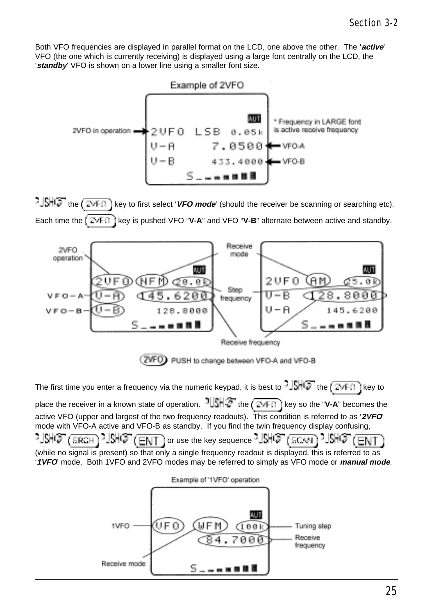Both VFO frequencies are displayed in parallel format on the LCD, one above the other. The '**active**' VFO (the one which is currently receiving) is displayed using a large font centrally on the LCD, the '**standby**' VFO is shown on a lower line using a smaller font size.



**the key to first select 'VFO mode'** (should the receiver be scanning or searching etc). Each time the  $\left(\mathbb{Z} \star \mathbb{F} \right)$  is pushed VFO "**V-A**" and VFO "**V-B**" alternate between active and standby.



2VFO) PUSH to change between VFO-A and VFO-B

The first time you enter a frequency via the numeric keypad, it is best to the key to place the receiver in a known state of operation.  $1||\xi||\xi$  the  $\sqrt{2\sqrt{F}}$  i key so the "**V-A**" becomes the active VFO (upper and largest of the two frequency readouts). This condition is referred to as '**2VFO**' mode with VFO-A active and VFO-B as standby. If you find the twin frequency display confusing, 경예여 $(\overline{\text{gen}})$ PUSHG" (ENT) or use the key sequence PUSHG" (ECUN) PUSHG" (ENT (while no signal is present) so that only a single frequency readout is displayed, this is referred to as '**1VFO**' mode. Both 1VFO and 2VFO modes may be referred to simply as VFO mode or **manual mode**.

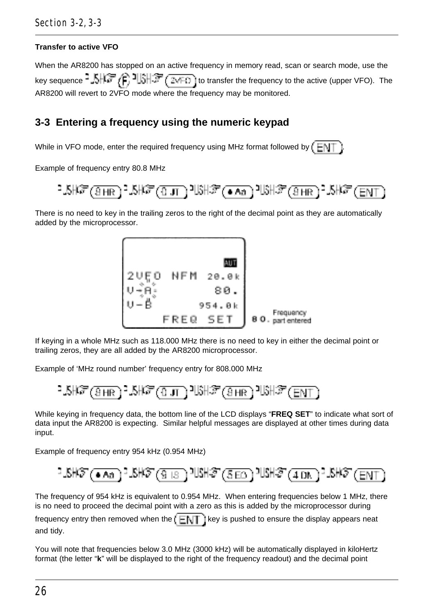#### **Transfer to active VFO**

When the AR8200 has stopped on an active frequency in memory read, scan or search mode, use the key sequence  $\frac{1}{2}$   $\frac{1}{2}$   $\frac{1}{2}$   $\frac{1}{2}$   $\frac{1}{2}$   $\frac{1}{2}$   $\frac{1}{2}$   $\frac{1}{2}$  to transfer the frequency to the active (upper VFO). The AR8200 will revert to 2VFO mode where the frequency may be monitored.

### **3-3 Entering a frequency using the numeric keypad**

While in VFO mode, enter the required frequency using MHz format followed by  $E[N]$ 

Example of frequency entry 80.8 MHz



There is no need to key in the trailing zeros to the right of the decimal point as they are automatically added by the microprocessor.



If keying in a whole MHz such as 118.000 MHz there is no need to key in either the decimal point or trailing zeros, they are all added by the AR8200 microprocessor.

Example of 'MHz round number' frequency entry for 808.000 MHz

While keying in frequency data, the bottom line of the LCD displays "**FREQ SET**" to indicate what sort of data input the AR8200 is expecting. Similar helpful messages are displayed at other times during data input.

Example of frequency entry 954 kHz (0.954 MHz)

$$
1.5\text{H}\text{F} \text{ (A)} \text{ (A)} \text{ (B)} \text{ (B)} \text{ (C)} \text{ (C)} \text{ (D)} \text{ (D)} \text{ (E)} \text{ (E)} \text{ (E)} \text{ (E)} \text{ (E)} \text{ (E)} \text{ (E)} \text{ (E)} \text{ (E)} \text{ (E)} \text{ (E)} \text{ (E)} \text{ (E)} \text{ (E)} \text{ (E)} \text{ (E)} \text{ (E)} \text{ (E)} \text{ (E)} \text{ (E)} \text{ (E)} \text{ (E)} \text{ (E)} \text{ (E)} \text{ (E)} \text{ (E)} \text{ (E)} \text{ (E)} \text{ (E)} \text{ (E)} \text{ (E)} \text{ (E)} \text{ (E)} \text{ (E)} \text{ (E)} \text{ (E)} \text{ (E)} \text{ (E)} \text{ (E)} \text{ (E)} \text{ (E)} \text{ (E)} \text{ (E)} \text{ (E)} \text{ (E)} \text{ (E)} \text{ (E)} \text{ (E)} \text{ (E)} \text{ (E)} \text{ (E)} \text{ (E)} \text{ (E)} \text{ (E)} \text{ (E)} \text{ (E)} \text{ (E)} \text{ (E)} \text{ (E)} \text{ (E)} \text{ (E)} \text{ (E)} \text{ (E)} \text{ (E)} \text{ (E)} \text{ (E)} \text{ (E)} \text{ (E)} \text{ (E)} \text{ (E)} \text{ (E)} \text{ (E)} \text{ (E)} \text{ (E)} \text{ (E)} \text{ (E)} \text{ (E)} \text{ (E)} \text{ (E)} \text{ (E)} \text{ (E)} \text{ (E)} \text{ (E)} \text{ (E)} \text{ (E)} \text{ (E)} \text{ (E)} \text{ (E)} \text{ (E)} \text{ (E)} \text{ (E)} \text{ (E)} \text{ (E)} \text{ (E)} \text{ (E)} \text{ (E)} \text{ (E)} \text{ (E)} \text{ (E)} \text{ (E)} \text{ (E)} \text{ (E)} \text{ (E)} \text{ (E)} \text{ (E)} \text{ (E)} \text{ (E)} \text{ (E)} \text{ (E)} \text{ (E)} \text{ (E)} \text{ (E)} \text{ (E)} \text{ (E)} \text{ (E)} \text{ (E)} \text{
$$

The frequency of 954 kHz is equivalent to 0.954 MHz. When entering frequencies below 1 MHz, there is no need to proceed the decimal point with a zero as this is added by the microprocessor during

frequency entry then removed when the  $\left(\begin{array}{c|c}F & F\end{array}\right)$  is pushed to ensure the display appears neat and tidy.

You will note that frequencies below 3.0 MHz (3000 kHz) will be automatically displayed in kiloHertz format (the letter "**k**" will be displayed to the right of the frequency readout) and the decimal point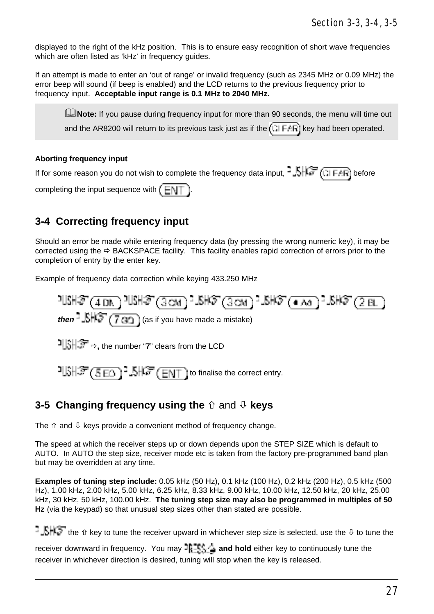displayed to the right of the kHz position. This is to ensure easy recognition of short wave frequencies which are often listed as 'kHz' in frequency quides.

If an attempt is made to enter an 'out of range' or invalid frequency (such as 2345 MHz or 0.09 MHz) the error beep will sound (if beep is enabled) and the LCD returns to the previous frequency prior to frequency input. **Acceptable input range is 0.1 MHz to 2040 MHz.**

**ENote:** If you pause during frequency input for more than 90 seconds, the menu will time out and the AR8200 will return to its previous task just as if the  $\sqrt{1 + AF}$  key had been operated.

#### **Aborting frequency input**

If for some reason you do not wish to complete the frequency data input,  $\frac{1}{2}$ ,  $\frac{1}{2}$ ,  $\frac{1}{2}$ ,  $\frac{1}{2}$ ,  $\frac{1}{2}$ ,  $\frac{1}{2}$ ,  $\frac{1}{2}$ ,  $\frac{1}{2}$ ,  $\frac{1}{2}$  before

completing the input sequence with  $\left(\begin{array}{c} 1 \\ -1 \end{array}\right)$ 

## **3-4 Correcting frequency input**

Should an error be made while entering frequency data (by pressing the wrong numeric key), it may be corrected using the  $\Rightarrow$  BACKSPACE facility. This facility enables rapid correction of errors prior to the completion of entry by the enter key.

Example of frequency data correction while keying 433.250 MHz



 $1.31\$   $\frac{1}{2}$  ( $\frac{1}{2}$   $\frac{1}{2}$ ,  $\frac{1}{2}$ ,  $\frac{1}{2}$ ,  $\frac{1}{2}$   $\frac{1}{2}$   $\frac{1}{2}$   $\frac{1}{2}$  to finalise the correct entry.

### **3-5 Changing frequency using the**  $\hat{v}$  **and**  $\theta$  **keys**

The  $\hat{v}$  and  $\hat{\psi}$  keys provide a convenient method of frequency change.

The speed at which the receiver steps up or down depends upon the STEP SIZE which is default to AUTO. In AUTO the step size, receiver mode etc is taken from the factory pre-programmed band plan but may be overridden at any time.

**Examples of tuning step include:** 0.05 kHz (50 Hz), 0.1 kHz (100 Hz), 0.2 kHz (200 Hz), 0.5 kHz (500 Hz), 1.00 kHz, 2.00 kHz, 5.00 kHz, 6.25 kHz, 8.33 kHz, 9.00 kHz, 10.00 kHz, 12.50 kHz, 20 kHz, 25.00 kHz, 30 kHz, 50 kHz, 100.00 kHz. **The tuning step size may also be programmed in multiples of 50 Hz** (via the keypad) so that unusual step sizes other than stated are possible.

 $\frac{1}{2}$ .  $\frac{1}{2}$  the  $\hat{n}$  key to tune the receiver upward in whichever step size is selected, use the  $\theta$  to tune the

receiver downward in frequency. You may **and hold** either key to continuously tune the receiver in whichever direction is desired, tuning will stop when the key is released.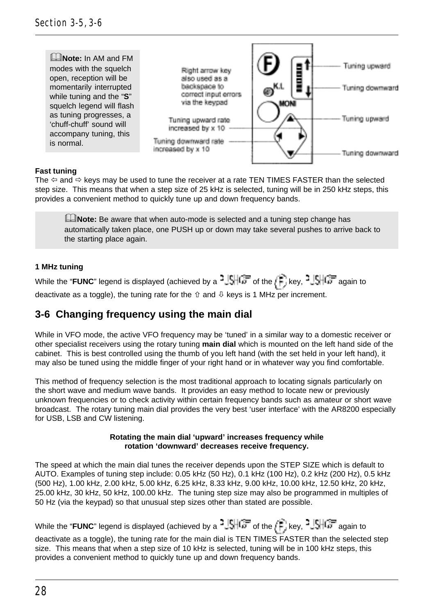

#### **Fast tuning**

The  $\Leftrightarrow$  and  $\Leftrightarrow$  keys may be used to tune the receiver at a rate TEN TIMES FASTER than the selected step size. This means that when a step size of 25 kHz is selected, tuning will be in 250 kHz steps, this provides a convenient method to quickly tune up and down frequency bands.

**ENote:** Be aware that when auto-mode is selected and a tuning step change has automatically taken place, one PUSH up or down may take several pushes to arrive back to the starting place again.

#### **1 MHz tuning**

While the "**FUNC**" legend is displayed (achieved by a  $\frac{3}{2}$ SHC<sub>0</sub> of the  $\frac{1}{2}$ , key,  $\frac{3}{2}$ SHC<sub>0</sub> again to deactivate as a toggle), the tuning rate for the  $\hat{v}$  and  $\hat{v}$  keys is 1 MHz per increment.

### **3-6 Changing frequency using the main dial**

While in VFO mode, the active VFO frequency may be 'tuned' in a similar way to a domestic receiver or other specialist receivers using the rotary tuning **main dial** which is mounted on the left hand side of the cabinet. This is best controlled using the thumb of you left hand (with the set held in your left hand), it may also be tuned using the middle finger of your right hand or in whatever way you find comfortable.

This method of frequency selection is the most traditional approach to locating signals particularly on the short wave and medium wave bands. It provides an easy method to locate new or previously unknown frequencies or to check activity within certain frequency bands such as amateur or short wave broadcast. The rotary tuning main dial provides the very best 'user interface' with the AR8200 especially for USB, LSB and CW listening.

#### **Rotating the main dial 'upward' increases frequency while rotation 'downward' decreases receive frequency.**

The speed at which the main dial tunes the receiver depends upon the STEP SIZE which is default to AUTO. Examples of tuning step include: 0.05 kHz (50 Hz), 0.1 kHz (100 Hz), 0.2 kHz (200 Hz), 0.5 kHz (500 Hz), 1.00 kHz, 2.00 kHz, 5.00 kHz, 6.25 kHz, 8.33 kHz, 9.00 kHz, 10.00 kHz, 12.50 kHz, 20 kHz, 25.00 kHz, 30 kHz, 50 kHz, 100.00 kHz. The tuning step size may also be programmed in multiples of 50 Hz (via the keypad) so that unusual step sizes other than stated are possible.

While the "**FUNC**" legend is displayed (achieved by a  $\frac{3}{2}$ ,  $\frac{1}{2}$ , of the  $\frac{1}{2}$ , key,  $\frac{3}{2}$ ,  $\frac{1}{2}$ , again to deactivate as a toggle), the tuning rate for the main dial is TEN TIMES FASTER than the selected step size. This means that when a step size of 10 kHz is selected, tuning will be in 100 kHz steps, this provides a convenient method to quickly tune up and down frequency bands.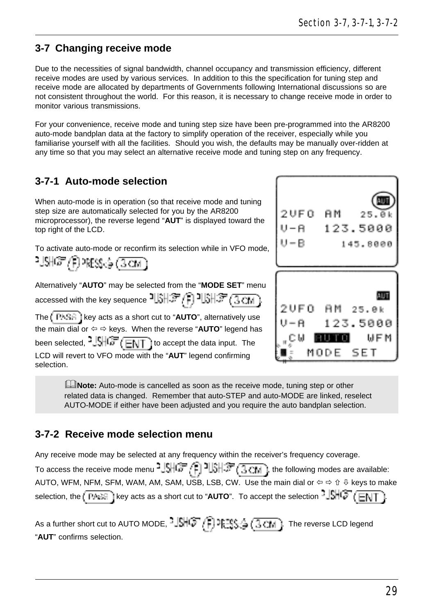### **3-7 Changing receive mode**

Due to the necessities of signal bandwidth, channel occupancy and transmission efficiency, different receive modes are used by various services. In addition to this the specification for tuning step and receive mode are allocated by departments of Governments following International discussions so are not consistent throughout the world. For this reason, it is necessary to change receive mode in order to monitor various transmissions.

For your convenience, receive mode and tuning step size have been pre-programmed into the AR8200 auto-mode bandplan data at the factory to simplify operation of the receiver, especially while you familiarise yourself with all the facilities. Should you wish, the defaults may be manually over-ridden at any time so that you may select an alternative receive mode and tuning step on any frequency.

### **3-7-1 Auto-mode selection**

When auto-mode is in operation (so that receive mode and tuning step size are automatically selected for you by the AR8200 microprocessor), the reverse legend "**AUT**" is displayed toward the top right of the LCD.

To activate auto-mode or reconfirm its selection while in VFO mode,

रांअ*पि ।* शिक्षु≾ु (उटात

Alternatively "**AUTO**" may be selected from the "**MODE SET**" menu accessed with the key sequence  $\exists \text{[SII]} \mathcal{F} \setminus \exists \text{[SII]}$ The  $\sqrt{P^k + R}$  i key acts as a short cut to "AUTO", alternatively use the main dial or  $\Leftrightarrow$   $\Leftrightarrow$  keys. When the reverse "AUTO" legend has been selected,  $\frac{1}{2}$ ,  $\frac{1}{2}$ ,  $\frac{1}{2}$   $\frac{1}{2}$  to accept the data input. The LCD will revert to VFO mode with the "**AUT**" legend confirming selection.



**ENote:** Auto-mode is cancelled as soon as the receive mode, tuning step or other related data is changed. Remember that auto-STEP and auto-MODE are linked, reselect AUTO-MODE if either have been adjusted and you require the auto bandplan selection.

### **3-7-2 Receive mode selection menu**

Any receive mode may be selected at any frequency within the receiver's frequency coverage.

To access the receive mode menu  $^3$   $\frac{1}{2}$   $\frac{1}{2}$   $\frac{1}{2}$   $\frac{1}{2}$   $\frac{1}{2}$  ( $\frac{1}{3}$   $\frac{1}{4}$ ), the following modes are available: AUTO, WFM, NFM, SFM, WAM, AM, SAM, USB, LSB, CW. Use the main dial or  $\Leftrightarrow \Leftrightarrow \Uparrow \Downarrow$  keys to make selection, the  $(\overline{PA} \otimes \overline{B})$  key acts as a short cut to "AUTO". To accept the selection  $\triangleq \overline{SH}$  ( $\overline{EN}$ )

As a further short cut to AUTO MODE,  $\frac{1}{2}$ ,  $\frac{1}{2}$ ,  $\frac{1}{2}$ ,  $\frac{1}{2}$ ,  $\frac{1}{2}$ ,  $\frac{1}{2}$ , The reverse LCD legend "**AUT**" confirms selection.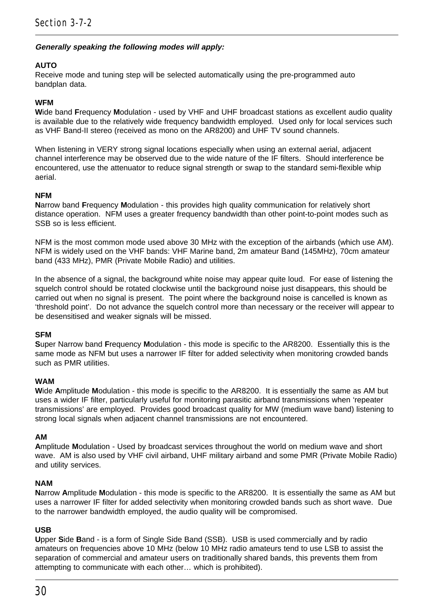#### **Generally speaking the following modes will apply:**

#### **AUTO**

Receive mode and tuning step will be selected automatically using the pre-programmed auto bandplan data.

#### **WFM**

**W**ide band **F**requency **M**odulation - used by VHF and UHF broadcast stations as excellent audio quality is available due to the relatively wide frequency bandwidth employed. Used only for local services such as VHF Band-II stereo (received as mono on the AR8200) and UHF TV sound channels.

When listening in VERY strong signal locations especially when using an external aerial, adiacent channel interference may be observed due to the wide nature of the IF filters. Should interference be encountered, use the attenuator to reduce signal strength or swap to the standard semi-flexible whip aerial.

#### **NFM**

**N**arrow band **F**requency **M**odulation - this provides high quality communication for relatively short distance operation. NFM uses a greater frequency bandwidth than other point-to-point modes such as SSB so is less efficient.

NFM is the most common mode used above 30 MHz with the exception of the airbands (which use AM). NFM is widely used on the VHF bands: VHF Marine band, 2m amateur Band (145MHz), 70cm amateur band (433 MHz), PMR (Private Mobile Radio) and utilities.

In the absence of a signal, the background white noise may appear quite loud. For ease of listening the squelch control should be rotated clockwise until the background noise just disappears, this should be carried out when no signal is present. The point where the background noise is cancelled is known as 'threshold point'. Do not advance the squelch control more than necessary or the receiver will appear to be desensitised and weaker signals will be missed.

#### **SFM**

**S**uper Narrow band **F**requency **M**odulation - this mode is specific to the AR8200. Essentially this is the same mode as NFM but uses a narrower IF filter for added selectivity when monitoring crowded bands such as PMR utilities.

#### **WAM**

**W**ide **A**mplitude **M**odulation - this mode is specific to the AR8200. It is essentially the same as AM but uses a wider IF filter, particularly useful for monitoring parasitic airband transmissions when 'repeater transmissions' are employed. Provides good broadcast quality for MW (medium wave band) listening to strong local signals when adjacent channel transmissions are not encountered.

#### **AM**

**A**mplitude **M**odulation - Used by broadcast services throughout the world on medium wave and short wave. AM is also used by VHF civil airband, UHF military airband and some PMR (Private Mobile Radio) and utility services.

#### **NAM**

**N**arrow **A**mplitude **M**odulation - this mode is specific to the AR8200. It is essentially the same as AM but uses a narrower IF filter for added selectivity when monitoring crowded bands such as short wave. Due to the narrower bandwidth employed, the audio quality will be compromised.

#### **USB**

**U**pper **S**ide **B**and - is a form of Single Side Band (SSB). USB is used commercially and by radio amateurs on frequencies above 10 MHz (below 10 MHz radio amateurs tend to use LSB to assist the separation of commercial and amateur users on traditionally shared bands, this prevents them from attempting to communicate with each other… which is prohibited).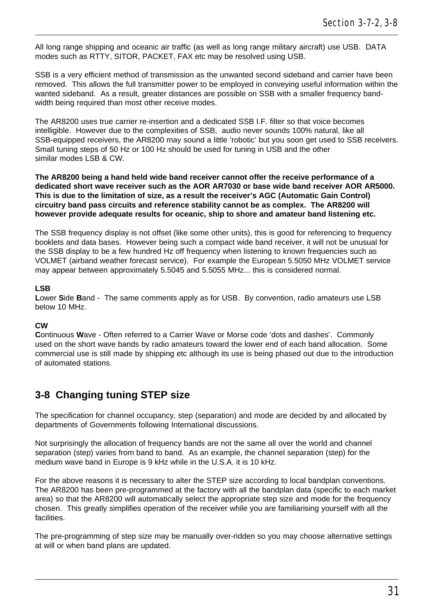All long range shipping and oceanic air traffic (as well as long range military aircraft) use USB. DATA modes such as RTTY, SITOR, PACKET, FAX etc may be resolved using USB.

SSB is a very efficient method of transmission as the unwanted second sideband and carrier have been removed. This allows the full transmitter power to be employed in conveying useful information within the wanted sideband. As a result, greater distances are possible on SSB with a smaller frequency bandwidth being required than most other receive modes.

The AR8200 uses true carrier re-insertion and a dedicated SSB I.F. filter so that voice becomes intelligible. However due to the complexities of SSB, audio never sounds 100% natural, like all SSB-equipped receivers, the AR8200 may sound a little 'robotic' but you soon get used to SSB receivers. Small tuning steps of 50 Hz or 100 Hz should be used for tuning in USB and the other similar modes LSB & CW.

**The AR8200 being a hand held wide band receiver cannot offer the receive performance of a dedicated short wave receiver such as the AOR AR7030 or base wide band receiver AOR AR5000. This is due to the limitation of size, as a result the receiver's AGC (Automatic Gain Control) circuitry band pass circuits and reference stability cannot be as complex. The AR8200 will however provide adequate results for oceanic, ship to shore and amateur band listening etc.**

The SSB frequency display is not offset (like some other units), this is good for referencing to frequency booklets and data bases. However being such a compact wide band receiver, it will not be unusual for the SSB display to be a few hundred Hz off frequency when listening to known frequencies such as VOLMET (airband weather forecast service). For example the European 5.5050 MHz VOLMET service may appear between approximately 5.5045 and 5.5055 MHz... this is considered normal.

#### **LSB**

**L**ower **S**ide **B**and - The same comments apply as for USB. By convention, radio amateurs use LSB below 10 MHz.

#### **CW**

**C**ontinuous **W**ave - Often referred to a Carrier Wave or Morse code 'dots and dashes'. Commonly used on the short wave bands by radio amateurs toward the lower end of each band allocation. Some commercial use is still made by shipping etc although its use is being phased out due to the introduction of automated stations.

### **3-8 Changing tuning STEP size**

The specification for channel occupancy, step (separation) and mode are decided by and allocated by departments of Governments following International discussions.

Not surprisingly the allocation of frequency bands are not the same all over the world and channel separation (step) varies from band to band. As an example, the channel separation (step) for the medium wave band in Europe is 9 kHz while in the U.S.A. it is 10 kHz.

For the above reasons it is necessary to alter the STEP size according to local bandplan conventions. The AR8200 has been pre-programmed at the factory with all the bandplan data (specific to each market area) so that the AR8200 will automatically select the appropriate step size and mode for the frequency chosen. This greatly simplifies operation of the receiver while you are familiarising yourself with all the facilities.

The pre-programming of step size may be manually over-ridden so you may choose alternative settings at will or when band plans are updated.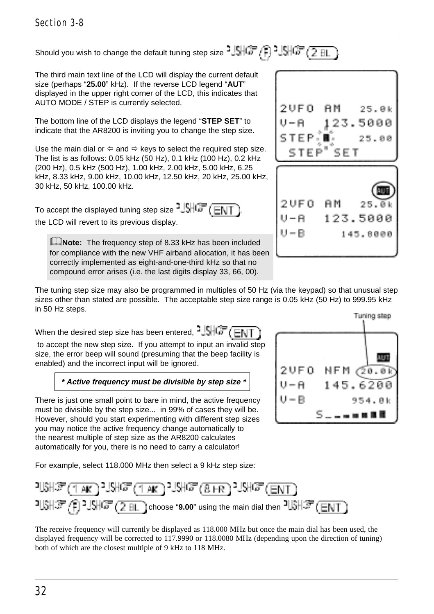### Section 3-8

# Should you wish to change the default tuning step size  $-15\sqrt{37}$  .  $-15\sqrt{37}$  .  $-2$   $\frac{11}{21}$

The third main text line of the LCD will display the current default size (perhaps "**25.00**" kHz). If the reverse LCD legend "**AUT**" displayed in the upper right corner of the LCD, this indicates that AUTO MODE / STEP is currently selected.

The bottom line of the LCD displays the legend "**STEP SET**" to indicate that the AR8200 is inviting you to change the step size.

Use the main dial or  $\Leftrightarrow$  and  $\Leftrightarrow$  keys to select the required step size. The list is as follows: 0.05 kHz (50 Hz), 0.1 kHz (100 Hz), 0.2 kHz (200 Hz), 0.5 kHz (500 Hz), 1.00 kHz, 2.00 kHz, 5.00 kHz, 6.25 kHz, 8.33 kHz, 9.00 kHz, 10.00 kHz, 12.50 kHz, 20 kHz, 25.00 kHz, 30 kHz, 50 kHz, 100.00 kHz.

To accept the displayed tuning step size  $\frac{15}{10}$  ( $\frac{1}{10}$ ) the LCD will revert to its previous display.

**EMote:** The frequency step of 8.33 kHz has been included for compliance with the new VHF airband allocation, it has been correctly implemented as eight-and-one-third kHz so that no compound error arises (i.e. the last digits display 33, 66, 00).



The tuning step size may also be programmed in multiples of 50 Hz (via the keypad) so that unusual step sizes other than stated are possible. The acceptable step size range is 0.05 kHz (50 Hz) to 999.95 kHz in 50 Hz steps.

When the desired step size has been entered,  $\frac{1}{2}$ ,  $\frac{1}{2}$ ,  $\frac{1}{\sqrt{2}}$ ,  $\frac{1}{\sqrt{2}}$ 

 to accept the new step size. If you attempt to input an invalid step size, the error beep will sound (presuming that the beep facility is enabled) and the incorrect input will be ignored.

 **\* Active frequency must be divisible by step size \***

There is just one small point to bare in mind, the active frequency must be divisible by the step size... in 99% of cases they will be. However, should you start experimenting with different step sizes you may notice the active frequency change automatically to the nearest multiple of step size as the AR8200 calculates automatically for you, there is no need to carry a calculator!

For example, select 118.000 MHz then select a 9 kHz step size:





The receive frequency will currently be displayed as 118.000 MHz but once the main dial has been used, the displayed frequency will be corrected to 117.9990 or 118.0080 MHz (depending upon the direction of tuning) both of which are the closest multiple of 9 kHz to 118 MHz.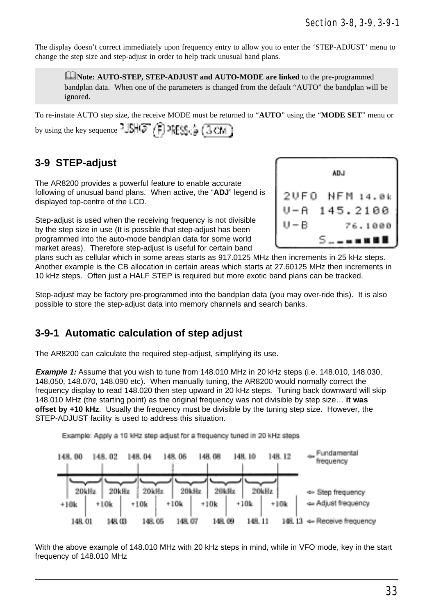The display doesn't correct immediately upon frequency entry to allow you to enter the 'STEP-ADJUST' menu to change the step size and step-adjust in order to help track unusual band plans.

**EDNote: AUTO-STEP, STEP-ADJUST and AUTO-MODE are linked** to the pre-programmed bandplan data. When one of the parameters is changed from the default "AUTO" the bandplan will be ignored.

To re-instate AUTO step size, the receive MODE must be returned to "**AUTO**" using the "**MODE SET**" menu or by using the key sequence  $-\left|\mathbb{S}\right|\left(\mathbb{F}\left/\left|\frac{1}{2}\right|\right)\right|$   $\mathbb{P}\left[\mathbb{S}\right]\left(\frac{1}{2}\left(\frac{1}{2}\right)\right]$ 

## **3-9 STEP-adjust**

The AR8200 provides a powerful feature to enable accurate following of unusual band plans. When active, the "**ADJ**" legend is displayed top-centre of the LCD.

Step-adjust is used when the receiving frequency is not divisible by the step size in use (It is possible that step-adjust has been programmed into the auto-mode bandplan data for some world market areas). Therefore step-adjust is useful for certain band



plans such as cellular which in some areas starts as 917.0125 MHz then increments in 25 kHz steps. Another example is the CB allocation in certain areas which starts at 27.60125 MHz then increments in 10 kHz steps. Often just a HALF STEP is required but more exotic band plans can be tracked.

Step-adjust may be factory pre-programmed into the bandplan data (you may over-ride this). It is also possible to store the step-adjust data into memory channels and search banks.

### **3-9-1 Automatic calculation of step adjust**

The AR8200 can calculate the required step-adjust, simplifying its use.

**Example 1:** Assume that you wish to tune from 148.010 MHz in 20 kHz steps (i.e. 148.010, 148.030, 148,050, 148.070, 148.090 etc). When manually tuning, the AR8200 would normally correct the frequency display to read 148.020 then step upward in 20 kHz steps. Tuning back downward will skip 148.010 MHz (the starting point) as the original frequency was not divisible by step size… **it was offset by +10 kHz**. Usually the frequency must be divisible by the tuning step size. However, the STEP-ADJUST facility is used to address this situation.



With the above example of 148.010 MHz with 20 kHz steps in mind, while in VFO mode, key in the start frequency of 148.010 MHz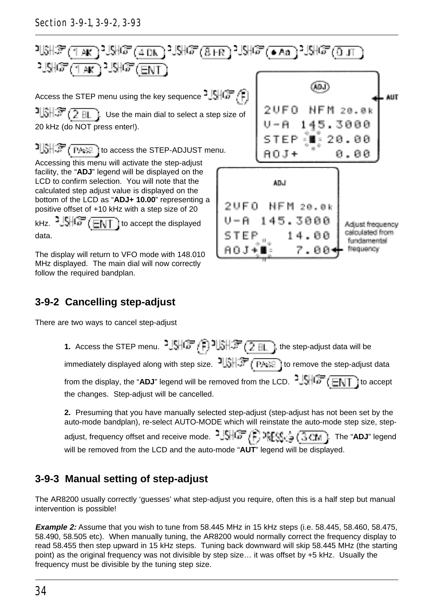

## **3-9-2 Cancelling step-adjust**

There are two ways to cancel step-adjust

**1.** Access the STEP menu.  $\frac{3.5467}{1.07}$  ( $\frac{3.15437}{1.07}$  ( $\frac{2.811}{2.01}$ ), the step-adjust data will be immediately displayed along with step size.  $1 \lesssim \sqrt{p_{\text{max}}}$  to remove the step-adjust data from the display, the "ADJ" legend will be removed from the LCD.  $3.5 + 7.7 + 1.7$  to accept the changes. Step-adjust will be cancelled.

**2.** Presuming that you have manually selected step-adjust (step-adjust has not been set by the auto-mode bandplan), re-select AUTO-MODE which will reinstate the auto-mode step size, stepadjust, frequency offset and receive mode. <sup>2</sup>USHCF (F) PFSS<sub>SS</sub> (3CM). The "ADJ" legend will be removed from the LCD and the auto-mode "**AUT**" legend will be displayed.

# **3-9-3 Manual setting of step-adjust**

The AR8200 usually correctly 'guesses' what step-adjust you require, often this is a half step but manual intervention is possible!

**Example 2:** Assume that you wish to tune from 58.445 MHz in 15 kHz steps (i.e. 58.445, 58.460, 58.475, 58.490, 58.505 etc). When manually tuning, the AR8200 would normally correct the frequency display to read 58.455 then step upward in 15 kHz steps. Tuning back downward will skip 58.445 MHz (the starting point) as the original frequency was not divisible by step size… it was offset by +5 kHz. Usually the frequency must be divisible by the tuning step size.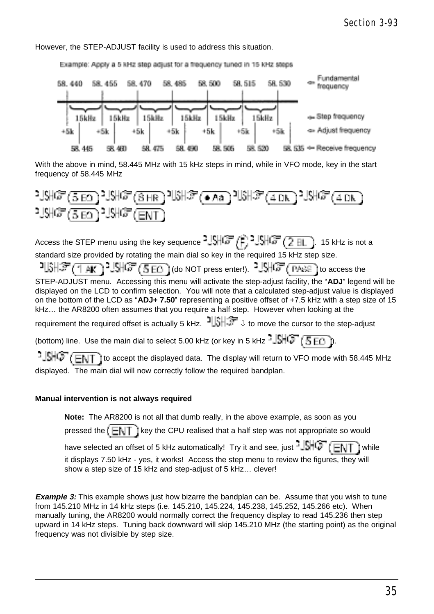However, the STEP-ADJUST facility is used to address this situation.



With the above in mind, 58.445 MHz with 15 kHz steps in mind, while in VFO mode, key in the start frequency of 58.445 MHz



Access the STEP menu using the key sequence  $\frac{3.5}{2}$   $\frac{1.5}{2}$   $\frac{1.5}{2}$   $\frac{1.5}{2}$  in 15 kHz is not a standard size provided by rotating the main dial so key in the required 15 kHz step size.

 $1\frac{1}{2}\frac{1}{\sqrt{2}}\left(\frac{1}{\sqrt{2}}\right)^{1/2}$   $\frac{1}{\sqrt{2}}\left(\frac{1}{\sqrt{2}}\frac{1}{\sqrt{2}}\right)$  (do NOT press enter!).  $1\frac{1}{2}\frac{1}{\sqrt{2}}\left(\frac{1}{\sqrt{2}}\frac{1}{\sqrt{2}}\right)$  to access the STEP-ADJUST menu. Accessing this menu will activate the step-adjust facility, the "**ADJ**" legend will be displayed on the LCD to confirm selection. You will note that a calculated step-adjust value is displayed on the bottom of the LCD as "**ADJ+ 7.50**" representing a positive offset of +7.5 kHz with a step size of 15 kHz… the AR8200 often assumes that you require a half step. However when looking at the requirement the required offset is actually 5 kHz.  $\frac{1}{3}$   $\frac{1}{3}$ . to move the cursor to the step-adjust (bottom) line. Use the main dial to select 5.00 kHz (or key in 5 kHz  $\frac{16}{16}$ ,  $\sqrt{5}$  Fin

 $15\sqrt{3}$  (ENT) to accept the displayed data. The display will return to VFO mode with 58.445 MHz

displayed. The main dial will now correctly follow the required bandplan.

#### **Manual intervention is not always required**

**Note:** The AR8200 is not all that dumb really, in the above example, as soon as you pressed the  $k = k + 1$  key the CPU realised that a half step was not appropriate so would have selected an offset of 5 kHz automatically! Try it and see, just  $\frac{15}{100}$   $\frac{1}{\sqrt{10}}$  ( $\frac{1}{\sqrt{10}}$ ) while it displays 7.50 kHz - yes, it works! Access the step menu to review the figures, they will show a step size of 15 kHz and step-adjust of 5 kHz… clever!

**Example 3:** This example shows just how bizarre the bandplan can be. Assume that you wish to tune from 145.210 MHz in 14 kHz steps (i.e. 145.210, 145.224, 145.238, 145.252, 145.266 etc). When manually tuning, the AR8200 would normally correct the frequency display to read 145.236 then step upward in 14 kHz steps. Tuning back downward will skip 145.210 MHz (the starting point) as the original frequency was not divisible by step size.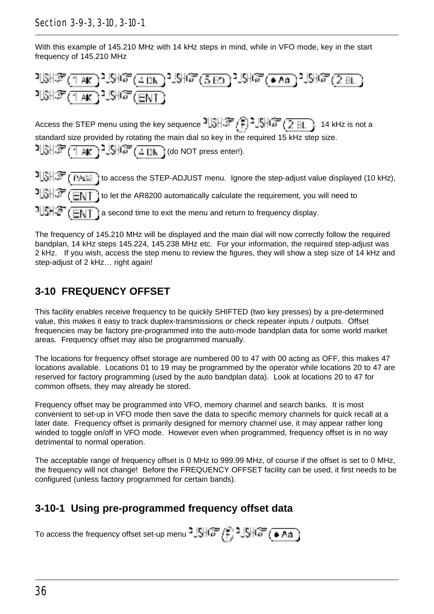### Section 3-9-3, 3-10, 3-10-1

With this example of 145.210 MHz with 14 kHz steps in mind, while in VFO mode, key in the start frequency of 145.210 MHz



Access the STEP menu using the key sequence  $\frac{1}{2}$   $\frac{1}{2}$   $\frac{1}{2}$   $\frac{1}{2}$   $\frac{1}{2}$   $\frac{1}{2}$  and a standard size provided by rotating the main dial so key in the required 15 kHz step size.

$$
\text{LSH}_{\text{F}}(\text{TR})
$$

THSHE (THE I to access the STEP-ADJUST menu. Ignore the step-adjust value displayed (10 kHz),  $\frac{1}{2}$   $\frac{1}{2}$   $\frac{1}{2}$   $\frac{1}{2}$  to let the AR8200 automatically calculate the requirement, you will need to  $\frac{1}{3}$   $\frac{1}{3}$   $\frac{1}{3}$   $\frac{1}{3}$  a second time to exit the menu and return to frequency display.

The frequency of 145.210 MHz will be displayed and the main dial will now correctly follow the required bandplan, 14 kHz steps 145.224, 145.238 MHz etc. For your information, the required step-adjust was 2 kHz. If you wish, access the step menu to review the figures, they will show a step size of 14 kHz and step-adjust of 2 kHz… right again!

# **3-10 FREQUENCY OFFSET**

This facility enables receive frequency to be quickly SHIFTED (two key presses) by a pre-determined value, this makes it easy to track duplex-transmissions or check repeater inputs / outputs. Offset frequencies may be factory pre-programmed into the auto-mode bandplan data for some world market areas. Frequency offset may also be programmed manually.

The locations for frequency offset storage are numbered 00 to 47 with 00 acting as OFF, this makes 47 locations available. Locations 01 to 19 may be programmed by the operator while locations 20 to 47 are reserved for factory programming (used by the auto bandplan data). Look at locations 20 to 47 for common offsets, they may already be stored.

Frequency offset may be programmed into VFO, memory channel and search banks. It is most convenient to set-up in VFO mode then save the data to specific memory channels for quick recall at a later date. Frequency offset is primarily designed for memory channel use, it may appear rather long winded to toggle on/off in VFO mode. However even when programmed, frequency offset is in no way detrimental to normal operation.

The acceptable range of frequency offset is 0 MHz to 999.99 MHz, of course if the offset is set to 0 MHz, the frequency will not change! Before the FREQUENCY OFFSET facility can be used, it first needs to be configured (unless factory programmed for certain bands).

# **3-10-1 Using pre-programmed frequency offset data**

To access the frequency offset set-up menu  $^{2}$  SHCF  $(F, 2$  SHCF  $(4, A)$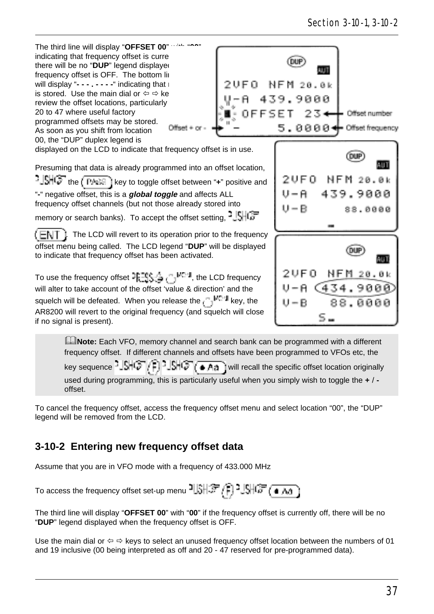

frequency offset. If different channels and offsets have been programmed to VFOs etc, the key sequence  $2\frac{|\xi|}{|\xi|^2}$   $\frac{|\xi|}{|\xi|^2}$   $\frac{|\xi|}{|\xi|^2}$  will recall the specific offset location originally used during programming, this is particularly useful when you simply wish to toggle the **+** /  offset.

To cancel the frequency offset, access the frequency offset menu and select location "00", the "DUP" legend will be removed from the LCD.

# **3-10-2 Entering new frequency offset data**

Assume that you are in VFO mode with a frequency of 433.000 MHz

To access the frequency offset set-up menu  $\frac{1}{3}$   $\frac{1}{3}$   $\frac{1}{3}$   $\frac{1}{3}$   $\frac{1}{3}$   $\frac{1}{3}$   $\frac{1}{3}$   $\frac{1}{3}$ 

The third line will display "**OFFSET 00**" with "**00**" if the frequency offset is currently off, there will be no "**DUP**" legend displayed when the frequency offset is OFF.

Use the main dial or  $\Leftrightarrow \Rightarrow$  keys to select an unused frequency offset location between the numbers of 01 and 19 inclusive (00 being interpreted as off and 20 - 47 reserved for pre-programmed data).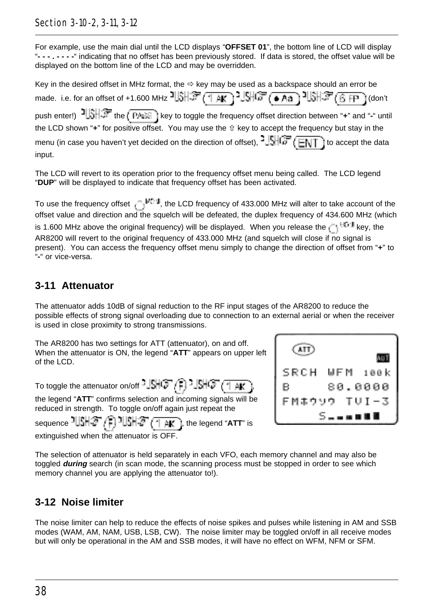### Section 3-10-2, 3-11, 3-12

For example, use the main dial until the LCD displays "**OFFSET 01**", the bottom line of LCD will display "**- - - . - - - -**" indicating that no offset has been previously stored. If data is stored, the offset value will be displayed on the bottom line of the LCD and may be overridden.

Key in the desired offset in MHz format, the  $\Leftrightarrow$  key may be used as a backspace should an error be made. i.e. for an offset of +1.600 MHz  $\frac{15}{3}$  (  $\frac{21}{10}$  )  $\frac{15}{3}$  (  $\frac{27}{3}$  (  $\frac{15}{3}$  (  $\frac{27}{3}$  (  $\frac{27}{3}$  (  $\frac{27}{3}$  (  $\frac{27}{3}$  ( don't push enter!)  $\frac{1}{2}$  the  $\frac{1}{2}$  the  $\frac{1}{2}$  key to toggle the frequency offset direction between "**+**" and "-" until the LCD shown "**+**" for positive offset. You may use the ñ key to accept the frequency but stay in the menu (in case you haven't yet decided on the direction of offset),  $\frac{1}{2}$ ,  $\frac{1}{\sqrt{6}}$  ( $\frac{1}{\sqrt{11}}$ ) to accept the data input.

The LCD will revert to its operation prior to the frequency offset menu being called. The LCD legend "**DUP**" will be displayed to indicate that frequency offset has been activated.

To use the frequency offset  $\frac{1}{2}$ <sup>MC-1</sup>, the LCD frequency of 433.000 MHz will alter to take account of the offset value and direction and the squelch will be defeated, the duplex frequency of 434.600 MHz (which is 1.600 MHz above the original frequency) will be displayed. When you release the  $\zeta^{-\frac{1}{2}+1}$  key, the AR8200 will revert to the original frequency of 433.000 MHz (and squelch will close if no signal is present). You can access the frequency offset menu simply to change the direction of offset from "**+**" to "**-**" or vice-versa.

### **3-11 Attenuator**

The attenuator adds 10dB of signal reduction to the RF input stages of the AR8200 to reduce the possible effects of strong signal overloading due to connection to an external aerial or when the receiver is used in close proximity to strong transmissions.

The AR8200 has two settings for ATT (attenuator), on and off. When the attenuator is ON, the legend "**ATT**" appears on upper left of the LCD.

To toggle the attenuator on/off  $\frac{1}{2}$   $\frac{1}{2}$   $\frac{1}{2}$   $\frac{1}{2}$   $\frac{1}{2}$   $\frac{1}{2}$   $\frac{1}{2}$   $\frac{1}{2}$   $\frac{1}{2}$   $\frac{1}{2}$   $\frac{1}{2}$   $\frac{1}{2}$   $\frac{1}{2}$   $\frac{1}{2}$   $\frac{1}{2}$   $\frac{1}{2}$   $\frac{1}{2}$   $\frac{1}{2}$   $\frac{1$ 

the legend "**ATT**" confirms selection and incoming signals will be reduced in strength. To toggle on/off again just repeat the

sequence 『北非*客』*『『北部』(「AK」), the legend "ATT" is extinguished when the attenuator is OFF



The selection of attenuator is held separately in each VFO, each memory channel and may also be toggled **during** search (in scan mode, the scanning process must be stopped in order to see which memory channel you are applying the attenuator to!).

### **3-12 Noise limiter**

The noise limiter can help to reduce the effects of noise spikes and pulses while listening in AM and SSB modes (WAM, AM, NAM, USB, LSB, CW). The noise limiter may be toggled on/off in all receive modes but will only be operational in the AM and SSB modes, it will have no effect on WFM, NFM or SFM.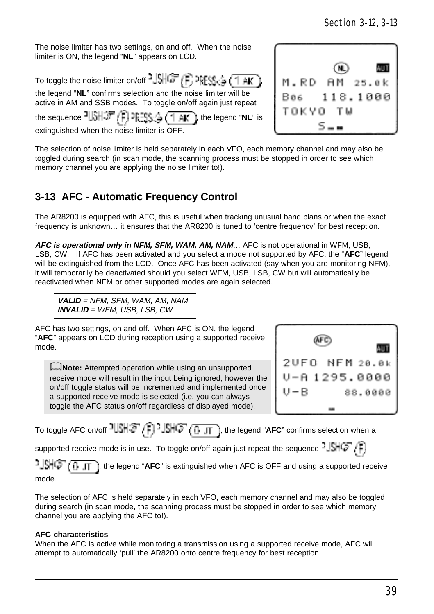The noise limiter has two settings, on and off. When the noise limiter is ON, the legend "**NL**" appears on LCD.

To toggle the noise limiter on/off  $\sqrt[3]{\text{SHS}}$  ( $\frac{1}{\text{S}}$ )  $\sqrt[3]{\text{SHS}}$  ( $\frac{1}{\text{SHS}}$ ) the legend "**NL**" confirms selection and the noise limiter will be

active in AM and SSB modes. To toggle on/off again just repeat



the sequence  $\frac{1}{2}$ ,  $\frac{1}{2}$ ,  $\frac{1}{2}$ ,  $\frac{1}{2}$ ,  $\frac{1}{2}$ ,  $\frac{1}{2}$ ,  $\frac{1}{2}$ ,  $\frac{1}{2}$ , the legend "NL" is extinguished when the noise limiter is OFF.

The selection of noise limiter is held separately in each VFO, each memory channel and may also be toggled during search (in scan mode, the scanning process must be stopped in order to see which memory channel you are applying the noise limiter to!).

## **3-13 AFC - Automatic Frequency Control**

The AR8200 is equipped with AFC, this is useful when tracking unusual band plans or when the exact frequency is unknown… it ensures that the AR8200 is tuned to 'centre frequency' for best reception.

**AFC is operational only in NFM, SFM, WAM, AM, NAM**… AFC is not operational in WFM, USB, LSB, CW. If AFC has been activated and you select a mode not supported by AFC, the "**AFC**" legend will be extinguished from the LCD. Once AFC has been activated (say when you are monitoring NFM), it will temporarily be deactivated should you select WFM, USB, LSB, CW but will automatically be reactivated when NFM or other supported modes are again selected.

**VALID** = NFM, SFM, WAM, AM, NAM **INVALID** = WFM, USB, LSB, CW

AFC has two settings, on and off. When AFC is ON, the legend "**AFC**" appears on LCD during reception using a supported receive mode.

**ENote:** Attempted operation while using an unsupported receive mode will result in the input being ignored, however the on/off toggle status will be incremented and implemented once a supported receive mode is selected (i.e. you can always toggle the AFC status on/off regardless of displayed mode).



To toggle AFC on/off <sup>1</sup> SHC<sup>T</sup> (F) - SHC<sup>T</sup> (D<sub>JT</sub>), the legend "AFC" confirms selection when a

supported receive mode is in use. To toggle on/off again just repeat the sequence  $\mathbb{S}$   $\oplus$   $\mathbb{C}$   $\rightarrow$ 

 $\frac{1}{2}$  $\frac{1}{2}$  $\frac{1}{2}$ , the legend "**AFC**" is extinguished when AFC is OFF and using a supported receive mode.

The selection of AFC is held separately in each VFO, each memory channel and may also be toggled during search (in scan mode, the scanning process must be stopped in order to see which memory channel you are applying the AFC to!).

#### **AFC characteristics**

When the AFC is active while monitoring a transmission using a supported receive mode, AFC will attempt to automatically 'pull' the AR8200 onto centre frequency for best reception.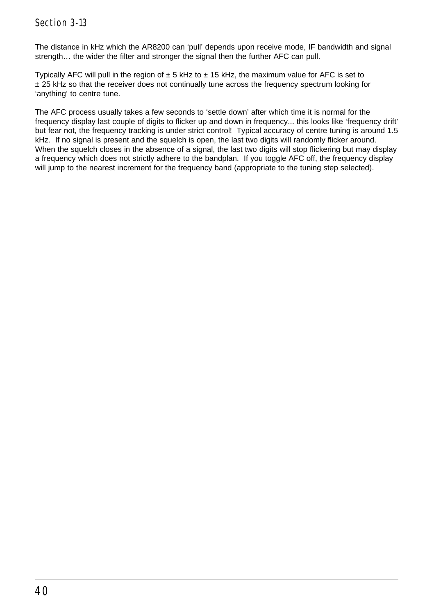The distance in kHz which the AR8200 can 'pull' depends upon receive mode, IF bandwidth and signal strength… the wider the filter and stronger the signal then the further AFC can pull.

Typically AFC will pull in the region of  $\pm$  5 kHz to  $\pm$  15 kHz, the maximum value for AFC is set to ± 25 kHz so that the receiver does not continually tune across the frequency spectrum looking for 'anything' to centre tune.

The AFC process usually takes a few seconds to 'settle down' after which time it is normal for the frequency display last couple of digits to flicker up and down in frequency... this looks like 'frequency drift' but fear not, the frequency tracking is under strict control! Typical accuracy of centre tuning is around 1.5 kHz. If no signal is present and the squelch is open, the last two digits will randomly flicker around. When the squelch closes in the absence of a signal, the last two digits will stop flickering but may display a frequency which does not strictly adhere to the bandplan. If you toggle AFC off, the frequency display will jump to the nearest increment for the frequency band (appropriate to the tuning step selected).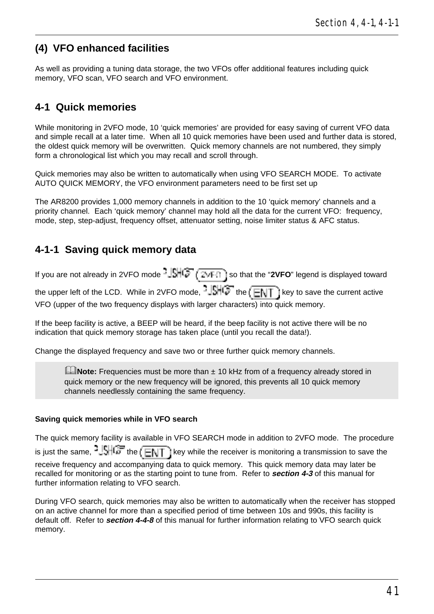# **(4) VFO enhanced facilities**

As well as providing a tuning data storage, the two VFOs offer additional features including quick memory, VFO scan, VFO search and VFO environment.

### **4-1 Quick memories**

While monitoring in 2VFO mode, 10 'quick memories' are provided for easy saving of current VFO data and simple recall at a later time. When all 10 quick memories have been used and further data is stored, the oldest quick memory will be overwritten. Quick memory channels are not numbered, they simply form a chronological list which you may recall and scroll through.

Quick memories may also be written to automatically when using VFO SEARCH MODE. To activate AUTO QUICK MEMORY, the VFO environment parameters need to be first set up

The AR8200 provides 1,000 memory channels in addition to the 10 'quick memory' channels and a priority channel. Each 'quick memory' channel may hold all the data for the current VFO: frequency, mode, step, step-adjust, frequency offset, attenuator setting, noise limiter status & AFC status.

## **4-1-1 Saving quick memory data**

If you are not already in 2VFO mode  $-\sqrt{\frac{1}{2}}\sqrt{\frac{2}{\sqrt{1}}\cdot\frac{1}{\sqrt{1}}}$  so that the "2VFO" legend is displayed toward the upper left of the LCD. While in 2VFO mode,  $\frac{1}{2}$ . the  $\sqrt{\frac{1}{2} + \frac{1}{2}}$  is key to save the current active VFO (upper of the two frequency displays with larger characters) into quick memory.

If the beep facility is active, a BEEP will be heard, if the beep facility is not active there will be no indication that quick memory storage has taken place (until you recall the data!).

Change the displayed frequency and save two or three further quick memory channels.

**ENote:** Frequencies must be more than ± 10 kHz from of a frequency already stored in quick memory or the new frequency will be ignored, this prevents all 10 quick memory channels needlessly containing the same frequency.

#### **Saving quick memories while in VFO search**

The quick memory facility is available in VFO SEARCH mode in addition to 2VFO mode. The procedure is just the same,  $\frac{1}{2}$ ,  $\frac{1}{2}$  the  $\frac{1}{2}$  key while the receiver is monitoring a transmission to save the receive frequency and accompanying data to quick memory. This quick memory data may later be recalled for monitoring or as the starting point to tune from. Refer to **section 4-3** of this manual for further information relating to VFO search.

During VFO search, quick memories may also be written to automatically when the receiver has stopped on an active channel for more than a specified period of time between 10s and 990s, this facility is default off. Refer to **section 4-4-8** of this manual for further information relating to VFO search quick memory.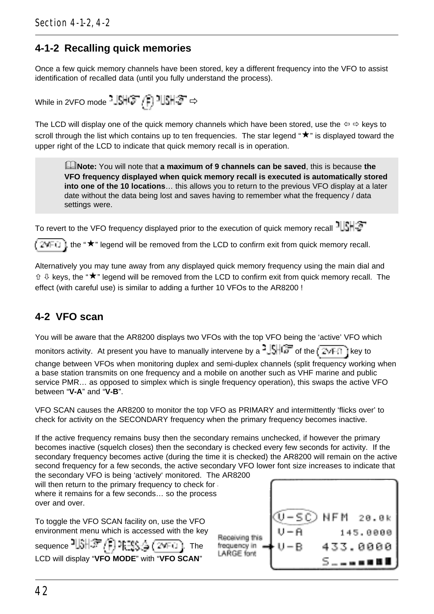### **4-1-2 Recalling quick memories**

Once a few quick memory channels have been stored, key a different frequency into the VFO to assist identification of recalled data (until you fully understand the process).

$$
\text{While in 2VFO mode -} \frac{1}{2} \frac{1}{2} \frac{1}{2} \frac{1}{2} \frac{1}{2} \frac{1}{2} \frac{1}{2} \frac{1}{2} \Rightarrow
$$

The LCD will display one of the quick memory channels which have been stored, use the  $\Leftrightarrow$  keys to scroll through the list which contains up to ten frequencies. The star legend " $\bigstar$ " is displayed toward the upper right of the LCD to indicate that quick memory recall is in operation.

&**Note:** You will note that **a maximum of 9 channels can be saved**, this is because **the VFO frequency displayed when quick memory recall is executed is automatically stored into one of the 10 locations**… this allows you to return to the previous VFO display at a later date without the data being lost and saves having to remember what the frequency / data settings were.

To revert to the VFO frequency displayed prior to the execution of quick memory recall  $15+5$ 

 $\sharp$ , the " $\star$ " legend will be removed from the LCD to confirm exit from quick memory recall. 24FO

Alternatively you may tune away from any displayed quick memory frequency using the main dial and  $\hat{v}$  & kevs, the " $\star$ " legend will be removed from the LCD to confirm exit from quick memory recall. The effect (with careful use) is similar to adding a further 10 VFOs to the AR8200 !

# **4-2 VFO scan**

You will be aware that the AR8200 displays two VFOs with the top VFO being the 'active' VFO which

monitors activity. At present you have to manually intervene by a  $\frac{1}{2}$ , of the  $\frac{1}{2}$ , if key to

change between VFOs when monitoring duplex and semi-duplex channels (split frequency working when a base station transmits on one frequency and a mobile on another such as VHF marine and public service PMR… as opposed to simplex which is single frequency operation), this swaps the active VFO between "**V-A**" and "**V-B**".

VFO SCAN causes the AR8200 to monitor the top VFO as PRIMARY and intermittently 'flicks over' to check for activity on the SECONDARY frequency when the primary frequency becomes inactive.

If the active frequency remains busy then the secondary remains unchecked, if however the primary becomes inactive (squelch closes) then the secondary is checked every few seconds for activity. If the secondary frequency becomes active (during the time it is checked) the AR8200 will remain on the active second frequency for a few seconds, the active secondary VFO lower font size increases to indicate that the secondary VFO is being 'actively' monitored. The AR8200

will then return to the primary frequency to check for a where it remains for a few seconds... so the process over and over.

To toggle the VFO SCAN facility on, use the VFO environment menu which is accessed with the key

sequence  $\exists \mathbb{R} \mathbb{R}$  or  $\exists \mathbb{S} \in (\mathbb{Z}^{n})$ . The LCD will display "**VFO MODE**" with "**VFO SCAN**"

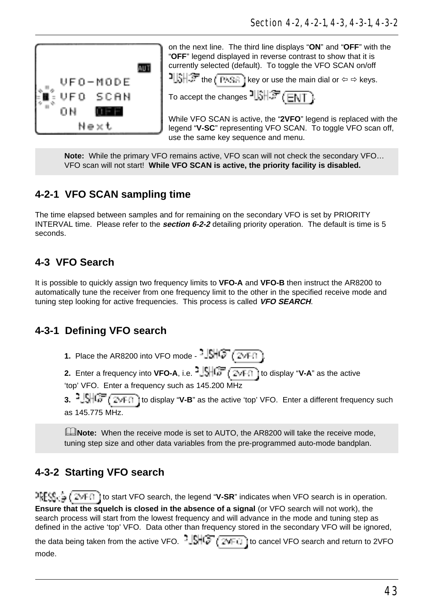

on the next line. The third line displays "**ON**" and "**OFF**" with the "**OFF**" legend displayed in reverse contrast to show that it is currently selected (default). To toggle the VFO SCAN on/off

**i**  $\frac{1}{2}$  the  $\frac{1}{2}$  is key or use the main dial or  $\Leftarrow \Rightarrow$  keys.

To accept the changes  $\frac{1}{3}$   $\frac{1}{3}$   $\frac{1}{3}$   $\frac{1}{3}$   $\frac{1}{3}$   $\frac{1}{3}$ 

While VFO SCAN is active, the "**2VFO**" legend is replaced with the legend "**V-SC**" representing VFO SCAN. To toggle VFO scan off, use the same key sequence and menu.

**Note:** While the primary VFO remains active, VFO scan will not check the secondary VFO… VFO scan will not start! **While VFO SCAN is active, the priority facility is disabled.**

# **4-2-1 VFO SCAN sampling time**

The time elapsed between samples and for remaining on the secondary VFO is set by PRIORITY INTERVAL time. Please refer to the **section 6-2-2** detailing priority operation. The default is time is 5 seconds.

# **4-3 VFO Search**

It is possible to quickly assign two frequency limits to **VFO-A** and **VFO-B** then instruct the AR8200 to automatically tune the receiver from one frequency limit to the other in the specified receive mode and tuning step looking for active frequencies. This process is called **VFO SEARCH**.

# **4-3-1 Defining VFO search**

**1.** Place the AR8200 into VFO mode -  $\frac{16}{5}$   $\left(\frac{1}{2}\sqrt{F(1)}\right)$ 

**2.** Enter a frequency into **VFO-A**, i.e.  $\frac{1}{2}$ ,  $\frac{1}{2}$ ,  $\frac{1}{2}$ ,  $\frac{1}{2}$ , ito display "**V-A**" as the active 'top' VFO. Enter a frequency such as 145.200 MHz

**3.**  $\frac{1}{2}$   $\frac{1}{2}$   $\frac{1}{\sqrt{6}}$   $\frac{1}{\sqrt{6}}$  of display "**V-B**" as the active 'top' VFO. Enter a different frequency such as 145.775 MHz.

**ENote:** When the receive mode is set to AUTO, the AR8200 will take the receive mode, tuning step size and other data variables from the pre-programmed auto-mode bandplan.

# **4-3-2 Starting VFO search**

**IFFS**  $\frac{1}{2}$  (  $2 \times 1$  ) to start VFO search, the legend "**V-SR**" indicates when VFO search is in operation. **Ensure that the squelch is closed in the absence of a signal** (or VFO search will not work), the search process will start from the lowest frequency and will advance in the mode and tuning step as defined in the active 'top' VFO. Data other than frequency stored in the secondary VFO will be ignored, the data being taken from the active VFO.  $-\sqrt{3HQ}$  ( $2VFT$ ) to cancel VFO search and return to 2VFO mode.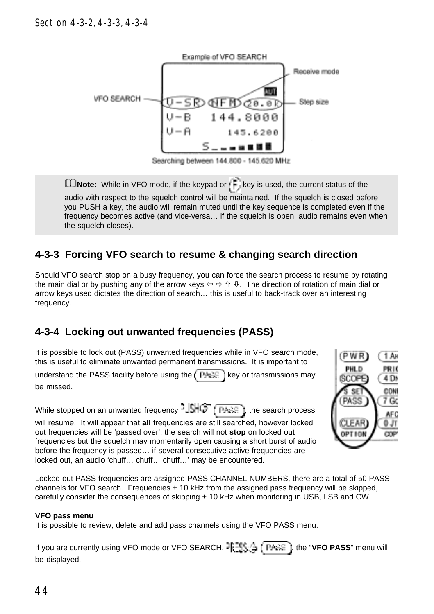

**ENote:** While in VFO mode, if the keypad or  $k = k$  key is used, the current status of the audio with respect to the squelch control will be maintained. If the squelch is closed before you PUSH a key, the audio will remain muted until the key sequence is completed even if the frequency becomes active (and vice-versa… if the squelch is open, audio remains even when the squelch closes).

# **4-3-3 Forcing VFO search to resume & changing search direction**

Should VFO search stop on a busy frequency, you can force the search process to resume by rotating the main dial or by pushing any of the arrow keys ï ð ñ ò. The direction of rotation of main dial or arrow keys used dictates the direction of search… this is useful to back-track over an interesting frequency.

# **4-3-4 Locking out unwanted frequencies (PASS)**

It is possible to lock out (PASS) unwanted frequencies while in VFO search mode, this is useful to eliminate unwanted permanent transmissions. It is important to

understand the PASS facility before using the  $k$  PACE is key or transmissions may be missed.

While stopped on an unwanted frequency  $\frac{1}{2}$   $\frac{1}{2}$   $\frac{1}{2}$   $\frac{1}{2}$   $\frac{1}{2}$  are search process will resume. It will appear that **all** frequencies are still searched, however locked out frequencies will be 'passed over', the search will not **stop** on locked out frequencies but the squelch may momentarily open causing a short burst of audio before the frequency is passed… if several consecutive active frequencies are locked out, an audio 'chuff… chuff… chuff…' may be encountered.

PWR 1 AM PHI D PRIC SCOPE 4 DM CONF SFT PASS  $7G$ **AFC** FAR  $0Jr$ **TION COP** 

Locked out PASS frequencies are assigned PASS CHANNEL NUMBERS, there are a total of 50 PASS channels for VFO search. Frequencies  $\pm$  10 kHz from the assigned pass frequency will be skipped, carefully consider the consequences of skipping  $\pm$  10 kHz when monitoring in USB, LSB and CW.

#### **VFO pass menu**

It is possible to review, delete and add pass channels using the VFO PASS menu.

If you are currently using VFO mode or VFO SEARCH, <sup>1</sup>FIS<sub>2</sub><sup>4</sup> (FAAR), the "VFO PASS" menu will be displayed.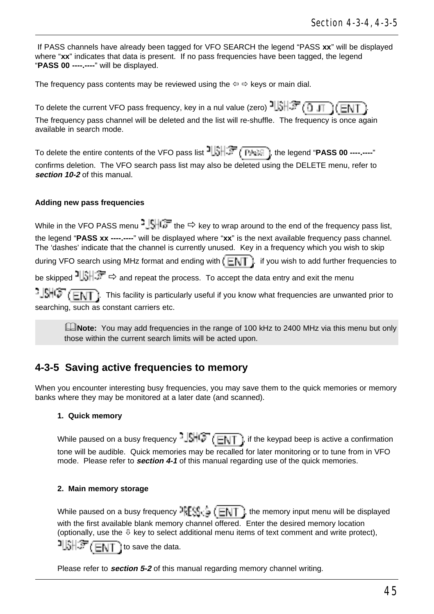If PASS channels have already been tagged for VFO SEARCH the legend "PASS **xx**" will be displayed where "**xx**" indicates that data is present. If no pass frequencies have been tagged, the legend "**PASS 00 ----.----**" will be displayed.

The frequency pass contents may be reviewed using the  $\Leftrightarrow$   $\Leftrightarrow$  keys or main dial.

To delete the current VFO pass frequency, key in a nul value (zero)  $\frac{1}{3}$ ,  $\frac{1}{3}$ The frequency pass channel will be deleted and the list will re-shuffle. The frequency is once again available in search mode.

To delete the entire contents of the VFO pass list  $\frac{1}{3}$ ,  $\frac{1}{3}$ ,  $\frac{1}{3}$ , the legend "**PASS 00 ----**----" confirms deletion. The VFO search pass list may also be deleted using the DELETE menu, refer to **section 10-2** of this manual.

#### **Adding new pass frequencies**

While in the VFO PASS menu  $\frac{1}{2}$   $\frac{1}{2}$  the  $\Rightarrow$  key to wrap around to the end of the frequency pass list, the legend "**PASS xx ----.----**" will be displayed where "**xx**" is the next available frequency pass channel. The 'dashes' indicate that the channel is currently unused. Key in a frequency which you wish to skip during VFO search using MHz format and ending with  $E\mathbb{H}$ . if you wish to add further frequencies to be skipped  $\frac{1}{3}$   $\frac{1}{3}$   $\Rightarrow$  and repeat the process. To accept the data entry and exit the menu  $\frac{1}{2}$  $\frac{1}{2}$  $\frac{1}{2}$   $\frac{1}{2}$   $\frac{1}{2}$  This facility is particularly useful if you know what frequencies are unwanted prior to searching, such as constant carriers etc.

**ENote:** You may add frequencies in the range of 100 kHz to 2400 MHz via this menu but only those within the current search limits will be acted upon.

### **4-3-5 Saving active frequencies to memory**

When you encounter interesting busy frequencies, you may save them to the quick memories or memory banks where they may be monitored at a later date (and scanned).

#### **1. Quick memory**

While paused on a busy frequency  $JSHG$  ( $\boxed{EN}$ ), if the keypad beep is active a confirmation tone will be audible. Quick memories may be recalled for later monitoring or to tune from in VFO mode. Please refer to **section 4-1** of this manual regarding use of the quick memories.

#### **2. Main memory storage**

While paused on a busy frequency  ${}^{3}RES_{G} \subset \Box NT$  , the memory input menu will be displayed with the first available blank memory channel offered. Enter the desired memory location (optionally, use the  $\mathbb U$  key to select additional menu items of text comment and write protect),

 $\frac{1}{2}$   $\frac{1}{2}$   $\frac{1}{2}$   $\frac{1}{2}$   $\frac{1}{2}$  to save the data.

Please refer to **section 5-2** of this manual regarding memory channel writing.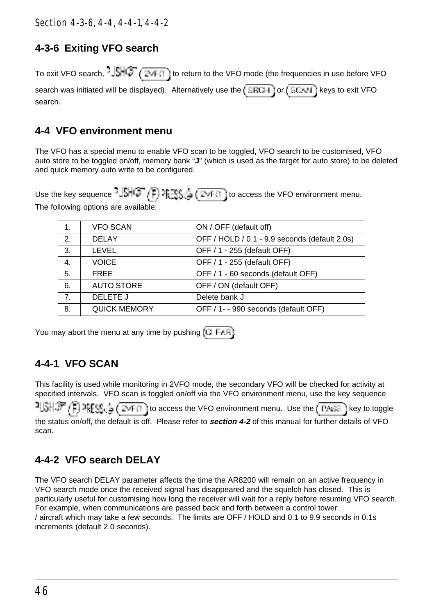### **4-3-6 Exiting VFO search**

To exit VFO search,  $\frac{1}{2}$ ,  $\frac{1}{2}$ ,  $\frac{1}{2}$ ,  $\frac{1}{2}$ , ito return to the VFO mode (the frequencies in use before VFO

| search was initiated will be displayed). Alternatively use the $\sqrt{\text{ERCH}}$ or $\left(\sqrt{\text{ERCH}}\right)$ keys to exit VFO |  |  |  |  |
|-------------------------------------------------------------------------------------------------------------------------------------------|--|--|--|--|
| search.                                                                                                                                   |  |  |  |  |

### **4-4 VFO environment menu**

The VFO has a special menu to enable VFO scan to be toggled, VFO search to be customised, VFO auto store to be toggled on/off, memory bank "**J**" (which is used as the target for auto store) to be deleted and quick memory auto write to be configured.

Use the key sequence  $JSHG^{-}(\overline{F})$  is  $\mathbb{H}^m_{\mathbb{Q}_p}(\overline{F})$  to access the VFO environment menu. The following options are available:

| 1.             | <b>VFO SCAN</b>     | ON / OFF (default off)                        |
|----------------|---------------------|-----------------------------------------------|
| 2.             | <b>DELAY</b>        | OFF / HOLD / 0.1 - 9.9 seconds (default 2.0s) |
| 3.             | LEVEL               | OFF / 1 - 255 (default OFF)                   |
| 4.             | <b>VOICE</b>        | OFF / 1 - 255 (default OFF)                   |
| 5.             | <b>FREE</b>         | OFF / 1 - 60 seconds (default OFF)            |
| 6.             | <b>AUTO STORE</b>   | OFF / ON (default OFF)                        |
| 7 <sub>1</sub> | DELETE J            | Delete bank J                                 |
| 8.             | <b>QUICK MEMORY</b> | OFF / 1- - 990 seconds (default OFF)          |

You may abort the menu at any time by pushing  $\overline{11}$  F. F.

# **4-4-1 VFO SCAN**

This facility is used while monitoring in 2VFO mode, the secondary VFO will be checked for activity at specified intervals. VFO scan is toggled on/off via the VFO environment menu, use the key sequence 21,6H*穿 (1)* appea  $\frac{1}{2}(\overline{24F1})$  to access the VFO environment menu. Use the  $(\overline{P4F2})$  key to toggle the status on/off, the default is off. Please refer to **section 4-2** of this manual for further details of VFO scan.

# **4-4-2 VFO search DELAY**

The VFO search DELAY parameter affects the time the AR8200 will remain on an active frequency in VFO search mode once the received signal has disappeared and the squelch has closed. This is particularly useful for customising how long the receiver will wait for a reply before resuming VFO search. For example, when communications are passed back and forth between a control tower / aircraft which may take a few seconds. The limits are OFF / HOLD and 0.1 to 9.9 seconds in 0.1s increments (default 2.0 seconds).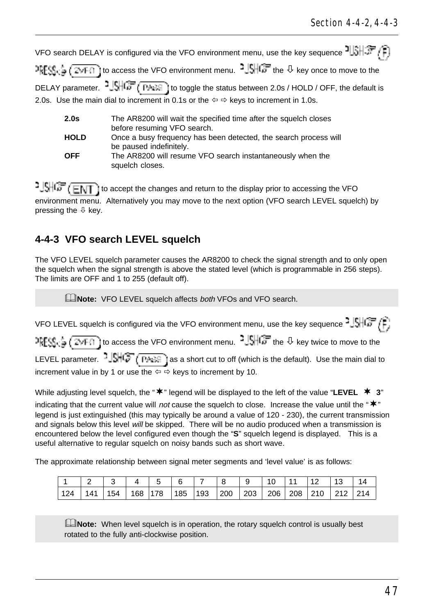|             | VFO search DELAY is configured via the VFO environment menu, use the key sequence $\frac{1}{3}$ , $\frac{1}{3}$ , $\frac{1}{3}$                                   |
|-------------|-------------------------------------------------------------------------------------------------------------------------------------------------------------------|
|             | $\frac{1}{2}$ $\frac{1}{2}$ $\frac{1}{2}$ $\frac{1}{2}$ to access the VFO environment menu. $\frac{1}{2}$ $\frac{1}{2}$ the $\frac{1}{2}$ key once to move to the |
|             | DELAY parameter. $3\sqrt{3}$ $\sqrt{G}$ (PASS) to toggle the status between 2.0s / HOLD / OFF, the default is                                                     |
|             | 2.0s. Use the main dial to increment in 0.1s or the $\Leftrightarrow$ $\Leftrightarrow$ keys to increment in 1.0s.                                                |
| 2.0s        | The AR8200 will wait the specified time after the squelch closes<br>before resuming VFO search.                                                                   |
| <b>HOLD</b> | Once a busy frequency has been detected, the search process will                                                                                                  |
| OFF         | be paused indefinitely.<br>The AR8200 will resume VFO search instantaneously when the                                                                             |

 $1.5 + 1.7$  to accept the changes and return to the display prior to accessing the VFO environment menu. Alternatively you may move to the next option (VFO search LEVEL squelch) by pressing the  $\sqrt{0}$  key.

## **4-4-3 VFO search LEVEL squelch**

squelch closes.

The VFO LEVEL squelch parameter causes the AR8200 to check the signal strength and to only open the squelch when the signal strength is above the stated level (which is programmable in 256 steps). The limits are OFF and 1 to 255 (default off).

**ENote:** VFO LEVEL squelch affects both VFOs and VFO search.

VFO LEVEL squelch is configured via the VFO environment menu, use the key sequence  $^2\sqrt{S+G}$ ,  $\left(\frac{1}{2}\right)$  $RFS_0 = (Z*FI)$  to access the VFO environment menu.  $1.5HGF$  the  $\theta$  key twice to move to the LEVEL parameter.  $-\sqrt{S}$   $\sqrt{P_{\text{max}}}$  as a short cut to off (which is the default). Use the main dial to increment value in by 1 or use the  $\Leftrightarrow$   $\Leftrightarrow$  keys to increment by 10.

While adjusting level squelch, the " $\mathbf{\n}^*$ " legend will be displayed to the left of the value "LEVEL  $\mathbf{\n}^*$  3" indicating that the current value will not cause the squelch to close. Increase the value until the " $*$ " legend is just extinguished (this may typically be around a value of 120 - 230), the current transmission and signals below this level will be skipped. There will be no audio produced when a transmission is encountered below the level configured even though the "**S**" squelch legend is displayed. This is a useful alternative to regular squelch on noisy bands such as short wave.

The approximate relationship between signal meter segments and 'level value' is as follows:

|     |     |     |         |                 |     |     |     | 10                | 11  | $\overline{1}$ | 13  | 14              |
|-----|-----|-----|---------|-----------------|-----|-----|-----|-------------------|-----|----------------|-----|-----------------|
| 124 | 111 | 154 | 168 178 | $^{\prime}$ 185 | 193 | 200 | 203 | $^{\prime}$ 206 i | 208 | 210            | 212 | 21 <sub>A</sub> |

**E**Note: When level squelch is in operation, the rotary squelch control is usually best rotated to the fully anti-clockwise position.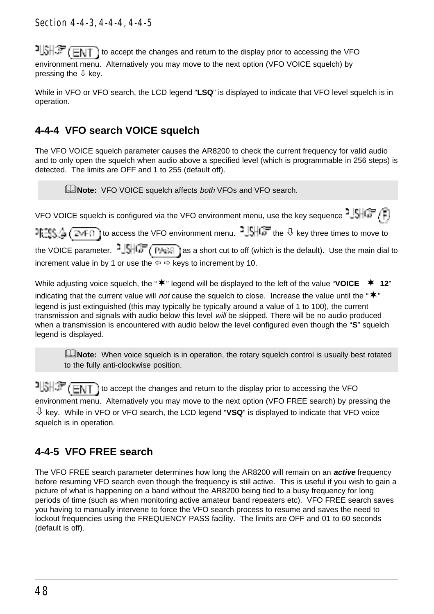to accept the changes and return to the display prior to accessing the VFO environment menu. Alternatively you may move to the next option (VFO VOICE squelch) by pressing the  $\mathbb Q$  key.

While in VFO or VFO search, the LCD legend "**LSQ**" is displayed to indicate that VFO level squelch is in operation.

# **4-4-4 VFO search VOICE squelch**

The VFO VOICE squelch parameter causes the AR8200 to check the current frequency for valid audio and to only open the squelch when audio above a specified level (which is programmable in 256 steps) is detected. The limits are OFF and 1 to 255 (default off).

**ANote:** VFO VOICE squelch affects both VFOs and VFO search.

VFO VOICE squelch is configured via the VFO environment menu, use the key sequence  $^2\sqrt{3}$  $F^{\text{reg}}$ ,  $\frac{1}{4}$  ( $\frac{1}{2}$ yF $\frac{1}{10}$  to access the VFO environment menu.  $\frac{1}{4}$ ,  $\frac{1}{10}$  the  $\frac{1}{2}$  key three times to move to the VOICE parameter.  $2\sqrt{16\pi}$  ( $\frac{P}{P}$ ) as a short cut to off (which is the default). Use the main dial to increment value in by 1 or use the  $\Leftrightarrow$   $\Leftrightarrow$  keys to increment by 10.

While adjusting voice squelch, the " $\bf{*}$ " legend will be displayed to the left of the value "VOICE  $\bf{*}$  12" indicating that the current value will not cause the squelch to close. Increase the value until the " $*$ " legend is just extinguished (this may typically be typically around a value of 1 to 100), the current transmission and signals with audio below this level will be skipped. There will be no audio produced when a transmission is encountered with audio below the level configured even though the "S" squelch legend is displayed.

**ENote:** When voice squelch is in operation, the rotary squelch control is usually best rotated to the fully anti-clockwise position.

 $t\rightarrow +\infty$  (ENT) to accept the changes and return to the display prior to accessing the VFO environment menu. Alternatively you may move to the next option (VFO FREE search) by pressing the  $\overline{\psi}$  key. While in VFO or VFO search, the LCD legend "**VSQ**" is displayed to indicate that VFO voice squelch is in operation.

# **4-4-5 VFO FREE search**

The VFO FREE search parameter determines how long the AR8200 will remain on an **active** frequency before resuming VFO search even though the frequency is still active. This is useful if you wish to gain a picture of what is happening on a band without the AR8200 being tied to a busy frequency for long periods of time (such as when monitoring active amateur band repeaters etc). VFO FREE search saves you having to manually intervene to force the VFO search process to resume and saves the need to lockout frequencies using the FREQUENCY PASS facility. The limits are OFF and 01 to 60 seconds (default is off).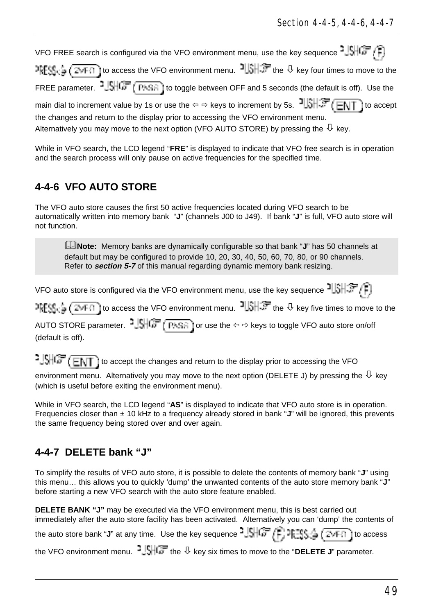VFO FREE search is configured via the VFO environment menu, use the key sequence  $^{2}$   $\sqrt{\frac{1}{n}}$  $RFS_C = (T*FI)$  to access the VFO environment menu.  $1 \oplus 1$  file  $\theta$  key four times to move to the FREE parameter.  $2\frac{1}{2}\sqrt{\frac{1}{n}}$  ( $\frac{1}{(1^{11}\cdot 5^{11})}$  to toggle between OFF and 5 seconds (the default is off). Use the main dial to increment value by 1s or use the  $\Leftrightarrow$   $\Leftrightarrow$  keys to increment by 5s.  $\frac{16}{36}$   $\frac{16}{36}$   $\frac{1}{16}$  to accept the changes and return to the display prior to accessing the VFO environment menu. Alternatively you may move to the next option (VFO AUTO STORE) by pressing the  $\overline{\psi}$  key.

While in VFO search, the LCD legend "**FRE**" is displayed to indicate that VFO free search is in operation and the search process will only pause on active frequencies for the specified time.

## **4-4-6 VFO AUTO STORE**

The VFO auto store causes the first 50 active frequencies located during VFO search to be automatically written into memory bank "**J**" (channels J00 to J49). If bank "**J**" is full, VFO auto store will not function.

&**Note:** Memory banks are dynamically configurable so that bank "**J**" has 50 channels at default but may be configured to provide 10, 20, 30, 40, 50, 60, 70, 80, or 90 channels. Refer to **section 5-7** of this manual regarding dynamic memory bank resizing.

VFO auto store is configured via the VFO environment menu, use the key sequence  $\frac{1}{3}$ 

 $\frac{1}{2}$   $\frac{1}{2}$   $\frac{1}{2}$   $\frac{1}{2}$  to access the VFO environment menu.  $\frac{1}{2}$   $\frac{1}{2}$  the  $\theta$  key five times to move to the AUTO STORE parameter.  $\frac{3.54167}{1.0666}$  (PKSA) for use the  $\Leftrightarrow$  devs to toggle VFO auto store on/off (default is off).

 $1.5 + 1.5 + 1.7$  to accept the changes and return to the display prior to accessing the VFO

environment menu. Alternatively you may move to the next option (DELETE J) by pressing the  $\mathbb \Psi$  key (which is useful before exiting the environment menu).

While in VFO search, the LCD legend "**AS**" is displayed to indicate that VFO auto store is in operation. Frequencies closer than ± 10 kHz to a frequency already stored in bank "**J**" will be ignored, this prevents the same frequency being stored over and over again.

# **4-4-7 DELETE bank "J"**

To simplify the results of VFO auto store, it is possible to delete the contents of memory bank "**J**" using this menu… this allows you to quickly 'dump' the unwanted contents of the auto store memory bank "**J**" before starting a new VFO search with the auto store feature enabled.

**DELETE BANK "J"** may be executed via the VFO environment menu, this is best carried out immediately after the auto store facility has been activated. Alternatively you can 'dump' the contents of the auto store bank "**J**" at any time. Use the key sequence  $\frac{1}{2}$  $\frac{1}{2}$  $\frac{1}{2}$  $\frac{1}{2}$  $\frac{1}{2}$  $\frac{1}{2}$  $\frac{1}{2}$  $\frac{1}{2}$  $\frac{1}{2}$  $\frac{1}{2}$  $\frac{1}{2}$  $\frac{1}{2}$  $\frac{1}{2}$   $\frac{1}{2}$ 

the VFO environment menu.  $\frac{3}{5}$   $\frac{1}{5}$   $\frac{1}{10}$  the  $\frac{1}{5}$  key six times to move to the "**DELETE J**" parameter.